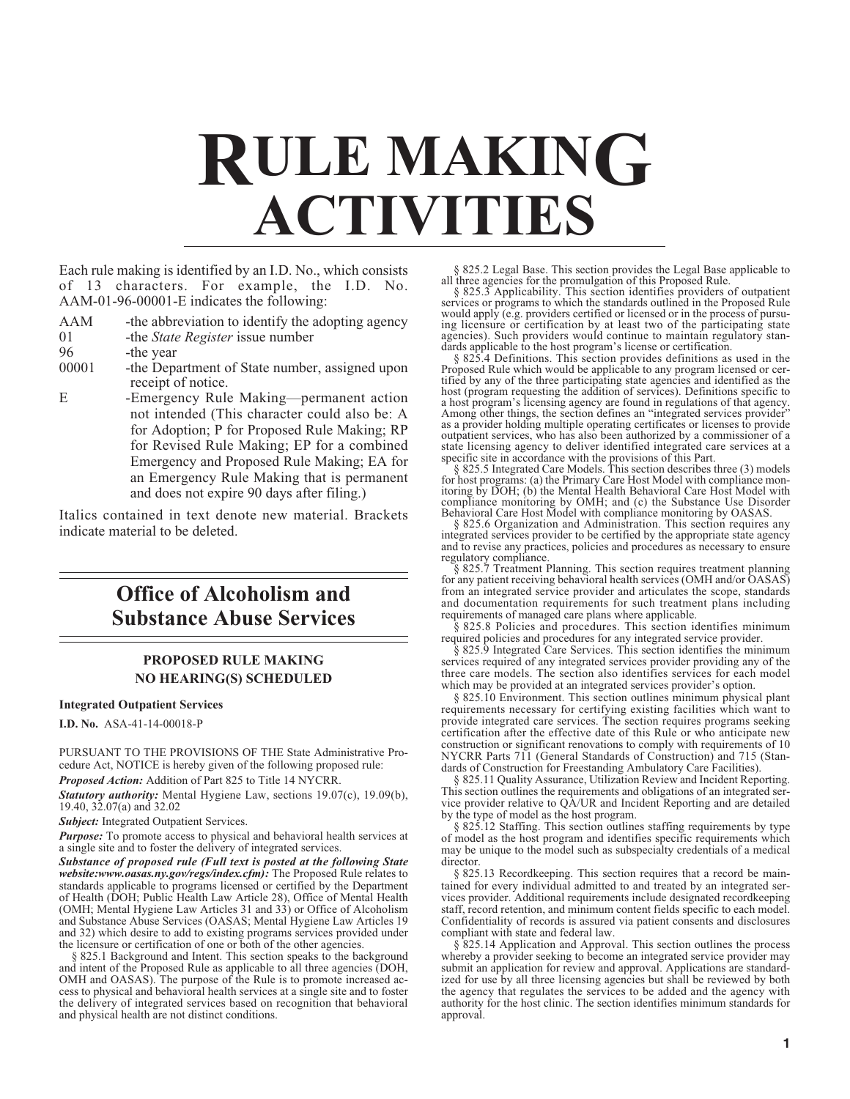# **RULE MAKING ACTIVITIES**

Each rule making is identified by an I.D. No., which consists of 13 characters. For example, the I.D. No. AAM-01-96-00001-E indicates the following:

- AAM -the abbreviation to identify the adopting agency<br>01 -the *State Register* issue number
- 01 -the *State Register* issue number
- 96 -the year<br>00001 -the Depa

-the Department of State number, assigned upon receipt of notice.

E -Emergency Rule Making—permanent action not intended (This character could also be: A for Adoption; P for Proposed Rule Making; RP for Revised Rule Making; EP for a combined Emergency and Proposed Rule Making; EA for an Emergency Rule Making that is permanent and does not expire 90 days after filing.)

Italics contained in text denote new material. Brackets indicate material to be deleted.

# **Office of Alcoholism and Substance Abuse Services**

# **PROPOSED RULE MAKING NO HEARING(S) SCHEDULED**

### **Integrated Outpatient Services**

**I.D. No.** ASA-41-14-00018-P

PURSUANT TO THE PROVISIONS OF THE State Administrative Procedure Act, NOTICE is hereby given of the following proposed rule:

*Proposed Action:* Addition of Part 825 to Title 14 NYCRR.

*Statutory authority:* Mental Hygiene Law, sections 19.07(c), 19.09(b), 19.40, 32.07(a) and 32.02

*Subject:* Integrated Outpatient Services.

*Purpose:* To promote access to physical and behavioral health services at a single site and to foster the delivery of integrated services.

*Substance of proposed rule (Full text is posted at the following State website:www.oasas.ny.gov/regs/index.cfm):* The Proposed Rule relates to standards applicable to programs licensed or certified by the Department of Health (DOH; Public Health Law Article 28), Office of Mental Health (OMH; Mental Hygiene Law Articles 31 and 33) or Office of Alcoholism and Substance Abuse Services (OASAS; Mental Hygiene Law Articles 19 and 32) which desire to add to existing programs services provided under the licensure or certification of one or both of the other agencies.

§ 825.1 Background and Intent. This section speaks to the background and intent of the Proposed Rule as applicable to all three agencies (DOH, OMH and OASAS). The purpose of the Rule is to promote increased access to physical and behavioral health services at a single site and to foster the delivery of integrated services based on recognition that behavioral and physical health are not distinct conditions.

§ 825.2 Legal Base. This section provides the Legal Base applicable to all three agencies for the promulgation of this Proposed Rule.

§ 825.3 Applicability. This section identifies providers of outpatient services or programs to which the standards outlined in the Proposed Rule would apply (e.g. providers certified or licensed or in the process of pursuing licensure or certification by at least two of the participating state agencies). Such providers would continue to maintain regulatory standards applicable to the host program's license or certification.

§ 825.4 Definitions. This section provides definitions as used in the Proposed Rule which would be applicable to any program licensed or certified by any of the three participating state agencies and identified as the host (program requesting the addition of services). Definitions specific to a host program's licensing agency are found in regulations of that agency. Among other things, the section defines an "integrated services provider" as a provider holding multiple operating certificates or licenses to provide outpatient services, who has also been authorized by a commissioner of a state licensing agency to deliver identified integrated care services at a specific site in accordance with the provisions of this Part. § 825.5 Integrated Care Models. This section describes three (3) models

for host programs: (a) the Primary Care Host Model with compliance monitoring by DOH; (b) the Mental Health Behavioral Care Host Model with compliance monitoring by OMH; and (c) the Substance Use Disorder Behavioral Care Host Model with compliance monitoring by OASAS.

§ 825.6 Organization and Administration. This section requires any integrated services provider to be certified by the appropriate state agency and to revise any practices, policies and procedures as necessary to ensure

regulatory compliance. § 825.7 Treatment Planning. This section requires treatment planning for any patient receiving behavioral health services (OMH and/or OASAS) from an integrated service provider and articulates the scope, standards and documentation requirements for such treatment plans including requirements of managed care plans where applicable.

§ 825.8 Policies and procedures. This section identifies minimum required policies and procedures for any integrated service provider.

§ 825.9 Integrated Care Services. This section identifies the minimum services required of any integrated services provider providing any of the three care models. The section also identifies services for each model which may be provided at an integrated services provider's option.

§ 825.10 Environment. This section outlines minimum physical plant requirements necessary for certifying existing facilities which want to provide integrated care services. The section requires programs seeking certification after the effective date of this Rule or who anticipate new construction or significant renovations to comply with requirements of 10 NYCRR Parts 711 (General Standards of Construction) and 715 (Standards of Construction for Freestanding Ambulatory Care Facilities).

§ 825.11 Quality Assurance, Utilization Review and Incident Reporting. This section outlines the requirements and obligations of an integrated service provider relative to QA/UR and Incident Reporting and are detailed by the type of model as the host program.

§ 825.12 Staffing. This section outlines staffing requirements by type of model as the host program and identifies specific requirements which may be unique to the model such as subspecialty credentials of a medical director.

§ 825.13 Recordkeeping. This section requires that a record be maintained for every individual admitted to and treated by an integrated services provider. Additional requirements include designated recordkeeping staff, record retention, and minimum content fields specific to each model. Confidentiality of records is assured via patient consents and disclosures compliant with state and federal law.

§ 825.14 Application and Approval. This section outlines the process whereby a provider seeking to become an integrated service provider may submit an application for review and approval. Applications are standardized for use by all three licensing agencies but shall be reviewed by both the agency that regulates the services to be added and the agency with authority for the host clinic. The section identifies minimum standards for approval.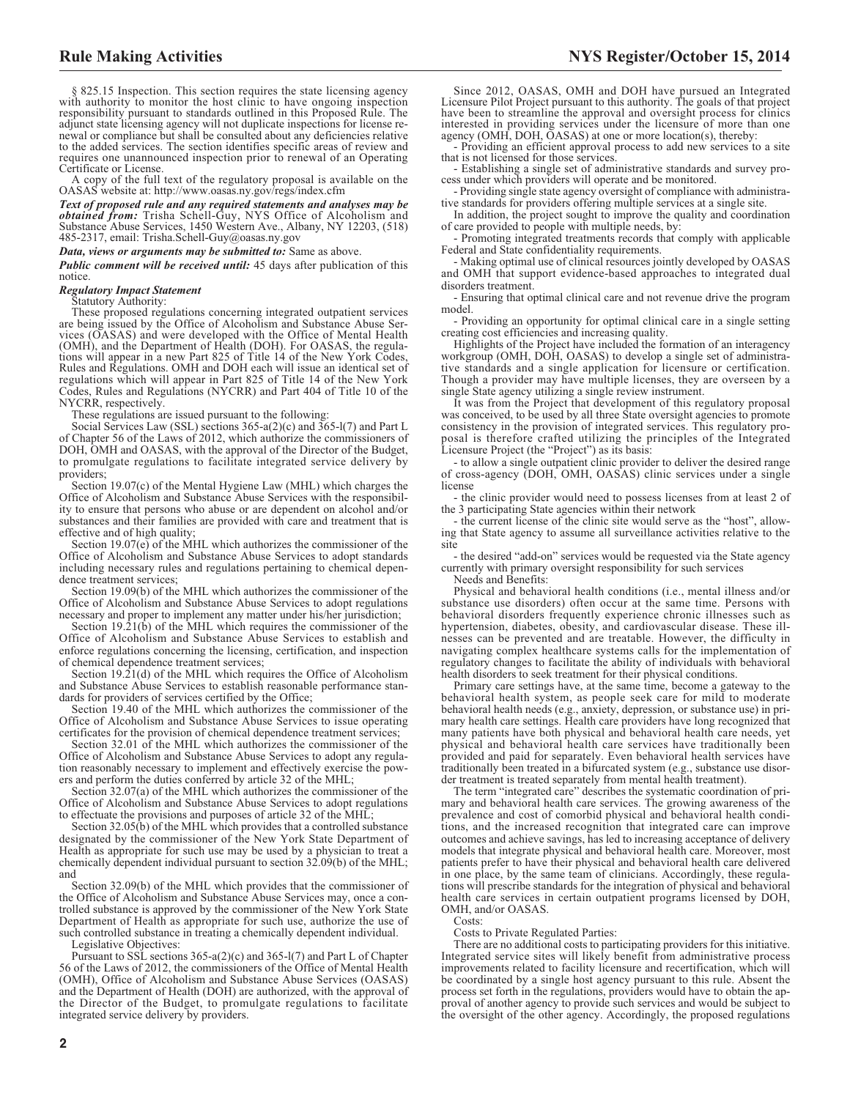§ 825.15 Inspection. This section requires the state licensing agency with authority to monitor the host clinic to have ongoing inspection responsibility pursuant to standards outlined in this Proposed Rule. The adjunct state licensing agency will not duplicate inspections for license renewal or compliance but shall be consulted about any deficiencies relative to the added services. The section identifies specific areas of review and requires one unannounced inspection prior to renewal of an Operating Certificate or License.

A copy of the full text of the regulatory proposal is available on the OASAS website at: http://www.oasas.ny.gov/regs/index.cfm

*Text of proposed rule and any required statements and analyses may be obtained from:* Trisha Schell-Guy, NYS Office of Alcoholism and Substance Abuse Services, 1450 Western Ave., Albany, NY 12203, (518) 485-2317, email: [Trisha.Schell-Guy@oasas.ny.gov](mailto: Trisha.Schell-Guy@oasas.ny.gov)

#### *Data, views or arguments may be submitted to:* Same as above.

*Public comment will be received until:* 45 days after publication of this notice.

### *Regulatory Impact Statement*

Statutory Authority:

These proposed regulations concerning integrated outpatient services are being issued by the Office of Alcoholism and Substance Abuse Ser-vices (OASAS) and were developed with the Office of Mental Health (OMH), and the Department of Health (DOH). For OASAS, the regula-tions will appear in a new Part 825 of Title 14 of the New York Codes, Rules and Regulations. OMH and DOH each will issue an identical set of regulations which will appear in Part 825 of Title 14 of the New York Codes, Rules and Regulations (NYCRR) and Part 404 of Title 10 of the NYCRR, respectively.

These regulations are issued pursuant to the following:

Social Services Law (SSL) sections 365-a(2)(c) and 365-l(7) and Part L of Chapter 56 of the Laws of 2012, which authorize the commissioners of DOH, OMH and OASAS, with the approval of the Director of the Budget, to promulgate regulations to facilitate integrated service delivery by providers;

Section 19.07(c) of the Mental Hygiene Law (MHL) which charges the Office of Alcoholism and Substance Abuse Services with the responsibility to ensure that persons who abuse or are dependent on alcohol and/or substances and their families are provided with care and treatment that is effective and of high quality;

Section 19.07(e) of the MHL which authorizes the commissioner of the Office of Alcoholism and Substance Abuse Services to adopt standards including necessary rules and regulations pertaining to chemical dependence treatment services;

Section 19.09(b) of the MHL which authorizes the commissioner of the Office of Alcoholism and Substance Abuse Services to adopt regulations necessary and proper to implement any matter under his/her jurisdiction;

Section  $19.21(b)$  of the MHL which requires the commissioner of the Office of Alcoholism and Substance Abuse Services to establish and enforce regulations concerning the licensing, certification, and inspection of chemical dependence treatment services;

Section 19.21(d) of the MHL which requires the Office of Alcoholism and Substance Abuse Services to establish reasonable performance standards for providers of services certified by the Office;

Section 19.40 of the MHL which authorizes the commissioner of the Office of Alcoholism and Substance Abuse Services to issue operating certificates for the provision of chemical dependence treatment services;

Section 32.01 of the MHL which authorizes the commissioner of the Office of Alcoholism and Substance Abuse Services to adopt any regulation reasonably necessary to implement and effectively exercise the powers and perform the duties conferred by article 32 of the MHL;

Section 32.07(a) of the MHL which authorizes the commissioner of the Office of Alcoholism and Substance Abuse Services to adopt regulations to effectuate the provisions and purposes of article 32 of the MHL;

Section 32.05(b) of the MHL which provides that a controlled substance designated by the commissioner of the New York State Department of Health as appropriate for such use may be used by a physician to treat a chemically dependent individual pursuant to section 32.09(b) of the MHL; and

Section 32.09(b) of the MHL which provides that the commissioner of the Office of Alcoholism and Substance Abuse Services may, once a controlled substance is approved by the commissioner of the New York State Department of Health as appropriate for such use, authorize the use of such controlled substance in treating a chemically dependent individual.

Legislative Objectives:

Pursuant to SSL sections 365-a(2)(c) and 365-l(7) and Part L of Chapter 56 of the Laws of 2012, the commissioners of the Office of Mental Health (OMH), Office of Alcoholism and Substance Abuse Services (OASAS) and the Department of Health (DOH) are authorized, with the approval of the Director of the Budget, to promulgate regulations to facilitate integrated service delivery by providers.

**2**

Since 2012, OASAS, OMH and DOH have pursued an Integrated Licensure Pilot Project pursuant to this authority. The goals of that project have been to streamline the approval and oversight process for clinics interested in providing services under the licensure of more than one agency (OMH, DOH, OASAS) at one or more location(s), thereby:

- Providing an efficient approval process to add new services to a site that is not licensed for those services.

- Establishing a single set of administrative standards and survey pro-cess under which providers will operate and be monitored.

- Providing single state agency oversight of compliance with administrative standards for providers offering multiple services at a single site.

In addition, the project sought to improve the quality and coordination of care provided to people with multiple needs, by:

- Promoting integrated treatments records that comply with applicable Federal and State confidentiality requirements.

- Making optimal use of clinical resources jointly developed by OASAS and OMH that support evidence-based approaches to integrated dual disorders treatment.

- Ensuring that optimal clinical care and not revenue drive the program model.

- Providing an opportunity for optimal clinical care in a single setting creating cost efficiencies and increasing quality.

Highlights of the Project have included the formation of an interagency workgroup (OMH, DOH, OASAS) to develop a single set of administrative standards and a single application for licensure or certification. Though a provider may have multiple licenses, they are overseen by a single State agency utilizing a single review instrument.

It was from the Project that development of this regulatory proposal was conceived, to be used by all three State oversight agencies to promote consistency in the provision of integrated services. This regulatory proposal is therefore crafted utilizing the principles of the Integrated Licensure Project (the "Project") as its basis:

- to allow a single outpatient clinic provider to deliver the desired range of cross-agency (DOH, OMH, OASAS) clinic services under a single license

- the clinic provider would need to possess licenses from at least 2 of the 3 participating State agencies within their network

- the current license of the clinic site would serve as the "host", allowing that State agency to assume all surveillance activities relative to the site

- the desired "add-on" services would be requested via the State agency currently with primary oversight responsibility for such services

Needs and Benefits:

Physical and behavioral health conditions (i.e., mental illness and/or substance use disorders) often occur at the same time. Persons with behavioral disorders frequently experience chronic illnesses such as hypertension, diabetes, obesity, and cardiovascular disease. These illnesses can be prevented and are treatable. However, the difficulty in navigating complex healthcare systems calls for the implementation of regulatory changes to facilitate the ability of individuals with behavioral health disorders to seek treatment for their physical conditions.

Primary care settings have, at the same time, become a gateway to the behavioral health system, as people seek care for mild to moderate behavioral health needs (e.g., anxiety, depression, or substance use) in primary health care settings. Health care providers have long recognized that many patients have both physical and behavioral health care needs, yet physical and behavioral health care services have traditionally been provided and paid for separately. Even behavioral health services have traditionally been treated in a bifurcated system (e.g., substance use disorder treatment is treated separately from mental health treatment).

The term "integrated care" describes the systematic coordination of primary and behavioral health care services. The growing awareness of the prevalence and cost of comorbid physical and behavioral health conditions, and the increased recognition that integrated care can improve outcomes and achieve savings, has led to increasing acceptance of delivery models that integrate physical and behavioral health care. Moreover, most patients prefer to have their physical and behavioral health care delivered in one place, by the same team of clinicians. Accordingly, these regulations will prescribe standards for the integration of physical and behavioral health care services in certain outpatient programs licensed by DOH, OMH, and/or OASAS.

Costs:

Costs to Private Regulated Parties:

There are no additional costs to participating providers for this initiative. Integrated service sites will likely benefit from administrative process improvements related to facility licensure and recertification, which will be coordinated by a single host agency pursuant to this rule. Absent the process set forth in the regulations, providers would have to obtain the approval of another agency to provide such services and would be subject to the oversight of the other agency. Accordingly, the proposed regulations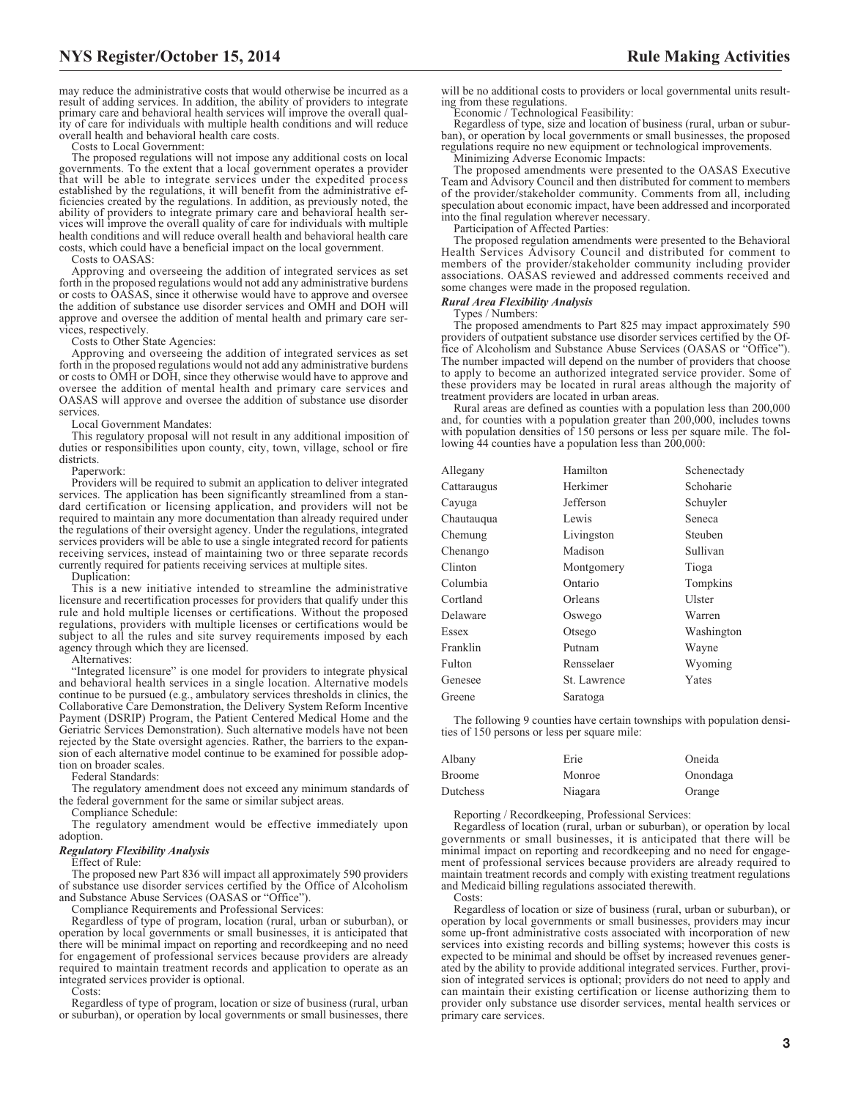may reduce the administrative costs that would otherwise be incurred as a result of adding services. In addition, the ability of providers to integrate primary care and behavioral health services will improve the overall quality of care for individuals with multiple health conditions and will reduce overall health and behavioral health care costs.

Costs to Local Government:

The proposed regulations will not impose any additional costs on local governments. To the extent that a local government operates a provider that will be able to integrate services under the expedited process established by the regulations, it will benefit from the administrative efficiencies created by the regulations. In addition, as previously noted, the ability of providers to integrate primary care and behavioral health services will improve the overall quality of care for individuals with multi health conditions and will reduce overall health and behavioral health care costs, which could have a beneficial impact on the local government.

Costs to OASAS:

Approving and overseeing the addition of integrated services as set forth in the proposed regulations would not add any administrative burdens or costs to OASAS, since it otherwise would have to approve and oversee the addition of substance use disorder services and OMH and DOH will approve and oversee the addition of mental health and primary care services, respectively.

Costs to Other State Agencies:

Approving and overseeing the addition of integrated services as set forth in the proposed regulations would not add any administrative burdens or costs to OMH or DOH, since they otherwise would have to approve and oversee the addition of mental health and primary care services and OASAS will approve and oversee the addition of substance use disorder services.

Local Government Mandates:

This regulatory proposal will not result in any additional imposition of duties or responsibilities upon county, city, town, village, school or fire districts.

Paperwork:

Providers will be required to submit an application to deliver integrated services. The application has been significantly streamlined from a standard certification or licensing application, and providers will not be required to maintain any more documentation than already required under the regulations of their oversight agency. Under the regulations, integrated services providers will be able to use a single integrated record for patients receiving services, instead of maintaining two or three separate records currently required for patients receiving services at multiple sites.

Duplication:

This is a new initiative intended to streamline the administrative licensure and recertification processes for providers that qualify under this rule and hold multiple licenses or certifications. Without the proposed regulations, providers with multiple licenses or certifications would be subject to all the rules and site survey requirements imposed by each agency through which they are licensed.

Alternatives:

"Integrated licensure" is one model for providers to integrate physical and behavioral health services in a single location. Alternative models continue to be pursued (e.g., ambulatory services thresholds in clinics, the Collaborative Care Demonstration, the Delivery System Reform Incentive Payment (DSRIP) Program, the Patient Centered Medical Home and the Geriatric Services Demonstration). Such alternative models have not been rejected by the State oversight agencies. Rather, the barriers to the expansion of each alternative model continue to be examined for possible adoption on broader scales.

Federal Standards:

The regulatory amendment does not exceed any minimum standards of the federal government for the same or similar subject areas.

Compliance Schedule:

The regulatory amendment would be effective immediately upon adoption.

### *Regulatory Flexibility Analysis*

Effect of Rule:

The proposed new Part 836 will impact all approximately 590 providers of substance use disorder services certified by the Office of Alcoholism and Substance Abuse Services (OASAS or "Office").

Compliance Requirements and Professional Services:

Regardless of type of program, location (rural, urban or suburban), or operation by local governments or small businesses, it is anticipated that there will be minimal impact on reporting and recordkeeping and no need for engagement of professional services because providers are already required to maintain treatment records and application to operate as an integrated services provider is optional.

Costs:

Regardless of type of program, location or size of business (rural, urban or suburban), or operation by local governments or small businesses, there

will be no additional costs to providers or local governmental units resulting from these regulations.

Economic / Technological Feasibility:

Regardless of type, size and location of business (rural, urban or suburban), or operation by local governments or small businesses, the proposed regulations require no new equipment or technological improvements.

Minimizing Adverse Economic Impacts:

The proposed amendments were presented to the OASAS Executive Team and Advisory Council and then distributed for comment to members of the provider/stakeholder community. Comments from all, including speculation about economic impact, have been addressed and incorporated into the final regulation wherever necessary.

Participation of Affected Parties:

The proposed regulation amendments were presented to the Behavioral Health Services Advisory Council and distributed for comment to members of the provider/stakeholder community including provider associations. OASAS reviewed and addressed comments received and some changes were made in the proposed regulation.

# *Rural Area Flexibility Analysis*

Types / Numbers:

The proposed amendments to Part 825 may impact approximately 590 providers of outpatient substance use disorder services certified by the Office of Alcoholism and Substance Abuse Services (OASAS or "Office"). The number impacted will depend on the number of providers that choose to apply to become an authorized integrated service provider. Some of these providers may be located in rural areas although the majority of treatment providers are located in urban areas.

Rural areas are defined as counties with a population less than 200,000 and, for counties with a population greater than 200,000, includes towns with population densities of 150 persons or less per square mile. The following  $44$  counties have a population less than  $200,000$ :

| Allegany    | Hamilton     | Schenectady    |
|-------------|--------------|----------------|
| Cattaraugus | Herkimer     | Schoharie      |
| Cayuga      | Jefferson    | Schuyler       |
| Chautauqua  | Lewis        | Seneca         |
| Chemung     | Livingston   | <b>Steuben</b> |
| Chenango    | Madison      | Sullivan       |
| Clinton     | Montgomery   | Tioga          |
| Columbia    | Ontario      | Tompkins       |
| Cortland    | Orleans      | Ulster         |
| Delaware    | Oswego       | Warren         |
| Essex       | Otsego       | Washington     |
| Franklin    | Putnam       | Wayne          |
| Fulton      | Rensselaer   | Wyoming        |
| Genesee     | St. Lawrence | Yates          |
| Greene      | Saratoga     |                |

The following 9 counties have certain townships with population densities of 150 persons or less per square mile:

| Albany   | Erie    | Oneida   |
|----------|---------|----------|
| Broome   | Monroe  | Onondaga |
| Dutchess | Niagara | Orange   |

Reporting / Recordkeeping, Professional Services:

Regardless of location (rural, urban or suburban), or operation by local governments or small businesses, it is anticipated that there will be minimal impact on reporting and recordkeeping and no need for engagement of professional services because providers are already required to maintain treatment records and comply with existing treatment regulations and Medicaid billing regulations associated therewith. Costs:

Regardless of location or size of business (rural, urban or suburban), or operation by local governments or small businesses, providers may incur some up-front administrative costs associated with incorporation of new services into existing records and billing systems; however this costs is expected to be minimal and should be offset by increased revenues generated by the ability to provide additional integrated services. Further, provision of integrated services is optional; providers do not need to apply and can maintain their existing certification or license authorizing them to provider only substance use disorder services, mental health services or primary care services.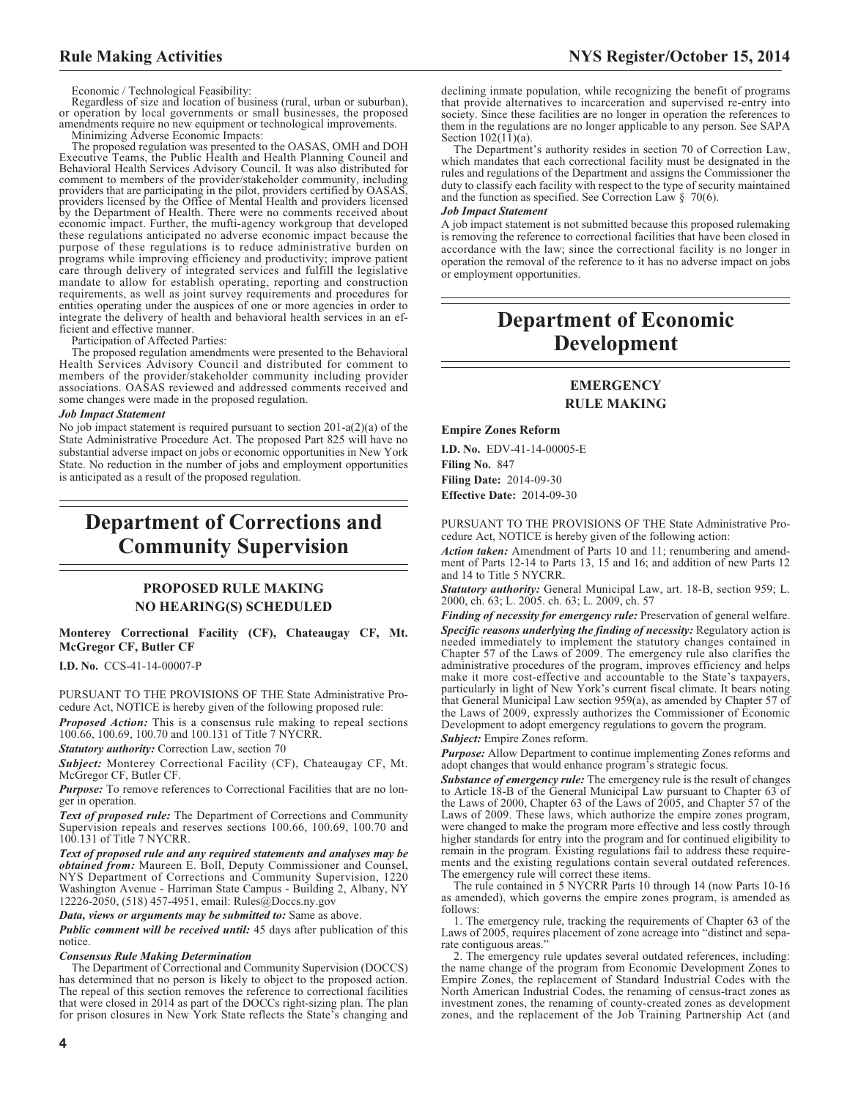Economic / Technological Feasibility:

Regardless of size and location of business (rural, urban or suburban), or operation by local governments or small businesses, the proposed amendments require no new equipment or technological improvements.

Minimizing Adverse Economic Impacts:

The proposed regulation was presented to the OASAS, OMH and DOH Executive Teams, the Public Health and Health Planning Council and Behavioral Health Services Advisory Council. It was also distributed for comment to members of the provider/stakeholder community, including providers that are participating in the pilot, providers certified by OASAS, providers licensed by the Office of Mental Health and providers licensed<br>by the Department of Health. There were no comments received about<br>econo these regulations anticipated no adverse economic impact because the purpose of these regulations is to reduce administrative burden on programs while improving efficiency and productivity; improve patient care through delivery of integrated services and fulfill the legislative mandate to allow for establish operating, reporting and construction requirements, as well as joint survey requirements and procedures for entities operating under the auspices of one or more agencies in order to integrate the delivery of health and behavioral health services in an efficient and effective manner.

Participation of Affected Parties:

The proposed regulation amendments were presented to the Behavioral Health Services Advisory Council and distributed for comment to members of the provider/stakeholder community including provider associations. OASAS reviewed and addressed comments received and some changes were made in the proposed regulation.

#### *Job Impact Statement*

No job impact statement is required pursuant to section 201-a(2)(a) of the State Administrative Procedure Act. The proposed Part 825 will have no substantial adverse impact on jobs or economic opportunities in New York State. No reduction in the number of jobs and employment opportunities is anticipated as a result of the proposed regulation.

# **Department of Corrections and Community Supervision**

# **PROPOSED RULE MAKING NO HEARING(S) SCHEDULED**

#### **Monterey Correctional Facility (CF), Chateaugay CF, Mt. McGregor CF, Butler CF**

**I.D. No.** CCS-41-14-00007-P

PURSUANT TO THE PROVISIONS OF THE State Administrative Procedure Act, NOTICE is hereby given of the following proposed rule:

*Proposed Action:* This is a consensus rule making to repeal sections 100.66, 100.69, 100.70 and 100.131 of Title 7 NYCRR.

*Statutory authority:* Correction Law, section 70

*Subject:* Monterey Correctional Facility (CF), Chateaugay CF, Mt. McGregor CF, Butler CF.

*Purpose:* To remove references to Correctional Facilities that are no longer in operation.

*Text of proposed rule:* The Department of Corrections and Community Supervision repeals and reserves sections 100.66, 100.69, 100.70 and 100.131 of Title 7 NYCRR.

*Text of proposed rule and any required statements and analyses may be obtained from:* Maureen E. Boll, Deputy Commissioner and Counsel, NYS Department of Corrections and Community Supervision, 1220 Washington Avenue - Harriman State Campus - Building 2, Albany, NY 12226-2050, (518) 457-4951, email: [Rules@Doccs.ny.gov](mailto: Rules@Doccs.ny.gov)

#### *Data, views or arguments may be submitted to:* Same as above.

*Public comment will be received until:* 45 days after publication of this notice.

#### *Consensus Rule Making Determination*

The Department of Correctional and Community Supervision (DOCCS) has determined that no person is likely to object to the proposed action. The repeal of this section removes the reference to correctional facilities that were closed in 2014 as part of the DOCCs right-sizing plan. The plan for prison closures in New York State reflects the State's changing and

declining inmate population, while recognizing the benefit of programs that provide alternatives to incarceration and supervised re-entry into society. Since these facilities are no longer in operation the references to them in the regulations are no longer applicable to any person. See SAPA Section  $102(11)(a)$ .

The Department's authority resides in section 70 of Correction Law, which mandates that each correctional facility must be designated in the rules and regulations of the Department and assigns the Commissioner the duty to classify each facility with respect to the type of security maintained and the function as specified. See Correction Law  $\S$  70(6).

#### *Job Impact Statement*

A job impact statement is not submitted because this proposed rulemaking is removing the reference to correctional facilities that have been closed in accordance with the law; since the correctional facility is no longer in operation the removal of the reference to it has no adverse impact on jobs or employment opportunities.

# **Department of Economic Development**

# **EMERGENCY RULE MAKING**

#### **Empire Zones Reform**

**I.D. No.** EDV-41-14-00005-E **Filing No.** 847 **Filing Date:** 2014-09-30 **Effective Date:** 2014-09-30

PURSUANT TO THE PROVISIONS OF THE State Administrative Procedure Act, NOTICE is hereby given of the following action:

*Action taken:* Amendment of Parts 10 and 11; renumbering and amendment of Parts 12-14 to Parts 13, 15 and 16; and addition of new Parts 12 and 14 to Title 5 NYCRR.

*Statutory authority:* General Municipal Law, art. 18-B, section 959; L. 2000, ch. 63; L. 2005. ch. 63; L. 2009, ch. 57

*Finding of necessity for emergency rule:* Preservation of general welfare. *Specific reasons underlying the finding of necessity:* Regulatory action is needed immediately to implement the statutory changes contained in Chapter 57 of the Laws of 2009. The emergency rule also clarifies the administrative procedures of the program, improves efficiency and helps make it more cost-effective and accountable to the State's taxpayers, particularly in light of New York's current fiscal climate. It bears noting that General Municipal Law section 959(a), as amended by Chapter 57 of the Laws of 2009, expressly authorizes the Commissioner of Economic Development to adopt emergency regulations to govern the program.

#### *Subject:* Empire Zones reform.

*Purpose:* Allow Department to continue implementing Zones reforms and adopt changes that would enhance program's strategic focus.

*Substance of emergency rule:* The emergency rule is the result of changes to Article 18-B of the General Municipal Law pursuant to Chapter 63 of the Laws of 2000, Chapter 63 of the Laws of 2005, and Chapter 57 of the Laws of 2009. These laws, which authorize the empire zones program, were changed to make the program more effective and less costly through higher standards for entry into the program and for continued eligibility to remain in the program. Existing regulations fail to address these requirements and the existing regulations contain several outdated references. The emergency rule will correct these items.

The rule contained in 5 NYCRR Parts 10 through 14 (now Parts 10-16 as amended), which governs the empire zones program, is amended as follows:

1. The emergency rule, tracking the requirements of Chapter 63 of the Laws of 2005, requires placement of zone acreage into "distinct and separate contiguous areas."

2. The emergency rule updates several outdated references, including: the name change of the program from Economic Development Zones to Empire Zones, the replacement of Standard Industrial Codes with the North American Industrial Codes, the renaming of census-tract zones as investment zones, the renaming of county-created zones as development zones, and the replacement of the Job Training Partnership Act (and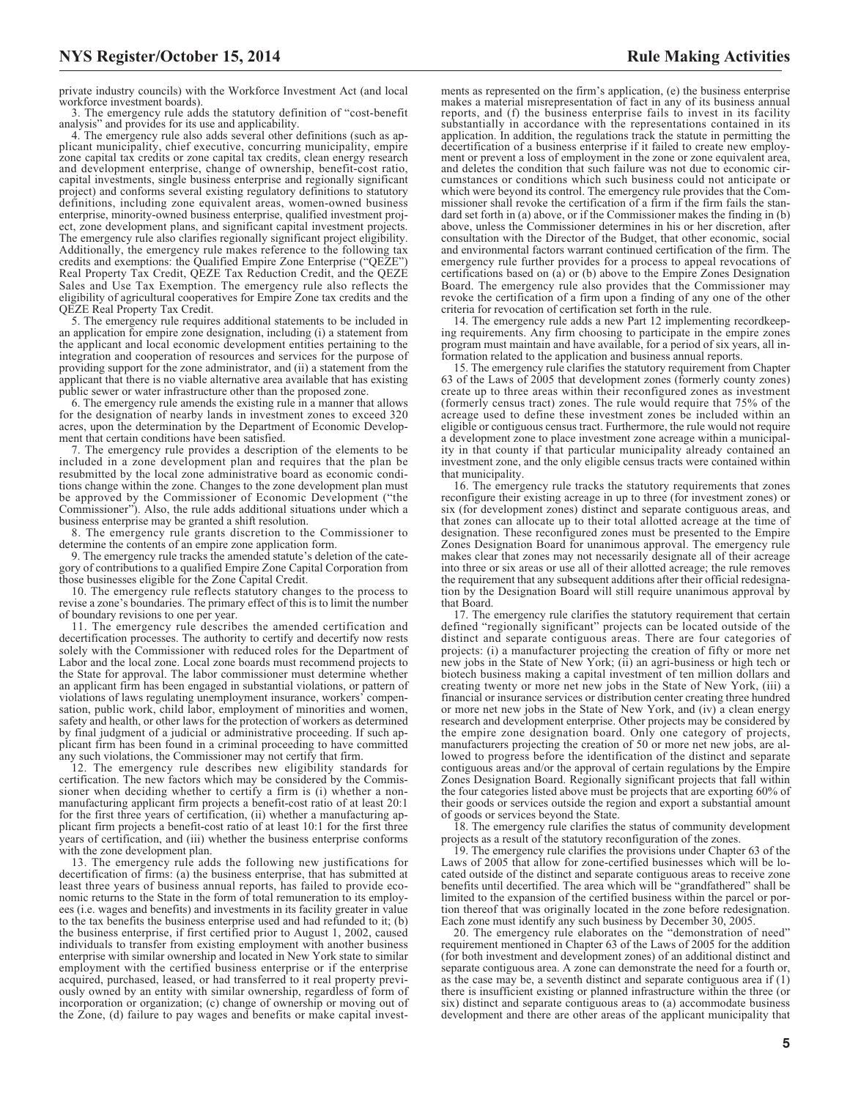private industry councils) with the Workforce Investment Act (and local workforce investment boards).

3. The emergency rule adds the statutory definition of "cost-benefit analysis" and provides for its use and applicability.

4. The emergency rule also adds several other definitions (such as applicant municipality, chief executive, concurring municipality, empire zone capital tax credits or zone capital tax credits, clean energy research and development enterprise, change of ownership, benefit-cost ratio, capital investments, single business enterprise and regionally significant project) and conforms several existing regulatory definitions to statutory definitions, including zone equivalent areas, women-owned business enterprise, minority-owned business enterprise, qualified investment project, zone development plans, and significant capital investment projects. The emergency rule also clarifies regionally significant project eligibility. Additionally, the emergency rule makes reference to the following tax credits and exemptions: the Qualified Empire Zone Enterprise ("QEZE") Real Property Tax Credit, QEZE Tax Reduction Credit, and the QEZE Sales and Use Tax Exemption. The emergency rule also reflects the eligibility of agricultural cooperatives for Empire Zone tax credits and the QEZE Real Property Tax Credit.

5. The emergency rule requires additional statements to be included in an application for empire zone designation, including (i) a statement from the applicant and local economic development entities pertaining to the integration and cooperation of resources and services for the purpose of providing support for the zone administrator, and (ii) a statement from the applicant that there is no viable alternative area available that has existing public sewer or water infrastructure other than the proposed zone.

6. The emergency rule amends the existing rule in a manner that allows for the designation of nearby lands in investment zones to exceed 320 acres, upon the determination by the Department of Economic Development that certain conditions have been satisfied.

7. The emergency rule provides a description of the elements to be included in a zone development plan and requires that the plan be resubmitted by the local zone administrative board as economic conditions change within the zone. Changes to the zone development plan must be approved by the Commissioner of Economic Development ("the Commissioner"). Also, the rule adds additional situations under which a business enterprise may be granted a shift resolution.

8. The emergency rule grants discretion to the Commissioner to determine the contents of an empire zone application form.

9. The emergency rule tracks the amended statute's deletion of the category of contributions to a qualified Empire Zone Capital Corporation from those businesses eligible for the Zone Capital Credit.

10. The emergency rule reflects statutory changes to the process to revise a zone's boundaries. The primary effect of this is to limit the number of boundary revisions to one per year.

11. The emergency rule describes the amended certification and decertification processes. The authority to certify and decertify now rests solely with the Commissioner with reduced roles for the Department of Labor and the local zone. Local zone boards must recommend projects to the State for approval. The labor commissioner must determine whether an applicant firm has been engaged in substantial violations, or pattern of violations of laws regulating unemployment insurance, workers' compensation, public work, child labor, employment of minorities and women, safety and health, or other laws for the protection of workers as determined by final judgment of a judicial or administrative proceeding. If such applicant firm has been found in a criminal proceeding to have committed any such violations, the Commissioner may not certify that firm.

12. The emergency rule describes new eligibility standards for certification. The new factors which may be considered by the Commissioner when deciding whether to certify a firm is (i) whether a nonmanufacturing applicant firm projects a benefit-cost ratio of at least 20:1 for the first three years of certification, (ii) whether a manufacturing applicant firm projects a benefit-cost ratio of at least 10:1 for the first three years of certification, and (iii) whether the business enterprise conforms with the zone development plan.

13. The emergency rule adds the following new justifications for decertification of firms: (a) the business enterprise, that has submitted at least three years of business annual reports, has failed to provide economic returns to the State in the form of total remuneration to its employees (i.e. wages and benefits) and investments in its facility greater in value to the tax benefits the business enterprise used and had refunded to it; (b) the business enterprise, if first certified prior to August 1, 2002, caused individuals to transfer from existing employment with another business enterprise with similar ownership and located in New York state to similar employment with the certified business enterprise or if the enterprise acquired, purchased, leased, or had transferred to it real property previously owned by an entity with similar ownership, regardless of form of incorporation or organization; (c) change of ownership or moving out of the Zone, (d) failure to pay wages and benefits or make capital invest-

ments as represented on the firm's application, (e) the business enterprise makes a material misrepresentation of fact in any of its business annual reports, and (f) the business enterprise fails to invest in its facility substantially in accordance with the representations contained in its application. In addition, the regulations track the statute in permitting the decertification of a business enterprise if it failed to create new employment or prevent a loss of employment in the zone or zone equivalent area, and deletes the condition that such failure was not due to economic circumstances or conditions which such business could not anticipate or which were beyond its control. The emergency rule provides that the Commissioner shall revoke the certification of a firm if the firm fails the standard set forth in (a) above, or if the Commissioner makes the finding in (b) above, unless the Commissioner determines in his or her discretion, after consultation with the Director of the Budget, that other economic, social and environmental factors warrant continued certification of the firm. The emergency rule further provides for a process to appeal revocations of certifications based on (a) or (b) above to the Empire Zones Designation Board. The emergency rule also provides that the Commissioner may revoke the certification of a firm upon a finding of any one of the other criteria for revocation of certification set forth in the rule.

14. The emergency rule adds a new Part 12 implementing recordkeeping requirements. Any firm choosing to participate in the empire zones program must maintain and have available, for a period of six years, all information related to the application and business annual reports.

15. The emergency rule clarifies the statutory requirement from Chapter 63 of the Laws of 2005 that development zones (formerly county zones) create up to three areas within their reconfigured zones as investment (formerly census tract) zones. The rule would require that 75% of the acreage used to define these investment zones be included within an eligible or contiguous census tract. Furthermore, the rule would not require a development zone to place investment zone acreage within a municipality in that county if that particular municipality already contained an investment zone, and the only eligible census tracts were contained within that municipality.

16. The emergency rule tracks the statutory requirements that zones reconfigure their existing acreage in up to three (for investment zones) or six (for development zones) distinct and separate contiguous areas, and that zones can allocate up to their total allotted acreage at the time of designation. These reconfigured zones must be presented to the Empire Zones Designation Board for unanimous approval. The emergency rule makes clear that zones may not necessarily designate all of their acreage into three or six areas or use all of their allotted acreage; the rule removes the requirement that any subsequent additions after their official redesignation by the Designation Board will still require unanimous approval by that Board.

17. The emergency rule clarifies the statutory requirement that certain defined "regionally significant" projects can be located outside of the distinct and separate contiguous areas. There are four categories of projects: (i) a manufacturer projecting the creation of fifty or more net new jobs in the State of New York; (ii) an agri-business or high tech or biotech business making a capital investment of ten million dollars and creating twenty or more net new jobs in the State of New York, (iii) a financial or insurance services or distribution center creating three hundred or more net new jobs in the State of New York, and (iv) a clean energy research and development enterprise. Other projects may be considered by the empire zone designation board. Only one category of projects, manufacturers projecting the creation of 50 or more net new jobs, are allowed to progress before the identification of the distinct and separate contiguous areas and/or the approval of certain regulations by the Empire Zones Designation Board. Regionally significant projects that fall within the four categories listed above must be projects that are exporting 60% of their goods or services outside the region and export a substantial amount of goods or services beyond the State.

18. The emergency rule clarifies the status of community development projects as a result of the statutory reconfiguration of the zones.

19. The emergency rule clarifies the provisions under Chapter 63 of the Laws of 2005 that allow for zone-certified businesses which will be located outside of the distinct and separate contiguous areas to receive zone benefits until decertified. The area which will be "grandfathered" shall be limited to the expansion of the certified business within the parcel or portion thereof that was originally located in the zone before redesignation. Each zone must identify any such business by December 30, 2005.

20. The emergency rule elaborates on the "demonstration of need" requirement mentioned in Chapter 63 of the Laws of 2005 for the addition (for both investment and development zones) of an additional distinct and separate contiguous area. A zone can demonstrate the need for a fourth or, as the case may be, a seventh distinct and separate contiguous area if (1) there is insufficient existing or planned infrastructure within the three (or six) distinct and separate contiguous areas to (a) accommodate business development and there are other areas of the applicant municipality that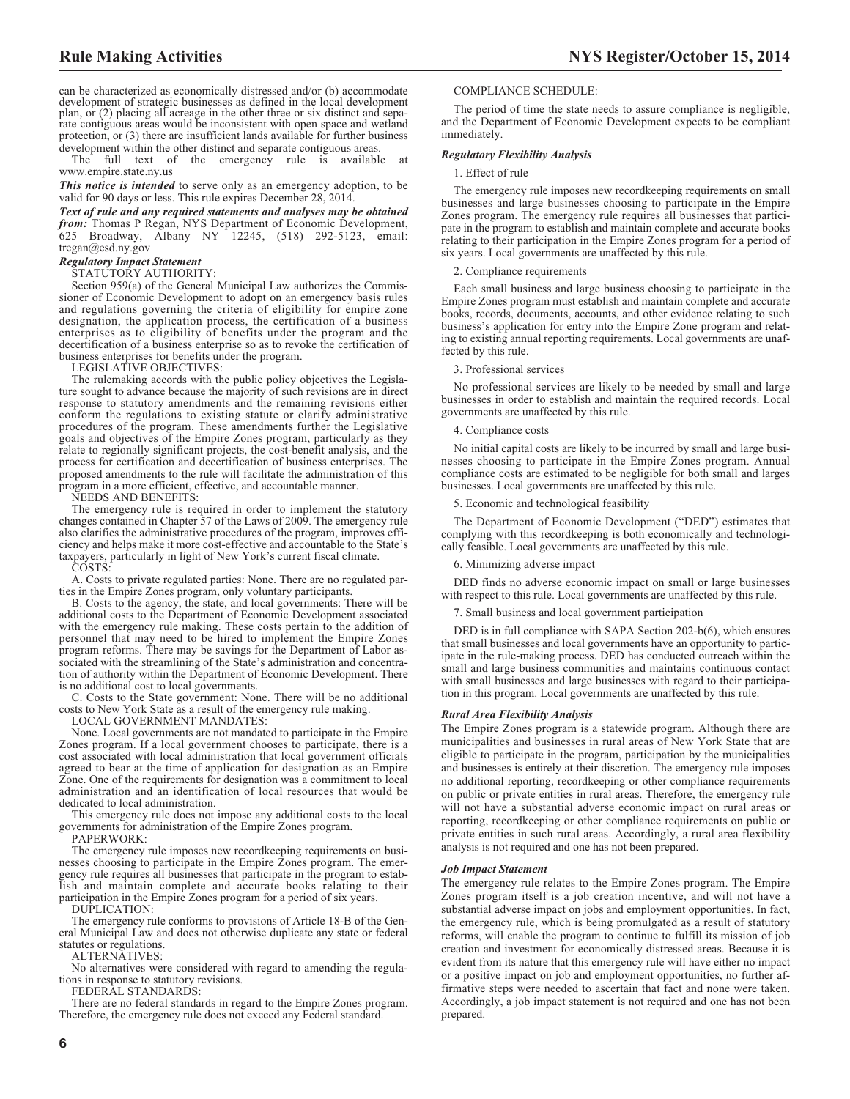can be characterized as economically distressed and/or (b) accommodate development of strategic businesses as defined in the local development plan, or (2) placing all acreage in the other three or six distinct and separate contiguous areas would be inconsistent with open space and wetland protection, or (3) there are insufficient lands available for further business

development within the other distinct and separate contiguous areas.<br>The full text of the emergency rule is available The full text of the emergency rule is www.empire.state.ny.us

*This notice is intended* to serve only as an emergency adoption, to be valid for 90 days or less. This rule expires December 28, 2014.

*Text of rule and any required statements and analyses may be obtained from:* Thomas P Regan, NYS Department of Economic Development, 625 Broadway, Albany NY 12245, (518) 292-5123, email: tregan@esd.ny.gov

#### *Regulatory Impact Statement*

STATUTORY AUTHORITY:

Section 959(a) of the General Municipal Law authorizes the Commissioner of Economic Development to adopt on an emergency basis rules and regulations governing the criteria of eligibility for empire zone designation, the application process, the certification of a business enterprises as to eligibility of benefits under the program and the decertification of a business enterprise so as to revoke the certification of business enterprises for benefits under the program.

LEGISLATIVE OBJECTIVES:

The rulemaking accords with the public policy objectives the Legislature sought to advance because the majority of such revisions are in direct response to statutory amendments and the remaining revisions either conform the regulations to existing statute or clarify administrative procedures of the program. These amendments further the Legislative goals and objectives of the Empire Zones program, particularly as they relate to regionally significant projects, the cost-benefit analysis, and the process for certification and decertification of business enterprises. The proposed amendments to the rule will facilitate the administration of this program in a more efficient, effective, and accountable manner.

NEEDS AND BENEFITS:

The emergency rule is required in order to implement the statutory changes contained in Chapter 57 of the Laws of 2009. The emergency rule also clarifies the administrative procedures of the program, improves efficiency and helps make it more cost-effective and accountable to the State's taxpayers, particularly in light of New York's current fiscal climate.

COSTS:

A. Costs to private regulated parties: None. There are no regulated parties in the Empire Zones program, only voluntary participants.

B. Costs to the agency, the state, and local governments: There will be additional costs to the Department of Economic Development associated with the emergency rule making. These costs pertain to the addition of personnel that may need to be hired to implement the Empire Zones program reforms. There may be savings for the Department of Labor associated with the streamlining of the State's administration and concentration of authority within the Department of Economic Development. There is no additional cost to local governments.

C. Costs to the State government: None. There will be no additional costs to New York State as a result of the emergency rule making.

LOCAL GOVERNMENT MANDATES:

None. Local governments are not mandated to participate in the Empire Zones program. If a local government chooses to participate, there is a cost associated with local administration that local government officials agreed to bear at the time of application for designation as an Empire Zone. One of the requirements for designation was a commitment to local administration and an identification of local resources that would be dedicated to local administration.

This emergency rule does not impose any additional costs to the local governments for administration of the Empire Zones program.

PAPERWORK:

The emergency rule imposes new recordkeeping requirements on businesses choosing to participate in the Empire Zones program. The emergency rule requires all businesses that participate in the program to establish and maintain complete and accurate books relating to their participation in the Empire Zones program for a period of six years.

DUPLICATION:

The emergency rule conforms to provisions of Article 18-B of the General Municipal Law and does not otherwise duplicate any state or federal statutes or regulations.

ALTERNATIVES:

No alternatives were considered with regard to amending the regulations in response to statutory revisions.

FEDERAL STANDARDS:

There are no federal standards in regard to the Empire Zones program. Therefore, the emergency rule does not exceed any Federal standard.

COMPLIANCE SCHEDULE:

The period of time the state needs to assure compliance is negligible, and the Department of Economic Development expects to be compliant immediately.

#### *Regulatory Flexibility Analysis*

#### 1. Effect of rule

The emergency rule imposes new recordkeeping requirements on small businesses and large businesses choosing to participate in the Empire Zones program. The emergency rule requires all businesses that participate in the program to establish and maintain complete and accurate books relating to their participation in the Empire Zones program for a period of six years. Local governments are unaffected by this rule.

#### 2. Compliance requirements

Each small business and large business choosing to participate in the Empire Zones program must establish and maintain complete and accurate books, records, documents, accounts, and other evidence relating to such business's application for entry into the Empire Zone program and relating to existing annual reporting requirements. Local governments are unaffected by this rule.

#### 3. Professional services

No professional services are likely to be needed by small and large businesses in order to establish and maintain the required records. Local governments are unaffected by this rule.

#### 4. Compliance costs

No initial capital costs are likely to be incurred by small and large businesses choosing to participate in the Empire Zones program. Annual compliance costs are estimated to be negligible for both small and larges businesses. Local governments are unaffected by this rule.

#### 5. Economic and technological feasibility

The Department of Economic Development ("DED") estimates that complying with this recordkeeping is both economically and technologically feasible. Local governments are unaffected by this rule.

6. Minimizing adverse impact

DED finds no adverse economic impact on small or large businesses with respect to this rule. Local governments are unaffected by this rule.

7. Small business and local government participation

DED is in full compliance with SAPA Section 202-b(6), which ensures that small businesses and local governments have an opportunity to participate in the rule-making process. DED has conducted outreach within the small and large business communities and maintains continuous contact with small businesses and large businesses with regard to their participation in this program. Local governments are unaffected by this rule.

#### *Rural Area Flexibility Analysis*

The Empire Zones program is a statewide program. Although there are municipalities and businesses in rural areas of New York State that are eligible to participate in the program, participation by the municipalities and businesses is entirely at their discretion. The emergency rule imposes no additional reporting, recordkeeping or other compliance requirements on public or private entities in rural areas. Therefore, the emergency rule will not have a substantial adverse economic impact on rural areas or reporting, recordkeeping or other compliance requirements on public or private entities in such rural areas. Accordingly, a rural area flexibility analysis is not required and one has not been prepared.

#### *Job Impact Statement*

The emergency rule relates to the Empire Zones program. The Empire Zones program itself is a job creation incentive, and will not have a substantial adverse impact on jobs and employment opportunities. In fact, the emergency rule, which is being promulgated as a result of statutory reforms, will enable the program to continue to fulfill its mission of job creation and investment for economically distressed areas. Because it is evident from its nature that this emergency rule will have either no impact or a positive impact on job and employment opportunities, no further affirmative steps were needed to ascertain that fact and none were taken. Accordingly, a job impact statement is not required and one has not been prepared.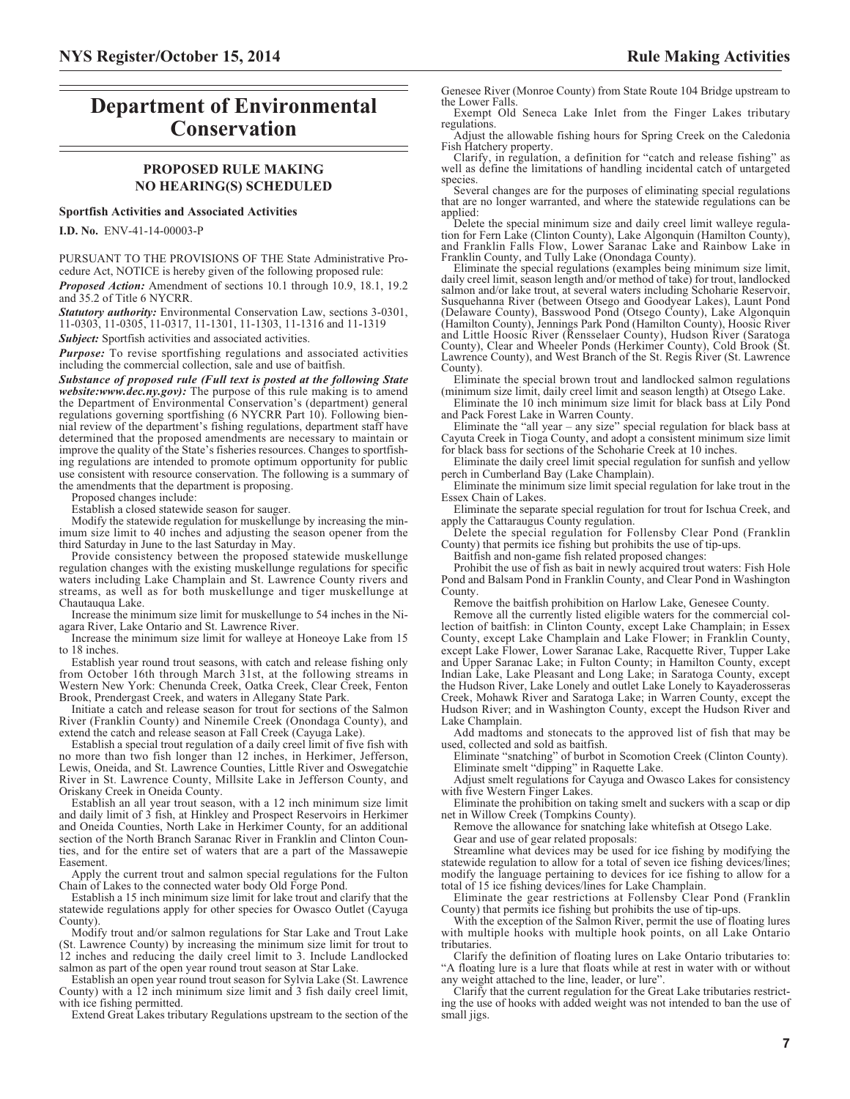# **Department of Environmental Conservation**

# **PROPOSED RULE MAKING NO HEARING(S) SCHEDULED**

#### **Sportfish Activities and Associated Activities**

**I.D. No.** ENV-41-14-00003-P

PURSUANT TO THE PROVISIONS OF THE State Administrative Procedure Act, NOTICE is hereby given of the following proposed rule:

*Proposed Action:* Amendment of sections 10.1 through 10.9, 18.1, 19.2 and 35.2 of Title 6 NYCRR.

*Statutory authority:* Environmental Conservation Law, sections 3-0301, 11-0303, 11-0305, 11-0317, 11-1301, 11-1303, 11-1316 and 11-1319

*Subject:* Sportfish activities and associated activities.

*Purpose:* To revise sportfishing regulations and associated activities including the commercial collection, sale and use of baitfish.

*Substance of proposed rule (Full text is posted at the following State website:www.dec.ny.gov):* The purpose of this rule making is to amend the Department of Environmental Conservation's (department) general regulations governing sportfishing (6 NYCRR Part 10). Following biennial review of the department's fishing regulations, department staff have determined that the proposed amendments are necessary to maintain or improve the quality of the State's fisheries resources. Changes to sportfishing regulations are intended to promote optimum opportunity for public use consistent with resource conservation. The following is a summary of the amendments that the department is proposing.

Proposed changes include:

Establish a closed statewide season for sauger.

Modify the statewide regulation for muskellunge by increasing the minimum size limit to 40 inches and adjusting the season opener from the third Saturday in June to the last Saturday in May.

Provide consistency between the proposed statewide muskellunge regulation changes with the existing muskellunge regulations for specific waters including Lake Champlain and St. Lawrence County rivers and streams, as well as for both muskellunge and tiger muskellunge at Chautauqua Lake.

Increase the minimum size limit for muskellunge to 54 inches in the Niagara River, Lake Ontario and St. Lawrence River.

Increase the minimum size limit for walleye at Honeoye Lake from 15 to 18 inches.

Establish year round trout seasons, with catch and release fishing only from October 16th through March 31st, at the following streams in Western New York: Chenunda Creek, Oatka Creek, Clear Creek, Fenton Brook, Prendergast Creek, and waters in Allegany State Park.

Initiate a catch and release season for trout for sections of the Salmon River (Franklin County) and Ninemile Creek (Onondaga County), and extend the catch and release season at Fall Creek (Cayuga Lake).

Establish a special trout regulation of a daily creel limit of five fish with no more than two fish longer than 12 inches, in Herkimer, Jefferson, Lewis, Oneida, and St. Lawrence Counties, Little River and Oswegatchie River in St. Lawrence County, Millsite Lake in Jefferson County, and Oriskany Creek in Oneida County.

Establish an all year trout season, with a 12 inch minimum size limit and daily limit of 3 fish, at Hinkley and Prospect Reservoirs in Herkimer and Oneida Counties, North Lake in Herkimer County, for an additional section of the North Branch Saranac River in Franklin and Clinton Counties, and for the entire set of waters that are a part of the Massawepie Easement.

Apply the current trout and salmon special regulations for the Fulton Chain of Lakes to the connected water body Old Forge Pond.

Establish a 15 inch minimum size limit for lake trout and clarify that the statewide regulations apply for other species for Owasco Outlet (Cayuga County).

Modify trout and/or salmon regulations for Star Lake and Trout Lake (St. Lawrence County) by increasing the minimum size limit for trout to 12 inches and reducing the daily creel limit to 3. Include Landlocked salmon as part of the open year round trout season at Star Lake.

Establish an open year round trout season for Sylvia Lake (St. Lawrence County) with a 12 inch minimum size limit and 3 fish daily creel limit, with ice fishing permitted.

Extend Great Lakes tributary Regulations upstream to the section of the

Genesee River (Monroe County) from State Route 104 Bridge upstream to the Lower Falls.

Exempt Old Seneca Lake Inlet from the Finger Lakes tributary regulations.

Adjust the allowable fishing hours for Spring Creek on the Caledonia Fish Hatchery property.

Clarify, in regulation, a definition for "catch and release fishing" as well as define the limitations of handling incidental catch of untargeted species.

Several changes are for the purposes of eliminating special regulations that are no longer warranted, and where the statewide regulations can be applied:

Delete the special minimum size and daily creel limit walleye regulation for Fern Lake (Clinton County), Lake Algonquin (Hamilton County), and Franklin Falls Flow, Lower Saranac Lake and Rainbow Lake in Franklin County, and Tully Lake (Onondaga County). Eliminate the special regulations (examples being minimum size limit,

daily creel limit, season length and/or method of take) for trout, landlocked salmon and/or lake trout, at several waters including Schoharie Reservoir, Susquehanna River (between Otsego and Goodyear Lakes), Launt Pond (Delaware County), Basswood Pond (Otsego County), Lake Algonquin (Hamilton County), Jennings Park Pond (Hamilton County), Hoosic River and Little Hoosic River (Rensselaer County), Hudson River (Saratoga County), Clear and Wheeler Ponds (Herkimer County), Cold Brook (St. Lawrence County), and West Branch of the St. Regis River (St. Lawrence County).

Eliminate the special brown trout and landlocked salmon regulations (minimum size limit, daily creel limit and season length) at Otsego Lake.

Eliminate the 10 inch minimum size limit for black bass at Lily Pond and Pack Forest Lake in Warren County.

Eliminate the "all year – any size" special regulation for black bass at Cayuta Creek in Tioga County, and adopt a consistent minimum size limit for black bass for sections of the Schoharie Creek at 10 inches.

Eliminate the daily creel limit special regulation for sunfish and yellow perch in Cumberland Bay (Lake Champlain).

Eliminate the minimum size limit special regulation for lake trout in the Essex Chain of Lakes.

Eliminate the separate special regulation for trout for Ischua Creek, and apply the Cattaraugus County regulation.

Delete the special regulation for Follensby Clear Pond (Franklin County) that permits ice fishing but prohibits the use of tip-ups.

Baitfish and non-game fish related proposed changes:

Prohibit the use of fish as bait in newly acquired trout waters: Fish Hole Pond and Balsam Pond in Franklin County, and Clear Pond in Washington County.

Remove the baitfish prohibition on Harlow Lake, Genesee County.

Remove all the currently listed eligible waters for the commercial collection of baitfish: in Clinton County, except Lake Champlain; in Essex County, except Lake Champlain and Lake Flower; in Franklin County, except Lake Flower, Lower Saranac Lake, Racquette River, Tupper Lake and Upper Saranac Lake; in Fulton County; in Hamilton County, except Indian Lake, Lake Pleasant and Long Lake; in Saratoga County, except the Hudson River, Lake Lonely and outlet Lake Lonely to Kayaderosseras Creek, Mohawk River and Saratoga Lake; in Warren County, except the Hudson River; and in Washington County, except the Hudson River and Lake Champlain.

Add madtoms and stonecats to the approved list of fish that may be used, collected and sold as baitfish.

Eliminate "snatching" of burbot in Scomotion Creek (Clinton County). Eliminate smelt "dipping" in Raquette Lake.

Adjust smelt regulations for Cayuga and Owasco Lakes for consistency with five Western Finger Lakes.

Eliminate the prohibition on taking smelt and suckers with a scap or dip net in Willow Creek (Tompkins County).

Remove the allowance for snatching lake whitefish at Otsego Lake. Gear and use of gear related proposals:

Streamline what devices may be used for ice fishing by modifying the statewide regulation to allow for a total of seven ice fishing devices/lines; modify the language pertaining to devices for ice fishing to allow for a total of 15 ice fishing devices/lines for Lake Champlain.

Eliminate the gear restrictions at Follensby Clear Pond (Franklin County) that permits ice fishing but prohibits the use of tip-ups.

With the exception of the Salmon River, permit the use of floating lures with multiple hooks with multiple hook points, on all Lake Ontario tributaries.

Clarify the definition of floating lures on Lake Ontario tributaries to: "A floating lure is a lure that floats while at rest in water with or without any weight attached to the line, leader, or lure".

Clarify that the current regulation for the Great Lake tributaries restricting the use of hooks with added weight was not intended to ban the use of small jigs.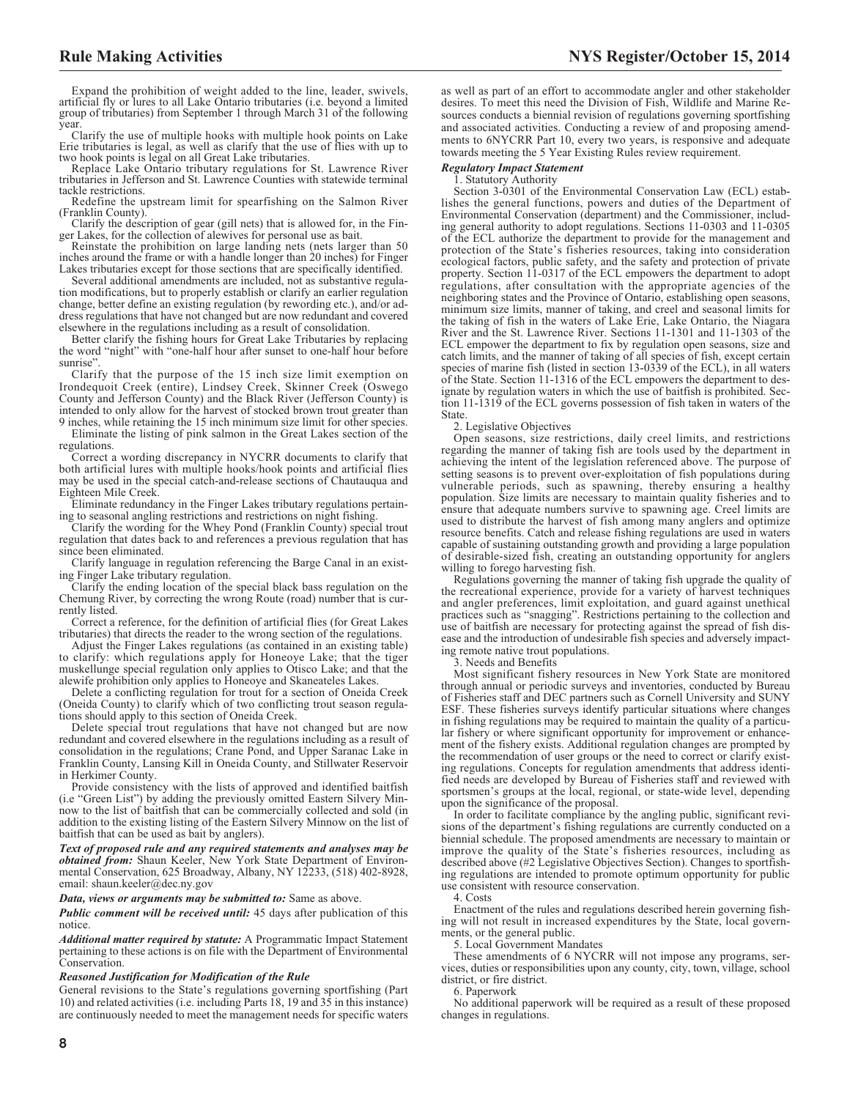Expand the prohibition of weight added to the line, leader, swivels, artificial fly or lures to all Lake Ontario tributaries (i.e. beyond a limited group of tributaries) from September 1 through March 31 of the following year.

Clarify the use of multiple hooks with multiple hook points on Lake Erie tributaries is legal, as well as clarify that the use of flies with up to two hook points is legal on all Great Lake tributaries.

Replace Lake Ontario tributary regulations for St. Lawrence River tributaries in Jefferson and St. Lawrence Counties with statewide terminal tackle restrictions.

Redefine the upstream limit for spearfishing on the Salmon River (Franklin County).

Clarify the description of gear (gill nets) that is allowed for, in the Fin-

ger Lakes, for the collection of alewives for personal use as bait. Reinstate the prohibition on large landing nets (nets larger than 50 inches around the frame or with a handle longer than 20 inches) for Finger Lakes tributaries except for those sections that are specifically identified.

Several additional amendments are included, not as substantive regulation modifications, but to properly establish or clarify an earlier regulation change, better define an existing regulation (by rewording etc.), and/or address regulations that have not changed but are now redundant and covered elsewhere in the regulations including as a result of consolidation.

Better clarify the fishing hours for Great Lake Tributaries by replacing the word "night" with "one-half hour after sunset to one-half hour before sunrise".

Clarify that the purpose of the 15 inch size limit exemption on Irondequoit Creek (entire), Lindsey Creek, Skinner Creek (Oswego County and Jefferson County) and the Black River (Jefferson County) is intended to only allow for the harvest of stocked brown trout greater than 9 inches, while retaining the 15 inch minimum size limit for other species.

Eliminate the listing of pink salmon in the Great Lakes section of the regulations.

Correct a wording discrepancy in NYCRR documents to clarify that both artificial lures with multiple hooks/hook points and artificial flies may be used in the special catch-and-release sections of Chautauqua and Eighteen Mile Creek.

Eliminate redundancy in the Finger Lakes tributary regulations pertaining to seasonal angling restrictions and restrictions on night fishing.

Clarify the wording for the Whey Pond (Franklin County) special trout regulation that dates back to and references a previous regulation that has since been eliminated.

Clarify language in regulation referencing the Barge Canal in an existing Finger Lake tributary regulation.

Clarify the ending location of the special black bass regulation on the Chemung River, by correcting the wrong Route (road) number that is currently listed.

Correct a reference, for the definition of artificial flies (for Great Lakes tributaries) that directs the reader to the wrong section of the regulations.

Adjust the Finger Lakes regulations (as contained in an existing table) to clarify: which regulations apply for Honeoye Lake; that the tiger muskellunge special regulation only applies to Otisco Lake; and that the alewife prohibition only applies to Honeoye and Skaneateles Lakes.

Delete a conflicting regulation for trout for a section of Oneida Creek (Oneida County) to clarify which of two conflicting trout season regulations should apply to this section of Oneida Creek.

Delete special trout regulations that have not changed but are now redundant and covered elsewhere in the regulations including as a result of consolidation in the regulations; Crane Pond, and Upper Saranac Lake in Franklin County, Lansing Kill in Oneida County, and Stillwater Reservoir in Herkimer County.

Provide consistency with the lists of approved and identified baitfish (i.e "Green List") by adding the previously omitted Eastern Silvery Minnow to the list of baitfish that can be commercially collected and sold (in addition to the existing listing of the Eastern Silvery Minnow on the list of baitfish that can be used as bait by anglers).

*Text of proposed rule and any required statements and analyses may be obtained from:* Shaun Keeler, New York State Department of Environmental Conservation, 625 Broadway, Albany, NY 12233, (518) 402-8928, email: [shaun.keeler@dec.ny.gov](mailto: shaun.keeler@dec.ny.gov)

*Data, views or arguments may be submitted to:* Same as above.

*Public comment will be received until:* 45 days after publication of this notice.

*Additional matter required by statute:* A Programmatic Impact Statement pertaining to these actions is on file with the Department of Environmental Conservation.

#### *Reasoned Justification for Modification of the Rule*

General revisions to the State's regulations governing sportfishing (Part 10) and related activities (i.e. including Parts 18, 19 and 35 in this instance) are continuously needed to meet the management needs for specific waters

as well as part of an effort to accommodate angler and other stakeholder desires. To meet this need the Division of Fish, Wildlife and Marine Resources conducts a biennial revision of regulations governing sportfishing and associated activities. Conducting a review of and proposing amendments to 6NYCRR Part 10, every two years, is responsive and adequate towards meeting the 5 Year Existing Rules review requirement.

### *Regulatory Impact Statement*

1. Statutory Authority

Section 3-0301 of the Environmental Conservation Law (ECL) establishes the general functions, powers and duties of the Department of Environmental Conservation (department) and the Commissioner, including general authority to adopt regulations. Sections 11-0303 and 11-0305 of the ECL authorize the department to provide for the management and protection of the State's fisheries resources, taking into consideration ecological factors, public safety, and the safety and protection of private property. Section 11-0317 of the ECL empowers the department to adopt regulations, after consultation with the appropriate agencies of the neighboring states and the Province of Ontario, establishing open seasons, minimum size limits, manner of taking, and creel and seasonal limits for the taking of fish in the waters of Lake Erie, Lake Ontario, the Niagara River and the St. Lawrence River. Sections 11-1301 and 11-1303 of the ECL empower the department to fix by regulation open seasons, size and catch limits, and the manner of taking of all species of fish, except certain species of marine fish (listed in section 13-0339 of the ECL), in all waters of the State. Section 11-1316 of the ECL empowers the department to designate by regulation waters in which the use of baitfish is prohibited. Section 11-1319 of the ECL governs possession of fish taken in waters of the State.

#### 2. Legislative Objectives

Open seasons, size restrictions, daily creel limits, and restrictions regarding the manner of taking fish are tools used by the department in achieving the intent of the legislation referenced above. The purpose of setting seasons is to prevent over-exploitation of fish populations during vulnerable periods, such as spawning, thereby ensuring a healthy population. Size limits are necessary to maintain quality fisheries and to ensure that adequate numbers survive to spawning age. Creel limits are used to distribute the harvest of fish among many anglers and optimize resource benefits. Catch and release fishing regulations are used in waters capable of sustaining outstanding growth and providing a large population of desirable-sized fish, creating an outstanding opportunity for anglers willing to forego harvesting fish.

Regulations governing the manner of taking fish upgrade the quality of the recreational experience, provide for a variety of harvest techniques and angler preferences, limit exploitation, and guard against unethical practices such as "snagging". Restrictions pertaining to the collection and use of baitfish are necessary for protecting against the spread of fish disease and the introduction of undesirable fish species and adversely impacting remote native trout populations.

3. Needs and Benefits

Most significant fishery resources in New York State are monitored through annual or periodic surveys and inventories, conducted by Bureau of Fisheries staff and DEC partners such as Cornell University and SUNY ESF. These fisheries surveys identify particular situations where changes in fishing regulations may be required to maintain the quality of a particular fishery or where significant opportunity for improvement or enhancement of the fishery exists. Additional regulation changes are prompted by the recommendation of user groups or the need to correct or clarify existing regulations. Concepts for regulation amendments that address identified needs are developed by Bureau of Fisheries staff and reviewed with sportsmen's groups at the local, regional, or state-wide level, depending upon the significance of the proposal.

In order to facilitate compliance by the angling public, significant revisions of the department's fishing regulations are currently conducted on a biennial schedule. The proposed amendments are necessary to maintain or improve the quality of the State's fisheries resources, including as described above (#2 Legislative Objectives Section). Changes to sportfishing regulations are intended to promote optimum opportunity for public use consistent with resource conservation.

4. Costs

Enactment of the rules and regulations described herein governing fishing will not result in increased expenditures by the State, local governments, or the general public.

5. Local Government Mandates

These amendments of 6 NYCRR will not impose any programs, services, duties or responsibilities upon any county, city, town, village, school district, or fire district.

6. Paperwork

No additional paperwork will be required as a result of these proposed changes in regulations.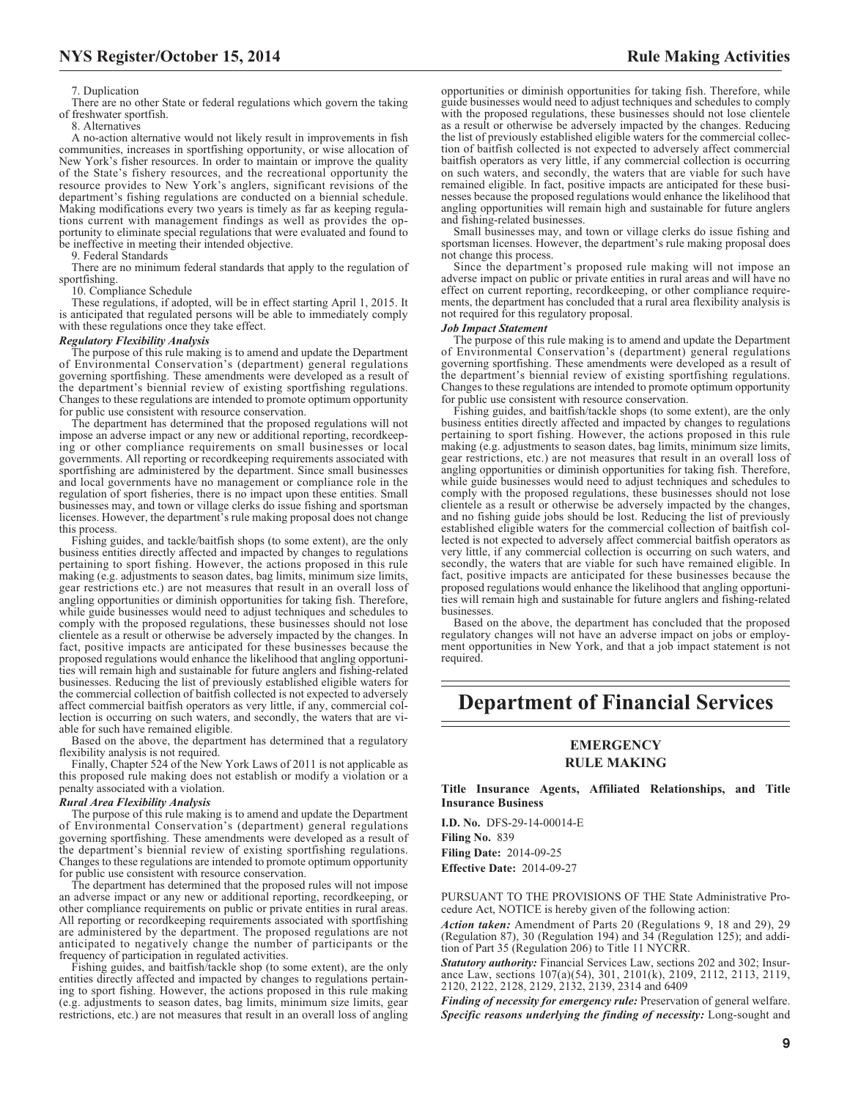#### 7. Duplication

There are no other State or federal regulations which govern the taking of freshwater sportfish.

8. Alternatives

A no-action alternative would not likely result in improvements in fish communities, increases in sportfishing opportunity, or wise allocation of New York's fisher resources. In order to maintain or improve the quality of the State's fishery resources, and the recreational opportunity the resource provides to New York's anglers, significant revisions of the department's fishing regulations are conducted on a biennial schedule. Making modifications every two years is timely as far as keeping regulations current with management findings as well as provides the opportunity to eliminate special regulations that were evaluated and found to be ineffective in meeting their intended objective.

9. Federal Standards

There are no minimum federal standards that apply to the regulation of sportfishing.

10. Compliance Schedule

These regulations, if adopted, will be in effect starting April 1, 2015. It is anticipated that regulated persons will be able to immediately comply with these regulations once they take effect.

#### *Regulatory Flexibility Analysis*

The purpose of this rule making is to amend and update the Department of Environmental Conservation's (department) general regulations governing sportfishing. These amendments were developed as a result of the department's biennial review of existing sportfishing regulations. Changes to these regulations are intended to promote optimum opportunity for public use consistent with resource conservation.

The department has determined that the proposed regulations will not impose an adverse impact or any new or additional reporting, recordkeeping or other compliance requirements on small businesses or local governments. All reporting or recordkeeping requirements associated with sportfishing are administered by the department. Since small businesses and local governments have no management or compliance role in the regulation of sport fisheries, there is no impact upon these entities. Small businesses may, and town or village clerks do issue fishing and sportsman licenses. However, the department's rule making proposal does not change this process.

Fishing guides, and tackle/baitfish shops (to some extent), are the only business entities directly affected and impacted by changes to regulations pertaining to sport fishing. However, the actions proposed in this rule making (e.g. adjustments to season dates, bag limits, minimum size limits, gear restrictions etc.) are not measures that result in an overall loss of angling opportunities or diminish opportunities for taking fish. Therefore, while guide businesses would need to adjust techniques and schedules to comply with the proposed regulations, these businesses should not lose clientele as a result or otherwise be adversely impacted by the changes. In fact, positive impacts are anticipated for these businesses because the proposed regulations would enhance the likelihood that angling opportunities will remain high and sustainable for future anglers and fishing-related businesses. Reducing the list of previously established eligible waters for the commercial collection of baitfish collected is not expected to adversely affect commercial baitfish operators as very little, if any, commercial collection is occurring on such waters, and secondly, the waters that are viable for such have remained eligible.

Based on the above, the department has determined that a regulatory flexibility analysis is not required.

Finally, Chapter 524 of the New York Laws of 2011 is not applicable as this proposed rule making does not establish or modify a violation or a penalty associated with a violation.

#### *Rural Area Flexibility Analysis*

The purpose of this rule making is to amend and update the Department of Environmental Conservation's (department) general regulations governing sportfishing. These amendments were developed as a result of the department's biennial review of existing sportfishing regulations. Changes to these regulations are intended to promote optimum opportunity for public use consistent with resource conservation.

The department has determined that the proposed rules will not impose an adverse impact or any new or additional reporting, recordkeeping, or other compliance requirements on public or private entities in rural areas. All reporting or recordkeeping requirements associated with sportfishing are administered by the department. The proposed regulations are not anticipated to negatively change the number of participants or the frequency of participation in regulated activities.

Fishing guides, and baitfish/tackle shop (to some extent), are the only entities directly affected and impacted by changes to regulations pertaining to sport fishing. However, the actions proposed in this rule making (e.g. adjustments to season dates, bag limits, minimum size limits, gear restrictions, etc.) are not measures that result in an overall loss of angling

opportunities or diminish opportunities for taking fish. Therefore, while guide businesses would need to adjust techniques and schedules to comply with the proposed regulations, these businesses should not lose clientele as a result or otherwise be adversely impacted by the changes. Reducing the list of previously established eligible waters for the commercial collection of baitfish collected is not expected to adversely affect commercial baitfish operators as very little, if any commercial collection is occurring on such waters, and secondly, the waters that are viable for such have remained eligible. In fact, positive impacts are anticipated for these businesses because the proposed regulations would enhance the likelihood that angling opportunities will remain high and sustainable for future anglers and fishing-related businesses.

Small businesses may, and town or village clerks do issue fishing and sportsman licenses. However, the department's rule making proposal does not change this process.

Since the department's proposed rule making will not impose an adverse impact on public or private entities in rural areas and will have no effect on current reporting, recordkeeping, or other compliance requirements, the department has concluded that a rural area flexibility analysis is not required for this regulatory proposal.

#### *Job Impact Statement*

The purpose of this rule making is to amend and update the Department of Environmental Conservation's (department) general regulations governing sportfishing. These amendments were developed as a result of the department's biennial review of existing sportfishing regulations. Changes to these regulations are intended to promote optimum opportunity for public use consistent with resource conservation.

Fishing guides, and baitfish/tackle shops (to some extent), are the only business entities directly affected and impacted by changes to regulations pertaining to sport fishing. However, the actions proposed in this rule making (e.g. adjustments to season dates, bag limits, minimum size limits, gear restrictions, etc.) are not measures that result in an overall loss of angling opportunities or diminish opportunities for taking fish. Therefore, while guide businesses would need to adjust techniques and schedules to comply with the proposed regulations, these businesses should not lose clientele as a result or otherwise be adversely impacted by the changes, and no fishing guide jobs should be lost. Reducing the list of previously established eligible waters for the commercial collection of baitfish collected is not expected to adversely affect commercial baitfish operators as very little, if any commercial collection is occurring on such waters, and secondly, the waters that are viable for such have remained eligible. In fact, positive impacts are anticipated for these businesses because the proposed regulations would enhance the likelihood that angling opportunities will remain high and sustainable for future anglers and fishing-related businesses.

Based on the above, the department has concluded that the proposed regulatory changes will not have an adverse impact on jobs or employment opportunities in New York, and that a job impact statement is not required.

# **Department of Financial Services**

# **EMERGENCY RULE MAKING**

**Title Insurance Agents, Affiliated Relationships, and Title Insurance Business**

**I.D. No.** DFS-29-14-00014-E **Filing No.** 839 **Filing Date:** 2014-09-25 **Effective Date:** 2014-09-27

PURSUANT TO THE PROVISIONS OF THE State Administrative Procedure Act, NOTICE is hereby given of the following action:

*Action taken:* Amendment of Parts 20 (Regulations 9, 18 and 29), 29 (Regulation 87), 30 (Regulation 194) and 34 (Regulation 125); and addition of Part 35 (Regulation 206) to Title 11 NYCRR.

*Statutory authority:* Financial Services Law, sections 202 and 302; Insurance Law, sections 107(a)(54), 301, 2101(k), 2109, 2112, 2113, 2119, 2120, 2122, 2128, 2129, 2132, 2139, 2314 and 6409

*Finding of necessity for emergency rule:* Preservation of general welfare. *Specific reasons underlying the finding of necessity:* Long-sought and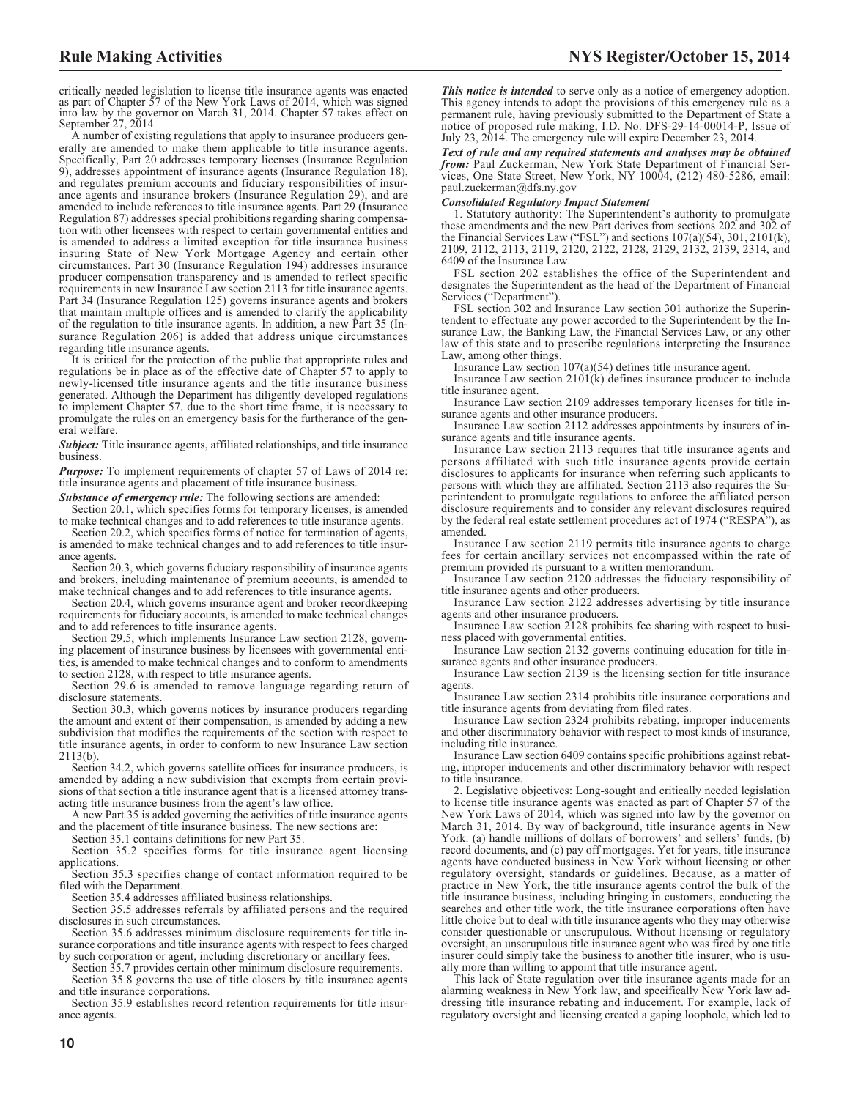critically needed legislation to license title insurance agents was enacted as part of Chapter 57 of the New York Laws of 2014, which was signed into law by the governor on March 31, 2014. Chapter 57 takes effect on September 27, 2014.

A number of existing regulations that apply to insurance producers generally are amended to make them applicable to title insurance agents. Specifically, Part 20 addresses temporary licenses (Insurance Regulation 9), addresses appointment of insurance agents (Insurance Regulation 18), and regulates premium accounts and fiduciary responsibilities of insurance agents and insurance brokers (Insurance Regulation 29), and are amended to include references to title insurance agents. Part 29 (Insurance Regulation 87) addresses special prohibitions regarding sharing compensation with other licensees with respect to certain governmental entities and is amended to address a limited exception for title insurance business insuring State of New York Mortgage Agency and certain other circumstances. Part 30 (Insurance Regulation 194) addresses insurance producer compensation transparency and is amended to reflect specific requirements in new Insurance Law section 2113 for title insurance agents. Part 34 (Insurance Regulation 125) governs insurance agents and brokers that maintain multiple offices and is amended to clarify the applicability of the regulation to title insurance agents. In addition, a new Part 35 (Insurance Regulation 206) is added that address unique circumstances regarding title insurance agents.

It is critical for the protection of the public that appropriate rules and regulations be in place as of the effective date of Chapter 57 to apply to newly-licensed title insurance agents and the title insurance business generated. Although the Department has diligently developed regulations to implement Chapter 57, due to the short time frame, it is necessary to promulgate the rules on an emergency basis for the furtherance of the general welfare.

*Subject:* Title insurance agents, affiliated relationships, and title insurance business.

*Purpose:* To implement requirements of chapter 57 of Laws of 2014 re: title insurance agents and placement of title insurance business.

*Substance of emergency rule:* The following sections are amended:

Section 20.1, which specifies forms for temporary licenses, is amended to make technical changes and to add references to title insurance agents.

Section 20.2, which specifies forms of notice for termination of agents, is amended to make technical changes and to add references to title insurance agents.

Section 20.3, which governs fiduciary responsibility of insurance agents and brokers, including maintenance of premium accounts, is amended to make technical changes and to add references to title insurance agents.

Section 20.4, which governs insurance agent and broker recordkeeping requirements for fiduciary accounts, is amended to make technical changes and to add references to title insurance agents.

Section 29.5, which implements Insurance Law section 2128, governing placement of insurance business by licensees with governmental entities, is amended to make technical changes and to conform to amendments to section 2128, with respect to title insurance agents.

Section 29.6 is amended to remove language regarding return of disclosure statements.

Section 30.3, which governs notices by insurance producers regarding the amount and extent of their compensation, is amended by adding a new subdivision that modifies the requirements of the section with respect to title insurance agents, in order to conform to new Insurance Law section 2113(b).

Section 34.2, which governs satellite offices for insurance producers, is amended by adding a new subdivision that exempts from certain provisions of that section a title insurance agent that is a licensed attorney transacting title insurance business from the agent's law office.

A new Part 35 is added governing the activities of title insurance agents and the placement of title insurance business. The new sections are:

Section 35.1 contains definitions for new Part 35.

Section 35.2 specifies forms for title insurance agent licensing applications.

Section 35.3 specifies change of contact information required to be filed with the Department.

Section 35.4 addresses affiliated business relationships.

Section 35.5 addresses referrals by affiliated persons and the required disclosures in such circumstances.

Section 35.6 addresses minimum disclosure requirements for title insurance corporations and title insurance agents with respect to fees charged by such corporation or agent, including discretionary or ancillary fees.

Section 35.7 provides certain other minimum disclosure requirements.

Section 35.8 governs the use of title closers by title insurance agents and title insurance corporations.

Section 35.9 establishes record retention requirements for title insurance agents.

*This notice is intended* to serve only as a notice of emergency adoption. This agency intends to adopt the provisions of this emergency rule as a permanent rule, having previously submitted to the Department of State a notice of proposed rule making, I.D. No. DFS-29-14-00014-P, Issue of July 23, 2014. The emergency rule will expire December 23, 2014.

*Text of rule and any required statements and analyses may be obtained from:* Paul Zuckerman, New York State Department of Financial Services, One State Street, New York, NY 10004, (212) 480-5286, email: paul.zuckerman@dfs.ny.gov

#### *Consolidated Regulatory Impact Statement*

1. Statutory authority: The Superintendent's authority to promulgate these amendments and the new Part derives from sections 202 and 302 of the Financial Services Law ("FSL") and sections 107(a)(54), 301, 2101(k), 2109, 2112, 2113, 2119, 2120, 2122, 2128, 2129, 2132, 2139, 2314, and 6409 of the Insurance Law.

FSL section 202 establishes the office of the Superintendent and designates the Superintendent as the head of the Department of Financial Services ("Department").

FSL section 302 and Insurance Law section 301 authorize the Superintendent to effectuate any power accorded to the Superintendent by the Insurance Law, the Banking Law, the Financial Services Law, or any other law of this state and to prescribe regulations interpreting the Insurance Law, among other things.

Insurance Law section 107(a)(54) defines title insurance agent.

Insurance Law section 2101(k) defines insurance producer to include title insurance agent.

Insurance Law section 2109 addresses temporary licenses for title insurance agents and other insurance producers.

Insurance Law section 2112 addresses appointments by insurers of insurance agents and title insurance agents.

Insurance Law section 2113 requires that title insurance agents and persons affiliated with such title insurance agents provide certain disclosures to applicants for insurance when referring such applicants to persons with which they are affiliated. Section 2113 also requires the Superintendent to promulgate regulations to enforce the affiliated person disclosure requirements and to consider any relevant disclosures required by the federal real estate settlement procedures act of 1974 ("RESPA"), as amended.

Insurance Law section 2119 permits title insurance agents to charge fees for certain ancillary services not encompassed within the rate of premium provided its pursuant to a written memorandum.

Insurance Law section 2120 addresses the fiduciary responsibility of title insurance agents and other producers.

Insurance Law section 2122 addresses advertising by title insurance agents and other insurance producers.

Insurance Law section 2128 prohibits fee sharing with respect to business placed with governmental entities.

Insurance Law section 2132 governs continuing education for title insurance agents and other insurance producers.

Insurance Law section 2139 is the licensing section for title insurance agents.

Insurance Law section 2314 prohibits title insurance corporations and title insurance agents from deviating from filed rates.

Insurance Law section 2324 prohibits rebating, improper inducements and other discriminatory behavior with respect to most kinds of insurance, including title insurance.

Insurance Law section 6409 contains specific prohibitions against rebating, improper inducements and other discriminatory behavior with respect to title insurance.

2. Legislative objectives: Long-sought and critically needed legislation to license title insurance agents was enacted as part of Chapter 57 of the New York Laws of 2014, which was signed into law by the governor on March 31, 2014. By way of background, title insurance agents in New York: (a) handle millions of dollars of borrowers' and sellers' funds, (b) record documents, and (c) pay off mortgages. Yet for years, title insurance agents have conducted business in New York without licensing or other regulatory oversight, standards or guidelines. Because, as a matter of practice in New York, the title insurance agents control the bulk of the title insurance business, including bringing in customers, conducting the searches and other title work, the title insurance corporations often have little choice but to deal with title insurance agents who they may otherwise consider questionable or unscrupulous. Without licensing or regulatory oversight, an unscrupulous title insurance agent who was fired by one title insurer could simply take the business to another title insurer, who is usually more than willing to appoint that title insurance agent.

This lack of State regulation over title insurance agents made for an alarming weakness in New York law, and specifically New York law addressing title insurance rebating and inducement. For example, lack of regulatory oversight and licensing created a gaping loophole, which led to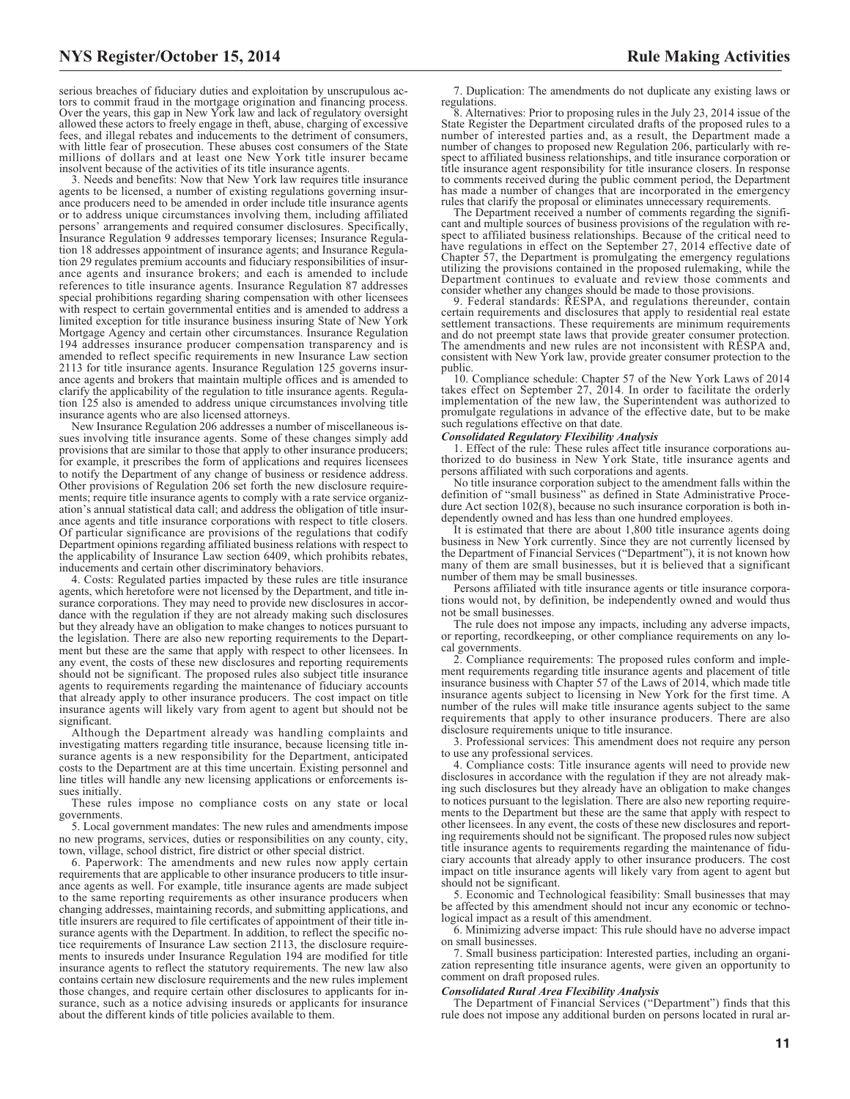serious breaches of fiduciary duties and exploitation by unscrupulous actors to commit fraud in the mortgage origination and financing process. Over the years, this gap in New York law and lack of regulatory oversight allowed these actors to freely engage in theft, abuse, charging of excessive fees, and illegal rebates and inducements to the detriment of consumers, with little fear of prosecution. These abuses cost consumers of the State millions of dollars and at least one New York title insurer became insolvent because of the activities of its title insurance agents.

3. Needs and benefits: Now that New York law requires title insurance agents to be licensed, a number of existing regulations governing insurance producers need to be amended in order include title insurance agents or to address unique circumstances involving them, including affiliated persons' arrangements and required consumer disclosures. Specifically, Insurance Regulation 9 addresses temporary licenses; Insurance Regulation 18 addresses appointment of insurance agents; and Insurance Regulation 29 regulates premium accounts and fiduciary responsibilities of insurance agents and insurance brokers; and each is amended to include references to title insurance agents. Insurance Regulation 87 addresses special prohibitions regarding sharing compensation with other licensees with respect to certain governmental entities and is amended to address a limited exception for title insurance business insuring State of New York Mortgage Agency and certain other circumstances. Insurance Regulation 194 addresses insurance producer compensation transparency and is amended to reflect specific requirements in new Insurance Law section 2113 for title insurance agents. Insurance Regulation 125 governs insurance agents and brokers that maintain multiple offices and is amended to clarify the applicability of the regulation to title insurance agents. Regulation 125 also is amended to address unique circumstances involving title insurance agents who are also licensed attorneys.

New Insurance Regulation 206 addresses a number of miscellaneous issues involving title insurance agents. Some of these changes simply add provisions that are similar to those that apply to other insurance producers; for example, it prescribes the form of applications and requires licensees to notify the Department of any change of business or residence address. Other provisions of Regulation 206 set forth the new disclosure requirements; require title insurance agents to comply with a rate service organization's annual statistical data call; and address the obligation of title insurance agents and title insurance corporations with respect to title closers. Of particular significance are provisions of the regulations that codify Department opinions regarding affiliated business relations with respect to the applicability of Insurance Law section 6409, which prohibits rebates, inducements and certain other discriminatory behaviors.

4. Costs: Regulated parties impacted by these rules are title insurance agents, which heretofore were not licensed by the Department, and title insurance corporations. They may need to provide new disclosures in accordance with the regulation if they are not already making such disclosures but they already have an obligation to make changes to notices pursuant to the legislation. There are also new reporting requirements to the Department but these are the same that apply with respect to other licensees. In any event, the costs of these new disclosures and reporting requirements should not be significant. The proposed rules also subject title insurance agents to requirements regarding the maintenance of fiduciary accounts that already apply to other insurance producers. The cost impact on title insurance agents will likely vary from agent to agent but should not be significant.

Although the Department already was handling complaints and investigating matters regarding title insurance, because licensing title insurance agents is a new responsibility for the Department, anticipated costs to the Department are at this time uncertain. Existing personnel and line titles will handle any new licensing applications or enforcements issues initially.

These rules impose no compliance costs on any state or local governments.

5. Local government mandates: The new rules and amendments impose no new programs, services, duties or responsibilities on any county, city, town, village, school district, fire district or other special district.

6. Paperwork: The amendments and new rules now apply certain requirements that are applicable to other insurance producers to title insurance agents as well. For example, title insurance agents are made subject to the same reporting requirements as other insurance producers when changing addresses, maintaining records, and submitting applications, and title insurers are required to file certificates of appointment of their title insurance agents with the Department. In addition, to reflect the specific notice requirements of Insurance Law section 2113, the disclosure requirements to insureds under Insurance Regulation 194 are modified for title insurance agents to reflect the statutory requirements. The new law also contains certain new disclosure requirements and the new rules implement those changes, and require certain other disclosures to applicants for insurance, such as a notice advising insureds or applicants for insurance about the different kinds of title policies available to them.

7. Duplication: The amendments do not duplicate any existing laws or regulations.

8. Alternatives: Prior to proposing rules in the July 23, 2014 issue of the State Register the Department circulated drafts of the proposed rules to a number of interested parties and, as a result, the Department made a number of changes to proposed new Regulation 206, particularly with respect to affiliated business relationships, and title insurance corporation or title insurance agent responsibility for title insurance closers. In response to comments received during the public comment period, the Department has made a number of changes that are incorporated in the emergency rules that clarify the proposal or eliminates unnecessary requirements.

The Department received a number of comments regarding the significant and multiple sources of business provisions of the regulation with respect to affiliated business relationships. Because of the critical need to have regulations in effect on the September 27, 2014 effective date of Chapter 57, the Department is promulgating the emergency regulations utilizing the provisions contained in the proposed rulemaking, while the Department continues to evaluate and review those comments and

consider whether any changes should be made to those provisions. 9. Federal standards: RESPA, and regulations thereunder, contain certain requirements and disclosures that apply to residential real estate settlement transactions. These requirements are minimum requirements and do not preempt state laws that provide greater consumer protection. The amendments and new rules are not inconsistent with RESPA and, consistent with New York law, provide greater consumer protection to the public.

10. Compliance schedule: Chapter 57 of the New York Laws of 2014 takes effect on September 27, 2014. In order to facilitate the orderly implementation of the new law, the Superintendent was authorized to promulgate regulations in advance of the effective date, but to be make such regulations effective on that date.

#### *Consolidated Regulatory Flexibility Analysis*

1. Effect of the rule: These rules affect title insurance corporations au-thorized to do business in New York State, title insurance agents and persons affiliated with such corporations and agents.

No title insurance corporation subject to the amendment falls within the definition of "small business" as defined in State Administrative Procedure Act section 102(8), because no such insurance corporation is both independently owned and has less than one hundred employees.

It is estimated that there are about 1,800 title insurance agents doing business in New York currently. Since they are not currently licensed by the Department of Financial Services ("Department"), it is not known how many of them are small businesses, but it is believed that a significant number of them may be small businesses.

Persons affiliated with title insurance agents or title insurance corporations would not, by definition, be independently owned and would thus not be small businesses.

The rule does not impose any impacts, including any adverse impacts, or reporting, recordkeeping, or other compliance requirements on any local governments.

2. Compliance requirements: The proposed rules conform and implement requirements regarding title insurance agents and placement of title insurance business with Chapter 57 of the Laws of 2014, which made title insurance agents subject to licensing in New York for the first time. A number of the rules will make title insurance agents subject to the same requirements that apply to other insurance producers. There are also disclosure requirements unique to title insurance.

3. Professional services: This amendment does not require any person to use any professional services.

4. Compliance costs: Title insurance agents will need to provide new disclosures in accordance with the regulation if they are not already making such disclosures but they already have an obligation to make changes to notices pursuant to the legislation. There are also new reporting requirements to the Department but these are the same that apply with respect to other licensees. In any event, the costs of these new disclosures and reporting requirements should not be significant. The proposed rules now subject title insurance agents to requirements regarding the maintenance of fiduciary accounts that already apply to other insurance producers. The cost impact on title insurance agents will likely vary from agent to agent but should not be significant.

5. Economic and Technological feasibility: Small businesses that may be affected by this amendment should not incur any economic or technological impact as a result of this amendment.

6. Minimizing adverse impact: This rule should have no adverse impact on small businesses.

7. Small business participation: Interested parties, including an organization representing title insurance agents, were given an opportunity to comment on draft proposed rules.

#### *Consolidated Rural Area Flexibility Analysis*

The Department of Financial Services ("Department") finds that this rule does not impose any additional burden on persons located in rural ar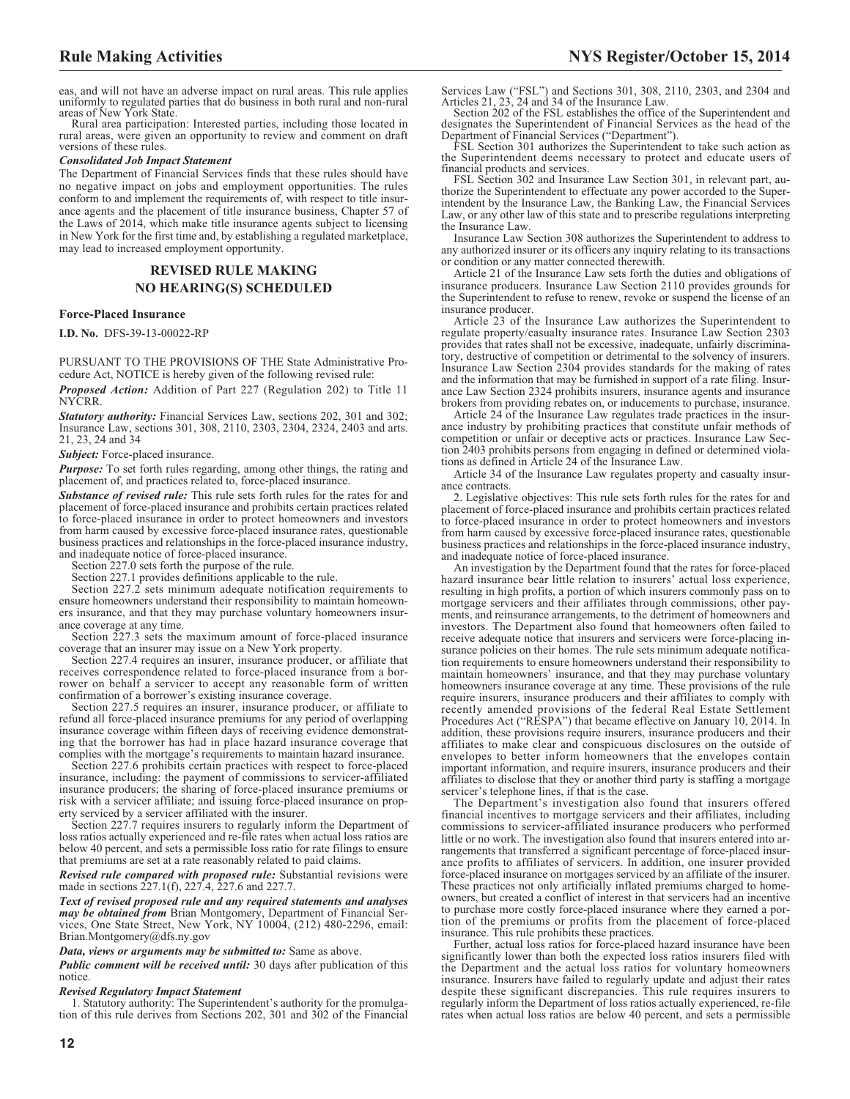eas, and will not have an adverse impact on rural areas. This rule applies uniformly to regulated parties that do business in both rural and non-rural areas of New York State.

Rural area participation: Interested parties, including those located in rural areas, were given an opportunity to review and comment on draft versions of these rules.

#### *Consolidated Job Impact Statement*

The Department of Financial Services finds that these rules should have no negative impact on jobs and employment opportunities. The rules conform to and implement the requirements of, with respect to title insurance agents and the placement of title insurance business, Chapter 57 of the Laws of 2014, which make title insurance agents subject to licensing in New York for the first time and, by establishing a regulated marketplace, may lead to increased employment opportunity.

# **REVISED RULE MAKING NO HEARING(S) SCHEDULED**

#### **Force-Placed Insurance**

**I.D. No.** DFS-39-13-00022-RP

PURSUANT TO THE PROVISIONS OF THE State Administrative Procedure Act, NOTICE is hereby given of the following revised rule:

*Proposed Action:* Addition of Part 227 (Regulation 202) to Title 11 NYCRR.

*Statutory authority:* Financial Services Law, sections 202, 301 and 302; Insurance Law, sections 301, 308, 2110, 2303, 2304, 2324, 2403 and arts. 21, 23, 24 and 34

*Subject:* Force-placed insurance.

*Purpose:* To set forth rules regarding, among other things, the rating and placement of, and practices related to, force-placed insurance.

*Substance of revised rule:* This rule sets forth rules for the rates for and placement of force-placed insurance and prohibits certain practices related to force-placed insurance in order to protect homeowners and investors from harm caused by excessive force-placed insurance rates, questionable business practices and relationships in the force-placed insurance industry, and inadequate notice of force-placed insurance.

Section 227.0 sets forth the purpose of the rule.

Section 227.1 provides definitions applicable to the rule.

Section 227.2 sets minimum adequate notification requirements to ensure homeowners understand their responsibility to maintain homeowners insurance, and that they may purchase voluntary homeowners insurance coverage at any time.

Section  $\overline{2}27.3$  sets the maximum amount of force-placed insurance coverage that an insurer may issue on a New York property.

Section 227.4 requires an insurer, insurance producer, or affiliate that receives correspondence related to force-placed insurance from a borrower on behalf a servicer to accept any reasonable form of written confirmation of a borrower's existing insurance coverage.

Section 227.5 requires an insurer, insurance producer, or affiliate to refund all force-placed insurance premiums for any period of overlapping insurance coverage within fifteen days of receiving evidence demonstrating that the borrower has had in place hazard insurance coverage that complies with the mortgage's requirements to maintain hazard insurance.

Section 227.6 prohibits certain practices with respect to force-placed insurance, including: the payment of commissions to servicer-affiliated insurance producers; the sharing of force-placed insurance premiums or risk with a servicer affiliate; and issuing force-placed insurance on property serviced by a servicer affiliated with the insurer.

Section 227.7 requires insurers to regularly inform the Department of loss ratios actually experienced and re-file rates when actual loss ratios are below 40 percent, and sets a permissible loss ratio for rate filings to ensure that premiums are set at a rate reasonably related to paid claims.

#### *Revised rule compared with proposed rule:* Substantial revisions were made in sections 227.1(f), 227.4, 227.6 and 227.7.

*Text of revised proposed rule and any required statements and analyses may be obtained from* Brian Montgomery, Department of Financial Services, One State Street, New York, NY 10004, (212) 480-2296, email: [Brian.Montgomery@dfs.ny.gov](mailto: Brian.Montgomery@dfs.ny.gov)

#### *Data, views or arguments may be submitted to:* Same as above.

*Public comment will be received until:* 30 days after publication of this notice.

#### *Revised Regulatory Impact Statement*

1. Statutory authority: The Superintendent's authority for the promulgation of this rule derives from Sections 202, 301 and 302 of the Financial Services Law ("FSL") and Sections 301, 308, 2110, 2303, and 2304 and Articles 21, 23, 24 and 34 of the Insurance Law.

Section 202 of the FSL establishes the office of the Superintendent and designates the Superintendent of Financial Services as the head of the Department of Financial Services ("Department").

FSL Section 301 authorizes the Superintendent to take such action as the Superintendent deems necessary to protect and educate users of financial products and services.

FSL Section 302 and Insurance Law Section 301, in relevant part, authorize the Superintendent to effectuate any power accorded to the Superintendent by the Insurance Law, the Banking Law, the Financial Services Law, or any other law of this state and to prescribe regulations interpreting the Insurance Law.

Insurance Law Section 308 authorizes the Superintendent to address to any authorized insurer or its officers any inquiry relating to its transactions or condition or any matter connected therewith.

Article 21 of the Insurance Law sets forth the duties and obligations of insurance producers. Insurance Law Section 2110 provides grounds for the Superintendent to refuse to renew, revoke or suspend the license of an insurance producer.

Article 23 of the Insurance Law authorizes the Superintendent to regulate property/casualty insurance rates. Insurance Law Section 2303 provides that rates shall not be excessive, inadequate, unfairly discriminatory, destructive of competition or detrimental to the solvency of insurers. Insurance Law Section 2304 provides standards for the making of rates and the information that may be furnished in support of a rate filing. Insurance Law Section 2324 prohibits insurers, insurance agents and insurance brokers from providing rebates on, or inducements to purchase, insurance.

Article 24 of the Insurance Law regulates trade practices in the insurance industry by prohibiting practices that constitute unfair methods of competition or unfair or deceptive acts or practices. Insurance Law Section 2403 prohibits persons from engaging in defined or determined violations as defined in Article 24 of the Insurance Law.

Article 34 of the Insurance Law regulates property and casualty insurance contracts.

2. Legislative objectives: This rule sets forth rules for the rates for and placement of force-placed insurance and prohibits certain practices related to force-placed insurance in order to protect homeowners and investors from harm caused by excessive force-placed insurance rates, questionable business practices and relationships in the force-placed insurance industry, and inadequate notice of force-placed insurance.

An investigation by the Department found that the rates for force-placed hazard insurance bear little relation to insurers' actual loss experience, resulting in high profits, a portion of which insurers commonly pass on to mortgage servicers and their affiliates through commissions, other payments, and reinsurance arrangements, to the detriment of homeowners and investors. The Department also found that homeowners often failed to receive adequate notice that insurers and servicers were force-placing insurance policies on their homes. The rule sets minimum adequate notification requirements to ensure homeowners understand their responsibility to maintain homeowners' insurance, and that they may purchase voluntary homeowners insurance coverage at any time. These provisions of the rule require insurers, insurance producers and their affiliates to comply with recently amended provisions of the federal Real Estate Settlement Procedures Act ("RESPA") that became effective on January 10, 2014. In addition, these provisions require insurers, insurance producers and their affiliates to make clear and conspicuous disclosures on the outside of envelopes to better inform homeowners that the envelopes contain important information, and require insurers, insurance producers and their affiliates to disclose that they or another third party is staffing a mortgage servicer's telephone lines, if that is the case.

The Department's investigation also found that insurers offered financial incentives to mortgage servicers and their affiliates, including commissions to servicer-affiliated insurance producers who performed little or no work. The investigation also found that insurers entered into arrangements that transferred a significant percentage of force-placed insurance profits to affiliates of servicers. In addition, one insurer provided force-placed insurance on mortgages serviced by an affiliate of the insurer. These practices not only artificially inflated premiums charged to homeowners, but created a conflict of interest in that servicers had an incentive to purchase more costly force-placed insurance where they earned a portion of the premiums or profits from the placement of force-placed insurance. This rule prohibits these practices.

Further, actual loss ratios for force-placed hazard insurance have been significantly lower than both the expected loss ratios insurers filed with the Department and the actual loss ratios for voluntary homeowners insurance. Insurers have failed to regularly update and adjust their rates despite these significant discrepancies. This rule requires insurers to regularly inform the Department of loss ratios actually experienced, re-file rates when actual loss ratios are below 40 percent, and sets a permissible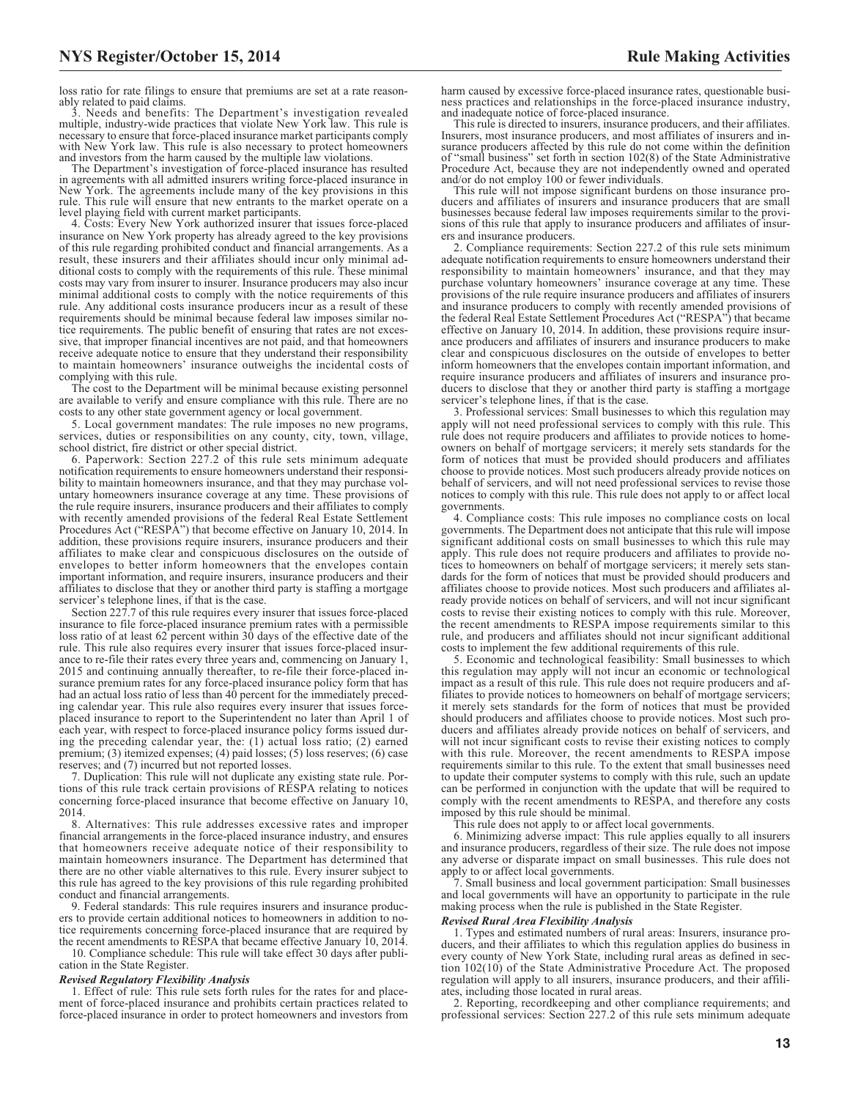loss ratio for rate filings to ensure that premiums are set at a rate reasonably related to paid claims.<br>3. Needs and banafits

Needs and benefits: The Department's investigation revealed multiple, industry-wide practices that violate New York law. This rule is necessary to ensure that force-placed insurance market participants comply with New York law. This rule is also necessary to protect homeowners and investors from the harm caused by the multiple law violations.

The Department's investigation of force-placed insurance has resulted in agreements with all admitted insurers writing force-placed insurance in New York. The agreements include many of the key provisions in this rule. This rule will ensure that new entrants to the market operate on a

level playing field with current market participants. 4. Costs: Every New York authorized insurer that issues force-placed insurance on New York property has already agreed to the key provisions of this rule regarding prohibited conduct and financial arrangements. As a result, these insurers and their affiliates should incur only minimal additional costs to comply with the requirements of this rule. These minimal costs may vary from insurer to insurer. Insurance producers may also incur minimal additional costs to comply with the notice requirements of this rule. Any additional costs insurance producers incur as a result of these requirements should be minimal because federal law imposes similar notice requirements. The public benefit of ensuring that rates are not excessive, that improper financial incentives are not paid, and that homeowners receive adequate notice to ensure that they understand their responsibility to maintain homeowners' insurance outweighs the incidental costs of complying with this rule.

The cost to the Department will be minimal because existing personnel are available to verify and ensure compliance with this rule. There are no costs to any other state government agency or local government.

5. Local government mandates: The rule imposes no new programs, services, duties or responsibilities on any county, city, town, village, school district, fire district or other special district.

6. Paperwork: Section 227.2 of this rule sets minimum adequate notification requirements to ensure homeowners understand their responsibility to maintain homeowners insurance, and that they may purchase voluntary homeowners insurance coverage at any time. These provisions of the rule require insurers, insurance producers and their affiliates to comply with recently amended provisions of the federal Real Estate Settlement Procedures Act ("RESPA") that become effective on January 10, 2014. In addition, these provisions require insurers, insurance producers and their affiliates to make clear and conspicuous disclosures on the outside of envelopes to better inform homeowners that the envelopes contain important information, and require insurers, insurance producers and their affiliates to disclose that they or another third party is staffing a mortgage servicer's telephone lines, if that is the case.

Section 227.7 of this rule requires every insurer that issues force-placed insurance to file force-placed insurance premium rates with a permissible loss ratio of at least 62 percent within 30 days of the effective date of the rule. This rule also requires every insurer that issues force-placed insurance to re-file their rates every three years and, commencing on January 1, 2015 and continuing annually thereafter, to re-file their force-placed insurance premium rates for any force-placed insurance policy form that has had an actual loss ratio of less than 40 percent for the immediately preceding calendar year. This rule also requires every insurer that issues forceplaced insurance to report to the Superintendent no later than April 1 of each year, with respect to force-placed insurance policy forms issued during the preceding calendar year, the: (1) actual loss ratio; (2) earned premium; (3) itemized expenses; (4) paid losses; (5) loss reserves; (6) case reserves; and (7) incurred but not reported losses.

7. Duplication: This rule will not duplicate any existing state rule. Portions of this rule track certain provisions of RESPA relating to notices concerning force-placed insurance that become effective on January 10, 2014.

8. Alternatives: This rule addresses excessive rates and improper financial arrangements in the force-placed insurance industry, and ensures that homeowners receive adequate notice of their responsibility to maintain homeowners insurance. The Department has determined that there are no other viable alternatives to this rule. Every insurer subject to this rule has agreed to the key provisions of this rule regarding prohibited conduct and financial arrangements.

9. Federal standards: This rule requires insurers and insurance producers to provide certain additional notices to homeowners in addition to notice requirements concerning force-placed insurance that are required by the recent amendments to RESPA that became effective January 10, 2014.

10. Compliance schedule: This rule will take effect 30 days after publication in the State Register.

#### *Revised Regulatory Flexibility Analysis*

1. Effect of rule: This rule sets forth rules for the rates for and placement of force-placed insurance and prohibits certain practices related to force-placed insurance in order to protect homeowners and investors from harm caused by excessive force-placed insurance rates, questionable business practices and relationships in the force-placed insurance industry, and inadequate notice of force-placed insurance.

This rule is directed to insurers, insurance producers, and their affiliates. Insurers, most insurance producers, and most affiliates of insurers and insurance producers affected by this rule do not come within the definition of "small business" set forth in section 102(8) of the State Administrative Procedure Act, because they are not independently owned and operated and/or do not employ 100 or fewer individuals.

This rule will not impose significant burdens on those insurance producers and affiliates of insurers and insurance producers that are small businesses because federal law imposes requirements similar to the provisions of this rule that apply to insurance producers and affiliates of insurers and insurance producers.

2. Compliance requirements: Section 227.2 of this rule sets minimum adequate notification requirements to ensure homeowners understand their responsibility to maintain homeowners' insurance, and that they may purchase voluntary homeowners' insurance coverage at any time. These provisions of the rule require insurance producers and affiliates of insurers and insurance producers to comply with recently amended provisions of the federal Real Estate Settlement Procedures Act ("RESPA") that became effective on January 10, 2014. In addition, these provisions require insurance producers and affiliates of insurers and insurance producers to make clear and conspicuous disclosures on the outside of envelopes to better inform homeowners that the envelopes contain important information, and require insurance producers and affiliates of insurers and insurance producers to disclose that they or another third party is staffing a mortgage servicer's telephone lines, if that is the case.

3. Professional services: Small businesses to which this regulation may apply will not need professional services to comply with this rule. This rule does not require producers and affiliates to provide notices to homeowners on behalf of mortgage servicers; it merely sets standards for the form of notices that must be provided should producers and affiliates choose to provide notices. Most such producers already provide notices on behalf of servicers, and will not need professional services to revise those notices to comply with this rule. This rule does not apply to or affect local governments.

4. Compliance costs: This rule imposes no compliance costs on local governments. The Department does not anticipate that this rule will impose significant additional costs on small businesses to which this rule may apply. This rule does not require producers and affiliates to provide notices to homeowners on behalf of mortgage servicers; it merely sets standards for the form of notices that must be provided should producers and affiliates choose to provide notices. Most such producers and affiliates already provide notices on behalf of servicers, and will not incur significant costs to revise their existing notices to comply with this rule. Moreover, the recent amendments to RESPA impose requirements similar to this rule, and producers and affiliates should not incur significant additional costs to implement the few additional requirements of this rule.

5. Economic and technological feasibility: Small businesses to which this regulation may apply will not incur an economic or technological impact as a result of this rule. This rule does not require producers and affiliates to provide notices to homeowners on behalf of mortgage servicers; it merely sets standards for the form of notices that must be provided should producers and affiliates choose to provide notices. Most such producers and affiliates already provide notices on behalf of servicers, and will not incur significant costs to revise their existing notices to comply with this rule. Moreover, the recent amendments to RESPA impose requirements similar to this rule. To the extent that small businesses need to update their computer systems to comply with this rule, such an update can be performed in conjunction with the update that will be required to comply with the recent amendments to RESPA, and therefore any costs imposed by this rule should be minimal.

This rule does not apply to or affect local governments.

6. Minimizing adverse impact: This rule applies equally to all insurers and insurance producers, regardless of their size. The rule does not impose any adverse or disparate impact on small businesses. This rule does not apply to or affect local governments.

7. Small business and local government participation: Small businesses and local governments will have an opportunity to participate in the rule making process when the rule is published in the State Register.

#### *Revised Rural Area Flexibility Analysis*

1. Types and estimated numbers of rural areas: Insurers, insurance producers, and their affiliates to which this regulation applies do business in every county of New York State, including rural areas as defined in section 102(10) of the State Administrative Procedure Act. The proposed regulation will apply to all insurers, insurance producers, and their affiliates, including those located in rural areas.

2. Reporting, recordkeeping and other compliance requirements; and professional services: Section 227.2 of this rule sets minimum adequate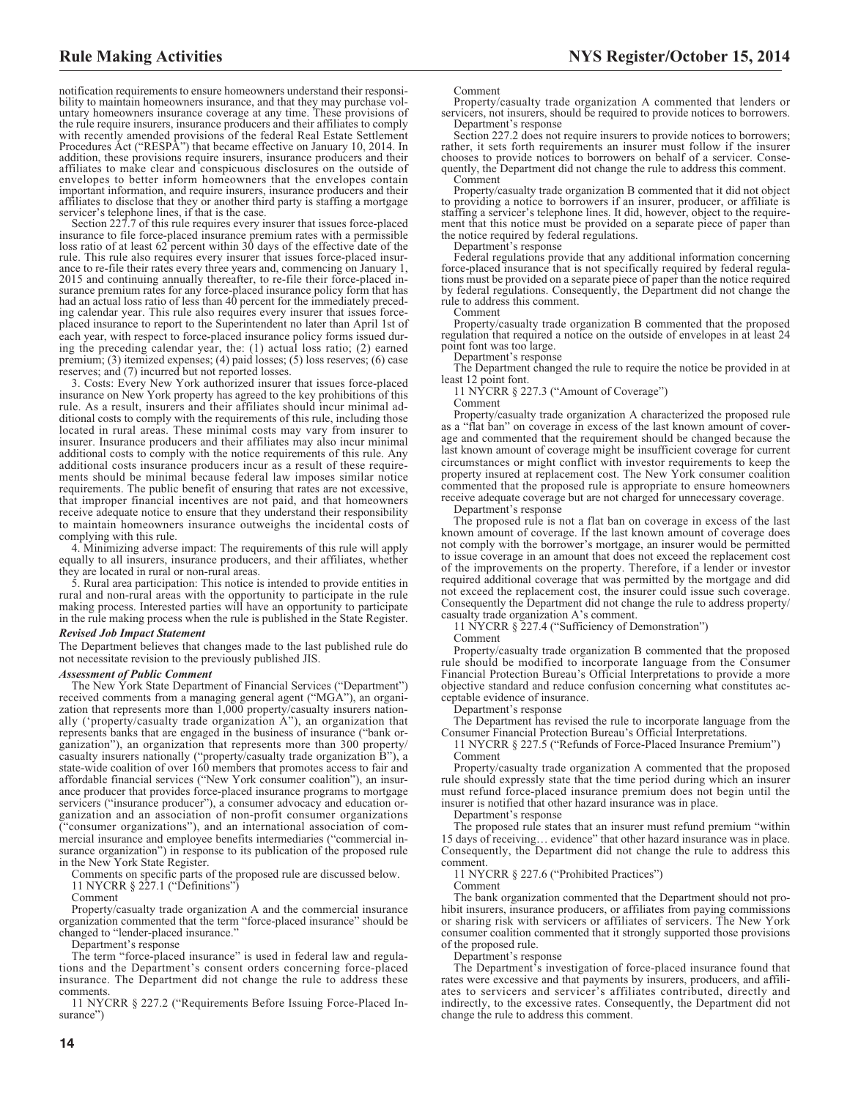notification requirements to ensure homeowners understand their responsibility to maintain homeowners insurance, and that they may purchase voluntary homeowners insurance coverage at any time. These provisions of the rule require insurers, insurance producers and their affiliates to comply with recently amended provisions of the federal Real Estate Settlement Procedures Act ("RESPA") that became effective on January 10, 2014. In addition, these provisions require insurers, insurance producers and their affiliates to make clear and conspicuous disclosures on the outside of envelopes to better inform homeowners that the envelopes contain important information, and require insurers, insurance producers and their affiliates to disclose that they or another third party is staffing a mortgage

servicer's telephone lines, if that is the case. Section 227.7 of this rule requires every insurer that issues force-placed insurance to file force-placed insurance premium rates with a permissible loss ratio of at least 62 percent within 30 days of the effective date of the rule. This rule also requires every insurer that issues force-placed insurance to re-file their rates every three years and, commencing on January 1, 2015 and continuing annually thereafter, to re-file their force-placed insurance premium rates for any force-placed insurance policy form that has had an actual loss ratio of less than 40 percent for the immediately preceding calendar year. This rule also requires every insurer that issues forceplaced insurance to report to the Superintendent no later than April 1st of each year, with respect to force-placed insurance policy forms issued during the preceding calendar year, the: (1) actual loss ratio; (2) earned premium; (3) itemized expenses; (4) paid losses; (5) loss reserves; (6) case reserves; and (7) incurred but not reported losses.

3. Costs: Every New York authorized insurer that issues force-placed insurance on New York property has agreed to the key prohibitions of this rule. As a result, insurers and their affiliates should incur minimal additional costs to comply with the requirements of this rule, including those located in rural areas. These minimal costs may vary from insurer to insurer. Insurance producers and their affiliates may also incur minimal additional costs to comply with the notice requirements of this rule. Any additional costs insurance producers incur as a result of these requirements should be minimal because federal law imposes similar notice requirements. The public benefit of ensuring that rates are not excessive, that improper financial incentives are not paid, and that homeowners receive adequate notice to ensure that they understand their responsibility to maintain homeowners insurance outweighs the incidental costs of complying with this rule.

4. Minimizing adverse impact: The requirements of this rule will apply equally to all insurers, insurance producers, and their affiliates, whether they are located in rural or non-rural areas.

5. Rural area participation: This notice is intended to provide entities in rural and non-rural areas with the opportunity to participate in the rule making process. Interested parties will have an opportunity to participate in the rule making process when the rule is published in the State Register.

#### *Revised Job Impact Statement*

The Department believes that changes made to the last published rule do not necessitate revision to the previously published JIS.

#### *Assessment of Public Comment*

The New York State Department of Financial Services ("Department") received comments from a managing general agent ("MGA"), an organization that represents more than 1,000 property/casualty insurers nationally ('property/casualty trade organization A"), an organization that represents banks that are engaged in the business of insurance ("bank organization"), an organization that represents more than 300 property/ casualty insurers nationally ("property/casualty trade organization B"), a state-wide coalition of over 160 members that promotes access to fair and affordable financial services ("New York consumer coalition"), an insurance producer that provides force-placed insurance programs to mortgage servicers ("insurance producer"), a consumer advocacy and education organization and an association of non-profit consumer organizations "consumer organizations"), and an international association of commercial insurance and employee benefits intermediaries ("commercial insurance organization") in response to its publication of the proposed rule in the New York State Register.

Comments on specific parts of the proposed rule are discussed below.

11 NYCRR § 227.1 ("Definitions")

Comment

Property/casualty trade organization A and the commercial insurance organization commented that the term "force-placed insurance" should be changed to "lender-placed insurance."

Department's response

The term "force-placed insurance" is used in federal law and regulations and the Department's consent orders concerning force-placed insurance. The Department did not change the rule to address these comments.

11 NYCRR § 227.2 ("Requirements Before Issuing Force-Placed Insurance")

Comment

Property/casualty trade organization A commented that lenders or servicers, not insurers, should be required to provide notices to borrowers. Department's response

Section 227.2 does not require insurers to provide notices to borrowers; rather, it sets forth requirements an insurer must follow if the insurer chooses to provide notices to borrowers on behalf of a servicer. Consequently, the Department did not change the rule to address this comment. Comment

Property/casualty trade organization B commented that it did not object to providing a notice to borrowers if an insurer, producer, or affiliate is staffing a servicer's telephone lines. It did, however, object to the requirement that this notice must be provided on a separate piece of paper than the notice required by federal regulations.

Department's response

Federal regulations provide that any additional information concerning force-placed insurance that is not specifically required by federal regulations must be provided on a separate piece of paper than the notice required by federal regulations. Consequently, the Department did not change the rule to address this comment.

Comment

Property/casualty trade organization B commented that the proposed regulation that required a notice on the outside of envelopes in at least 24 point font was too large.

Department's response

The Department changed the rule to require the notice be provided in at least 12 point font.

11 NYCRR § 227.3 ("Amount of Coverage")

Comment

Property/casualty trade organization A characterized the proposed rule as a "flat ban" on coverage in excess of the last known amount of coverage and commented that the requirement should be changed because the last known amount of coverage might be insufficient coverage for current circumstances or might conflict with investor requirements to keep the property insured at replacement cost. The New York consumer coalition commented that the proposed rule is appropriate to ensure homeowners receive adequate coverage but are not charged for unnecessary coverage.

Department's response

The proposed rule is not a flat ban on coverage in excess of the last known amount of coverage. If the last known amount of coverage does not comply with the borrower's mortgage, an insurer would be permitted to issue coverage in an amount that does not exceed the replacement cost of the improvements on the property. Therefore, if a lender or investor required additional coverage that was permitted by the mortgage and did not exceed the replacement cost, the insurer could issue such coverage. Consequently the Department did not change the rule to address property/ casualty trade organization A's comment.

11 NYCRR § 227.4 ("Sufficiency of Demonstration")

Comment

Property/casualty trade organization B commented that the proposed rule should be modified to incorporate language from the Consumer Financial Protection Bureau's Official Interpretations to provide a more objective standard and reduce confusion concerning what constitutes acceptable evidence of insurance.

Department's response

The Department has revised the rule to incorporate language from the Consumer Financial Protection Bureau's Official Interpretations.

11 NYCRR § 227.5 ("Refunds of Force-Placed Insurance Premium") Comment

Property/casualty trade organization A commented that the proposed rule should expressly state that the time period during which an insurer must refund force-placed insurance premium does not begin until the insurer is notified that other hazard insurance was in place.

Department's response

The proposed rule states that an insurer must refund premium "within 15 days of receiving… evidence" that other hazard insurance was in place. Consequently, the Department did not change the rule to address this comment.

11 NYCRR § 227.6 ("Prohibited Practices")

Comment

The bank organization commented that the Department should not prohibit insurers, insurance producers, or affiliates from paying commissions or sharing risk with servicers or affiliates of servicers. The New York consumer coalition commented that it strongly supported those provisions of the proposed rule.

Department's response

The Department's investigation of force-placed insurance found that rates were excessive and that payments by insurers, producers, and affiliates to servicers and servicer's affiliates contributed, directly and indirectly, to the excessive rates. Consequently, the Department did not change the rule to address this comment.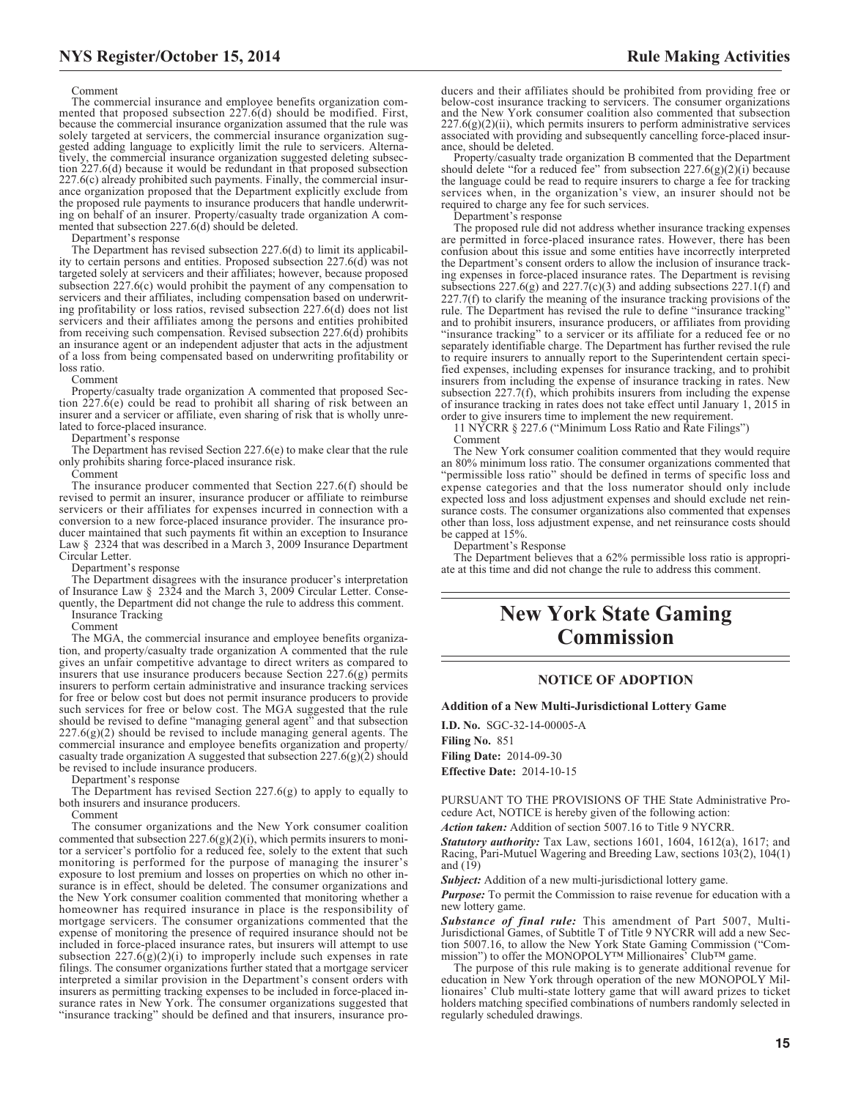#### Comment

The commercial insurance and employee benefits organization commented that proposed subsection 227.6(d) should be modified. First, because the commercial insurance organization assumed that the rule was solely targeted at servicers, the commercial insurance organization suggested adding language to explicitly limit the rule to servicers. Alternatively, the commercial insurance organization suggested deleting subsection 227.6(d) because it would be redundant in that proposed subsection 227.6(c) already prohibited such payments. Finally, the commercial insurance organization proposed that the Department explicitly exclude from the proposed rule payments to insurance producers that handle underwriting on behalf of an insurer. Property/casualty trade organization A commented that subsection 227.6(d) should be deleted.

Department's response

The Department has revised subsection 227.6(d) to limit its applicability to certain persons and entities. Proposed subsection 227.6(d) was not targeted solely at servicers and their affiliates; however, because proposed subsection  $227.6(c)$  would prohibit the payment of any compensation to servicers and their affiliates, including compensation based on underwriting profitability or loss ratios, revised subsection 227.6(d) does not list servicers and their affiliates among the persons and entities prohibited from receiving such compensation. Revised subsection  $227.6(d)$  prohibits an insurance agent or an independent adjuster that acts in the adjustment of a loss from being compensated based on underwriting profitability or loss ratio.

Comment

Property/casualty trade organization A commented that proposed Section 227.6(e) could be read to prohibit all sharing of risk between an insurer and a servicer or affiliate, even sharing of risk that is wholly unrelated to force-placed insurance.

Department's response

The Department has revised Section 227.6(e) to make clear that the rule only prohibits sharing force-placed insurance risk.

Comment

The insurance producer commented that Section 227.6(f) should be revised to permit an insurer, insurance producer or affiliate to reimburse servicers or their affiliates for expenses incurred in connection with a conversion to a new force-placed insurance provider. The insurance producer maintained that such payments fit within an exception to Insurance Law § 2324 that was described in a March 3, 2009 Insurance Department Circular Letter.

Department's response

The Department disagrees with the insurance producer's interpretation of Insurance Law § 2324 and the March 3, 2009 Circular Letter. Consequently, the Department did not change the rule to address this comment. Insurance Tracking

Comment

The MGA, the commercial insurance and employee benefits organization, and property/casualty trade organization A commented that the rule gives an unfair competitive advantage to direct writers as compared to insurers that use insurance producers because Section  $227.6(g)$  permits insurers to perform certain administrative and insurance tracking services for free or below cost but does not permit insurance producers to provide such services for free or below cost. The MGA suggested that the rule should be revised to define "managing general agent" and that subsection  $227.6(g)(2)$  should be revised to include managing general agents. The commercial insurance and employee benefits organization and property/ casualty trade organization A suggested that subsection  $227.6(g)(2)$  should be revised to include insurance producers.

Department's response

The Department has revised Section 227.6(g) to apply to equally to both insurers and insurance producers.

Comment

The consumer organizations and the New York consumer coalition commented that subsection 227.6(g)(2)(i), which permits insurers to monitor a servicer's portfolio for a reduced fee, solely to the extent that such monitoring is performed for the purpose of managing the insurer's exposure to lost premium and losses on properties on which no other insurance is in effect, should be deleted. The consumer organizations and the New York consumer coalition commented that monitoring whether a homeowner has required insurance in place is the responsibility of mortgage servicers. The consumer organizations commented that the expense of monitoring the presence of required insurance should not be included in force-placed insurance rates, but insurers will attempt to use subsection  $227.6(g)(2)(i)$  to improperly include such expenses in rate filings. The consumer organizations further stated that a mortgage servicer interpreted a similar provision in the Department's consent orders with insurers as permitting tracking expenses to be included in force-placed insurance rates in New York. The consumer organizations suggested that "insurance tracking" should be defined and that insurers, insurance pro-

ducers and their affiliates should be prohibited from providing free or below-cost insurance tracking to servicers. The consumer organizations and the New York consumer coalition also commented that subsection  $227.6(g)(2)(ii)$ , which permits insurers to perform administrative services associated with providing and subsequently cancelling force-placed insurance, should be deleted.

Property/casualty trade organization B commented that the Department should delete "for a reduced fee" from subsection  $227.6(g)(2)(i)$  because the language could be read to require insurers to charge a fee for tracking services when, in the organization's view, an insurer should not be required to charge any fee for such services.

Department's response

The proposed rule did not address whether insurance tracking expenses are permitted in force-placed insurance rates. However, there has been confusion about this issue and some entities have incorrectly interpreted the Department's consent orders to allow the inclusion of insurance tracking expenses in force-placed insurance rates. The Department is revising subsections 227.6(g) and 227.7(c)(3) and adding subsections 227.1(f) and 227.7(f) to clarify the meaning of the insurance tracking provisions of the rule. The Department has revised the rule to define "insurance tracking" and to prohibit insurers, insurance producers, or affiliates from providing "insurance tracking" to a servicer or its affiliate for a reduced fee or no separately identifiable charge. The Department has further revised the rule to require insurers to annually report to the Superintendent certain specified expenses, including expenses for insurance tracking, and to prohibit insurers from including the expense of insurance tracking in rates. New subsection 227.7(f), which prohibits insurers from including the expense of insurance tracking in rates does not take effect until January 1, 2015 in order to give insurers time to implement the new requirement.

11 NYCRR § 227.6 ("Minimum Loss Ratio and Rate Filings") Comment

The New York consumer coalition commented that they would require an 80% minimum loss ratio. The consumer organizations commented that "permissible loss ratio" should be defined in terms of specific loss and expense categories and that the loss numerator should only include expected loss and loss adjustment expenses and should exclude net reinsurance costs. The consumer organizations also commented that expenses other than loss, loss adjustment expense, and net reinsurance costs should be capped at 15%.

Department's Response

The Department believes that a 62% permissible loss ratio is appropriate at this time and did not change the rule to address this comment.

# **New York State Gaming Commission**

### **NOTICE OF ADOPTION**

**Addition of a New Multi-Jurisdictional Lottery Game**

**I.D. No.** SGC-32-14-00005-A **Filing No.** 851

**Filing Date:** 2014-09-30 **Effective Date:** 2014-10-15

PURSUANT TO THE PROVISIONS OF THE State Administrative Procedure Act, NOTICE is hereby given of the following action:

*Action taken:* Addition of section 5007.16 to Title 9 NYCRR.

*Statutory authority:* Tax Law, sections 1601, 1604, 1612(a), 1617; and Racing, Pari-Mutuel Wagering and Breeding Law, sections 103(2), 104(1) and (19)

*Subject:* Addition of a new multi-jurisdictional lottery game.

*Purpose:* To permit the Commission to raise revenue for education with a new lottery game.

*Substance of final rule:* This amendment of Part 5007, Multi-Jurisdictional Games, of Subtitle T of Title 9 NYCRR will add a new Section 5007.16, to allow the New York State Gaming Commission ("Commission") to offer the MONOPOLY™ Millionaires' Club™ game.

The purpose of this rule making is to generate additional revenue for education in New York through operation of the new MONOPOLY Millionaires' Club multi-state lottery game that will award prizes to ticket holders matching specified combinations of numbers randomly selected in regularly scheduled drawings.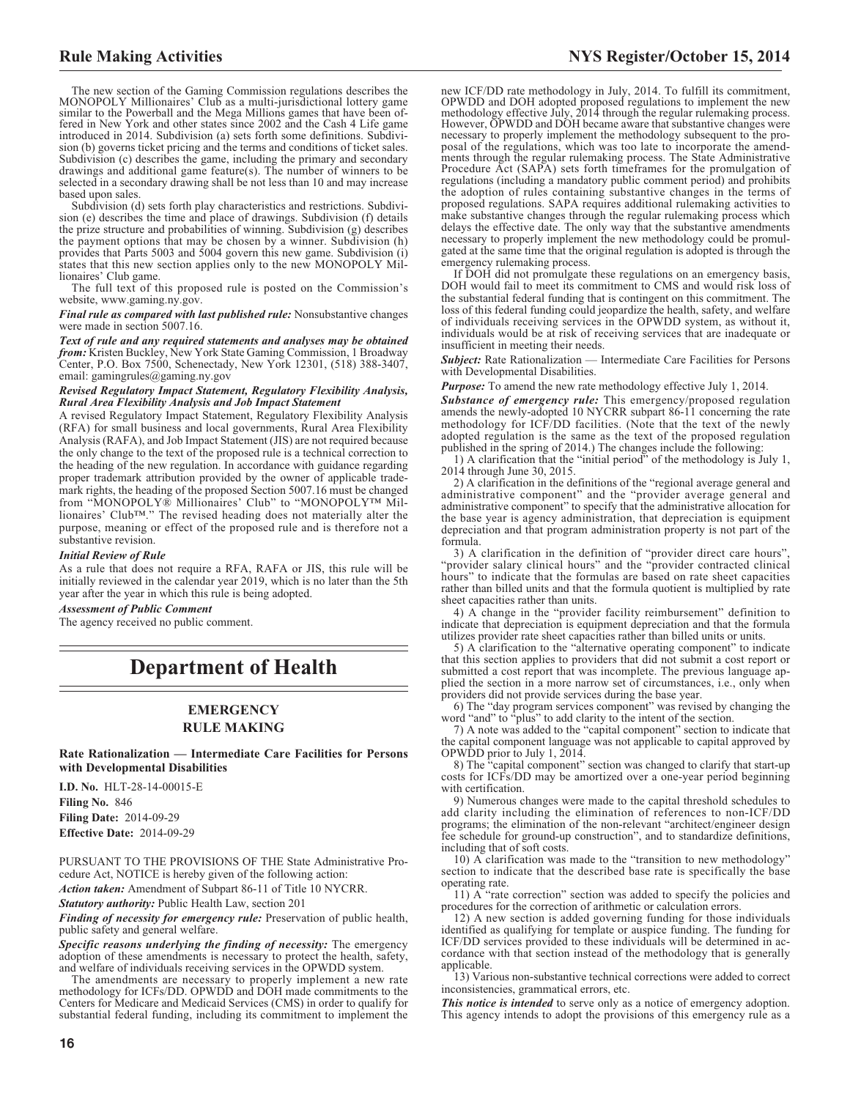The new section of the Gaming Commission regulations describes the MONOPOLY Millionaires' Club as a multi-jurisdictional lottery game similar to the Powerball and the Mega Millions games that have been offered in New York and other states since 2002 and the Cash 4 Life game introduced in 2014. Subdivision (a) sets forth some definitions. Subdivision (b) governs ticket pricing and the terms and conditions of ticket sales. Subdivision (c) describes the game, including the primary and secondary drawings and additional game feature(s). The number of winners to be selected in a secondary drawing shall be not less than 10 and may increase based upon sales.

Subdivision (d) sets forth play characteristics and restrictions. Subdivision (e) describes the time and place of drawings. Subdivision (f) details the prize structure and probabilities of winning. Subdivision (g) describes the payment options that may be chosen by a winner. Subdivision (h) provides that Parts 5003 and 5004 govern this new game. Subdivision (i) states that this new section applies only to the new MONOPOLY Millionaires' Club game.

The full text of this proposed rule is posted on the Commission's website, www.gaming.ny.gov.

*Final rule as compared with last published rule:* Nonsubstantive changes were made in section 5007.16.

*Text of rule and any required statements and analyses may be obtained from:* Kristen Buckley, New York State Gaming Commission, 1 Broadway Center, P.O. Box 7500, Schenectady, New York 12301, (518) 388-3407, email: gamingrules@gaming.ny.gov

#### *Revised Regulatory Impact Statement, Regulatory Flexibility Analysis, Rural Area Flexibility Analysis and Job Impact Statement*

A revised Regulatory Impact Statement, Regulatory Flexibility Analysis (RFA) for small business and local governments, Rural Area Flexibility Analysis (RAFA), and Job Impact Statement (JIS) are not required because the only change to the text of the proposed rule is a technical correction to the heading of the new regulation. In accordance with guidance regarding proper trademark attribution provided by the owner of applicable trademark rights, the heading of the proposed Section 5007.16 must be changed from "MONOPOLY® Millionaires' Club" to "MONOPOLY™ Millionaires' Club™." The revised heading does not materially alter the purpose, meaning or effect of the proposed rule and is therefore not a substantive revision.

#### *Initial Review of Rule*

As a rule that does not require a RFA, RAFA or JIS, this rule will be initially reviewed in the calendar year 2019, which is no later than the 5th year after the year in which this rule is being adopted.

### *Assessment of Public Comment*

The agency received no public comment.

# **Department of Health**

# **EMERGENCY RULE MAKING**

**Rate Rationalization — Intermediate Care Facilities for Persons with Developmental Disabilities**

**I.D. No.** HLT-28-14-00015-E **Filing No.** 846 **Filing Date:** 2014-09-29 **Effective Date:** 2014-09-29

PURSUANT TO THE PROVISIONS OF THE State Administrative Procedure Act, NOTICE is hereby given of the following action:

*Action taken:* Amendment of Subpart 86-11 of Title 10 NYCRR.

*Statutory authority:* Public Health Law, section 201

*Finding of necessity for emergency rule:* Preservation of public health, public safety and general welfare.

*Specific reasons underlying the finding of necessity:* The emergency adoption of these amendments is necessary to protect the health, safety, and welfare of individuals receiving services in the OPWDD system.

The amendments are necessary to properly implement a new rate methodology for ICFs/DD. OPWDD and DOH made commitments to the Centers for Medicare and Medicaid Services (CMS) in order to qualify for substantial federal funding, including its commitment to implement the

new ICF/DD rate methodology in July, 2014. To fulfill its commitment, OPWDD and DOH adopted proposed regulations to implement the new methodology effective July, 2014 through the regular rulemaking process. However, OPWDD and DOH became aware that substantive changes were necessary to properly implement the methodology subsequent to the pro-posal of the regulations, which was too late to incorporate the amendments through the regular rulemaking process. The State Administrative Procedure Act (SAPA) sets forth timeframes for the promulgation of regulations (including a mandatory public comment period) and prohibits the adoption of rules containing substantive changes in the terms of proposed regulations. SAPA requires additional rulemaking activities to make substantive changes through the regular rulemaking process which delays the effective date. The only way that the substantive amendments necessary to properly implement the new methodology could be promulgated at the same time that the original regulation is adopted is through the emergency rulemaking process.

If DOH did not promulgate these regulations on an emergency basis, DOH would fail to meet its commitment to CMS and would risk loss of the substantial federal funding that is contingent on this commitment. The loss of this federal funding could jeopardize the health, safety, and welfare of individuals receiving services in the OPWDD system, as without it, individuals would be at risk of receiving services that are inadequate or insufficient in meeting their needs.

**Subject:** Rate Rationalization — Intermediate Care Facilities for Persons with Developmental Disabilities.

*Purpose:* To amend the new rate methodology effective July 1, 2014.

*Substance of emergency rule:* This emergency/proposed regulation amends the newly-adopted 10 NYCRR subpart 86-11 concerning the rate methodology for ICF/DD facilities. (Note that the text of the newly adopted regulation is the same as the text of the proposed regulation published in the spring of 2014.) The changes include the following:

1) A clarification that the "initial period" of the methodology is July 1, 2014 through June 30, 2015.

2) A clarification in the definitions of the "regional average general and administrative component" and the "provider average general and administrative component" to specify that the administrative allocation for the base year is agency administration, that depreciation is equipment depreciation and that program administration property is not part of the formula.

3) A clarification in the definition of "provider direct care hours", "provider salary clinical hours" and the "provider contracted clinical hours" to indicate that the formulas are based on rate sheet capacities rather than billed units and that the formula quotient is multiplied by rate sheet capacities rather than units.

4) A change in the "provider facility reimbursement" definition to indicate that depreciation is equipment depreciation and that the formula utilizes provider rate sheet capacities rather than billed units or units.

5) A clarification to the "alternative operating component" to indicate that this section applies to providers that did not submit a cost report or submitted a cost report that was incomplete. The previous language applied the section in a more narrow set of circumstances, i.e., only when providers did not provide services during the base year.

6) The "day program services component" was revised by changing the word "and" to "plus" to add clarity to the intent of the section.

7) A note was added to the "capital component" section to indicate that the capital component language was not applicable to capital approved by OPWDD prior to July 1, 2014.

8) The "capital component" section was changed to clarify that start-up costs for ICFs/DD may be amortized over a one-year period beginning with certification.

9) Numerous changes were made to the capital threshold schedules to add clarity including the elimination of references to non-ICF/DD programs; the elimination of the non-relevant "architect/engineer design fee schedule for ground-up construction", and to standardize definitions, including that of soft costs.

10) A clarification was made to the "transition to new methodology" section to indicate that the described base rate is specifically the base operating rate.

11) A "rate correction" section was added to specify the policies and procedures for the correction of arithmetic or calculation errors.

12) A new section is added governing funding for those individuals identified as qualifying for template or auspice funding. The funding for ICF/DD services provided to these individuals will be determined in accordance with that section instead of the methodology that is generally applicable.

13) Various non-substantive technical corrections were added to correct inconsistencies, grammatical errors, etc.

**This notice is intended** to serve only as a notice of emergency adoption. This agency intends to adopt the provisions of this emergency rule as a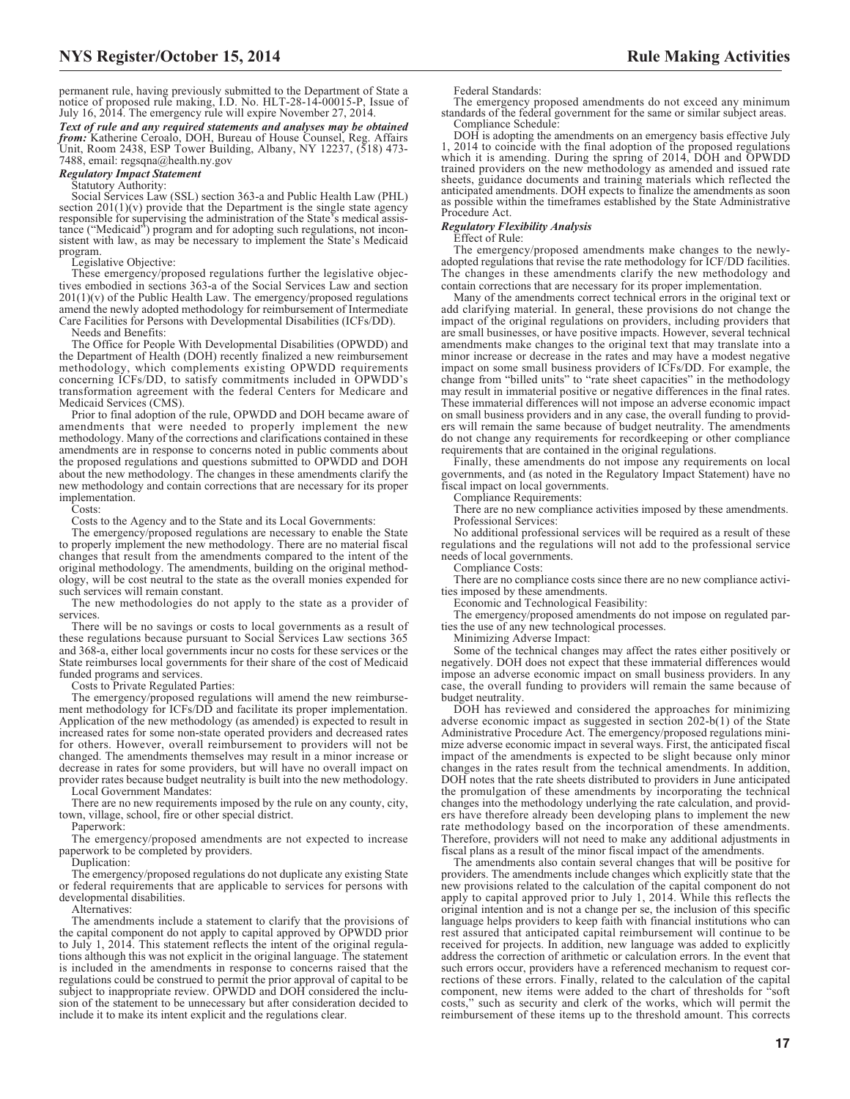permanent rule, having previously submitted to the Department of State a notice of proposed rule making, I.D. No. HLT-28-14-00015-P, Issue of July 16, 2014. The emergency rule will expire November 27, 2014.

*Text of rule and any required statements and analyses may be obtained from:* Katherine Ceroalo, DOH, Bureau of House Counsel, Reg. Affairs Unit, Room 2438, ESP Tower Building, Albany, NY 12237, (518) 473- 7488, email: regsqna@health.ny.gov

#### *Regulatory Impact Statement*

Statutory Authority: Social Services Law (SSL) section 363-a and Public Health Law (PHL) section  $201(1)(v)$  provide that the Department is the single state agency responsible for supervising the administration of the State's medical assistance ("Medicaid") program and for adopting such regulations, not inconsistent with law, as may be necessary to implement the State's Medicaid program.

Legislative Objective:

These emergency/proposed regulations further the legislative objectives embodied in sections 363-a of the Social Services Law and section  $201(1)(v)$  of the Public Health Law. The emergency/proposed regulations amend the newly adopted methodology for reimbursement of Intermediate Care Facilities for Persons with Developmental Disabilities (ICFs/DD).

Needs and Benefits:

The Office for People With Developmental Disabilities (OPWDD) and the Department of Health (DOH) recently finalized a new reimbursement methodology, which complements existing OPWDD requirements concerning ICFs/DD, to satisfy commitments included in OPWDD's transformation agreement with the federal Centers for Medicare and Medicaid Services (CMS).

Prior to final adoption of the rule, OPWDD and DOH became aware of amendments that were needed to properly implement the new methodology. Many of the corrections and clarifications contained in these amendments are in response to concerns noted in public comments about the proposed regulations and questions submitted to OPWDD and DOH about the new methodology. The changes in these amendments clarify the new methodology and contain corrections that are necessary for its proper implementation.

Costs:

Costs to the Agency and to the State and its Local Governments:

The emergency/proposed regulations are necessary to enable the State to properly implement the new methodology. There are no material fiscal changes that result from the amendments compared to the intent of the original methodology. The amendments, building on the original methodology, will be cost neutral to the state as the overall monies expended for such services will remain constant.

The new methodologies do not apply to the state as a provider of services.

There will be no savings or costs to local governments as a result of these regulations because pursuant to Social Services Law sections 365 and 368-a, either local governments incur no costs for these services or the State reimburses local governments for their share of the cost of Medicaid funded programs and services.

Costs to Private Regulated Parties:

The emergency/proposed regulations will amend the new reimbursement methodology for ICFs/DD and facilitate its proper implementation. Application of the new methodology (as amended) is expected to result in increased rates for some non-state operated providers and decreased rates for others. However, overall reimbursement to providers will not be changed. The amendments themselves may result in a minor increase or decrease in rates for some providers, but will have no overall impact on provider rates because budget neutrality is built into the new methodology. Local Government Mandates:

There are no new requirements imposed by the rule on any county, city, town, village, school, fire or other special district.

Paperwork:

The emergency/proposed amendments are not expected to increase paperwork to be completed by providers.

Duplication:

The emergency/proposed regulations do not duplicate any existing State or federal requirements that are applicable to services for persons with developmental disabilities.

Alternatives:

The amendments include a statement to clarify that the provisions of the capital component do not apply to capital approved by OPWDD prior to July 1, 2014. This statement reflects the intent of the original regulations although this was not explicit in the original language. The statement is included in the amendments in response to concerns raised that the regulations could be construed to permit the prior approval of capital to be subject to inappropriate review. OPWDD and DOH considered the inclusion of the statement to be unnecessary but after consideration decided to include it to make its intent explicit and the regulations clear.

Federal Standards:

The emergency proposed amendments do not exceed any minimum standards of the federal government for the same or similar subject areas. Compliance Schedule:

DOH is adopting the amendments on an emergency basis effective July 1, 2014 to coincide with the final adoption of the proposed regulations which it is amending. During the spring of 2014, DOH and OPWDD trained providers on the new methodology as amended and issued rate sheets, guidance documents and training materials which reflected the anticipated amendments. DOH expects to finalize the amendments as soon as possible within the timeframes established by the State Administrative Procedure Act.

#### *Regulatory Flexibility Analysis*

Effect of Rule:

The emergency/proposed amendments make changes to the newlyadopted regulations that revise the rate methodology for ICF/DD facilities. The changes in these amendments clarify the new methodology and contain corrections that are necessary for its proper implementation.

Many of the amendments correct technical errors in the original text or add clarifying material. In general, these provisions do not change the impact of the original regulations on providers, including providers that are small businesses, or have positive impacts. However, several technical amendments make changes to the original text that may translate into a minor increase or decrease in the rates and may have a modest negative impact on some small business providers of ICFs/DD. For example, the change from "billed units" to "rate sheet capacities" in the methodology may result in immaterial positive or negative differences in the final rates. These immaterial differences will not impose an adverse economic impact on small business providers and in any case, the overall funding to providers will remain the same because of budget neutrality. The amendments do not change any requirements for recordkeeping or other compliance requirements that are contained in the original regulations.

Finally, these amendments do not impose any requirements on local governments, and (as noted in the Regulatory Impact Statement) have no fiscal impact on local governments.

Compliance Requirements:

There are no new compliance activities imposed by these amendments. Professional Services:

No additional professional services will be required as a result of these regulations and the regulations will not add to the professional service needs of local governments.

Compliance Costs:

There are no compliance costs since there are no new compliance activities imposed by these amendments.

Economic and Technological Feasibility:

The emergency/proposed amendments do not impose on regulated parties the use of any new technological processes.

Minimizing Adverse Impact:

Some of the technical changes may affect the rates either positively or negatively. DOH does not expect that these immaterial differences would impose an adverse economic impact on small business providers. In any case, the overall funding to providers will remain the same because of budget neutrality.

DOH has reviewed and considered the approaches for minimizing adverse economic impact as suggested in section 202-b(1) of the State Administrative Procedure Act. The emergency/proposed regulations minimize adverse economic impact in several ways. First, the anticipated fiscal impact of the amendments is expected to be slight because only minor changes in the rates result from the technical amendments. In addition, DOH notes that the rate sheets distributed to providers in June anticipated the promulgation of these amendments by incorporating the technical changes into the methodology underlying the rate calculation, and providers have therefore already been developing plans to implement the new rate methodology based on the incorporation of these amendments. Therefore, providers will not need to make any additional adjustments in fiscal plans as a result of the minor fiscal impact of the amendments.

The amendments also contain several changes that will be positive for providers. The amendments include changes which explicitly state that the new provisions related to the calculation of the capital component do not apply to capital approved prior to July 1, 2014. While this reflects the original intention and is not a change per se, the inclusion of this specific language helps providers to keep faith with financial institutions who can rest assured that anticipated capital reimbursement will continue to be received for projects. In addition, new language was added to explicitly address the correction of arithmetic or calculation errors. In the event that such errors occur, providers have a referenced mechanism to request corrections of these errors. Finally, related to the calculation of the capital component, new items were added to the chart of thresholds for "soft costs," such as security and clerk of the works, which will permit the reimbursement of these items up to the threshold amount. This corrects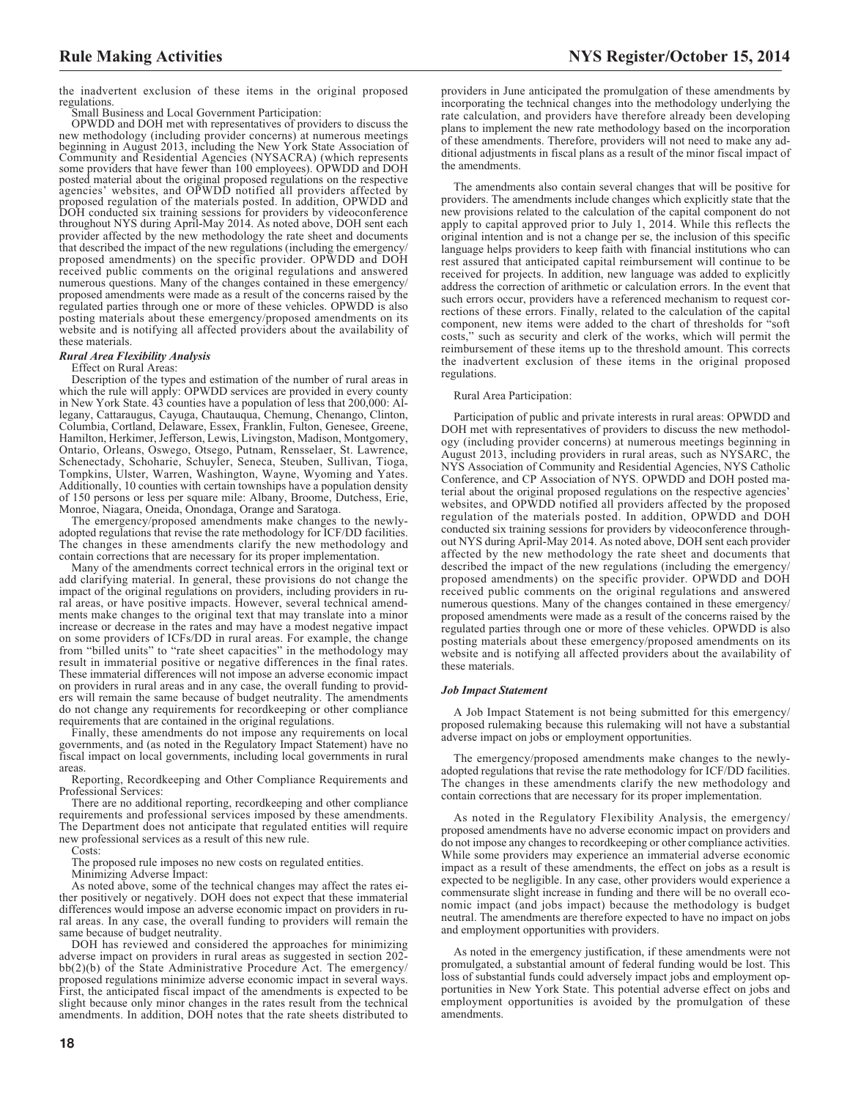the inadvertent exclusion of these items in the original proposed regulations.

Small Business and Local Government Participation:

OPWDD and DOH met with representatives of providers to discuss the new methodology (including provider concerns) at numerous meetings beginning in August 2013, including the New York State Association of Community and Residential Agencies (NYSACRA) (which represents some providers that have fewer than 100 employees). OPWDD and DOH posted material about the original proposed regulations on the respective agencies' websites, and OPWDD notified all providers affected by<br>proposed regulation of the materials posted. In addition, OPWDD and<br>DOH conducted six training sessions for providers by videoconference<br>throughout NYS durin provider affected by the new methodology the rate sheet and documents that described the impact of the new regulations (including the emergency/ proposed amendments) on the specific provider. OPWDD and DOH received public comments on the original regulations and answered numerous questions. Many of the changes contained in these emergency/ proposed amendments were made as a result of the concerns raised by the regulated parties through one or more of these vehicles. OPWDD is also posting materials about these emergency/proposed amendments on its website and is notifying all affected providers about the availability of these materials.

# *Rural Area Flexibility Analysis*

Effect on Rural Areas:

Description of the types and estimation of the number of rural areas in which the rule will apply: OPWDD services are provided in every county in New York State. 43 counties have a population of less that 200,000: Allegany, Cattaraugus, Cayuga, Chautauqua, Chemung, Chenango, Clinton, Columbia, Cortland, Delaware, Essex, Franklin, Fulton, Genesee, Greene, Hamilton, Herkimer, Jefferson, Lewis, Livingston, Madison, Montgomery, Ontario, Orleans, Oswego, Otsego, Putnam, Rensselaer, St. Lawrence, Schenectady, Schoharie, Schuyler, Seneca, Steuben, Sullivan, Tioga, Tompkins, Ulster, Warren, Washington, Wayne, Wyoming and Yates. Additionally, 10 counties with certain townships have a population density of 150 persons or less per square mile: Albany, Broome, Dutchess, Erie, Monroe, Niagara, Oneida, Onondaga, Orange and Saratoga.

The emergency/proposed amendments make changes to the newlyadopted regulations that revise the rate methodology for ICF/DD facilities. The changes in these amendments clarify the new methodology and contain corrections that are necessary for its proper implementation.

Many of the amendments correct technical errors in the original text or add clarifying material. In general, these provisions do not change the impact of the original regulations on providers, including providers in rural areas, or have positive impacts. However, several technical amendments make changes to the original text that may translate into a minor increase or decrease in the rates and may have a modest negative impact on some providers of ICFs/DD in rural areas. For example, the change from "billed units" to "rate sheet capacities" in the methodology may result in immaterial positive or negative differences in the final rates. These immaterial differences will not impose an adverse economic impact on providers in rural areas and in any case, the overall funding to providers will remain the same because of budget neutrality. The amendments do not change any requirements for recordkeeping or other compliance requirements that are contained in the original regulations.

Finally, these amendments do not impose any requirements on local governments, and (as noted in the Regulatory Impact Statement) have no fiscal impact on local governments, including local governments in rural areas.

Reporting, Recordkeeping and Other Compliance Requirements and Professional Services:

There are no additional reporting, recordkeeping and other compliance requirements and professional services imposed by these amendments. The Department does not anticipate that regulated entities will require new professional services as a result of this new rule.

Costs:

The proposed rule imposes no new costs on regulated entities.

Minimizing Adverse Impact:

As noted above, some of the technical changes may affect the rates either positively or negatively. DOH does not expect that these immaterial differences would impose an adverse economic impact on providers in rural areas. In any case, the overall funding to providers will remain the same because of budget neutrality.

DOH has reviewed and considered the approaches for minimizing adverse impact on providers in rural areas as suggested in section 202 bb(2)(b) of the State Administrative Procedure Act. The emergency/ proposed regulations minimize adverse economic impact in several ways. First, the anticipated fiscal impact of the amendments is expected to be slight because only minor changes in the rates result from the technical amendments. In addition, DOH notes that the rate sheets distributed to providers in June anticipated the promulgation of these amendments by incorporating the technical changes into the methodology underlying the rate calculation, and providers have therefore already been developing plans to implement the new rate methodology based on the incorporation of these amendments. Therefore, providers will not need to make any additional adjustments in fiscal plans as a result of the minor fiscal impact of the amendments.

The amendments also contain several changes that will be positive for providers. The amendments include changes which explicitly state that the new provisions related to the calculation of the capital component do not apply to capital approved prior to July 1, 2014. While this reflects the original intention and is not a change per se, the inclusion of this specific language helps providers to keep faith with financial institutions who can rest assured that anticipated capital reimbursement will continue to be received for projects. In addition, new language was added to explicitly address the correction of arithmetic or calculation errors. In the event that such errors occur, providers have a referenced mechanism to request corrections of these errors. Finally, related to the calculation of the capital component, new items were added to the chart of thresholds for "soft costs," such as security and clerk of the works, which will permit the reimbursement of these items up to the threshold amount. This corrects the inadvertent exclusion of these items in the original proposed regulations.

#### Rural Area Participation:

Participation of public and private interests in rural areas: OPWDD and DOH met with representatives of providers to discuss the new methodology (including provider concerns) at numerous meetings beginning in August 2013, including providers in rural areas, such as NYSARC, the NYS Association of Community and Residential Agencies, NYS Catholic Conference, and CP Association of NYS. OPWDD and DOH posted material about the original proposed regulations on the respective agencies' websites, and OPWDD notified all providers affected by the proposed regulation of the materials posted. In addition, OPWDD and DOH conducted six training sessions for providers by videoconference throughout NYS during April-May 2014. As noted above, DOH sent each provider affected by the new methodology the rate sheet and documents that described the impact of the new regulations (including the emergency/ proposed amendments) on the specific provider. OPWDD and DOH received public comments on the original regulations and answered numerous questions. Many of the changes contained in these emergency/ proposed amendments were made as a result of the concerns raised by the regulated parties through one or more of these vehicles. OPWDD is also posting materials about these emergency/proposed amendments on its website and is notifying all affected providers about the availability of these materials.

#### *Job Impact Statement*

A Job Impact Statement is not being submitted for this emergency/ proposed rulemaking because this rulemaking will not have a substantial adverse impact on jobs or employment opportunities.

The emergency/proposed amendments make changes to the newlyadopted regulations that revise the rate methodology for ICF/DD facilities. The changes in these amendments clarify the new methodology and contain corrections that are necessary for its proper implementation.

As noted in the Regulatory Flexibility Analysis, the emergency/ proposed amendments have no adverse economic impact on providers and do not impose any changes to recordkeeping or other compliance activities. While some providers may experience an immaterial adverse economic impact as a result of these amendments, the effect on jobs as a result is expected to be negligible. In any case, other providers would experience a commensurate slight increase in funding and there will be no overall economic impact (and jobs impact) because the methodology is budget neutral. The amendments are therefore expected to have no impact on jobs and employment opportunities with providers.

As noted in the emergency justification, if these amendments were not promulgated, a substantial amount of federal funding would be lost. This loss of substantial funds could adversely impact jobs and employment opportunities in New York State. This potential adverse effect on jobs and employment opportunities is avoided by the promulgation of these amendments.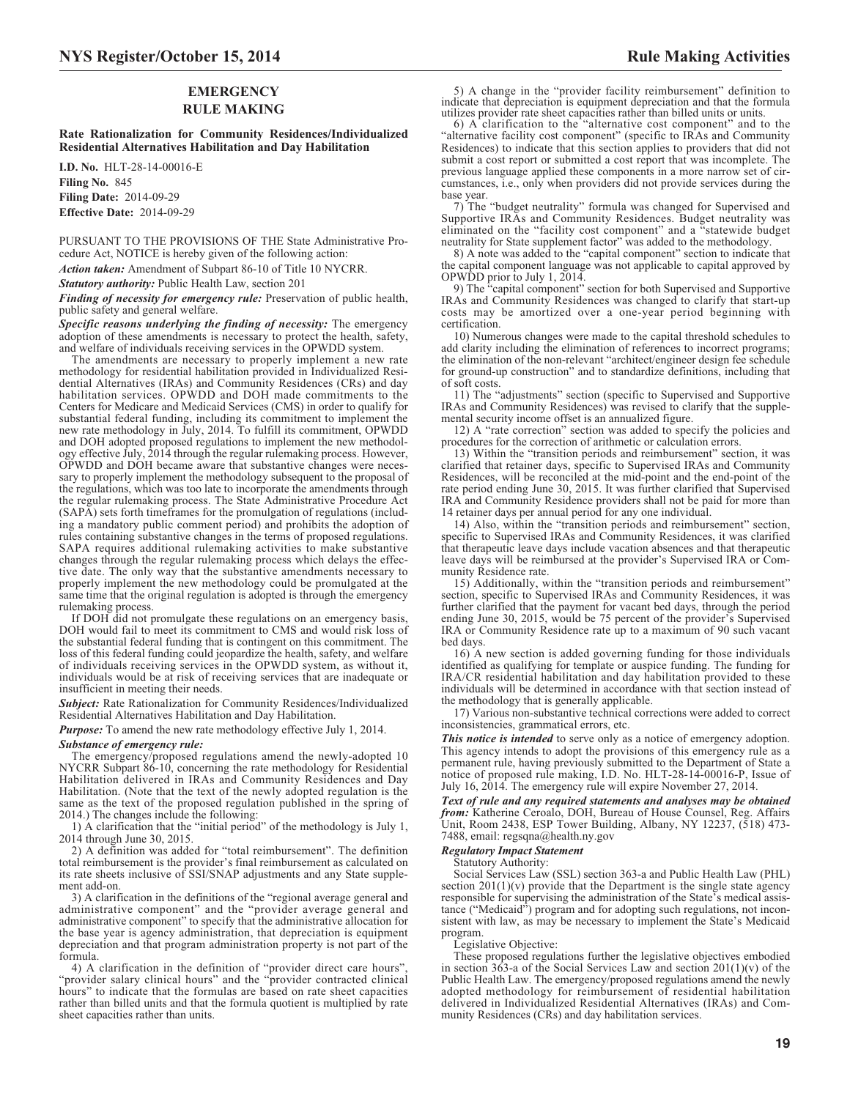# **EMERGENCY RULE MAKING**

**Rate Rationalization for Community Residences/Individualized Residential Alternatives Habilitation and Day Habilitation**

**I.D. No.** HLT-28-14-00016-E **Filing No.** 845 **Filing Date:** 2014-09-29 **Effective Date:** 2014-09-29

PURSUANT TO THE PROVISIONS OF THE State Administrative Procedure Act, NOTICE is hereby given of the following action:

*Action taken:* Amendment of Subpart 86-10 of Title 10 NYCRR.

*Statutory authority:* Public Health Law, section 201

*Finding of necessity for emergency rule:* Preservation of public health, public safety and general welfare.

*Specific reasons underlying the finding of necessity:* The emergency adoption of these amendments is necessary to protect the health, safety, and welfare of individuals receiving services in the OPWDD system.

The amendments are necessary to properly implement a new rate methodology for residential habilitation provided in Individualized Residential Alternatives (IRAs) and Community Residences (CRs) and day habilitation services. OPWDD and DOH made commitments to the Centers for Medicare and Medicaid Services (CMS) in order to qualify for substantial federal funding, including its commitment to implement the new rate methodology in July, 2014. To fulfill its commitment, OPWDD and DOH adopted proposed regulations to implement the new methodology effective July, 2014 through the regular rulemaking process. However, OPWDD and DOH became aware that substantive changes were necessary to properly implement the methodology subsequent to the proposal of the regulations, which was too late to incorporate the amendments through the regular rulemaking process. The State Administrative Procedure Act (SAPA) sets forth timeframes for the promulgation of regulations (including a mandatory public comment period) and prohibits the adoption of rules containing substantive changes in the terms of proposed regulations. SAPA requires additional rulemaking activities to make substantive changes through the regular rulemaking process which delays the effective date. The only way that the substantive amendments necessary to properly implement the new methodology could be promulgated at the same time that the original regulation is adopted is through the emergency rulemaking process.

If DOH did not promulgate these regulations on an emergency basis, DOH would fail to meet its commitment to CMS and would risk loss of the substantial federal funding that is contingent on this commitment. The loss of this federal funding could jeopardize the health, safety, and welfare of individuals receiving services in the OPWDD system, as without it, individuals would be at risk of receiving services that are inadequate or insufficient in meeting their needs.

*Subject:* Rate Rationalization for Community Residences/Individualized Residential Alternatives Habilitation and Day Habilitation.

*Purpose:* To amend the new rate methodology effective July 1, 2014.

#### *Substance of emergency rule:*

The emergency/proposed regulations amend the newly-adopted 10 NYCRR Subpart 86-10, concerning the rate methodology for Residential Habilitation delivered in IRAs and Community Residences and Day Habilitation. (Note that the text of the newly adopted regulation is the same as the text of the proposed regulation published in the spring of 2014.) The changes include the following:

1) A clarification that the "initial period" of the methodology is July 1, 2014 through June 30, 2015.

2) A definition was added for "total reimbursement". The definition total reimbursement is the provider's final reimbursement as calculated on its rate sheets inclusive of SSI/SNAP adjustments and any State supplement add-on.

3) A clarification in the definitions of the "regional average general and administrative component" and the "provider average general and administrative component" to specify that the administrative allocation for the base year is agency administration, that depreciation is equipment depreciation and that program administration property is not part of the formula.

4) A clarification in the definition of "provider direct care hours", "provider salary clinical hours" and the "provider contracted clinical hours" to indicate that the formulas are based on rate sheet capacities rather than billed units and that the formula quotient is multiplied by rate sheet capacities rather than units.

5) A change in the "provider facility reimbursement" definition to indicate that depreciation is equipment depreciation and that the formula utilizes provider rate sheet capacities rather than billed units or units. 6) A clarification to the "alternative cost component" and to the

"alternative facility cost component" (specific to IRAs and Community Residences) to indicate that this section applies to providers that did not submit a cost report or submitted a cost report that was incomplete. The previous language applied these components in a more narrow set of circumstances, i.e., only when providers did not provide services during the base year.

7) The "budget neutrality" formula was changed for Supervised and Supportive IRAs and Community Residences. Budget neutrality was eliminated on the "facility cost component" and a "statewide budget neutrality for State supplement factor" was added to the methodology.

8) A note was added to the "capital component" section to indicate that the capital component language was not applicable to capital approved by OPWDD prior to July 1, 2014.

9) The "capital component" section for both Supervised and Supportive IRAs and Community Residences was changed to clarify that start-up costs may be amortized over a one-year period beginning with certification.

10) Numerous changes were made to the capital threshold schedules to add clarity including the elimination of references to incorrect programs; the elimination of the non-relevant "architect/engineer design fee schedule for ground-up construction" and to standardize definitions, including that of soft costs.

11) The "adjustments" section (specific to Supervised and Supportive IRAs and Community Residences) was revised to clarify that the supplemental security income offset is an annualized figure.

12) A "rate correction" section was added to specify the policies and procedures for the correction of arithmetic or calculation errors.

13) Within the "transition periods and reimbursement" section, it was clarified that retainer days, specific to Supervised IRAs and Community Residences, will be reconciled at the mid-point and the end-point of the rate period ending June 30, 2015. It was further clarified that Supervised IRA and Community Residence providers shall not be paid for more than 14 retainer days per annual period for any one individual.

14) Also, within the "transition periods and reimbursement" section, specific to Supervised IRAs and Community Residences, it was clarified that therapeutic leave days include vacation absences and that therapeutic leave days will be reimbursed at the provider's Supervised IRA or Community Residence rate.

15) Additionally, within the "transition periods and reimbursement" section, specific to Supervised IRAs and Community Residences, it was further clarified that the payment for vacant bed days, through the period ending June 30, 2015, would be 75 percent of the provider's Supervised IRA or Community Residence rate up to a maximum of 90 such vacant bed days.

16) A new section is added governing funding for those individuals identified as qualifying for template or auspice funding. The funding for IRA/CR residential habilitation and day habilitation provided to these individuals will be determined in accordance with that section instead of the methodology that is generally applicable.

17) Various non-substantive technical corrections were added to correct inconsistencies, grammatical errors, etc.

*This notice is intended* to serve only as a notice of emergency adoption. This agency intends to adopt the provisions of this emergency rule as a permanent rule, having previously submitted to the Department of State a notice of proposed rule making, I.D. No. HLT-28-14-00016-P, Issue of July 16, 2014. The emergency rule will expire November 27, 2014.

*Text of rule and any required statements and analyses may be obtained from:* Katherine Ceroalo, DOH, Bureau of House Counsel, Reg. Affairs Unit, Room 2438, ESP Tower Building, Albany, NY 12237, (518) 473- 7488, email: regsqna@health.ny.gov

#### *Regulatory Impact Statement*

Statutory Authority:

Social Services Law (SSL) section 363-a and Public Health Law (PHL) section  $201(1)(v)$  provide that the Department is the single state agency responsible for supervising the administration of the State's medical assistance ("Medicaid") program and for adopting such regulations, not inconsistent with law, as may be necessary to implement the State's Medicaid program.

Legislative Objective:

These proposed regulations further the legislative objectives embodied in section  $363$ -a of the Social Services Law and section  $201(1)(v)$  of the Public Health Law. The emergency/proposed regulations amend the newly adopted methodology for reimbursement of residential habilitation delivered in Individualized Residential Alternatives (IRAs) and Community Residences (CRs) and day habilitation services.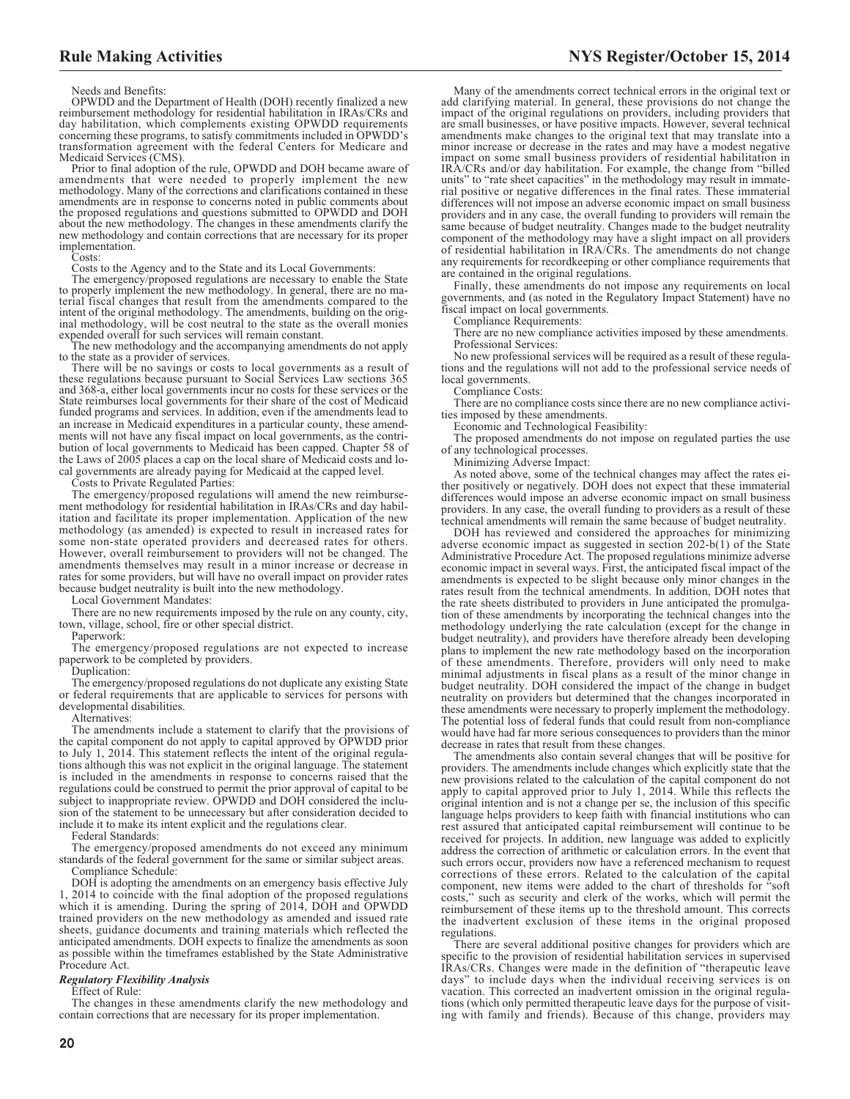Needs and Benefits:

OPWDD and the Department of Health (DOH) recently finalized a new reimbursement methodology for residential habilitation in IRAs/CRs and day habilitation, which complements existing OPWDD requirements concerning these programs, to satisfy commitments included in OPWDD's transformation agreement with the federal Centers for Medicare and Medicaid Services (CMS).

Prior to final adoption of the rule, OPWDD and DOH became aware of amendments that were needed to properly implement the new methodology. Many of the corrections and clarifications contained in these amendments are in response to concerns noted in public comments about the proposed regulations and questions submitted to OPWDD and DOH about the new methodology. The changes in these amendments clarify the new methodology and contain corrections that are necessary for its proper implementation.

Costs:

Costs to the Agency and to the State and its Local Governments:

The emergency/proposed regulations are necessary to enable the State to properly implement the new methodology. In general, there are no material fiscal changes that result from the amendments compared to the intent of the original methodology. The amendments, building on the original methodology, will be cost neutral to the state as the overall monies expended overall for such services will remain constant.

The new methodology and the accompanying amendments do not apply to the state as a provider of services.

There will be no savings or costs to local governments as a result of these regulations because pursuant to Social Services Law sections 365 and 368-a, either local governments incur no costs for these services or the State reimburses local governments for their share of the cost of Medicaid funded programs and services. In addition, even if the amendments lead to an increase in Medicaid expenditures in a particular county, these amendments will not have any fiscal impact on local governments, as the contribution of local governments to Medicaid has been capped. Chapter 58 of the Laws of 2005 places a cap on the local share of Medicaid costs and local governments are already paying for Medicaid at the capped level.

Costs to Private Regulated Parties:

The emergency/proposed regulations will amend the new reimbursement methodology for residential habilitation in IRAs/CRs and day habilitation and facilitate its proper implementation. Application of the new methodology (as amended) is expected to result in increased rates for some non-state operated providers and decreased rates for others. However, overall reimbursement to providers will not be changed. The amendments themselves may result in a minor increase or decrease in rates for some providers, but will have no overall impact on provider rates because budget neutrality is built into the new methodology.

Local Government Mandates:

There are no new requirements imposed by the rule on any county, city, town, village, school, fire or other special district.

Paperwork:

The emergency/proposed regulations are not expected to increase paperwork to be completed by providers.

Duplication:

The emergency/proposed regulations do not duplicate any existing State or federal requirements that are applicable to services for persons with developmental disabilities.

Alternatives:

The amendments include a statement to clarify that the provisions of the capital component do not apply to capital approved by OPWDD prior to July 1, 2014. This statement reflects the intent of the original regulations although this was not explicit in the original language. The statement is included in the amendments in response to concerns raised that the regulations could be construed to permit the prior approval of capital to be subject to inappropriate review. OPWDD and DOH considered the inclusion of the statement to be unnecessary but after consideration decided to include it to make its intent explicit and the regulations clear.

Federal Standards:

The emergency/proposed amendments do not exceed any minimum standards of the federal government for the same or similar subject areas. Compliance Schedule:

DOH is adopting the amendments on an emergency basis effective July 1, 2014 to coincide with the final adoption of the proposed regulations which it is amending. During the spring of 2014, DOH and OPWDD trained providers on the new methodology as amended and issued rate sheets, guidance documents and training materials which reflected the anticipated amendments. DOH expects to finalize the amendments as soon as possible within the timeframes established by the State Administrative Procedure Act.

#### *Regulatory Flexibility Analysis*

Effect of Rule:

The changes in these amendments clarify the new methodology and contain corrections that are necessary for its proper implementation.

Many of the amendments correct technical errors in the original text or add clarifying material. In general, these provisions do not change the impact of the original regulations on providers, including providers that are small businesses, or have positive impacts. However, several technical amendments make changes to the original text that may translate into a minor increase or decrease in the rates and may have a modest negative impact on some small business providers of residential habilitation in IRA/CRs and/or day habilitation. For example, the change from "billed units" to "rate sheet capacities" in the methodology may result in immaterial positive or negative differences in the final rates. These immaterial differences will not impose an adverse economic impact on small business providers and in any case, the overall funding to providers will remain the same because of budget neutrality. Changes made to the budget neutrality component of the methodology may have a slight impact on all providers of residential habilitation in IRA/CRs. The amendments do not change any requirements for recordkeeping or other compliance requirements that are contained in the original regulations.

Finally, these amendments do not impose any requirements on local governments, and (as noted in the Regulatory Impact Statement) have no fiscal impact on local governments.

Compliance Requirements:

There are no new compliance activities imposed by these amendments. Professional Services:

No new professional services will be required as a result of these regulations and the regulations will not add to the professional service needs of local governments.

Compliance Costs:

There are no compliance costs since there are no new compliance activities imposed by these amendments.

Economic and Technological Feasibility:

The proposed amendments do not impose on regulated parties the use of any technological processes.

Minimizing Adverse Impact:

As noted above, some of the technical changes may affect the rates either positively or negatively. DOH does not expect that these immaterial differences would impose an adverse economic impact on small business providers. In any case, the overall funding to providers as a result of these technical amendments will remain the same because of budget neutrality.

DOH has reviewed and considered the approaches for minimizing adverse economic impact as suggested in section 202-b(1) of the State Administrative Procedure Act. The proposed regulations minimize adverse economic impact in several ways. First, the anticipated fiscal impact of the amendments is expected to be slight because only minor changes in the rates result from the technical amendments. In addition, DOH notes that the rate sheets distributed to providers in June anticipated the promulgation of these amendments by incorporating the technical changes into the methodology underlying the rate calculation (except for the change in budget neutrality), and providers have therefore already been developing plans to implement the new rate methodology based on the incorporation of these amendments. Therefore, providers will only need to make minimal adjustments in fiscal plans as a result of the minor change in budget neutrality. DOH considered the impact of the change in budget neutrality on providers but determined that the changes incorporated in these amendments were necessary to properly implement the methodology. The potential loss of federal funds that could result from non-compliance would have had far more serious consequences to providers than the minor decrease in rates that result from these changes.

The amendments also contain several changes that will be positive for providers. The amendments include changes which explicitly state that the new provisions related to the calculation of the capital component do not apply to capital approved prior to July 1, 2014. While this reflects the original intention and is not a change per se, the inclusion of this specific language helps providers to keep faith with financial institutions who can rest assured that anticipated capital reimbursement will continue to be received for projects. In addition, new language was added to explicitly address the correction of arithmetic or calculation errors. In the event that such errors occur, providers now have a referenced mechanism to request corrections of these errors. Related to the calculation of the capital component, new items were added to the chart of thresholds for "soft costs," such as security and clerk of the works, which will permit the reimbursement of these items up to the threshold amount. This corrects the inadvertent exclusion of these items in the original proposed regulations.

There are several additional positive changes for providers which are specific to the provision of residential habilitation services in supervised IRAs/CRs. Changes were made in the definition of "therapeutic leave days" to include days when the individual receiving services is on vacation. This corrected an inadvertent omission in the original regulations (which only permitted therapeutic leave days for the purpose of visiting with family and friends). Because of this change, providers may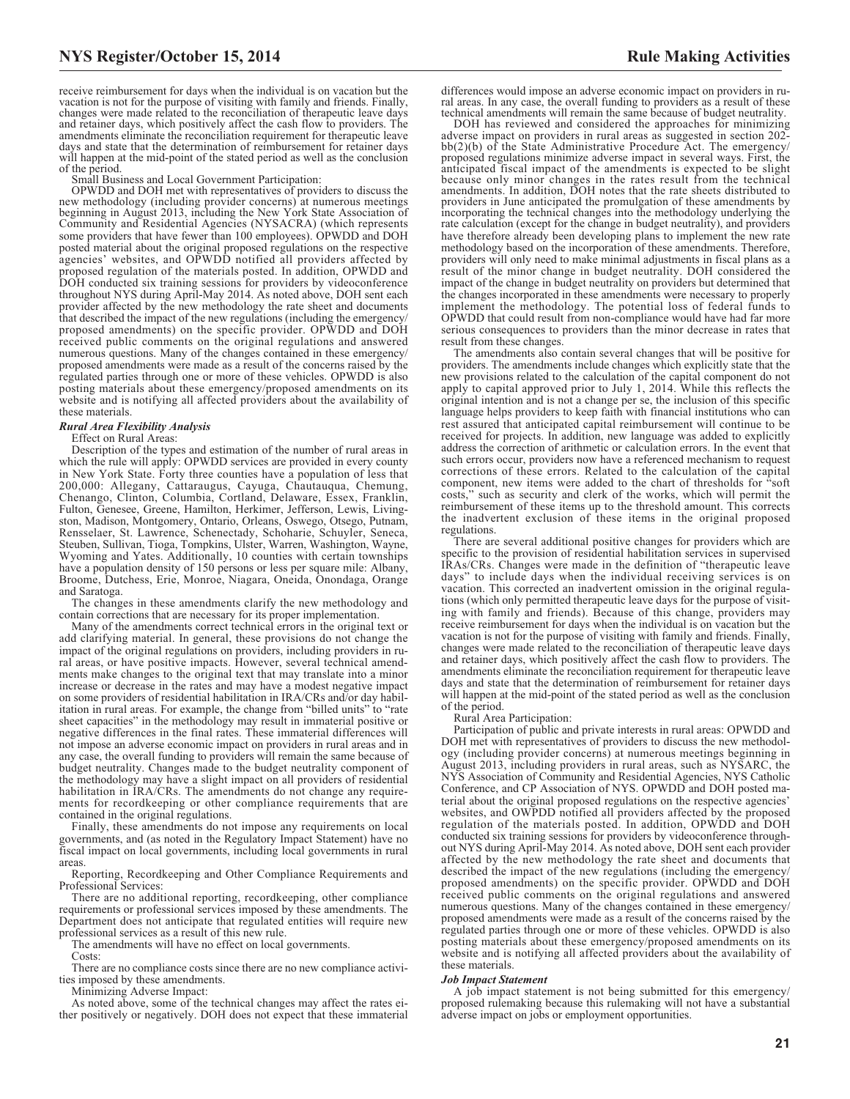receive reimbursement for days when the individual is on vacation but the vacation is not for the purpose of visiting with family and friends. Finally, changes were made related to the reconciliation of therapeutic leave days and retainer days, which positively affect the cash flow to providers. The amendments eliminate the reconciliation requirement for therapeutic leave days and state that the determination of reimbursement for retainer days will happen at the mid-point of the stated period as well as the conclusion of the period.

Small Business and Local Government Participation:

OPWDD and DOH met with representatives of providers to discuss the new methodology (including provider concerns) at numerous meetings beginning in August 2013, including the New York State Association of Community and Residential Agencies (NYSACRA) (which represents some providers that have fewer than 100 employees). OPWDD and DOH posted material about the original proposed regulations on the respective agencies' websites, and OPWDD notified all providers affected by proposed regulation of the materials posted. In addition, OPWDD and DOH conducted six training sessions for providers by videoconference throughout NYS during April-May 2014. As noted above, DOH sent each provider affected by the new methodology the rate sheet and documents that described the impact of the new regulations (including the emergency/ proposed amendments) on the specific provider. OPWDD and DOH received public comments on the original regulations and answered numerous questions. Many of the changes contained in these emergency/ proposed amendments were made as a result of the concerns raised by the regulated parties through one or more of these vehicles. OPWDD is also posting materials about these emergency/proposed amendments on its website and is notifying all affected providers about the availability of these materials.

#### *Rural Area Flexibility Analysis*

Effect on Rural Areas:

Description of the types and estimation of the number of rural areas in which the rule will apply: OPWDD services are provided in every county in New York State. Forty three counties have a population of less that 200,000: Allegany, Cattaraugus, Cayuga, Chautauqua, Chemung, Chenango, Clinton, Columbia, Cortland, Delaware, Essex, Franklin, Fulton, Genesee, Greene, Hamilton, Herkimer, Jefferson, Lewis, Livingston, Madison, Montgomery, Ontario, Orleans, Oswego, Otsego, Putnam, Rensselaer, St. Lawrence, Schenectady, Schoharie, Schuyler, Seneca, Steuben, Sullivan, Tioga, Tompkins, Ulster, Warren, Washington, Wayne, Wyoming and Yates. Additionally, 10 counties with certain townships have a population density of 150 persons or less per square mile: Albany, Broome, Dutchess, Erie, Monroe, Niagara, Oneida, Onondaga, Orange and Saratoga.

The changes in these amendments clarify the new methodology and contain corrections that are necessary for its proper implementation.

Many of the amendments correct technical errors in the original text or add clarifying material. In general, these provisions do not change the impact of the original regulations on providers, including providers in rural areas, or have positive impacts. However, several technical amendments make changes to the original text that may translate into a minor increase or decrease in the rates and may have a modest negative impact on some providers of residential habilitation in IRA/CRs and/or day habilitation in rural areas. For example, the change from "billed units" to "rate sheet capacities" in the methodology may result in immaterial positive or negative differences in the final rates. These immaterial differences will not impose an adverse economic impact on providers in rural areas and in any case, the overall funding to providers will remain the same because of budget neutrality. Changes made to the budget neutrality component of the methodology may have a slight impact on all providers of residential habilitation in IRA/CRs. The amendments do not change any requirements for recordkeeping or other compliance requirements that are contained in the original regulations.

Finally, these amendments do not impose any requirements on local governments, and (as noted in the Regulatory Impact Statement) have no fiscal impact on local governments, including local governments in rural

areas. Reporting, Recordkeeping and Other Compliance Requirements and Professional Services:

There are no additional reporting, recordkeeping, other compliance requirements or professional services imposed by these amendments. The Department does not anticipate that regulated entities will require new professional services as a result of this new rule.

The amendments will have no effect on local governments.

Costs:

There are no compliance costs since there are no new compliance activities imposed by these amendments.

Minimizing Adverse Impact:

As noted above, some of the technical changes may affect the rates either positively or negatively. DOH does not expect that these immaterial

differences would impose an adverse economic impact on providers in rural areas. In any case, the overall funding to providers as a result of these technical amendments will remain the same because of budget neutrality.

DOH has reviewed and considered the approaches for minimizing adverse impact on providers in rural areas as suggested in section 202- bb(2)(b) of the State Administrative Procedure Act. The emergency/ proposed regulations minimize adverse impact in several ways. First, the anticipated fiscal impact of the amendments is expected to be slight because only minor changes in the rates result from the technical amendments. In addition, DOH notes that the rate sheets distributed to providers in June anticipated the promulgation of these amendments by incorporating the technical changes into the methodology underlying the rate calculation (except for the change in budget neutrality), and providers have therefore already been developing plans to implement the new rate methodology based on the incorporation of these amendments. Therefore, providers will only need to make minimal adjustments in fiscal plans as a result of the minor change in budget neutrality. DOH considered the impact of the change in budget neutrality on providers but determined that the changes incorporated in these amendments were necessary to properly implement the methodology. The potential loss of federal funds to OPWDD that could result from non-compliance would have had far more serious consequences to providers than the minor decrease in rates that result from these changes.

The amendments also contain several changes that will be positive for providers. The amendments include changes which explicitly state that the new provisions related to the calculation of the capital component do not apply to capital approved prior to July 1, 2014. While this reflects the original intention and is not a change per se, the inclusion of this specific language helps providers to keep faith with financial institutions who can rest assured that anticipated capital reimbursement will continue to be received for projects. In addition, new language was added to explicitly address the correction of arithmetic or calculation errors. In the event that such errors occur, providers now have a referenced mechanism to request corrections of these errors. Related to the calculation of the capital component, new items were added to the chart of thresholds for "soft costs," such as security and clerk of the works, which will permit the reimbursement of these items up to the threshold amount. This corrects the inadvertent exclusion of these items in the original proposed regulations.

There are several additional positive changes for providers which are specific to the provision of residential habilitation services in supervised IRAs/CRs. Changes were made in the definition of "therapeutic leave days" to include days when the individual receiving services is on vacation. This corrected an inadvertent omission in the original regulations (which only permitted therapeutic leave days for the purpose of visiting with family and friends). Because of this change, providers may receive reimbursement for days when the individual is on vacation but the vacation is not for the purpose of visiting with family and friends. Finally, changes were made related to the reconciliation of therapeutic leave days and retainer days, which positively affect the cash flow to providers. The amendments eliminate the reconciliation requirement for therapeutic leave days and state that the determination of reimbursement for retainer days will happen at the mid-point of the stated period as well as the conclusion of the period.

Rural Area Participation:

Participation of public and private interests in rural areas: OPWDD and DOH met with representatives of providers to discuss the new methodology (including provider concerns) at numerous meetings beginning in August 2013, including providers in rural areas, such as NYSARC, the NYS Association of Community and Residential Agencies, NYS Catholic Conference, and CP Association of NYS. OPWDD and DOH posted material about the original proposed regulations on the respective agencies' websites, and OWPDD notified all providers affected by the proposed regulation of the materials posted. In addition, OPWDD and DOH conducted six training sessions for providers by videoconference throughout NYS during April-May 2014. As noted above, DOH sent each provider affected by the new methodology the rate sheet and documents that described the impact of the new regulations (including the emergency/ proposed amendments) on the specific provider. OPWDD and DOH received public comments on the original regulations and answered numerous questions. Many of the changes contained in these emergency/ proposed amendments were made as a result of the concerns raised by the regulated parties through one or more of these vehicles. OPWDD is also posting materials about these emergency/proposed amendments on its website and is notifying all affected providers about the availability of these materials.

#### *Job Impact Statement*

A job impact statement is not being submitted for this emergency/ proposed rulemaking because this rulemaking will not have a substantial adverse impact on jobs or employment opportunities.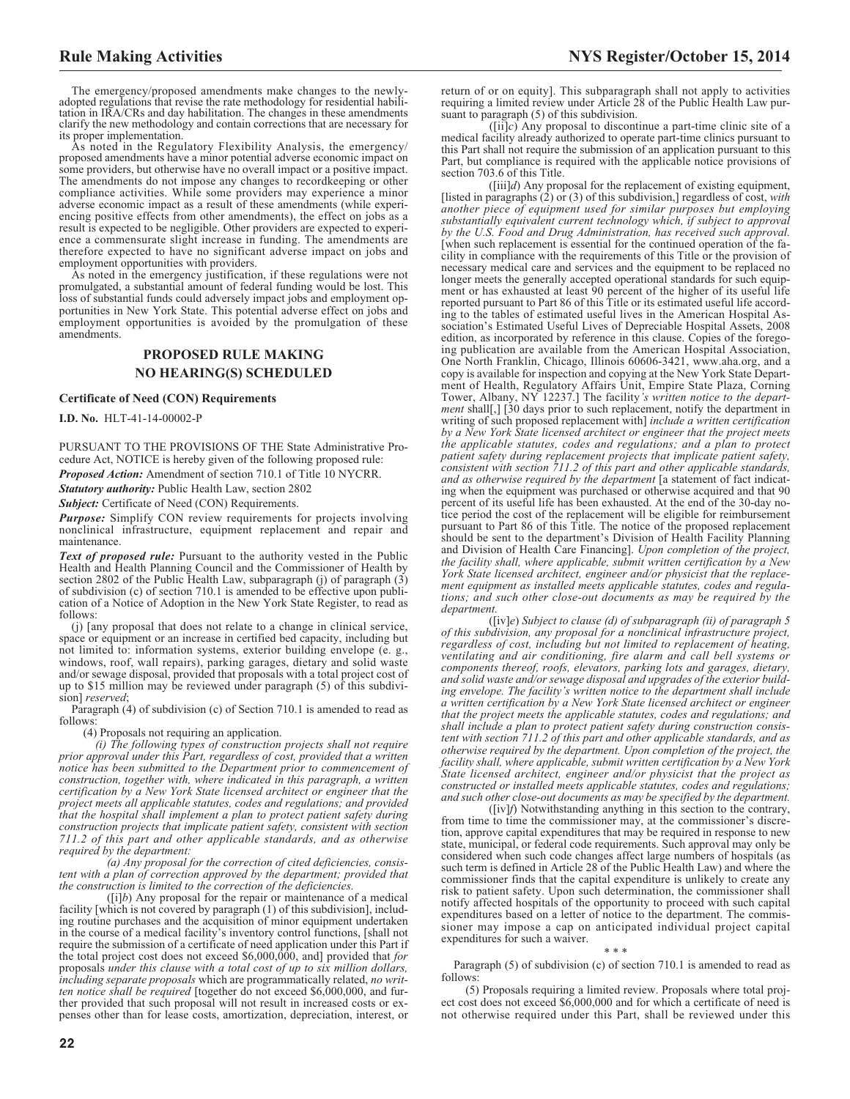The emergency/proposed amendments make changes to the newlyadopted regulations that revise the rate methodology for residential habilitation in IRA/CRs and day habilitation. The changes in these amendments clarify the new methodology and contain corrections that are necessary for its proper implementation.

As noted in the Regulatory Flexibility Analysis, the emergency/ proposed amendments have a minor potential adverse economic impact on some providers, but otherwise have no overall impact or a positive impact. The amendments do not impose any changes to recordkeeping or other compliance activities. While some providers may experience a minor adverse economic impact as a result of these amendments (while experiencing positive effects from other amendments), the effect on jobs as a result is expected to be negligible. Other providers are expected to experience a commensurate slight increase in funding. The amendments are therefore expected to have no significant adverse impact on jobs and employment opportunities with providers.

As noted in the emergency justification, if these regulations were not promulgated, a substantial amount of federal funding would be lost. This loss of substantial funds could adversely impact jobs and employment opportunities in New York State. This potential adverse effect on jobs and employment opportunities is avoided by the promulgation of these amendments.

# **PROPOSED RULE MAKING NO HEARING(S) SCHEDULED**

#### **Certificate of Need (CON) Requirements**

**I.D. No.** HLT-41-14-00002-P

PURSUANT TO THE PROVISIONS OF THE State Administrative Procedure Act, NOTICE is hereby given of the following proposed rule:

*Proposed Action:* Amendment of section 710.1 of Title 10 NYCRR.

*Statutory authority:* Public Health Law, section 2802

**Subject:** Certificate of Need (CON) Requirements.

*Purpose:* Simplify CON review requirements for projects involving nonclinical infrastructure, equipment replacement and repair and maintenance.

*Text of proposed rule:* Pursuant to the authority vested in the Public Health and Health Planning Council and the Commissioner of Health by section 2802 of the Public Health Law, subparagraph (j) of paragraph (3) of subdivision (c) of section 710.1 is amended to be effective upon publication of a Notice of Adoption in the New York State Register, to read as follows:

(j) [any proposal that does not relate to a change in clinical service, space or equipment or an increase in certified bed capacity, including but not limited to: information systems, exterior building envelope (e. g., windows, roof, wall repairs), parking garages, dietary and solid waste and/or sewage disposal, provided that proposals with a total project cost of up to \$15 million may be reviewed under paragraph (5) of this subdivision] *reserved*;

Paragraph (4) of subdivision (c) of Section 710.1 is amended to read as follows:

(4) Proposals not requiring an application.

*(i) The following types of construction projects shall not require prior approval under this Part, regardless of cost, provided that a written notice has been submitted to the Department prior to commencement of construction, together with, where indicated in this paragraph, a written certification by a New York State licensed architect or engineer that the project meets all applicable statutes, codes and regulations; and provided that the hospital shall implement a plan to protect patient safety during construction projects that implicate patient safety, consistent with section 711.2 of this part and other applicable standards, and as otherwise required by the department:*

*(a) Any proposal for the correction of cited deficiencies, consistent with a plan of correction approved by the department; provided that the construction is limited to the correction of the deficiencies.*

([i]*b*) Any proposal for the repair or maintenance of a medical facility [which is not covered by paragraph (1) of this subdivision], including routine purchases and the acquisition of minor equipment undertaken in the course of a medical facility's inventory control functions, [shall not require the submission of a certificate of need application under this Part if the total project cost does not exceed \$6,000,000, and] provided that *for* proposals *under this clause with a total cost of up to six million dollars, including separate proposals* which are programmatically related, *no written notice shall be required* [together do not exceed \$6,000,000, and further provided that such proposal will not result in increased costs or expenses other than for lease costs, amortization, depreciation, interest, or

return of or on equity]. This subparagraph shall not apply to activities requiring a limited review under Article 28 of the Public Health Law pursuant to paragraph (5) of this subdivision.

([ii]*c*) Any proposal to discontinue a part-time clinic site of a medical facility already authorized to operate part-time clinics pursuant to this Part shall not require the submission of an application pursuant to this Part, but compliance is required with the applicable notice provisions of section 703.6 of this Title.

([iii]*d*) Any proposal for the replacement of existing equipment, [listed in paragraphs (2) or (3) of this subdivision,] regardless of cost, *with another piece of equipment used for similar purposes but employing substantially equivalent current technology which, if subject to approval by the U.S. Food and Drug Administration, has received such approval.* [when such replacement is essential for the continued operation of the facility in compliance with the requirements of this Title or the provision of necessary medical care and services and the equipment to be replaced no longer meets the generally accepted operational standards for such equipment or has exhausted at least 90 percent of the higher of its useful life reported pursuant to Part 86 of this Title or its estimated useful life according to the tables of estimated useful lives in the American Hospital Association's Estimated Useful Lives of Depreciable Hospital Assets, 2008 edition, as incorporated by reference in this clause. Copies of the foregoing publication are available from the American Hospital Association, One North Franklin, Chicago, Illinois 60606-3421, www.aha.org, and a copy is available for inspection and copying at the New York State Department of Health, Regulatory Affairs Unit, Empire State Plaza, Corning Tower, Albany, NY 12237.] The facility*'s written notice to the department* shall[,] [30 days prior to such replacement, notify the department in writing of such proposed replacement with] *include a written certification by a New York State licensed architect or engineer that the project meets the applicable statutes, codes and regulations; and a plan to protect patient safety during replacement projects that implicate patient safety, consistent with section 711.2 of this part and other applicable standards, and as otherwise required by the department* [a statement of fact indicating when the equipment was purchased or otherwise acquired and that 90 percent of its useful life has been exhausted. At the end of the 30-day notice period the cost of the replacement will be eligible for reimbursement pursuant to Part 86 of this Title. The notice of the proposed replacement should be sent to the department's Division of Health Facility Planning and Division of Health Care Financing]. *Upon completion of the project, the facility shall, where applicable, submit written certification by a New York State licensed architect, engineer and/or physicist that the replacement equipment as installed meets applicable statutes, codes and regulations; and such other close-out documents as may be required by the department.*

([iv]*e*) *Subject to clause (d) of subparagraph (ii) of paragraph 5 of this subdivision, any proposal for a nonclinical infrastructure project, regardless of cost, including but not limited to replacement of heating, ventilating and air conditioning, fire alarm and call bell systems or components thereof, roofs, elevators, parking lots and garages, dietary, and solid waste and/or sewage disposal and upgrades of the exterior building envelope. The facility's written notice to the department shall include a written certification by a New York State licensed architect or engineer that the project meets the applicable statutes, codes and regulations; and shall include a plan to protect patient safety during construction consistent with section 711.2 of this part and other applicable standards, and as otherwise required by the department. Upon completion of the project, the facility shall, where applicable, submit written certification by a New York State licensed architect, engineer and/or physicist that the project as constructed or installed meets applicable statutes, codes and regulations; and such other close-out documents as may be specified by the department.*

([iv]*f*) Notwithstanding anything in this section to the contrary, from time to time the commissioner may, at the commissioner's discretion, approve capital expenditures that may be required in response to new state, municipal, or federal code requirements. Such approval may only be considered when such code changes affect large numbers of hospitals (as such term is defined in Article 28 of the Public Health Law) and where the commissioner finds that the capital expenditure is unlikely to create any risk to patient safety. Upon such determination, the commissioner shall notify affected hospitals of the opportunity to proceed with such capital expenditures based on a letter of notice to the department. The commissioner may impose a cap on anticipated individual project capital expenditures for such a waiver.

\*\*\*

Paragraph (5) of subdivision (c) of section 710.1 is amended to read as follows:

(5) Proposals requiring a limited review. Proposals where total project cost does not exceed \$6,000,000 and for which a certificate of need is not otherwise required under this Part, shall be reviewed under this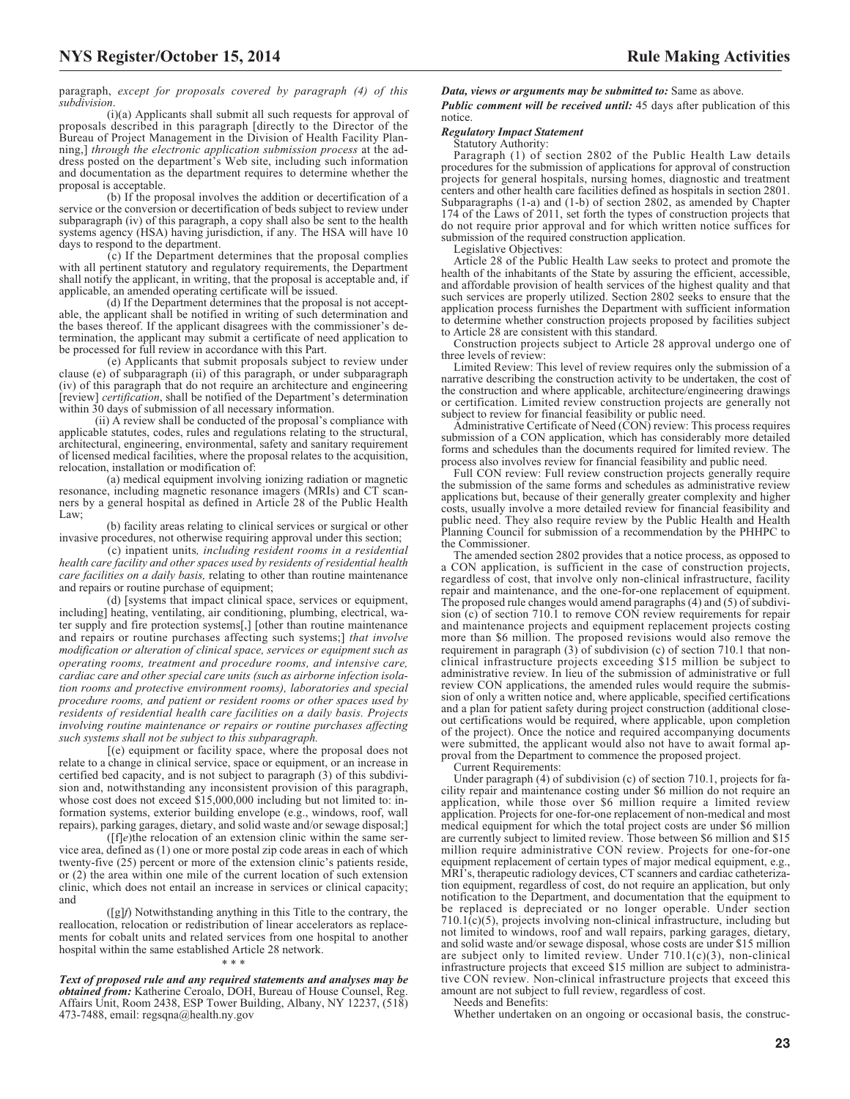paragraph, *except for proposals covered by paragraph (4) of this subdivision*.

(i)(a) Applicants shall submit all such requests for approval of proposals described in this paragraph [directly to the Director of the Bureau of Project Management in the Division of Health Facility Planning,] *through the electronic application submission process* at the address posted on the department's Web site, including such information and documentation as the department requires to determine whether the proposal is acceptable.

(b) If the proposal involves the addition or decertification of a service or the conversion or decertification of beds subject to review under subparagraph (iv) of this paragraph, a copy shall also be sent to the health systems agency (HSA) having jurisdiction, if any. The HSA will have 10 days to respond to the department.

 $(c)$  If the Department determines that the proposal complies with all pertinent statutory and regulatory requirements, the Department shall notify the applicant, in writing, that the proposal is acceptable and, if applicable, an amended operating certificate will be issued.

(d) If the Department determines that the proposal is not acceptable, the applicant shall be notified in writing of such determination and the bases thereof. If the applicant disagrees with the commissioner's determination, the applicant may submit a certificate of need application to be processed for full review in accordance with this Part.

(e) Applicants that submit proposals subject to review under clause (e) of subparagraph (ii) of this paragraph, or under subparagraph (iv) of this paragraph that do not require an architecture and engineering [review] *certification*, shall be notified of the Department's determination within 30 days of submission of all necessary information.

(ii) A review shall be conducted of the proposal's compliance with applicable statutes, codes, rules and regulations relating to the structural, architectural, engineering, environmental, safety and sanitary requirement of licensed medical facilities, where the proposal relates to the acquisition, relocation, installation or modification of:

(a) medical equipment involving ionizing radiation or magnetic resonance, including magnetic resonance imagers (MRIs) and CT scanners by a general hospital as defined in Article 28 of the Public Health Law;

(b) facility areas relating to clinical services or surgical or other invasive procedures, not otherwise requiring approval under this section;

(c) inpatient units*, including resident rooms in a residential health care facility and other spaces used by residents of residential health care facilities on a daily basis,* relating to other than routine maintenance and repairs or routine purchase of equipment;

(d) [systems that impact clinical space, services or equipment, including] heating, ventilating, air conditioning, plumbing, electrical, water supply and fire protection systems[,] [other than routine maintenance and repairs or routine purchases affecting such systems;] *that involve modification or alteration of clinical space, services or equipment such as operating rooms, treatment and procedure rooms, and intensive care, cardiac care and other special care units (such as airborne infection isolation rooms and protective environment rooms), laboratories and special procedure rooms, and patient or resident rooms or other spaces used by residents of residential health care facilities on a daily basis. Projects involving routine maintenance or repairs or routine purchases affecting such systems shall not be subject to this subparagraph.*

[(e) equipment or facility space, where the proposal does not relate to a change in clinical service, space or equipment, or an increase in certified bed capacity, and is not subject to paragraph (3) of this subdivision and, notwithstanding any inconsistent provision of this paragraph, whose cost does not exceed \$15,000,000 including but not limited to: information systems, exterior building envelope (e.g., windows, roof, wall repairs), parking garages, dietary, and solid waste and/or sewage disposal;]

([f]*e*)the relocation of an extension clinic within the same service area, defined as (1) one or more postal zip code areas in each of which twenty-five (25) percent or more of the extension clinic's patients reside, or (2) the area within one mile of the current location of such extension clinic, which does not entail an increase in services or clinical capacity; and

([g]*f*) Notwithstanding anything in this Title to the contrary, the reallocation, relocation or redistribution of linear accelerators as replacements for cobalt units and related services from one hospital to another hospital within the same established Article 28 network.

*Text of proposed rule and any required statements and analyses may be obtained from:* Katherine Ceroalo, DOH, Bureau of House Counsel, Reg. Affairs Unit, Room 2438, ESP Tower Building, Albany, NY 12237, (518) 473-7488, email: [regsqna@health.ny.gov](mailto: regsqna@health.ny.gov)

\*\*\*

*Data, views or arguments may be submitted to:* Same as above. *Public comment will be received until:* 45 days after publication of this notice.

### *Regulatory Impact Statement*

#### Statutory Authority:

Paragraph (1) of section 2802 of the Public Health Law details procedures for the submission of applications for approval of construction projects for general hospitals, nursing homes, diagnostic and treatment centers and other health care facilities defined as hospitals in section 2801. Subparagraphs (1-a) and (1-b) of section 2802, as amended by Chapter 174 of the Laws of 2011, set forth the types of construction projects that do not require prior approval and for which written notice suffices for submission of the required construction application.

Legislative Objectives:

Article 28 of the Public Health Law seeks to protect and promote the health of the inhabitants of the State by assuring the efficient, accessible, and affordable provision of health services of the highest quality and that such services are properly utilized. Section 2802 seeks to ensure that the application process furnishes the Department with sufficient information to determine whether construction projects proposed by facilities subject to Article 28 are consistent with this standard.

Construction projects subject to Article 28 approval undergo one of three levels of review:

Limited Review: This level of review requires only the submission of a narrative describing the construction activity to be undertaken, the cost of the construction and where applicable, architecture/engineering drawings or certification. Limited review construction projects are generally not subject to review for financial feasibility or public need.

Administrative Certificate of Need (CON) review: This process requires submission of a CON application, which has considerably more detailed forms and schedules than the documents required for limited review. The process also involves review for financial feasibility and public need.

Full CON review: Full review construction projects generally require the submission of the same forms and schedules as administrative review applications but, because of their generally greater complexity and higher costs, usually involve a more detailed review for financial feasibility and public need. They also require review by the Public Health and Health Planning Council for submission of a recommendation by the PHHPC to the Commissioner.

The amended section 2802 provides that a notice process, as opposed to a CON application, is sufficient in the case of construction projects, regardless of cost, that involve only non-clinical infrastructure, facility repair and maintenance, and the one-for-one replacement of equipment. The proposed rule changes would amend paragraphs (4) and (5) of subdivision (c) of section 710.1 to remove CON review requirements for repair and maintenance projects and equipment replacement projects costing more than \$6 million. The proposed revisions would also remove the requirement in paragraph (3) of subdivision (c) of section 710.1 that nonclinical infrastructure projects exceeding \$15 million be subject to administrative review. In lieu of the submission of administrative or full review CON applications, the amended rules would require the submission of only a written notice and, where applicable, specified certifications and a plan for patient safety during project construction (additional closeout certifications would be required, where applicable, upon completion of the project). Once the notice and required accompanying documents were submitted, the applicant would also not have to await formal approval from the Department to commence the proposed project.

Current Requirements:

Under paragraph (4) of subdivision (c) of section 710.1, projects for facility repair and maintenance costing under \$6 million do not require an application, while those over \$6 million require a limited review application. Projects for one-for-one replacement of non-medical and most medical equipment for which the total project costs are under \$6 million are currently subject to limited review. Those between \$6 million and \$15 million require administrative CON review. Projects for one-for-one equipment replacement of certain types of major medical equipment, e.g., MRI's, therapeutic radiology devices, CT scanners and cardiac catheterization equipment, regardless of cost, do not require an application, but only notification to the Department, and documentation that the equipment to be replaced is depreciated or no longer operable. Under section  $710.1(c)(5)$ , projects involving non-clinical infrastructure, including but not limited to windows, roof and wall repairs, parking garages, dietary, and solid waste and/or sewage disposal, whose costs are under \$15 million are subject only to limited review. Under  $710.1(c)(3)$ , non-clinical infrastructure projects that exceed \$15 million are subject to administrative CON review. Non-clinical infrastructure projects that exceed this amount are not subject to full review, regardless of cost.

Needs and Benefits:

Whether undertaken on an ongoing or occasional basis, the construc-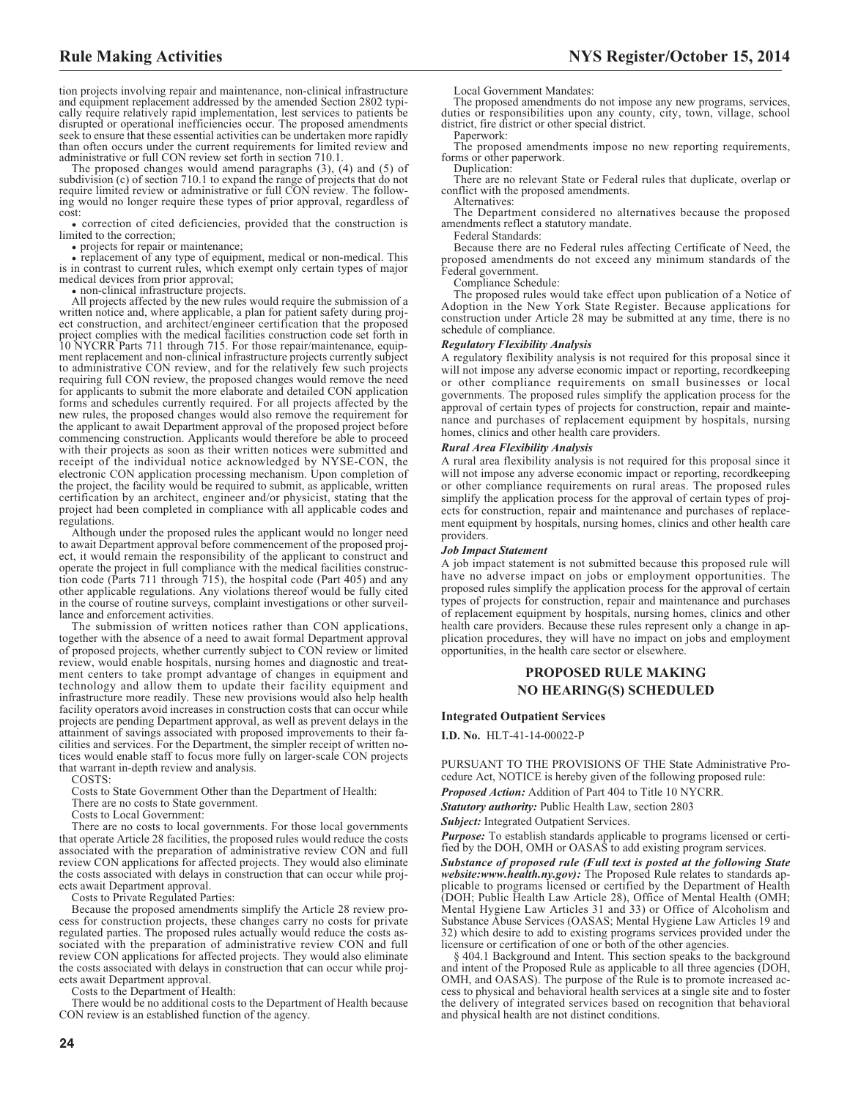tion projects involving repair and maintenance, non-clinical infrastructure and equipment replacement addressed by the amended Section 2802 typically require relatively rapid implementation, lest services to patients be disrupted or operational inefficiencies occur. The proposed amendments seek to ensure that these essential activities can be undertaken more rapidly than often occurs under the current requirements for limited review and administrative or full CON review set forth in section 710.1.

The proposed changes would amend paragraphs (3), (4) and (5) of subdivision (c) of section 710.1 to expand the range of projects that do not require limited review or administrative or full CON review. The following would no longer require these types of prior approval, regardless of cost:

• correction of cited deficiencies, provided that the construction is limited to the correction;

• projects for repair or maintenance;

D replacement of any type of equipment, medical or non-medical. This is in contrast to current rules, which exempt only certain types of major medical devices from prior approval;

non-clinical infrastructure projects.

All projects affected by the new rules would require the submission of a written notice and, where applicable, a plan for patient safety during project construction, and architect/engineer certification that the proposed project complies with the medical facilities construction code set forth in 10 NYCRR Parts 711 through 715. For those repair/maintenance, equipment replacement and non-clinical infrastructure projects currently subject to administrative CON review, and for the relatively few such projects requiring full CON review, the proposed changes would remove the need for applicants to submit the more elaborate and detailed CON application forms and schedules currently required. For all projects affected by the new rules, the proposed changes would also remove the requirement for the applicant to await Department approval of the proposed project before commencing construction. Applicants would therefore be able to proceed with their projects as soon as their written notices were submitted and receipt of the individual notice acknowledged by NYSE-CON, the electronic CON application processing mechanism. Upon completion of the project, the facility would be required to submit, as applicable, written certification by an architect, engineer and/or physicist, stating that the project had been completed in compliance with all applicable codes and regulations.

Although under the proposed rules the applicant would no longer need to await Department approval before commencement of the proposed project, it would remain the responsibility of the applicant to construct and operate the project in full compliance with the medical facilities construction code (Parts 711 through 715), the hospital code (Part 405) and any other applicable regulations. Any violations thereof would be fully cited in the course of routine surveys, complaint investigations or other surveillance and enforcement activities.

The submission of written notices rather than CON applications, together with the absence of a need to await formal Department approval of proposed projects, whether currently subject to CON review or limited review, would enable hospitals, nursing homes and diagnostic and treatment centers to take prompt advantage of changes in equipment and technology and allow them to update their facility equipment and infrastructure more readily. These new provisions would also help health facility operators avoid increases in construction costs that can occur while projects are pending Department approval, as well as prevent delays in the attainment of savings associated with proposed improvements to their facilities and services. For the Department, the simpler receipt of written notices would enable staff to focus more fully on larger-scale CON projects that warrant in-depth review and analysis.

COSTS:

Costs to State Government Other than the Department of Health:

There are no costs to State government.

Costs to Local Government:

There are no costs to local governments. For those local governments that operate Article 28 facilities, the proposed rules would reduce the costs associated with the preparation of administrative review CON and full review CON applications for affected projects. They would also eliminate the costs associated with delays in construction that can occur while projects await Department approval.

Costs to Private Regulated Parties:

Because the proposed amendments simplify the Article 28 review process for construction projects, these changes carry no costs for private regulated parties. The proposed rules actually would reduce the costs associated with the preparation of administrative review CON and full review CON applications for affected projects. They would also eliminate the costs associated with delays in construction that can occur while projects await Department approval.

Costs to the Department of Health:

There would be no additional costs to the Department of Health because CON review is an established function of the agency.

Local Government Mandates:

The proposed amendments do not impose any new programs, services, duties or responsibilities upon any county, city, town, village, school district, fire district or other special district.

Paperwork:

The proposed amendments impose no new reporting requirements, forms or other paperwork.

Duplication:

There are no relevant State or Federal rules that duplicate, overlap or conflict with the proposed amendments. Alternatives:

The Department considered no alternatives because the proposed amendments reflect a statutory mandate.

Federal Standards:

Because there are no Federal rules affecting Certificate of Need, the proposed amendments do not exceed any minimum standards of the Federal government.

Compliance Schedule:

The proposed rules would take effect upon publication of a Notice of Adoption in the New York State Register. Because applications for construction under Article 28 may be submitted at any time, there is no schedule of compliance.

#### *Regulatory Flexibility Analysis*

A regulatory flexibility analysis is not required for this proposal since it will not impose any adverse economic impact or reporting, recordkeeping or other compliance requirements on small businesses or local governments. The proposed rules simplify the application process for the approval of certain types of projects for construction, repair and maintenance and purchases of replacement equipment by hospitals, nursing homes, clinics and other health care providers.

#### *Rural Area Flexibility Analysis*

A rural area flexibility analysis is not required for this proposal since it will not impose any adverse economic impact or reporting, recordkeeping or other compliance requirements on rural areas. The proposed rules simplify the application process for the approval of certain types of projects for construction, repair and maintenance and purchases of replacement equipment by hospitals, nursing homes, clinics and other health care providers.

#### *Job Impact Statement*

A job impact statement is not submitted because this proposed rule will have no adverse impact on jobs or employment opportunities. The proposed rules simplify the application process for the approval of certain types of projects for construction, repair and maintenance and purchases of replacement equipment by hospitals, nursing homes, clinics and other health care providers. Because these rules represent only a change in application procedures, they will have no impact on jobs and employment opportunities, in the health care sector or elsewhere.

# **PROPOSED RULE MAKING NO HEARING(S) SCHEDULED**

#### **Integrated Outpatient Services**

**I.D. No.** HLT-41-14-00022-P

PURSUANT TO THE PROVISIONS OF THE State Administrative Procedure Act, NOTICE is hereby given of the following proposed rule:

*Proposed Action:* Addition of Part 404 to Title 10 NYCRR.

*Statutory authority:* Public Health Law, section 2803

**Subject:** Integrated Outpatient Services.

*Purpose:* To establish standards applicable to programs licensed or certified by the DOH, OMH or OASAS to add existing program services.

*Substance of proposed rule (Full text is posted at the following State website:www.health.ny.gov):* The Proposed Rule relates to standards applicable to programs licensed or certified by the Department of Health (DOH; Public Health Law Article 28), Office of Mental Health (OMH; Mental Hygiene Law Articles 31 and 33) or Office of Alcoholism and Substance Abuse Services (OASAS; Mental Hygiene Law Articles 19 and 32) which desire to add to existing programs services provided under the licensure or certification of one or both of the other agencies.

§ 404.1 Background and Intent. This section speaks to the background and intent of the Proposed Rule as applicable to all three agencies (DOH, OMH, and OASAS). The purpose of the Rule is to promote increased access to physical and behavioral health services at a single site and to foster the delivery of integrated services based on recognition that behavioral and physical health are not distinct conditions.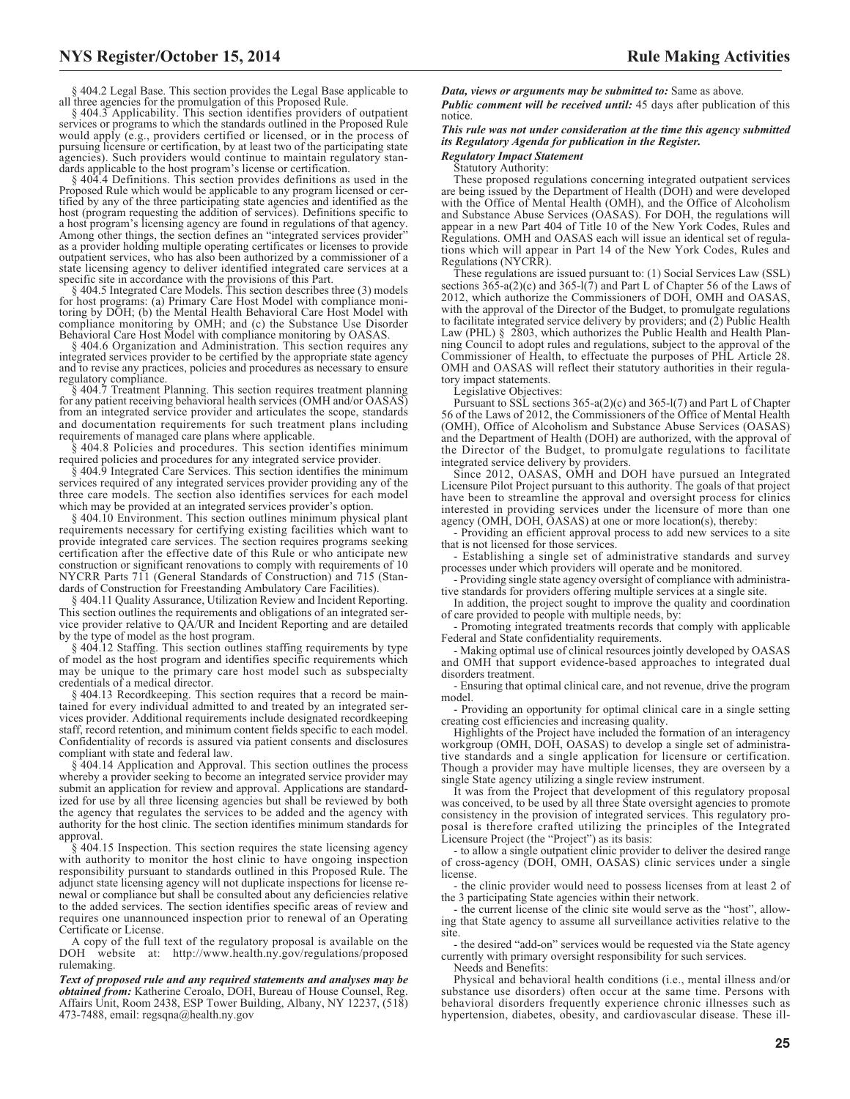§ 404.2 Legal Base. This section provides the Legal Base applicable to all three agencies for the promulgation of this Proposed Rule.

§ 404.3 Applicability. This section identifies providers of outpatient services or programs to which the standards outlined in the Proposed Rule would apply (e.g., providers certified or licensed, or in the process of pursuing licensure or certification, by at least two of the participating state agencies). Such providers would continue to maintain regulatory standards applicable to the host program's license or certification.

§ 404.4 Definitions. This section provides definitions as used in the Proposed Rule which would be applicable to any program licensed or certified by any of the three participating state agencies and identified as the host (program requesting the addition of services). Definitions specific to a host program's licensing agency are found in regulations of that agency. Among other things, the section defines an "integrated services provider" as a provider holding multiple operating certificates or licenses to provide outpatient services, who has also been authorized by a commissioner of a state licensing agency to deliver identified integrated care services at a specific site in accordance with the provisions of this Part.

§ 404.5 Integrated Care Models. This section describes three (3) models for host programs: (a) Primary Care Host Model with compliance moni-toring by DOH; (b) the Mental Health Behavioral Care Host Model with compliance monitoring by OMH; and (c) the Substance Use Disorder Behavioral Care Host Model with compliance monitoring by OASAS.

§ 404.6 Organization and Administration. This section requires any integrated services provider to be certified by the appropriate state agency and to revise any practices, policies and procedures as necessary to ensure regulatory compliance.

§ 404.7 Treatment Planning. This section requires treatment planning for any patient receiving behavioral health services (OMH and/or OASAS) from an integrated service provider and articulates the scope, standards and documentation requirements for such treatment plans including requirements of managed care plans where applicable.

§ 404.8 Policies and procedures. This section identifies minimum required policies and procedures for any integrated service provider.

§ 404.9 Integrated Care Services. This section identifies the minimum services required of any integrated services provider providing any of the three care models. The section also identifies services for each model which may be provided at an integrated services provider's option.

§ 404.10 Environment. This section outlines minimum physical plant requirements necessary for certifying existing facilities which want to provide integrated care services. The section requires programs seeking certification after the effective date of this Rule or who anticipate new construction or significant renovations to comply with requirements of 10 NYCRR Parts 711 (General Standards of Construction) and 715 (Standards of Construction for Freestanding Ambulatory Care Facilities).

§ 404.11 Quality Assurance, Utilization Review and Incident Reporting. This section outlines the requirements and obligations of an integrated service provider relative to QA/UR and Incident Reporting and are detailed by the type of model as the host program.

§ 404.12 Staffing. This section outlines staffing requirements by type of model as the host program and identifies specific requirements which may be unique to the primary care host model such as subspecialty credentials of a medical director.

§ 404.13 Recordkeeping. This section requires that a record be maintained for every individual admitted to and treated by an integrated services provider. Additional requirements include designated recordkeeping staff, record retention, and minimum content fields specific to each model. Confidentiality of records is assured via patient consents and disclosures compliant with state and federal law.

§ 404.14 Application and Approval. This section outlines the process whereby a provider seeking to become an integrated service provider may submit an application for review and approval. Applications are standardized for use by all three licensing agencies but shall be reviewed by both the agency that regulates the services to be added and the agency with authority for the host clinic. The section identifies minimum standards for approval.

§ 404.15 Inspection. This section requires the state licensing agency with authority to monitor the host clinic to have ongoing inspection responsibility pursuant to standards outlined in this Proposed Rule. The adjunct state licensing agency will not duplicate inspections for license renewal or compliance but shall be consulted about any deficiencies relative to the added services. The section identifies specific areas of review and requires one unannounced inspection prior to renewal of an Operating Certificate or License.

A copy of the full text of the regulatory proposal is available on the DOH website at: http://www.health.ny.gov/regulations/proposed rulemaking.

*Text of proposed rule and any required statements and analyses may be obtained from:* Katherine Ceroalo, DOH, Bureau of House Counsel, Reg. Affairs Unit, Room 2438, ESP Tower Building, Albany, NY 12237, (518) 473-7488, email: [regsqna@health.ny.gov](mailto: regsqna@health.ny.gov)

*Data, views or arguments may be submitted to:* Same as above.

*Public comment will be received until:* 45 days after publication of this notice.

*This rule was not under consideration at the time this agency submitted its Regulatory Agenda for publication in the Register.*

*Regulatory Impact Statement* Statutory Authority:

These proposed regulations concerning integrated outpatient services are being issued by the Department of Health (DOH) and were developed with the Office of Mental Health (OMH), and the Office of Alcoholism and Substance Abuse Services (OASAS). For DOH, the regulations will appear in a new Part 404 of Title 10 of the New York Codes, Rules and Regulations. OMH and OASAS each will issue an identical set of regulations which will appear in Part 14 of the New York Codes, Rules and Regulations (NYCRR).

These regulations are issued pursuant to: (1) Social Services Law (SSL) sections  $36\overline{5}$ -a(2)(c) and  $365$ -l(7) and Part L of Chapter 56 of the Laws of 2012, which authorize the Commissioners of DOH, OMH and OASAS, with the approval of the Director of the Budget, to promulgate regulations to facilitate integrated service delivery by providers; and (2) Public Health Law (PHL) § 2803, which authorizes the Public Health and Health Planning Council to adopt rules and regulations, subject to the approval of the Commissioner of Health, to effectuate the purposes of PHL Article 28. OMH and OASAS will reflect their statutory authorities in their regulatory impact statements.

Legislative Objectives:

Pursuant to SSL sections 365-a(2)(c) and 365-l(7) and Part L of Chapter 56 of the Laws of 2012, the Commissioners of the Office of Mental Health (OMH), Office of Alcoholism and Substance Abuse Services (OASAS) and the Department of Health (DOH) are authorized, with the approval of the Director of the Budget, to promulgate regulations to facilitate integrated service delivery by providers.

Since 2012, OASAS, OMH and DOH have pursued an Integrated Licensure Pilot Project pursuant to this authority. The goals of that project have been to streamline the approval and oversight process for clinics interested in providing services under the licensure of more than one agency (OMH, DOH, OASAS) at one or more location(s), thereby:

- Providing an efficient approval process to add new services to a site that is not licensed for those services.

- Establishing a single set of administrative standards and survey processes under which providers will operate and be monitored.

- Providing single state agency oversight of compliance with administrative standards for providers offering multiple services at a single site.

In addition, the project sought to improve the quality and coordination of care provided to people with multiple needs, by:

- Promoting integrated treatments records that comply with applicable Federal and State confidentiality requirements.

Making optimal use of clinical resources jointly developed by OASAS and OMH that support evidence-based approaches to integrated dual disorders treatment.

- Ensuring that optimal clinical care, and not revenue, drive the program model.

- Providing an opportunity for optimal clinical care in a single setting creating cost efficiencies and increasing quality.

Highlights of the Project have included the formation of an interagency workgroup (OMH, DOH, OASAS) to develop a single set of administrative standards and a single application for licensure or certification. Though a provider may have multiple licenses, they are overseen by a single State agency utilizing a single review instrument.

It was from the Project that development of this regulatory proposal was conceived, to be used by all three State oversight agencies to promote consistency in the provision of integrated services. This regulatory proposal is therefore crafted utilizing the principles of the Integrated Licensure Project (the "Project") as its basis:

- to allow a single outpatient clinic provider to deliver the desired range of cross-agency (DOH, OMH, OASAS) clinic services under a single license

- the clinic provider would need to possess licenses from at least 2 of the 3 participating State agencies within their network.

- the current license of the clinic site would serve as the "host", allowing that State agency to assume all surveillance activities relative to the site

- the desired "add-on" services would be requested via the State agency currently with primary oversight responsibility for such services.

Needs and Benefits:

Physical and behavioral health conditions (i.e., mental illness and/or substance use disorders) often occur at the same time. Persons with behavioral disorders frequently experience chronic illnesses such as hypertension, diabetes, obesity, and cardiovascular disease. These ill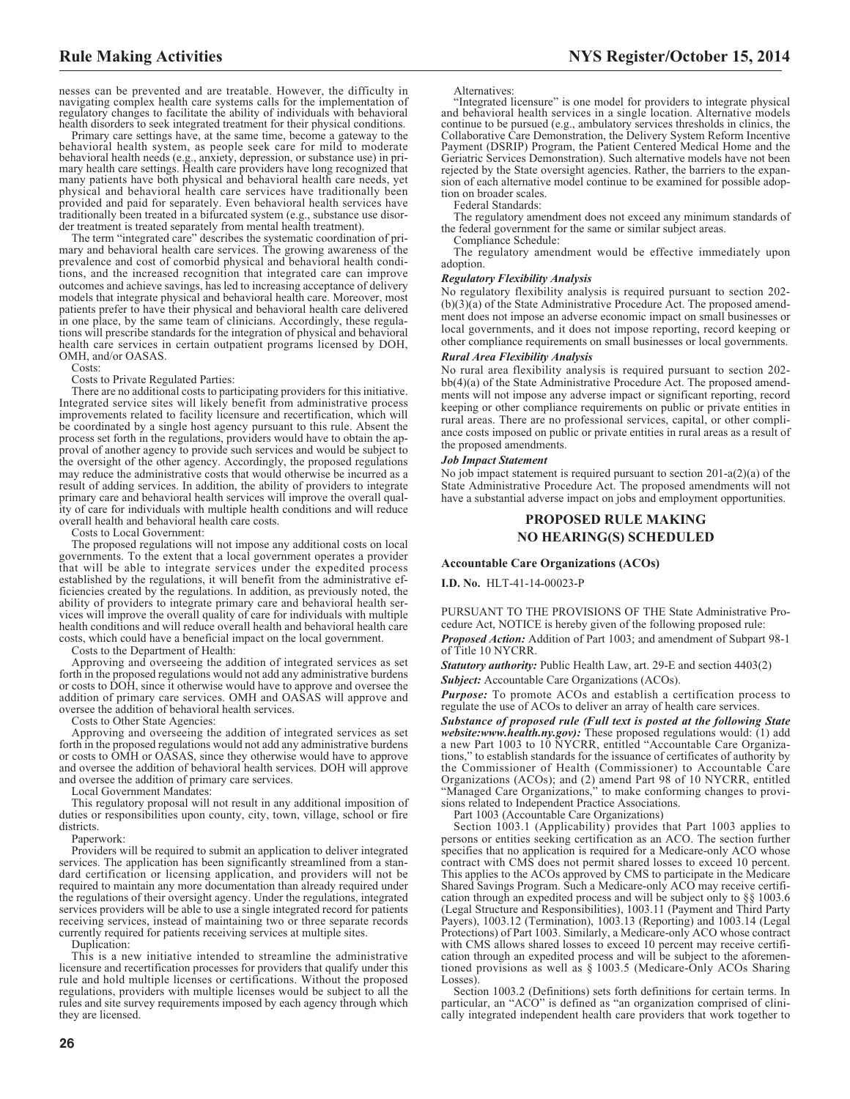nesses can be prevented and are treatable. However, the difficulty in navigating complex health care systems calls for the implementation of regulatory changes to facilitate the ability of individuals with behavioral health disorders to seek integrated treatment for their physical conditions.

Primary care settings have, at the same time, become a gateway to the behavioral health system, as people seek care for mild to moderate behavioral health needs (e.g., anxiety, depression, or substance use) in pri-mary health care settings. Health care providers have long recognized that many patients have both physical and behavioral health care needs, yet physical and behavioral health care services have traditionally been provided and paid for separately. Even behavioral health services have traditionally been treated in a bifurcated system (e.g., substance use disorder treatment is treated separately from mental health treatment).

The term "integrated care" describes the systematic coordination of primary and behavioral health care services. The growing awareness of the prevalence and cost of comorbid physical and behavioral health conditions, and the increased recognition that integrated care can improve outcomes and achieve savings, has led to increasing acceptance of delivery models that integrate physical and behavioral health care. Moreover, most patients prefer to have their physical and behavioral health care delivered in one place, by the same team of clinicians. Accordingly, these regulations will prescribe standards for the integration of physical and behavioral health care services in certain outpatient programs licensed by DOH, OMH, and/or OASAS.

Costs:

Costs to Private Regulated Parties:

There are no additional costs to participating providers for this initiative. Integrated service sites will likely benefit from administrative process improvements related to facility licensure and recertification, which will be coordinated by a single host agency pursuant to this rule. Absent the process set forth in the regulations, providers would have to obtain the approval of another agency to provide such services and would be subject to the oversight of the other agency. Accordingly, the proposed regulations may reduce the administrative costs that would otherwise be incurred as a result of adding services. In addition, the ability of providers to integrate primary care and behavioral health services will improve the overall quality of care for individuals with multiple health conditions and will reduce overall health and behavioral health care costs.

Costs to Local Government:

The proposed regulations will not impose any additional costs on local governments. To the extent that a local government operates a provider that will be able to integrate services under the expedited process established by the regulations, it will benefit from the administrative efficiencies created by the regulations. In addition, as previously noted, the ability of providers to integrate primary care and behavioral health services will improve the overall quality of care for individuals with multiple health conditions and will reduce overall health and behavioral health care costs, which could have a beneficial impact on the local government.

Costs to the Department of Health:

Approving and overseeing the addition of integrated services as set forth in the proposed regulations would not add any administrative burdens or costs to DOH, since it otherwise would have to approve and oversee the addition of primary care services. OMH and OASAS will approve and oversee the addition of behavioral health services.

Costs to Other State Agencies:

Approving and overseeing the addition of integrated services as set forth in the proposed regulations would not add any administrative burdens or costs to OMH or OASAS, since they otherwise would have to approve and oversee the addition of behavioral health services. DOH will approve and oversee the addition of primary care services.

Local Government Mandates:

This regulatory proposal will not result in any additional imposition of duties or responsibilities upon county, city, town, village, school or fire districts.

Paperwork:

Providers will be required to submit an application to deliver integrated services. The application has been significantly streamlined from a standard certification or licensing application, and providers will not be required to maintain any more documentation than already required under the regulations of their oversight agency. Under the regulations, integrated services providers will be able to use a single integrated record for patients receiving services, instead of maintaining two or three separate records currently required for patients receiving services at multiple sites.

Duplication:

This is a new initiative intended to streamline the administrative licensure and recertification processes for providers that qualify under this rule and hold multiple licenses or certifications. Without the proposed regulations, providers with multiple licenses would be subject to all the rules and site survey requirements imposed by each agency through which they are licensed.

#### Alternatives:

"Integrated licensure" is one model for providers to integrate physical and behavioral health services in a single location. Alternative models continue to be pursued (e.g., ambulatory services thresholds in clinics, the Collaborative Care Demonstration, the Delivery System Reform Incentive Payment (DSRIP) Program, the Patient Centered Medical Home and the Geriatric Services Demonstration). Such alternative models have not been rejected by the State oversight agencies. Rather, the barriers to the expansion of each alternative model continue to be examined for possible adoption on broader scales.

Federal Standards:

The regulatory amendment does not exceed any minimum standards of the federal government for the same or similar subject areas.

Compliance Schedule:

The regulatory amendment would be effective immediately upon adoption.

#### *Regulatory Flexibility Analysis*

No regulatory flexibility analysis is required pursuant to section 202-  $(b)(3)(a)$  of the State Administrative Procedure Act. The proposed amendment does not impose an adverse economic impact on small businesses or local governments, and it does not impose reporting, record keeping or other compliance requirements on small businesses or local governments.

### *Rural Area Flexibility Analysis*

No rural area flexibility analysis is required pursuant to section 202 bb(4)(a) of the State Administrative Procedure Act. The proposed amendments will not impose any adverse impact or significant reporting, record keeping or other compliance requirements on public or private entities in rural areas. There are no professional services, capital, or other compliance costs imposed on public or private entities in rural areas as a result of the proposed amendments.

#### *Job Impact Statement*

No job impact statement is required pursuant to section 201-a(2)(a) of the State Administrative Procedure Act. The proposed amendments will not have a substantial adverse impact on jobs and employment opportunities.

# **PROPOSED RULE MAKING NO HEARING(S) SCHEDULED**

#### **Accountable Care Organizations (ACOs)**

**I.D. No.** HLT-41-14-00023-P

PURSUANT TO THE PROVISIONS OF THE State Administrative Procedure Act, NOTICE is hereby given of the following proposed rule:

*Proposed Action:* Addition of Part 1003; and amendment of Subpart 98-1 of Title 10 NYCRR.

*Statutory authority:* Public Health Law, art. 29-E and section 4403(2) **Subject:** Accountable Care Organizations (ACOs).

**Purpose:** To promote ACOs and establish a certification process to regulate the use of ACOs to deliver an array of health care services.

*Substance of proposed rule (Full text is posted at the following State website:www.health.ny.gov):* These proposed regulations would: (1) add a new Part 1003 to 10 NYCRR, entitled "Accountable Care Organizations," to establish standards for the issuance of certificates of authority by the Commissioner of Health (Commissioner) to Accountable Care Organizations (ACOs); and (2) amend Part 98 of 10 NYCRR, entitled "Managed Care Organizations," to make conforming changes to provisions related to Independent Practice Associations.

Part 1003 (Accountable Care Organizations)

Section 1003.1 (Applicability) provides that Part 1003 applies to persons or entities seeking certification as an ACO. The section further specifies that no application is required for a Medicare-only ACO whose contract with CMS does not permit shared losses to exceed 10 percent. This applies to the ACOs approved by CMS to participate in the Medicare Shared Savings Program. Such a Medicare-only ACO may receive certification through an expedited process and will be subject only to §§ 1003.6 (Legal Structure and Responsibilities), 1003.11 (Payment and Third Party Payers), 1003.12 (Termination), 1003.13 (Reporting) and 1003.14 (Legal Protections) of Part 1003. Similarly, a Medicare-only ACO whose contract with CMS allows shared losses to exceed 10 percent may receive certification through an expedited process and will be subject to the aforementioned provisions as well as § 1003.5 (Medicare-Only ACOs Sharing Losses).

Section 1003.2 (Definitions) sets forth definitions for certain terms. In particular, an "ACO" is defined as "an organization comprised of clinically integrated independent health care providers that work together to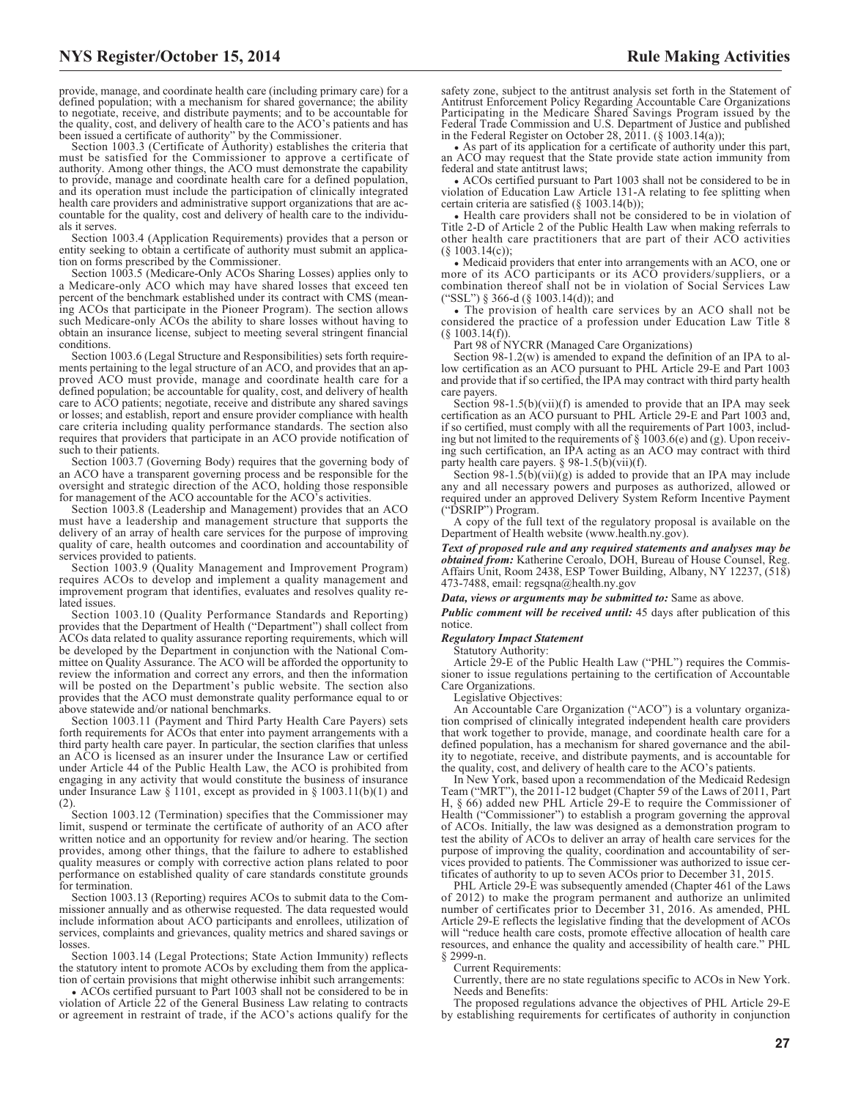provide, manage, and coordinate health care (including primary care) for a defined population; with a mechanism for shared governance; the ability to negotiate, receive, and distribute payments; and to be accountable for the quality, cost, and delivery of health care to the ACO's patients and has been issued a certificate of authority" by the Commissioner.

Section 1003.3 (Certificate of Authority) establishes the criteria that must be satisfied for the Commissioner to approve a certificate of authority. Among other things, the ACO must demonstrate the capability to provide, manage and coordinate health care for a defined population, and its operation must include the participation of clinically integrated health care providers and administrative support organizations that are accountable for the quality, cost and delivery of health care to the individuals it serves.

Section 1003.4 (Application Requirements) provides that a person or entity seeking to obtain a certificate of authority must submit an application on forms prescribed by the Commissioner.

Section 1003.5 (Medicare-Only ACOs Sharing Losses) applies only to a Medicare-only ACO which may have shared losses that exceed ten percent of the benchmark established under its contract with CMS (meaning ACOs that participate in the Pioneer Program). The section allows such Medicare-only ACOs the ability to share losses without having to obtain an insurance license, subject to meeting several stringent financial conditions.

Section 1003.6 (Legal Structure and Responsibilities) sets forth requirements pertaining to the legal structure of an ACO, and provides that an approved ACO must provide, manage and coordinate health care for a defined population; be accountable for quality, cost, and delivery of health care to ACO patients; negotiate, receive and distribute any shared savings or losses; and establish, report and ensure provider compliance with health care criteria including quality performance standards. The section also requires that providers that participate in an ACO provide notification of such to their patients.

Section 1003.7 (Governing Body) requires that the governing body of an ACO have a transparent governing process and be responsible for the oversight and strategic direction of the ACO, holding those responsible for management of the ACO accountable for the ACO's activities.

Section 1003.8 (Leadership and Management) provides that an ACO must have a leadership and management structure that supports the delivery of an array of health care services for the purpose of improving quality of care, health outcomes and coordination and accountability of services provided to patients.

Section 1003.9 (Quality Management and Improvement Program) requires ACOs to develop and implement a quality management and improvement program that identifies, evaluates and resolves quality related issues.

Section 1003.10 (Quality Performance Standards and Reporting) provides that the Department of Health ("Department") shall collect from ACOs data related to quality assurance reporting requirements, which will be developed by the Department in conjunction with the National Committee on Quality Assurance. The ACO will be afforded the opportunity to review the information and correct any errors, and then the information will be posted on the Department's public website. The section also provides that the ACO must demonstrate quality performance equal to or above statewide and/or national benchmarks.

Section 1003.11 (Payment and Third Party Health Care Payers) sets forth requirements for ACOs that enter into payment arrangements with a third party health care payer. In particular, the section clarifies that unless an ACO is licensed as an insurer under the Insurance Law or certified under Article 44 of the Public Health Law, the ACO is prohibited from engaging in any activity that would constitute the business of insurance under Insurance Law § 1101, except as provided in § 1003.11(b)(1) and (2).

Section 1003.12 (Termination) specifies that the Commissioner may limit, suspend or terminate the certificate of authority of an ACO after written notice and an opportunity for review and/or hearing. The section provides, among other things, that the failure to adhere to established quality measures or comply with corrective action plans related to poor performance on established quality of care standards constitute grounds for termination.

Section 1003.13 (Reporting) requires ACOs to submit data to the Commissioner annually and as otherwise requested. The data requested would include information about ACO participants and enrollees, utilization of services, complaints and grievances, quality metrics and shared savings or losses.

Section 1003.14 (Legal Protections; State Action Immunity) reflects the statutory intent to promote ACOs by excluding them from the application of certain provisions that might otherwise inhibit such arrangements:

• ACOs certified pursuant to Part 1003 shall not be considered to be in violation of Article 22 of the General Business Law relating to contracts or agreement in restraint of trade, if the ACO's actions qualify for the

safety zone, subject to the antitrust analysis set forth in the Statement of Antitrust Enforcement Policy Regarding Accountable Care Organizations Participating in the Medicare Shared Savings Program issued by the Federal Trade Commission and U.S. Department of Justice and published in the Federal Register on October 28, 2011. (§ 1003.14(a));

• As part of its application for a certificate of authority under this part, an ACO may request that the State provide state action immunity from federal and state antitrust laws;

• ACOs certified pursuant to Part 1003 shall not be considered to be in violation of Education Law Article 131-A relating to fee splitting when certain criteria are satisfied (§ 1003.14(b));

• Health care providers shall not be considered to be in violation of Title 2-D of Article 2 of the Public Health Law when making referrals to other health care practitioners that are part of their ACO activities (§ 1003.14(c));

• Medicaid providers that enter into arrangements with an ACO, one or more of its ACO participants or its ACO providers/suppliers, or a combination thereof shall not be in violation of Social Services Law ("SSL") § 366-d (§ 1003.14(d)); and

• The provision of health care services by an ACO shall not be considered the practice of a profession under Education Law Title 8 (§ 1003.14(f)).

Part 98 of NYCRR (Managed Care Organizations)

Section 98-1.2(w) is amended to expand the definition of an IPA to allow certification as an ACO pursuant to PHL Article 29-E and Part 1003 and provide that if so certified, the IPA may contract with third party health care payers.

Section 98-1.5(b)(vii)(f) is amended to provide that an IPA may seek certification as an ACO pursuant to PHL Article 29-E and Part 1003 and, if so certified, must comply with all the requirements of Part 1003, including but not limited to the requirements of  $\S$  1003.6(e) and (g). Upon receiving such certification, an IPA acting as an ACO may contract with third party health care payers. § 98-1.5(b)(vii)(f).

Section  $98-1.5(b)(vii)(g)$  is added to provide that an IPA may include any and all necessary powers and purposes as authorized, allowed or required under an approved Delivery System Reform Incentive Payment ("DSRIP") Program.

A copy of the full text of the regulatory proposal is available on the Department of Health website (www.health.ny.gov).

*Text of proposed rule and any required statements and analyses may be obtained from:* Katherine Ceroalo, DOH, Bureau of House Counsel, Reg. Affairs Unit, Room 2438, ESP Tower Building, Albany, NY 12237, (518) 473-7488, email: [regsqna@health.ny.gov](mailto: regsqna@health.ny.gov)

*Data, views or arguments may be submitted to:* Same as above.

*Public comment will be received until:* 45 days after publication of this notice.

### *Regulatory Impact Statement*

Statutory Authority:

Article 29-E of the Public Health Law ("PHL") requires the Commissioner to issue regulations pertaining to the certification of Accountable Care Organizations.

Legislative Objectives:

An Accountable Care Organization ("ACO") is a voluntary organization comprised of clinically integrated independent health care providers that work together to provide, manage, and coordinate health care for a defined population, has a mechanism for shared governance and the ability to negotiate, receive, and distribute payments, and is accountable for the quality, cost, and delivery of health care to the ACO's patients.

In New York, based upon a recommendation of the Medicaid Redesign Team ("MRT"), the 2011-12 budget (Chapter 59 of the Laws of 2011, Part H, § 66) added new PHL Article 29-E to require the Commissioner of Health ("Commissioner") to establish a program governing the approval of ACOs. Initially, the law was designed as a demonstration program to test the ability of ACOs to deliver an array of health care services for the purpose of improving the quality, coordination and accountability of services provided to patients. The Commissioner was authorized to issue certificates of authority to up to seven ACOs prior to December 31, 2015.

PHL Article 29-E was subsequently amended (Chapter 461 of the Laws of 2012) to make the program permanent and authorize an unlimited number of certificates prior to December 31, 2016. As amended, PHL Article 29-E reflects the legislative finding that the development of ACOs will "reduce health care costs, promote effective allocation of health care resources, and enhance the quality and accessibility of health care." PHL § 2999-n.

Current Requirements:

Currently, there are no state regulations specific to ACOs in New York. Needs and Benefits:

The proposed regulations advance the objectives of PHL Article 29-E by establishing requirements for certificates of authority in conjunction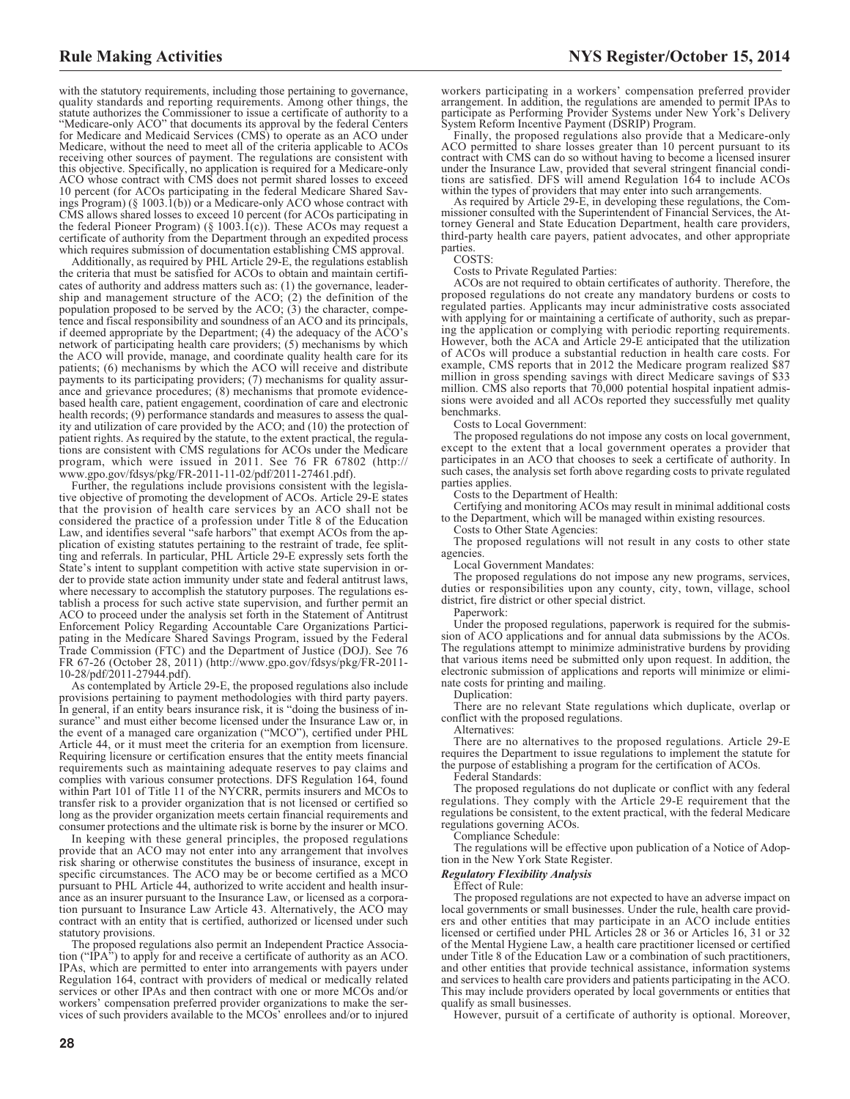with the statutory requirements, including those pertaining to governance, quality standards and reporting requirements. Among other things, the statute authorizes the Commissioner to issue a certificate of authority to a "Medicare-only ACO" that documents its approval by the federal Centers for Medicare and Medicaid Services (CMS) to operate as an ACO under Medicare, without the need to meet all of the criteria applicable to ACOs receiving other sources of payment. The regulations are consistent with this objective. Specifically, no application is required for a Medicare-only ACO whose contract with CMS does not permit shared losses to exceed 10 percent (for ACOs participating in the federal Medicare Shared Savings Program) ( $\S$  1003.1(b)) or a Medicare-only ACO whose contract with CMS allows shared losses to exceed 10 percent (for ACOs participating in the federal Pioneer Program) (§ 1003. $\tilde{I}(c)$ ). These ACOs may request a certificate of authority from the Department through an expedited process which requires submission of documentation establishing CMS approval.

Additionally, as required by PHL Article 29-E, the regulations establish the criteria that must be satisfied for ACOs to obtain and maintain certificates of authority and address matters such as: (1) the governance, leadership and management structure of the ACO; (2) the definition of the population proposed to be served by the ACO; (3) the character, competence and fiscal responsibility and soundness of an ACO and its principals, if deemed appropriate by the Department; (4) the adequacy of the ACO's network of participating health care providers; (5) mechanisms by which the ACO will provide, manage, and coordinate quality health care for its patients; (6) mechanisms by which the ACO will receive and distribute payments to its participating providers; (7) mechanisms for quality assurance and grievance procedures; (8) mechanisms that promote evidencebased health care, patient engagement, coordination of care and electronic health records; (9) performance standards and measures to assess the quality and utilization of care provided by the ACO; and (10) the protection of patient rights. As required by the statute, to the extent practical, the regulations are consistent with CMS regulations for ACOs under the Medicare program, which were issued in 2011. See 76 FR 67802 (http:// www.gpo.gov/fdsys/pkg/FR-2011-11-02/pdf/2011-27461.pdf).

Further, the regulations include provisions consistent with the legislative objective of promoting the development of ACOs. Article 29-E states that the provision of health care services by an ACO shall not be considered the practice of a profession under Title 8 of the Education Law, and identifies several "safe harbors" that exempt ACOs from the application of existing statutes pertaining to the restraint of trade, fee splitting and referrals. In particular, PHL Article 29-E expressly sets forth the State's intent to supplant competition with active state supervision in order to provide state action immunity under state and federal antitrust laws, where necessary to accomplish the statutory purposes. The regulations establish a process for such active state supervision, and further permit an ACO to proceed under the analysis set forth in the Statement of Antitrust Enforcement Policy Regarding Accountable Care Organizations Participating in the Medicare Shared Savings Program, issued by the Federal Trade Commission (FTC) and the Department of Justice (DOJ). See 76 FR 67-26 (October 28, 2011) (http://www.gpo.gov/fdsys/pkg/FR-2011- 10-28/pdf/2011-27944.pdf).

As contemplated by Article 29-E, the proposed regulations also include provisions pertaining to payment methodologies with third party payers. In general, if an entity bears insurance risk, it is "doing the business of insurance" and must either become licensed under the Insurance Law or, in the event of a managed care organization ("MCO"), certified under PHL Article 44, or it must meet the criteria for an exemption from licensure. Requiring licensure or certification ensures that the entity meets financial requirements such as maintaining adequate reserves to pay claims and complies with various consumer protections. DFS Regulation 164, found within Part 101 of Title 11 of the NYCRR, permits insurers and MCOs to transfer risk to a provider organization that is not licensed or certified so long as the provider organization meets certain financial requirements and consumer protections and the ultimate risk is borne by the insurer or MCO.

In keeping with these general principles, the proposed regulations provide that an ACO may not enter into any arrangement that involves risk sharing or otherwise constitutes the business of insurance, except in specific circumstances. The ACO may be or become certified as a MCO pursuant to PHL Article 44, authorized to write accident and health insurance as an insurer pursuant to the Insurance Law, or licensed as a corporation pursuant to Insurance Law Article 43. Alternatively, the ACO may contract with an entity that is certified, authorized or licensed under such statutory provisions.

The proposed regulations also permit an Independent Practice Association ("IPA") to apply for and receive a certificate of authority as an ACO. IPAs, which are permitted to enter into arrangements with payers under Regulation 164, contract with providers of medical or medically related services or other IPAs and then contract with one or more MCOs and/or workers' compensation preferred provider organizations to make the services of such providers available to the MCOs' enrollees and/or to injured

workers participating in a workers' compensation preferred provider arrangement. In addition, the regulations are amended to permit IPAs to participate as Performing Provider Systems under New York's Delivery System Reform Incentive Payment (DSRIP) Program.

Finally, the proposed regulations also provide that a Medicare-only ACO permitted to share losses greater than 10 percent pursuant to its contract with CMS can do so without having to become a licensed insurer under the Insurance Law, provided that several stringent financial condi-tions are satisfied. DFS will amend Regulation 164 to include ACOs within the types of providers that may enter into such arrangements.

As required by Article 29-E, in developing these regulations, the Com-missioner consulted with the Superintendent of Financial Services, the Attorney General and State Education Department, health care providers, third-party health care payers, patient advocates, and other appropriate parties.

#### COSTS:

Costs to Private Regulated Parties:

ACOs are not required to obtain certificates of authority. Therefore, the proposed regulations do not create any mandatory burdens or costs to regulated parties. Applicants may incur administrative costs associated with applying for or maintaining a certificate of authority, such as preparing the application or complying with periodic reporting requirements. However, both the ACA and Article 29-E anticipated that the utilization of ACOs will produce a substantial reduction in health care costs. For example, CMS reports that in 2012 the Medicare program realized \$87 million in gross spending savings with direct Medicare savings of \$33 million. CMS also reports that  $70,000$  potential hospital inpatient admissions were avoided and all ACOs reported they successfully met quality benchmarks.

Costs to Local Government:

The proposed regulations do not impose any costs on local government, except to the extent that a local government operates a provider that participates in an ACO that chooses to seek a certificate of authority. In such cases, the analysis set forth above regarding costs to private regulated parties applies.

Costs to the Department of Health:

Certifying and monitoring ACOs may result in minimal additional costs to the Department, which will be managed within existing resources.

Costs to Other State Agencies:

The proposed regulations will not result in any costs to other state agencies.

Local Government Mandates:

The proposed regulations do not impose any new programs, services, duties or responsibilities upon any county, city, town, village, school district, fire district or other special district.

Paperwork:

Under the proposed regulations, paperwork is required for the submission of ACO applications and for annual data submissions by the ACOs. The regulations attempt to minimize administrative burdens by providing that various items need be submitted only upon request. In addition, the electronic submission of applications and reports will minimize or eliminate costs for printing and mailing.

Duplication:

There are no relevant State regulations which duplicate, overlap or conflict with the proposed regulations.

Alternatives:

There are no alternatives to the proposed regulations. Article 29-E requires the Department to issue regulations to implement the statute for the purpose of establishing a program for the certification of ACOs.

Federal Standards:

The proposed regulations do not duplicate or conflict with any federal regulations. They comply with the Article 29-E requirement that the regulations be consistent, to the extent practical, with the federal Medicare regulations governing ACOs.

Compliance Schedule:

The regulations will be effective upon publication of a Notice of Adoption in the New York State Register.

# *Regulatory Flexibility Analysis*

Effect of Rule:

The proposed regulations are not expected to have an adverse impact on local governments or small businesses. Under the rule, health care providers and other entities that may participate in an ACO include entities licensed or certified under PHL Articles 28 or 36 or Articles 16, 31 or 32 of the Mental Hygiene Law, a health care practitioner licensed or certified under Title 8 of the Education Law or a combination of such practitioners, and other entities that provide technical assistance, information systems and services to health care providers and patients participating in the ACO. This may include providers operated by local governments or entities that qualify as small businesses.

However, pursuit of a certificate of authority is optional. Moreover,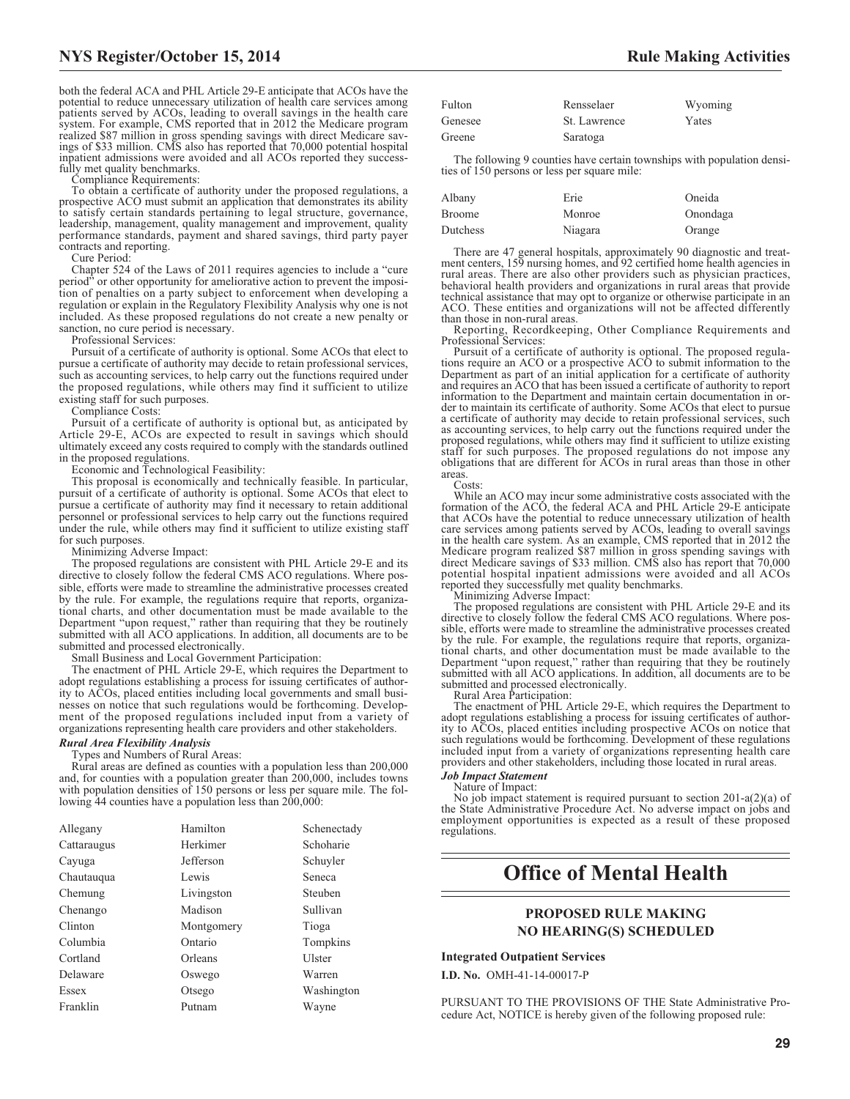both the federal ACA and PHL Article 29-E anticipate that ACOs have the potential to reduce unnecessary utilization of health care services among patients served by ACOs, leading to overall savings in the health care system. For example, CMS reported that in 2012 the Medicare program realized \$87 million in gross spending savings with direct Medicare sav-ings of \$33 million. CMS also has reported that 70,000 potential hospital inpatient admissions were avoided and all ACOs reported they successfully met quality benchmarks.

Compliance Requirements:

To obtain a certificate of authority under the proposed regulations, a prospective ACO must submit an application that demonstrates its ability to satisfy certain standards pertaining to legal structure, governance, leadership, management, quality management and improvement, quality performance standards, payment and shared savings, third party payer contracts and reporting.

Cure Period:

Chapter 524 of the Laws of 2011 requires agencies to include a "cure period" or other opportunity for ameliorative action to prevent the imposition of penalties on a party subject to enforcement when developing a regulation or explain in the Regulatory Flexibility Analysis why one is not included. As these proposed regulations do not create a new penalty or sanction, no cure period is necessary.

Professional Services:

Pursuit of a certificate of authority is optional. Some ACOs that elect to pursue a certificate of authority may decide to retain professional services, such as accounting services, to help carry out the functions required under the proposed regulations, while others may find it sufficient to utilize existing staff for such purposes.

Compliance Costs:

Pursuit of a certificate of authority is optional but, as anticipated by Article 29-E, ACOs are expected to result in savings which should ultimately exceed any costs required to comply with the standards outlined in the proposed regulations.

Economic and Technological Feasibility:

This proposal is economically and technically feasible. In particular, pursuit of a certificate of authority is optional. Some ACOs that elect to pursue a certificate of authority may find it necessary to retain additional personnel or professional services to help carry out the functions required under the rule, while others may find it sufficient to utilize existing staff for such purposes

Minimizing Adverse Impact:

The proposed regulations are consistent with PHL Article 29-E and its directive to closely follow the federal CMS ACO regulations. Where possible, efforts were made to streamline the administrative processes created by the rule. For example, the regulations require that reports, organizational charts, and other documentation must be made available to the Department "upon request," rather than requiring that they be routinely submitted with all ACO applications. In addition, all documents are to be submitted and processed electronically.

Small Business and Local Government Participation:

The enactment of PHL Article 29-E, which requires the Department to adopt regulations establishing a process for issuing certificates of authority to ACOs, placed entities including local governments and small businesses on notice that such regulations would be forthcoming. Development of the proposed regulations included input from a variety of organizations representing health care providers and other stakeholders.

### *Rural Area Flexibility Analysis*

Types and Numbers of Rural Areas:

Rural areas are defined as counties with a population less than 200,000 and, for counties with a population greater than 200,000, includes towns with population densities of 150 persons or less per square mile. The following  $44$  counties have a population less than  $200,000$ :

| Allegany    | Hamilton   | Schenectady |
|-------------|------------|-------------|
| Cattaraugus | Herkimer   | Schoharie   |
| Cayuga      | Jefferson  | Schuyler    |
| Chautauqua  | Lewis      | Seneca      |
| Chemung     | Livingston | Steuben     |
| Chenango    | Madison    | Sullivan    |
| Clinton     | Montgomery | Tioga       |
| Columbia    | Ontario    | Tompkins    |
| Cortland    | Orleans    | Ulster      |
| Delaware    | Oswego     | Warren      |
| Essex       | Otsego     | Washington  |
| Franklin    | Putnam     | Wayne       |

| Fulton  | Rensselaer   | Wyoming |
|---------|--------------|---------|
| Genesee | St. Lawrence | Yates   |
| Greene  | Saratoga     |         |

The following 9 counties have certain townships with population densities of 150 persons or less per square mile:

| Albany        | Erie    | Oneida   |
|---------------|---------|----------|
| <b>Broome</b> | Monroe  | Onondaga |
| Dutchess      | Niagara | Orange   |

There are 47 general hospitals, approximately 90 diagnostic and treatment centers, 159 nursing homes, and 92 certified home health agencies in rural areas. There are also other providers such as physician practices, behavioral health providers and organizations in rural areas that provide technical assistance that may opt to organize or otherwise participate in an ACO. These entities and organizations will not be affected differently than those in non-rural areas.

Reporting, Recordkeeping, Other Compliance Requirements and Professional Services:

Pursuit of a certificate of authority is optional. The proposed regulations require an ACO or a prospective ACO to submit information to the Department as part of an initial application for a certificate of authority and requires an ACO that has been issued a certificate of authority to report information to the Department and maintain certain documentation in or-der to maintain its certificate of authority. Some ACOs that elect to pursue a certificate of authority may decide to retain professional services, such as accounting services, to help carry out the functions required under the proposed regulations, while others may find it sufficient to utilize existing staff for such purposes. The proposed regulations do not impose any obligations that are different for ACOs in rural areas than those in other areas. Costs:

While an ACO may incur some administrative costs associated with the formation of the ACO, the federal ACA and PHL Article 29-E anticipate that ACOs have the potential to reduce unnecessary utilization of health care services among patients served by ACOs, leading to overall savings in the health care system. As an example, CMS reported that in 2012 the Medicare program realized \$87 million in gross spending savings with direct Medicare savings of \$33 million. CMS also has report that 70,000 potential hospital inpatient admissions were avoided and all ACOs reported they successfully met quality benchmarks.

Minimizing Adverse Impact:

The proposed regulations are consistent with PHL Article 29-E and its directive to closely follow the federal CMS ACO regulations. Where possible, efforts were made to streamline the administrative processes created by the rule. For example, the regulations require that reports, organizational charts, and other documentation must be made available to the Department "upon request," rather than requiring that they be routinely submitted with all ACO applications. In addition, all documents are to be submitted and processed electronically.

Rural Area Participation:

The enactment of PHL Article 29-E, which requires the Department to adopt regulations establishing a process for issuing certificates of authority to ACOs, placed entities including prospective ACOs on notice that such regulations would be forthcoming. Development of these regulations included input from a variety of organizations representing health care providers and other stakeholders, including those located in rural areas.

#### *Job Impact Statement* Nature of Impact:

No job impact statement is required pursuant to section 201-a(2)(a) of the State Administrative Procedure Act. No adverse impact on jobs and employment opportunities is expected as a result of these proposed regulations.

# **Office of Mental Health**

# **PROPOSED RULE MAKING NO HEARING(S) SCHEDULED**

**Integrated Outpatient Services**

**I.D. No.** OMH-41-14-00017-P

PURSUANT TO THE PROVISIONS OF THE State Administrative Procedure Act, NOTICE is hereby given of the following proposed rule: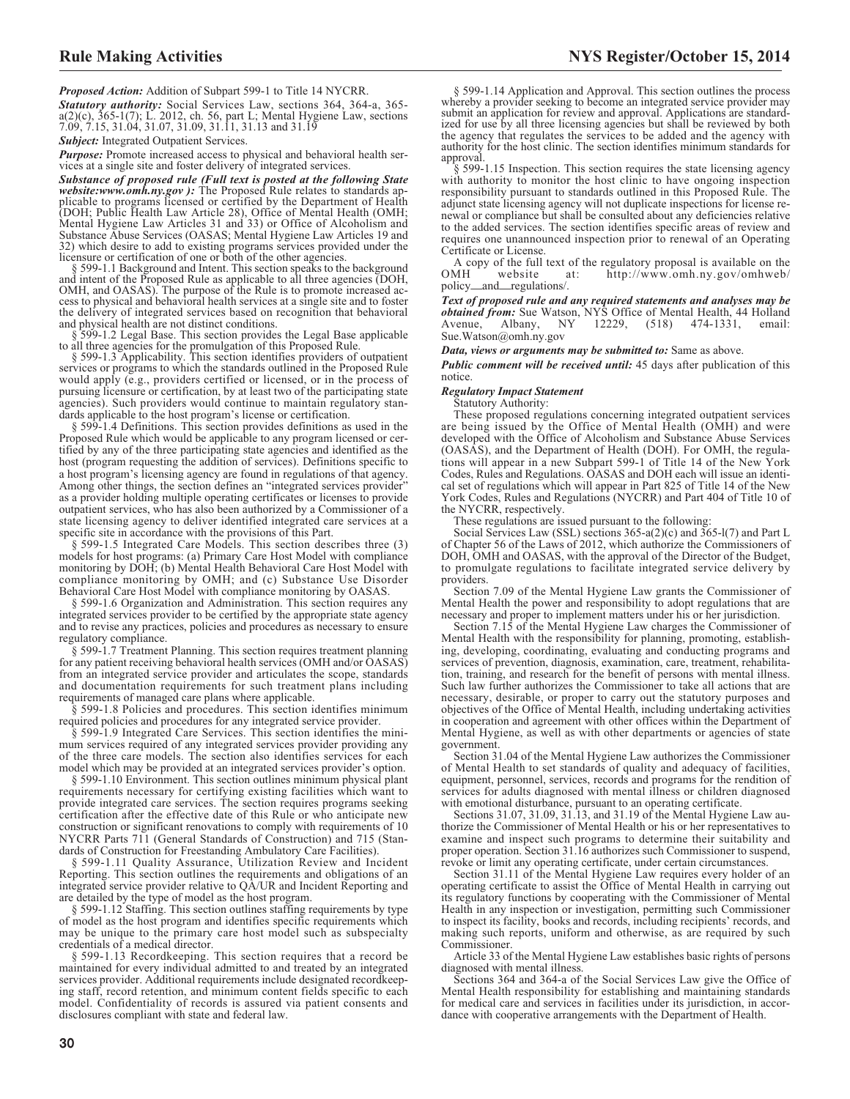*Proposed Action:* Addition of Subpart 599-1 to Title 14 NYCRR.

*Statutory authority:* Social Services Law, sections 364, 364-a, 365 a(2)(c), 365-1(7); L. 2012, ch. 56, part L; Mental Hygiene Law, sections 7.09, 7.15, 31.04, 31.07, 31.09, 31.11, 31.13 and 31.19

**Subject:** Integrated Outpatient Services.

*Purpose:* Promote increased access to physical and behavioral health services at a single site and foster delivery of integrated services.

*Substance of proposed rule (Full text is posted at the following State website:www.omh.ny.gov ):* The Proposed Rule relates to standards applicable to programs licensed or certified by the Department of Health (DOH; Public Health Law Article 28), Office of Mental Health (OMH; Mental Hygiene Law Articles 31 and 33) or Office of Alcoholism and Substance Abuse Services (OASAS; Mental Hygiene Law Articles 19 and 32) which desire to add to existing programs services provided under the

licensure or certification of one or both of the other agencies. § 599-1.1 Background and Intent. This section speaks to the background and intent of the Proposed Rule as applicable to all three agencies (DOH, OMH, and OASAS). The purpose of the Rule is to promote increased ac-cess to physical and behavioral health services at a single site and to foster the delivery of integrated services based on recognition that behavioral

and physical health are not distinct conditions. § 599-1.2 Legal Base. This section provides the Legal Base applicable

to all three agencies for the promulgation of this Proposed Rule. § 599-1.3 Applicability. This section identifies providers of outpatient services or programs to which the standards outlined in the Proposed Rule would apply (e.g., providers certified or licensed, or in the process of pursuing licensure or certification, by at least two of the participating state agencies). Such providers would continue to maintain regulatory standards applicable to the host program's license or certification.

§ 599-1.4 Definitions. This section provides definitions as used in the Proposed Rule which would be applicable to any program licensed or certified by any of the three participating state agencies and identified as the host (program requesting the addition of services). Definitions specific to a host program's licensing agency are found in regulations of that agency. Among other things, the section defines an "integrated services provider" as a provider holding multiple operating certificates or licenses to provide outpatient services, who has also been authorized by a Commissioner of a state licensing agency to deliver identified integrated care services at a specific site in accordance with the provisions of this Part.

§ 599-1.5 Integrated Care Models. This section describes three (3) models for host programs: (a) Primary Care Host Model with compliance monitoring by DOH; (b) Mental Health Behavioral Care Host Model with compliance monitoring by OMH; and (c) Substance Use Disorder Behavioral Care Host Model with compliance monitoring by OASAS.

§ 599-1.6 Organization and Administration. This section requires any integrated services provider to be certified by the appropriate state agency and to revise any practices, policies and procedures as necessary to ensure regulatory compliance.

§ 599-1.7 Treatment Planning. This section requires treatment planning for any patient receiving behavioral health services (OMH and/or OASAS) from an integrated service provider and articulates the scope, standards and documentation requirements for such treatment plans including requirements of managed care plans where applicable.

§ 599-1.8 Policies and procedures. This section identifies minimum required policies and procedures for any integrated service provider.

§ 599-1.9 Integrated Care Services. This section identifies the minimum services required of any integrated services provider providing any of the three care models. The section also identifies services for each model which may be provided at an integrated services provider's option.

§ 599-1.10 Environment. This section outlines minimum physical plant requirements necessary for certifying existing facilities which want to provide integrated care services. The section requires programs seeking certification after the effective date of this Rule or who anticipate new construction or significant renovations to comply with requirements of 10 NYCRR Parts 711 (General Standards of Construction) and 715 (Standards of Construction for Freestanding Ambulatory Care Facilities).

§ 599-1.11 Quality Assurance, Utilization Review and Incident Reporting. This section outlines the requirements and obligations of an integrated service provider relative to QA/UR and Incident Reporting and are detailed by the type of model as the host program.

§ 599-1.12 Staffing. This section outlines staffing requirements by type of model as the host program and identifies specific requirements which may be unique to the primary care host model such as subspecialty credentials of a medical director.

§ 599-1.13 Recordkeeping. This section requires that a record be maintained for every individual admitted to and treated by an integrated services provider. Additional requirements include designated recordkeeping staff, record retention, and minimum content fields specific to each model. Confidentiality of records is assured via patient consents and disclosures compliant with state and federal law.

§ 599-1.14 Application and Approval. This section outlines the process whereby a provider seeking to become an integrated service provider may submit an application for review and approval. Applications are standardized for use by all three licensing agencies but shall be reviewed by both the agency that regulates the services to be added and the agency with authority for the host clinic. The section identifies minimum standards for approval.

§ 599-1.15 Inspection. This section requires the state licensing agency with authority to monitor the host clinic to have ongoing inspection responsibility pursuant to standards outlined in this Proposed Rule. The adjunct state licensing agency will not duplicate inspections for license renewal or compliance but shall be consulted about any deficiencies relative to the added services. The section identifies specific areas of review and requires one unannounced inspection prior to renewal of an Operating Certificate or License.

A copy of the full text of the regulatory proposal is available on the OMH website at: http://www.omh.ny.gov/omhweb/ http://www.omh.ny.gov/omhweb/ policy\_and\_regulations/.

*Text of proposed rule and any required statements and analyses may be obtained from:* Sue Watson, NYS Office of Mental Health, 44 Holland Avenue, Albany, NY 12229, (518) 474-1331, email: [Sue.Watson@omh.ny.gov](mailto: Sue.Watson@omh.ny.gov)

*Data, views or arguments may be submitted to:* Same as above.

*Public comment will be received until:* 45 days after publication of this notice.

#### *Regulatory Impact Statement*

Statutory Authority:

These proposed regulations concerning integrated outpatient services are being issued by the Office of Mental Health (OMH) and were developed with the Office of Alcoholism and Substance Abuse Services (OASAS), and the Department of Health (DOH). For OMH, the regulations will appear in a new Subpart 599-1 of Title 14 of the New York Codes, Rules and Regulations. OASAS and DOH each will issue an identical set of regulations which will appear in Part 825 of Title 14 of the New York Codes, Rules and Regulations (NYCRR) and Part 404 of Title 10 of the NYCRR, respectively.

These regulations are issued pursuant to the following:

Social Services Law (SSL) sections 365-a(2)(c) and 365-l(7) and Part L of Chapter 56 of the Laws of 2012, which authorize the Commissioners of DOH, OMH and OASAS, with the approval of the Director of the Budget, to promulgate regulations to facilitate integrated service delivery by providers.

Section 7.09 of the Mental Hygiene Law grants the Commissioner of Mental Health the power and responsibility to adopt regulations that are necessary and proper to implement matters under his or her jurisdiction.

Section 7.15 of the Mental Hygiene Law charges the Commissioner of Mental Health with the responsibility for planning, promoting, establishing, developing, coordinating, evaluating and conducting programs and services of prevention, diagnosis, examination, care, treatment, rehabilitation, training, and research for the benefit of persons with mental illness. Such law further authorizes the Commissioner to take all actions that are necessary, desirable, or proper to carry out the statutory purposes and objectives of the Office of Mental Health, including undertaking activities in cooperation and agreement with other offices within the Department of Mental Hygiene, as well as with other departments or agencies of state government.

Section 31.04 of the Mental Hygiene Law authorizes the Commissioner of Mental Health to set standards of quality and adequacy of facilities, equipment, personnel, services, records and programs for the rendition of services for adults diagnosed with mental illness or children diagnosed with emotional disturbance, pursuant to an operating certificate.

Sections 31.07, 31.09, 31.13, and 31.19 of the Mental Hygiene Law authorize the Commissioner of Mental Health or his or her representatives to examine and inspect such programs to determine their suitability and proper operation. Section 31.16 authorizes such Commissioner to suspend, revoke or limit any operating certificate, under certain circumstances.

Section 31.11 of the Mental Hygiene Law requires every holder of an operating certificate to assist the Office of Mental Health in carrying out its regulatory functions by cooperating with the Commissioner of Mental Health in any inspection or investigation, permitting such Commissioner to inspect its facility, books and records, including recipients' records, and making such reports, uniform and otherwise, as are required by such Commissioner.

Article 33 of the Mental Hygiene Law establishes basic rights of persons diagnosed with mental illness.

Sections 364 and 364-a of the Social Services Law give the Office of Mental Health responsibility for establishing and maintaining standards for medical care and services in facilities under its jurisdiction, in accordance with cooperative arrangements with the Department of Health.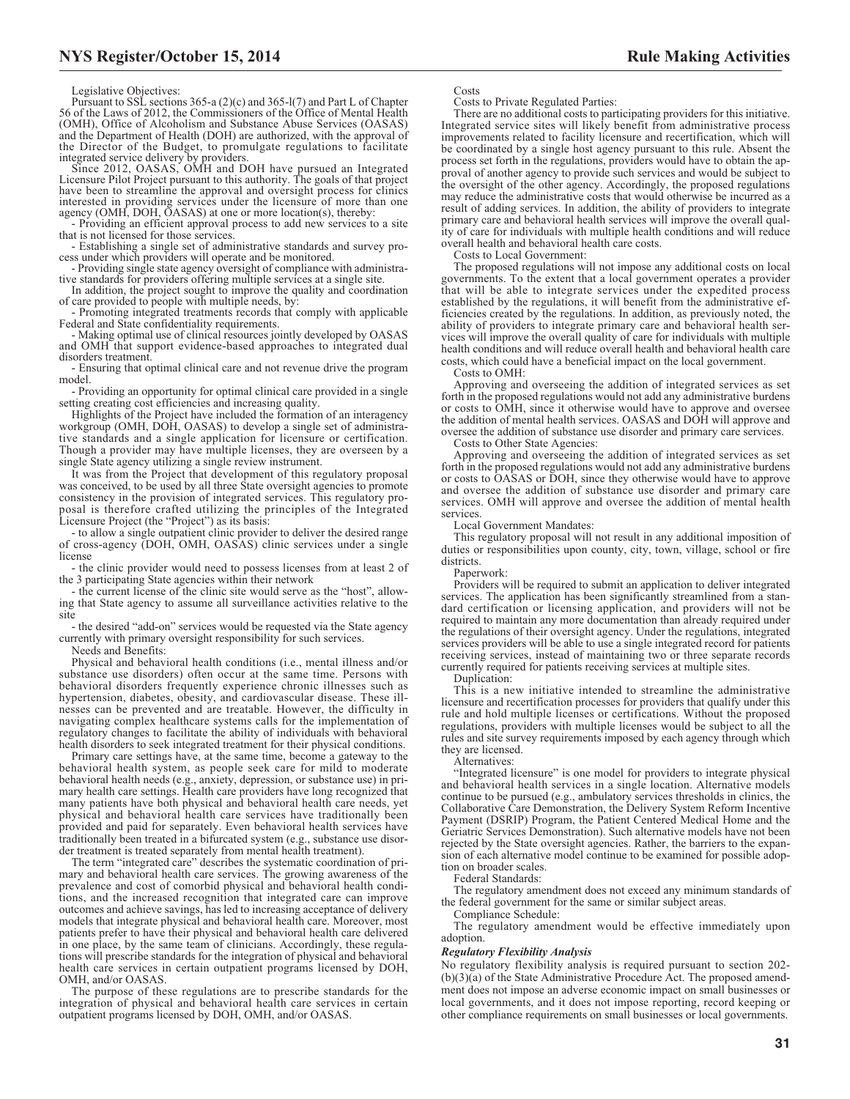Legislative Objectives:

Pursuant to SSL sections 365-a (2)(c) and 365-l(7) and Part L of Chapter 56 of the Laws of 2012, the Commissioners of the Office of Mental Health (OMH), Office of Alcoholism and Substance Abuse Services (OASAS) and the Department of Health (DOH) are authorized, with the approval of the Director of the Budget, to promulgate regulations to facilitate

integrated service delivery by providers. Since 2012, OASAS, OMH and DOH have pursued an Integrated Licensure Pilot Project pursuant to this authority. The goals of that project have been to streamline the approval and oversight process for clinics interested in providing services under the licensure of more than one agency (OMH, DOH, OASAS) at one or more location(s), thereby:

- Providing an efficient approval process to add new services to a site that is not licensed for those services.

- Establishing a single set of administrative standards and survey process under which providers will operate and be monitored.

- Providing single state agency oversight of compliance with administrative standards for providers offering multiple services at a single site.

In addition, the project sought to improve the quality and coordination of care provided to people with multiple needs, by:

- Promoting integrated treatments records that comply with applicable Federal and State confidentiality requirements.

- Making optimal use of clinical resources jointly developed by OASAS and OMH that support evidence-based approaches to integrated dual disorders treatment.

- Ensuring that optimal clinical care and not revenue drive the program model.

- Providing an opportunity for optimal clinical care provided in a single setting creating cost efficiencies and increasing quality.

Highlights of the Project have included the formation of an interagency workgroup (OMH, DOH, OASAS) to develop a single set of administrative standards and a single application for licensure or certification. Though a provider may have multiple licenses, they are overseen by a single State agency utilizing a single review instrument.

It was from the Project that development of this regulatory proposal was conceived, to be used by all three State oversight agencies to promote consistency in the provision of integrated services. This regulatory proposal is therefore crafted utilizing the principles of the Integrated Licensure Project (the "Project") as its basis:

to allow a single outpatient clinic provider to deliver the desired range of cross-agency (DOH, OMH, OASAS) clinic services under a single license

- the clinic provider would need to possess licenses from at least 2 of the 3 participating State agencies within their network

- the current license of the clinic site would serve as the "host", allowing that State agency to assume all surveillance activities relative to the site

- the desired "add-on" services would be requested via the State agency currently with primary oversight responsibility for such services.

Needs and Benefits:

Physical and behavioral health conditions (i.e., mental illness and/or substance use disorders) often occur at the same time. Persons with behavioral disorders frequently experience chronic illnesses such as hypertension, diabetes, obesity, and cardiovascular disease. These illnesses can be prevented and are treatable. However, the difficulty in navigating complex healthcare systems calls for the implementation of regulatory changes to facilitate the ability of individuals with behavioral health disorders to seek integrated treatment for their physical conditions.

Primary care settings have, at the same time, become a gateway to the behavioral health system, as people seek care for mild to moderate behavioral health needs (e.g., anxiety, depression, or substance use) in primary health care settings. Health care providers have long recognized that many patients have both physical and behavioral health care needs, yet physical and behavioral health care services have traditionally been provided and paid for separately. Even behavioral health services have traditionally been treated in a bifurcated system (e.g., substance use disorder treatment is treated separately from mental health treatment).

The term "integrated care" describes the systematic coordination of primary and behavioral health care services. The growing awareness of the prevalence and cost of comorbid physical and behavioral health conditions, and the increased recognition that integrated care can improve outcomes and achieve savings, has led to increasing acceptance of delivery models that integrate physical and behavioral health care. Moreover, most patients prefer to have their physical and behavioral health care delivered in one place, by the same team of clinicians. Accordingly, these regulations will prescribe standards for the integration of physical and behavioral health care services in certain outpatient programs licensed by DOH, OMH, and/or OASAS.

The purpose of these regulations are to prescribe standards for the integration of physical and behavioral health care services in certain outpatient programs licensed by DOH, OMH, and/or OASAS.

Costs

Costs to Private Regulated Parties:

There are no additional costs to participating providers for this initiative. Integrated service sites will likely benefit from administrative process improvements related to facility licensure and recertification, which will be coordinated by a single host agency pursuant to this rule. Absent the process set forth in the regulations, providers would have to obtain the approval of another agency to provide such services and would be subject to the oversight of the other agency. Accordingly, the proposed regulations may reduce the administrative costs that would otherwise be incurred as a result of adding services. In addition, the ability of providers to integrate primary care and behavioral health services will improve the overall quality of care for individuals with multiple health conditions and will reduce overall health and behavioral health care costs.

Costs to Local Government:

The proposed regulations will not impose any additional costs on local governments. To the extent that a local government operates a provider that will be able to integrate services under the expedited process established by the regulations, it will benefit from the administrative efficiencies created by the regulations. In addition, as previously noted, the ability of providers to integrate primary care and behavioral health services will improve the overall quality of care for individuals with multiple health conditions and will reduce overall health and behavioral health care costs, which could have a beneficial impact on the local government.

Costs to OMH:

Approving and overseeing the addition of integrated services as set forth in the proposed regulations would not add any administrative burdens or costs to OMH, since it otherwise would have to approve and oversee the addition of mental health services. OASAS and DOH will approve and oversee the addition of substance use disorder and primary care services.

Costs to Other State Agencies:

Approving and overseeing the addition of integrated services as set forth in the proposed regulations would not add any administrative burdens or costs to OASAS or DOH, since they otherwise would have to approve and oversee the addition of substance use disorder and primary care services. OMH will approve and oversee the addition of mental health services

Local Government Mandates:

This regulatory proposal will not result in any additional imposition of duties or responsibilities upon county, city, town, village, school or fire districts.

Paperwork:

Providers will be required to submit an application to deliver integrated services. The application has been significantly streamlined from a standard certification or licensing application, and providers will not be required to maintain any more documentation than already required under the regulations of their oversight agency. Under the regulations, integrated services providers will be able to use a single integrated record for patients receiving services, instead of maintaining two or three separate records currently required for patients receiving services at multiple sites.

Duplication:

This is a new initiative intended to streamline the administrative licensure and recertification processes for providers that qualify under this rule and hold multiple licenses or certifications. Without the proposed regulations, providers with multiple licenses would be subject to all the rules and site survey requirements imposed by each agency through which they are licensed.

#### **Alternatives**

"Integrated licensure" is one model for providers to integrate physical and behavioral health services in a single location. Alternative models continue to be pursued (e.g., ambulatory services thresholds in clinics, the Collaborative Care Demonstration, the Delivery System Reform Incentive Payment (DSRIP) Program, the Patient Centered Medical Home and the Geriatric Services Demonstration). Such alternative models have not been rejected by the State oversight agencies. Rather, the barriers to the expansion of each alternative model continue to be examined for possible adoption on broader scales.

Federal Standards:

The regulatory amendment does not exceed any minimum standards of the federal government for the same or similar subject areas.

Compliance Schedule:

The regulatory amendment would be effective immediately upon adoption.

#### *Regulatory Flexibility Analysis*

No regulatory flexibility analysis is required pursuant to section 202- (b)(3)(a) of the State Administrative Procedure Act. The proposed amendment does not impose an adverse economic impact on small businesses or local governments, and it does not impose reporting, record keeping or other compliance requirements on small businesses or local governments.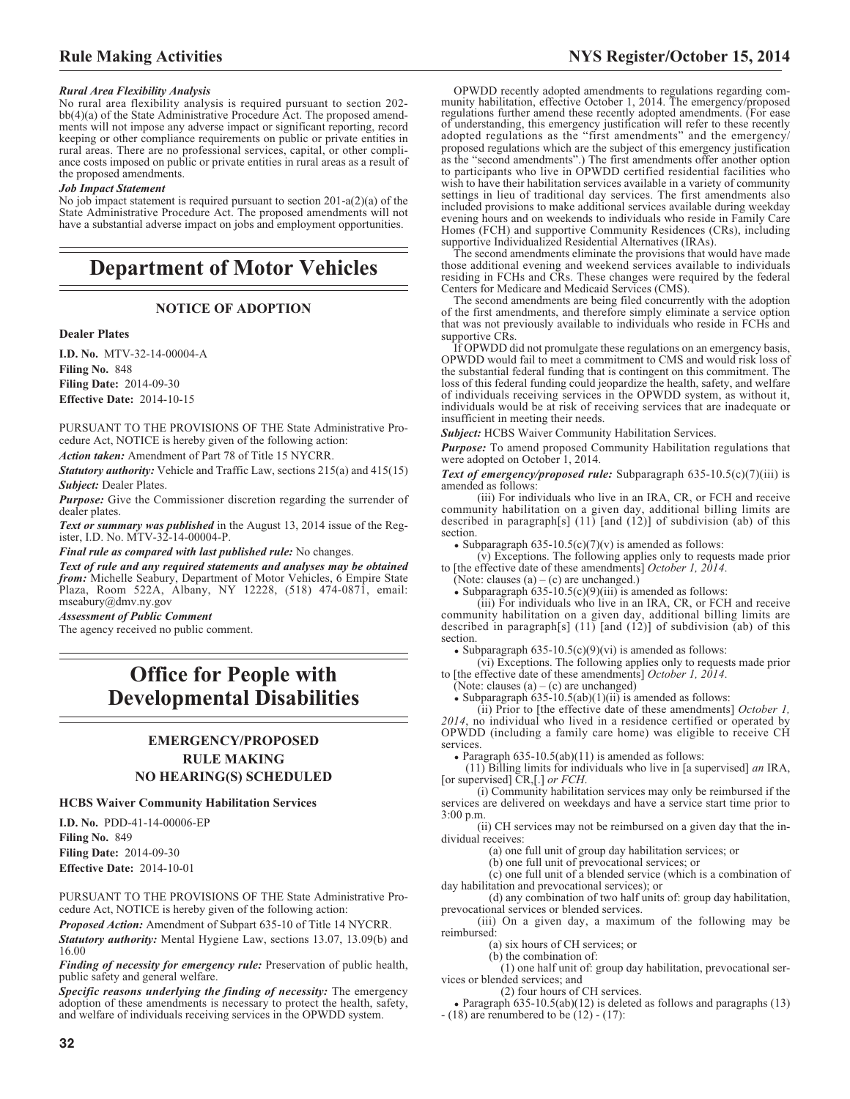#### *Rural Area Flexibility Analysis*

No rural area flexibility analysis is required pursuant to section 202 bb(4)(a) of the State Administrative Procedure Act. The proposed amendments will not impose any adverse impact or significant reporting, record keeping or other compliance requirements on public or private entities in rural areas. There are no professional services, capital, or other compliance costs imposed on public or private entities in rural areas as a result of the proposed amendments.

#### *Job Impact Statement*

No job impact statement is required pursuant to section 201-a(2)(a) of the State Administrative Procedure Act. The proposed amendments will not have a substantial adverse impact on jobs and employment opportunities.

# **Department of Motor Vehicles**

### **NOTICE OF ADOPTION**

#### **Dealer Plates**

**I.D. No.** MTV-32-14-00004-A **Filing No.** 848 **Filing Date:** 2014-09-30 **Effective Date:** 2014-10-15

PURSUANT TO THE PROVISIONS OF THE State Administrative Procedure Act, NOTICE is hereby given of the following action:

*Action taken:* Amendment of Part 78 of Title 15 NYCRR.

*Statutory authority:* Vehicle and Traffic Law, sections 215(a) and 415(15) *Subject:* Dealer Plates.

*Purpose:* Give the Commissioner discretion regarding the surrender of dealer plates.

*Text or summary was published* in the August 13, 2014 issue of the Register, I.D. No. MTV-32-14-00004-P.

*Final rule as compared with last published rule:* No changes.

*Text of rule and any required statements and analyses may be obtained from:* Michelle Seabury, Department of Motor Vehicles, 6 Empire State Plaza, Room 522A, Albany, NY 12228, (518) 474-0871, email: mseabury@dmv.ny.gov

*Assessment of Public Comment*

The agency received no public comment.

# **Office for People with Developmental Disabilities**

# **EMERGENCY/PROPOSED RULE MAKING NO HEARING(S) SCHEDULED**

### **HCBS Waiver Community Habilitation Services**

**I.D. No.** PDD-41-14-00006-EP **Filing No.** 849 **Filing Date:** 2014-09-30 **Effective Date:** 2014-10-01

PURSUANT TO THE PROVISIONS OF THE State Administrative Procedure Act, NOTICE is hereby given of the following action:

*Proposed Action:* Amendment of Subpart 635-10 of Title 14 NYCRR.

*Statutory authority:* Mental Hygiene Law, sections 13.07, 13.09(b) and 16.00

*Finding of necessity for emergency rule:* Preservation of public health, public safety and general welfare.

*Specific reasons underlying the finding of necessity:* The emergency adoption of these amendments is necessary to protect the health, safety, and welfare of individuals receiving services in the OPWDD system.

OPWDD recently adopted amendments to regulations regarding com-munity habilitation, effective October 1, 2014. The emergency/proposed regulations further amend these recently adopted amendments. (For ease of understanding, this emergency justification will refer to these recently adopted regulations as the "first amendments" and the emergency/ proposed regulations which are the subject of this emergency justification as the "second amendments".) The first amendments offer another option to participants who live in OPWDD certified residential facilities who wish to have their habilitation services available in a variety of community settings in lieu of traditional day services. The first amendments also included provisions to make additional services available during weekday evening hours and on weekends to individuals who reside in Family Care Homes (FCH) and supportive Community Residences (CRs), including supportive Individualized Residential Alternatives (IRAs).

The second amendments eliminate the provisions that would have made those additional evening and weekend services available to individuals residing in FCHs and CRs. These changes were required by the federal Centers for Medicare and Medicaid Services (CMS).

The second amendments are being filed concurrently with the adoption of the first amendments, and therefore simply eliminate a service option that was not previously available to individuals who reside in FCHs and supportive CRs.

If OPWDD did not promulgate these regulations on an emergency basis, OPWDD would fail to meet a commitment to CMS and would risk loss of the substantial federal funding that is contingent on this commitment. The loss of this federal funding could jeopardize the health, safety, and welfare of individuals receiving services in the OPWDD system, as without it, individuals would be at risk of receiving services that are inadequate or insufficient in meeting their needs.

*Subject:* HCBS Waiver Community Habilitation Services.

*Purpose:* To amend proposed Community Habilitation regulations that were adopted on October 1, 2014.

*Text of emergency/proposed rule:* Subparagraph 635-10.5(c)(7)(iii) is amended as follows:

(iii) For individuals who live in an IRA, CR, or FCH and receive community habilitation on a given day, additional billing limits are described in paragraph[s]  $(11)$  [and  $(12)$ ] of subdivision (ab) of this section.

• Subparagraph  $635-10.5(c)(7)(v)$  is amended as follows:

(v) Exceptions. The following applies only to requests made prior to [the effective date of these amendments] *October 1, 2014*.

(Note: clauses  $(a) - (c)$  are unchanged.)

• Subparagraph  $635-10.5(c)(9)(iii)$  is amended as follows:

(iii) For individuals who live in an IRA, CR, or FCH and receive community habilitation on a given day, additional billing limits are described in paragraph[s] (11) [and (12)] of subdivision (ab) of this section.

• Subparagraph  $635-10.5(c)(9)(vi)$  is amended as follows:

(vi) Exceptions. The following applies only to requests made prior to [the effective date of these amendments] *October 1, 2014*.

(Note: clauses  $(a) - (c)$  are unchanged)

 $\bullet$  Subparagraph 635-10.5(ab)(1)(ii) is amended as follows:

(ii) Prior to [the effective date of these amendments] *October 1, 2014*, no individual who lived in a residence certified or operated by OPWDD (including a family care home) was eligible to receive CH services.

 $\bullet$  Paragraph 635-10.5(ab)(11) is amended as follows:

(11) Billing limits for individuals who live in [a supervised] *an* IRA, [or supervised] CR,[.] *or FCH*.

(i) Community habilitation services may only be reimbursed if the services are delivered on weekdays and have a service start time prior to 3:00 p.m.

(ii) CH services may not be reimbursed on a given day that the individual receives:

(a) one full unit of group day habilitation services; or

(b) one full unit of prevocational services; or

(c) one full unit of a blended service (which is a combination of

day habilitation and prevocational services); or (d) any combination of two half units of: group day habilitation,

prevocational services or blended services. (iii) On a given day, a maximum of the following may be reimbursed:

(a) six hours of CH services; or

(b) the combination of:

(1) one half unit of: group day habilitation, prevocational services or blended services; and

(2) four hours of CH services.

• Paragraph  $635-10.5(ab)(12)$  is deleted as follows and paragraphs (13)  $- (18)$  are renumbered to be  $(12) - (17)$ :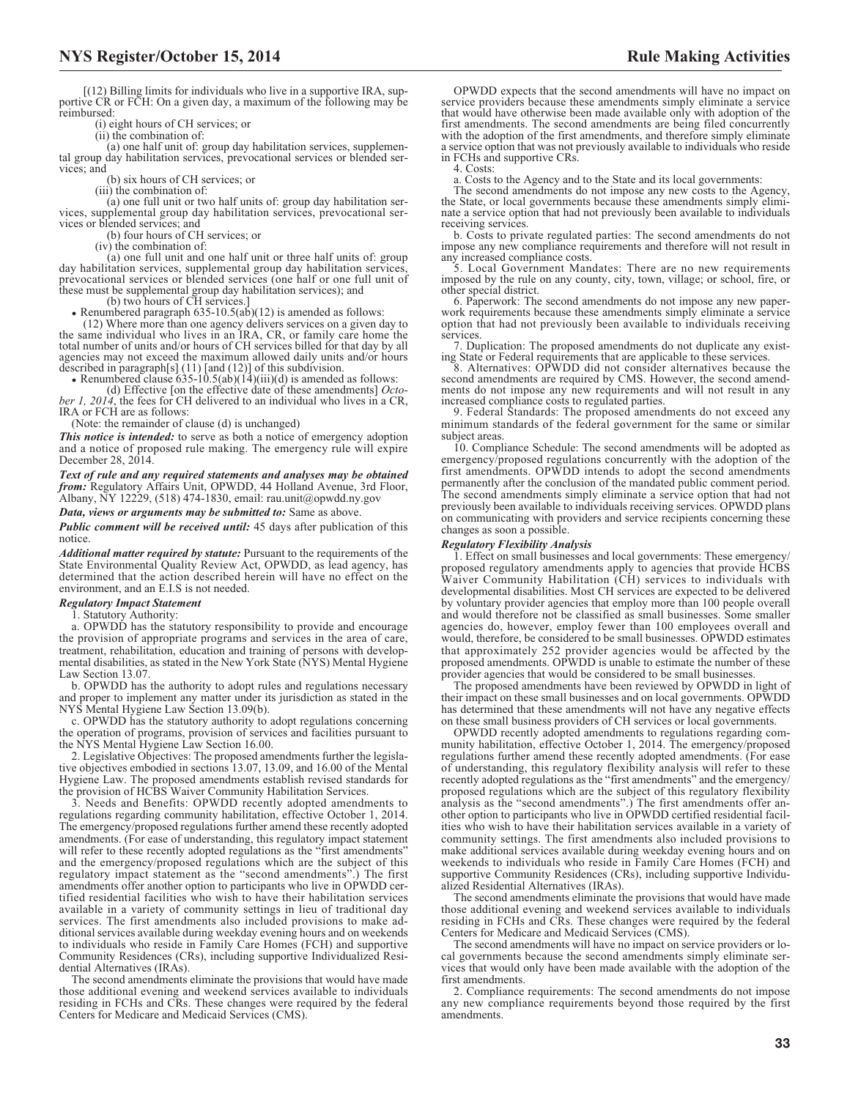(i) eight hours of CH services; or

(ii) the combination of:

(a) one half unit of: group day habilitation services, supplemental group day habilitation services, prevocational services or blended services; and

(b) six hours of CH services; or

(iii) the combination of:

(a) one full unit or two half units of: group day habilitation services, supplemental group day habilitation services, prevocational services or blended services; and

(b) four hours of CH services; or

 $(iv)$  the combination of:

(a) one full unit and one half unit or three half units of: group day habilitation services, supplemental group day habilitation services, prevocational services or blended services (one half or one full unit of these must be supplemental group day habilitation services); and<br>
(b) two hours of CH services.]<br>
• Renumbered paragraph 635-10.5(ab)(12) is amended as follows:

(12) Where more than one agency delivers services on a given day to the same individual who lives in an IRA, CR, or family care home the total number of units and/or hours of CH services billed for that day by all agencies may not exceed the maximum allowed daily units and/or hours described in paragraph[s] (11) [and (12)] of this subdivision.

• Renumbered clause  $\overline{635-10.5}$ (ab)( $\overline{14}$ )(iii)(d) is amended as follows:

(d) Effective [on the effective date of these amendments] *Octo-ber 1, 2014*, the fees for CH delivered to an individual who lives in a CR, IRA or FCH are as follows:

(Note: the remainder of clause (d) is unchanged)

*This notice is intended:* to serve as both a notice of emergency adoption and a notice of proposed rule making. The emergency rule will expire December 28, 2014.

*Text of rule and any required statements and analyses may be obtained from:* Regulatory Affairs Unit, OPWDD, 44 Holland Avenue, 3rd Floor, Albany, NY 12229, (518) 474-1830, email: [rau.unit@opwdd.ny.gov](mailto: rau.unit@opwdd.ny.gov)

*Data, views or arguments may be submitted to:* Same as above.

*Public comment will be received until:* 45 days after publication of this notice.

*Additional matter required by statute:* Pursuant to the requirements of the State Environmental Quality Review Act, OPWDD, as lead agency, has determined that the action described herein will have no effect on the environment, and an E.I.S is not needed.

#### *Regulatory Impact Statement*

1. Statutory Authority:

a. OPWDD has the statutory responsibility to provide and encourage the provision of appropriate programs and services in the area of care, treatment, rehabilitation, education and training of persons with developmental disabilities, as stated in the New York State (NYS) Mental Hygiene Law Section 13.07.

b. OPWDD has the authority to adopt rules and regulations necessary and proper to implement any matter under its jurisdiction as stated in the NYS Mental Hygiene Law Section 13.09(b).

c. OPWDD has the statutory authority to adopt regulations concerning the operation of programs, provision of services and facilities pursuant to the NYS Mental Hygiene Law Section 16.00.

2. Legislative Objectives: The proposed amendments further the legislative objectives embodied in sections 13.07, 13.09, and 16.00 of the Mental Hygiene Law. The proposed amendments establish revised standards for the provision of HCBS Waiver Community Habilitation Services.

3. Needs and Benefits: OPWDD recently adopted amendments to regulations regarding community habilitation, effective October 1, 2014. The emergency/proposed regulations further amend these recently adopted amendments. (For ease of understanding, this regulatory impact statement will refer to these recently adopted regulations as the "first amendments" and the emergency/proposed regulations which are the subject of this regulatory impact statement as the "second amendments".) The first amendments offer another option to participants who live in OPWDD certified residential facilities who wish to have their habilitation services available in a variety of community settings in lieu of traditional day services. The first amendments also included provisions to make additional services available during weekday evening hours and on weekends to individuals who reside in Family Care Homes (FCH) and supportive Community Residences (CRs), including supportive Individualized Residential Alternatives (IRAs).

The second amendments eliminate the provisions that would have made those additional evening and weekend services available to individuals residing in FCHs and CRs. These changes were required by the federal Centers for Medicare and Medicaid Services (CMS).

OPWDD expects that the second amendments will have no impact on service providers because these amendments simply eliminate a service that would have otherwise been made available only with adoption of the first amendments. The second amendments are being filed concurrently with the adoption of the first amendments, and therefore simply eliminate a service option that was not previously available to individuals who reside in FCHs and supportive CRs.

4. Costs:

a. Costs to the Agency and to the State and its local governments:

The second amendments do not impose any new costs to the Agency, the State, or local governments because these amendments simply eliminate a service option that had not previously been available to individuals receiving services.

b. Costs to private regulated parties: The second amendments do not impose any new compliance requirements and therefore will not result in

any increased compliance costs. 5. Local Government Mandates: There are no new requirements imposed by the rule on any county, city, town, village; or school, fire, or other special district.

6. Paperwork: The second amendments do not impose any new paperwork requirements because these amendments simply eliminate a service option that had not previously been available to individuals receiving services.

7. Duplication: The proposed amendments do not duplicate any existing State or Federal requirements that are applicable to these services. 8. Alternatives: OPWDD did not consider alternatives because the

second amendments are required by CMS. However, the second amendments do not impose any new requirements and will not result in any increased compliance costs to regulated parties.

9. Federal Standards: The proposed amendments do not exceed any minimum standards of the federal government for the same or similar subject areas.

10. Compliance Schedule: The second amendments will be adopted as emergency/proposed regulations concurrently with the adoption of the first amendments. OPWDD intends to adopt the second amendments permanently after the conclusion of the mandated public comment period. The second amendments simply eliminate a service option that had not previously been available to individuals receiving services. OPWDD plans on communicating with providers and service recipients concerning these changes as soon a possible.

#### *Regulatory Flexibility Analysis*

1. Effect on small businesses and local governments: These emergency/ proposed regulatory amendments apply to agencies that provide HCBS Waiver Community Habilitation (CH) services to individuals with developmental disabilities. Most CH services are expected to be delivered by voluntary provider agencies that employ more than 100 people overall and would therefore not be classified as small businesses. Some smaller agencies do, however, employ fewer than 100 employees overall and would, therefore, be considered to be small businesses. OPWDD estimates that approximately 252 provider agencies would be affected by the proposed amendments. OPWDD is unable to estimate the number of these provider agencies that would be considered to be small businesses.

The proposed amendments have been reviewed by OPWDD in light of their impact on these small businesses and on local governments. OPWDD has determined that these amendments will not have any negative effects on these small business providers of CH services or local governments.

OPWDD recently adopted amendments to regulations regarding community habilitation, effective October 1, 2014. The emergency/proposed regulations further amend these recently adopted amendments. (For ease of understanding, this regulatory flexibility analysis will refer to these recently adopted regulations as the "first amendments" and the emergency/ proposed regulations which are the subject of this regulatory flexibility analysis as the "second amendments".) The first amendments offer another option to participants who live in OPWDD certified residential facilities who wish to have their habilitation services available in a variety of community settings. The first amendments also included provisions to make additional services available during weekday evening hours and on weekends to individuals who reside in Family Care Homes (FCH) and supportive Community Residences (CRs), including supportive Individualized Residential Alternatives (IRAs).

The second amendments eliminate the provisions that would have made those additional evening and weekend services available to individuals residing in FCHs and CRs. These changes were required by the federal Centers for Medicare and Medicaid Services (CMS).

The second amendments will have no impact on service providers or local governments because the second amendments simply eliminate services that would only have been made available with the adoption of the first amendments.

2. Compliance requirements: The second amendments do not impose any new compliance requirements beyond those required by the first amendments.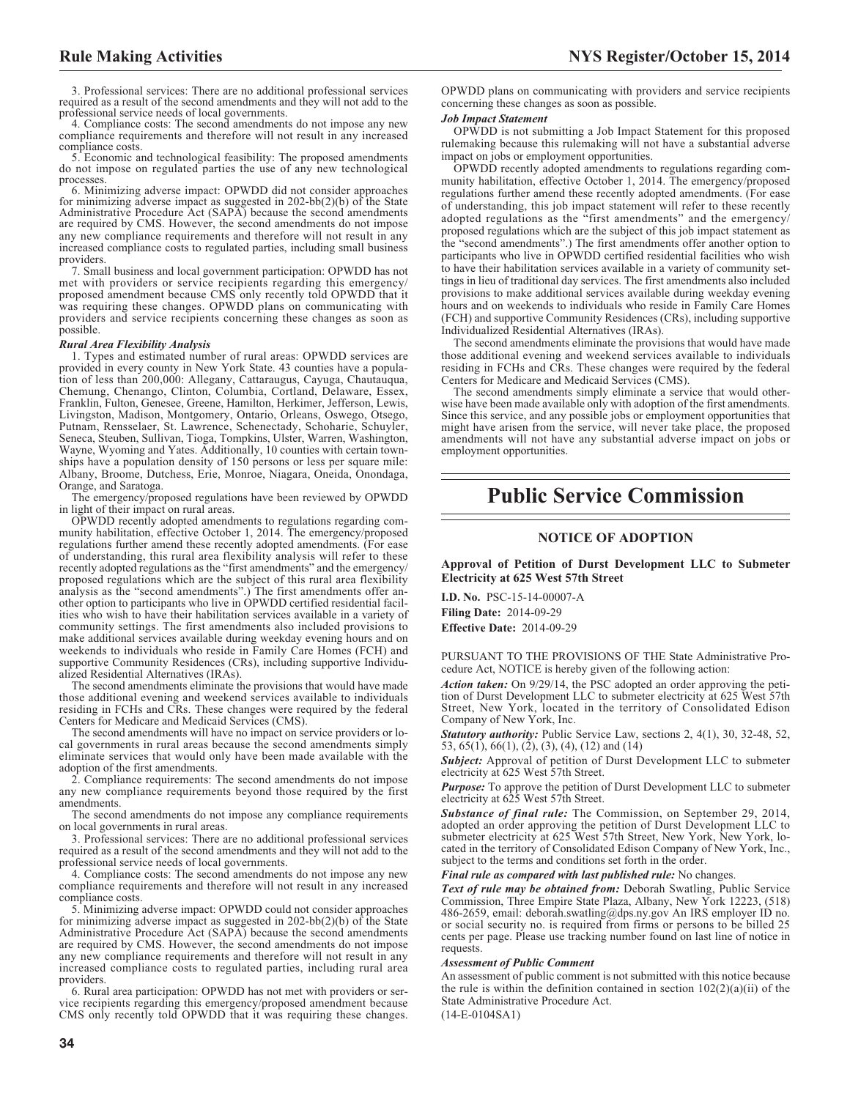3. Professional services: There are no additional professional services required as a result of the second amendments and they will not add to the professional service needs of local governments.

4. Compliance costs: The second amendments do not impose any new compliance requirements and therefore will not result in any increased compliance costs.

5. Economic and technological feasibility: The proposed amendments do not impose on regulated parties the use of any new technological processes.

6. Minimizing adverse impact: OPWDD did not consider approaches for minimizing adverse impact as suggested in 202-bb(2)(b) of the State Administrative Procedure Act (SAPA) because the second amendments are required by CMS. However, the second amendments do not impose any new compliance requirements and therefore will not result in any increased compliance costs to regulated parties, including small business providers.

7. Small business and local government participation: OPWDD has not met with providers or service recipients regarding this emergency/ proposed amendment because CMS only recently told OPWDD that it was requiring these changes. OPWDD plans on communicating with providers and service recipients concerning these changes as soon as possible.

#### *Rural Area Flexibility Analysis*

1. Types and estimated number of rural areas: OPWDD services are provided in every county in New York State. 43 counties have a population of less than 200,000: Allegany, Cattaraugus, Cayuga, Chautauqua, Chemung, Chenango, Clinton, Columbia, Cortland, Delaware, Essex, Franklin, Fulton, Genesee, Greene, Hamilton, Herkimer, Jefferson, Lewis, Livingston, Madison, Montgomery, Ontario, Orleans, Oswego, Otsego, Putnam, Rensselaer, St. Lawrence, Schenectady, Schoharie, Schuyler, Seneca, Steuben, Sullivan, Tioga, Tompkins, Ulster, Warren, Washington, Wayne, Wyoming and Yates. Additionally, 10 counties with certain townships have a population density of 150 persons or less per square mile: Albany, Broome, Dutchess, Erie, Monroe, Niagara, Oneida, Onondaga, Orange, and Saratoga.

The emergency/proposed regulations have been reviewed by OPWDD in light of their impact on rural areas.

OPWDD recently adopted amendments to regulations regarding community habilitation, effective October 1, 2014. The emergency/proposed regulations further amend these recently adopted amendments. (For ease of understanding, this rural area flexibility analysis will refer to these recently adopted regulations as the "first amendments" and the emergency/ proposed regulations which are the subject of this rural area flexibility analysis as the "second amendments".) The first amendments offer another option to participants who live in OPWDD certified residential facilities who wish to have their habilitation services available in a variety of community settings. The first amendments also included provisions to make additional services available during weekday evening hours and on weekends to individuals who reside in Family Care Homes (FCH) and supportive Community Residences (CRs), including supportive Individualized Residential Alternatives (IRAs).

The second amendments eliminate the provisions that would have made those additional evening and weekend services available to individuals residing in FCHs and CRs. These changes were required by the federal Centers for Medicare and Medicaid Services (CMS).

The second amendments will have no impact on service providers or local governments in rural areas because the second amendments simply eliminate services that would only have been made available with the adoption of the first amendments.

2. Compliance requirements: The second amendments do not impose any new compliance requirements beyond those required by the first amendments.

The second amendments do not impose any compliance requirements on local governments in rural areas.

3. Professional services: There are no additional professional services required as a result of the second amendments and they will not add to the professional service needs of local governments.

4. Compliance costs: The second amendments do not impose any new compliance requirements and therefore will not result in any increased compliance costs.

5. Minimizing adverse impact: OPWDD could not consider approaches for minimizing adverse impact as suggested in 202-bb(2)(b) of the State Administrative Procedure Act (SAPA) because the second amendments are required by CMS. However, the second amendments do not impose any new compliance requirements and therefore will not result in any increased compliance costs to regulated parties, including rural area providers.

6. Rural area participation: OPWDD has not met with providers or service recipients regarding this emergency/proposed amendment because CMS only recently told OPWDD that it was requiring these changes.

OPWDD plans on communicating with providers and service recipients concerning these changes as soon as possible.

#### *Job Impact Statement*

OPWDD is not submitting a Job Impact Statement for this proposed rulemaking because this rulemaking will not have a substantial adverse impact on jobs or employment opportunities.

OPWDD recently adopted amendments to regulations regarding community habilitation, effective October 1, 2014. The emergency/proposed regulations further amend these recently adopted amendments. (For ease of understanding, this job impact statement will refer to these recently adopted regulations as the "first amendments" and the emergency/ proposed regulations which are the subject of this job impact statement as the "second amendments".) The first amendments offer another option to participants who live in OPWDD certified residential facilities who wish to have their habilitation services available in a variety of community settings in lieu of traditional day services. The first amendments also included provisions to make additional services available during weekday evening hours and on weekends to individuals who reside in Family Care Homes (FCH) and supportive Community Residences (CRs), including supportive Individualized Residential Alternatives (IRAs).

The second amendments eliminate the provisions that would have made those additional evening and weekend services available to individuals residing in FCHs and CRs. These changes were required by the federal Centers for Medicare and Medicaid Services (CMS).

The second amendments simply eliminate a service that would otherwise have been made available only with adoption of the first amendments. Since this service, and any possible jobs or employment opportunities that might have arisen from the service, will never take place, the proposed amendments will not have any substantial adverse impact on jobs or employment opportunities.

# **Public Service Commission**

### **NOTICE OF ADOPTION**

**Approval of Petition of Durst Development LLC to Submeter Electricity at 625 West 57th Street**

**I.D. No.** PSC-15-14-00007-A **Filing Date:** 2014-09-29 **Effective Date:** 2014-09-29

PURSUANT TO THE PROVISIONS OF THE State Administrative Procedure Act, NOTICE is hereby given of the following action:

*Action taken:* On 9/29/14, the PSC adopted an order approving the petition of Durst Development LLC to submeter electricity at 625 West 57th Street, New York, located in the territory of Consolidated Edison Company of New York, Inc.

*Statutory authority:* Public Service Law, sections 2, 4(1), 30, 32-48, 52, 53, 65(1), 66(1), (2), (3), (4), (12) and (14)

*Subject:* Approval of petition of Durst Development LLC to submeter electricity at 625 West 57th Street.

*Purpose:* To approve the petition of Durst Development LLC to submeter electricity at 625 West 57th Street.

*Substance of final rule:* The Commission, on September 29, 2014, adopted an order approving the petition of Durst Development LLC to submeter electricity at 625 West 57th Street, New York, New York, located in the territory of Consolidated Edison Company of New York, Inc., subject to the terms and conditions set forth in the order.

*Final rule as compared with last published rule:* No changes.

*Text of rule may be obtained from:* Deborah Swatling, Public Service Commission, Three Empire State Plaza, Albany, New York 12223, (518) 486-2659, email: deborah.swatling@dps.ny.gov An IRS employer ID no. or social security no. is required from firms or persons to be billed 25 cents per page. Please use tracking number found on last line of notice in requests.

#### *Assessment of Public Comment*

An assessment of public comment is not submitted with this notice because the rule is within the definition contained in section  $102(2)(a)(ii)$  of the State Administrative Procedure Act.

(14-E-0104SA1)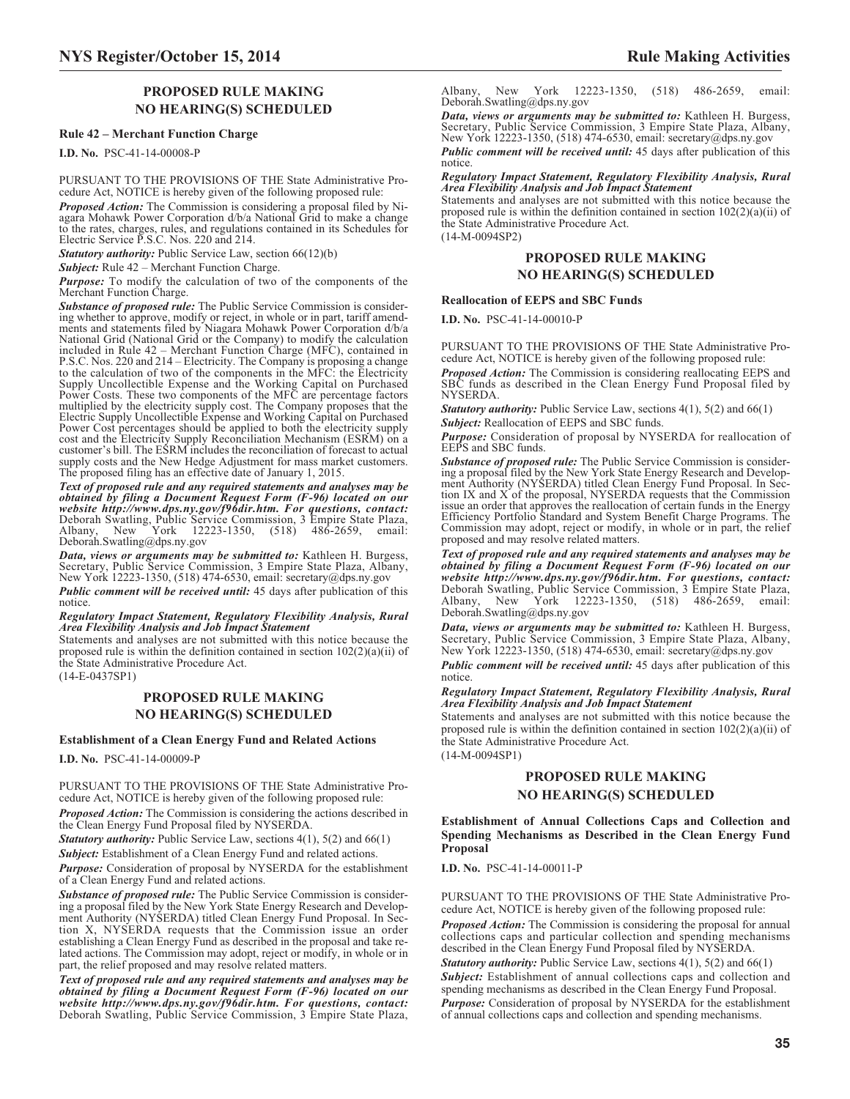# **PROPOSED RULE MAKING NO HEARING(S) SCHEDULED**

### **Rule 42 – Merchant Function Charge**

**I.D. No.** PSC-41-14-00008-P

PURSUANT TO THE PROVISIONS OF THE State Administrative Procedure Act, NOTICE is hereby given of the following proposed rule:

*Proposed Action:* The Commission is considering a proposal filed by Ni-agara Mohawk Power Corporation d/b/a National Grid to make a change to the rates, charges, rules, and regulations contained in its Schedules for Electric Service P.S.C. Nos. 220 and 214.

*Statutory authority:* Public Service Law, section 66(12)(b)

*Subject:* Rule 42 – Merchant Function Charge.

*Purpose:* To modify the calculation of two of the components of the Merchant Function Charge.

*Substance of proposed rule:* The Public Service Commission is considering whether to approve, modify or reject, in whole or in part, tariff amend-ments and statements filed by Niagara Mohawk Power Corporation d/b/a National Grid (National Grid or the Company) to modify the calculation included in Rule 42 – Merchant Function Charge (MFC), contained in P.S.C. Nos. 220 and 214 – Electricity. The Company is proposing a change to the calculation of two of the components in the MFC: the Electricity Supply Uncollectible Expense and the Working Capital on Purchased Power Costs. These two components of the MFC are percentage factors multiplied by the electricity supply cost. The Company proposes that the Electric Supply Uncollectible Expense and Working Capital on Purchased Power Cost percentages should be applied to both the electricity supply cost and the Electricity Supply Reconciliation Mechanism (ESRM) on a customer's bill. The ESRM includes the reconciliation of forecast to actual supply costs and the New Hedge Adjustment for mass market customers. The proposed filing has an effective date of January 1, 2015.

*Text of proposed rule and any required statements and analyses may be obtained by filing a Document Request Form (F-96) located on our website http://www.dps.ny.gov/f96dir.htm. For questions, contact:* Deborah Swatling, Public Service Commission, 3 Empire State Plaza, Albany, New York 12223-1350, (518) 486-2659, email: Deborah.Swatling@dps.ny.gov

*Data, views or arguments may be submitted to:* Kathleen H. Burgess, Secretary, Public Service Commission, 3 Empire State Plaza, Albany, New York 12223-1350, (518) 474-6530, email: [secretary@dps.ny.gov](mailto: secretary@dps.ny.gov)

*Public comment will be received until:* 45 days after publication of this notice.

*Regulatory Impact Statement, Regulatory Flexibility Analysis, Rural Area Flexibility Analysis and Job Impact Statement*

Statements and analyses are not submitted with this notice because the proposed rule is within the definition contained in section  $102(2)(a)(ii)$  of the State Administrative Procedure Act.

(14-E-0437SP1)

# **PROPOSED RULE MAKING NO HEARING(S) SCHEDULED**

#### **Establishment of a Clean Energy Fund and Related Actions**

**I.D. No.** PSC-41-14-00009-P

PURSUANT TO THE PROVISIONS OF THE State Administrative Procedure Act, NOTICE is hereby given of the following proposed rule:

*Proposed Action:* The Commission is considering the actions described in the Clean Energy Fund Proposal filed by NYSERDA.

*Statutory authority:* Public Service Law, sections 4(1), 5(2) and 66(1)

*Subject:* Establishment of a Clean Energy Fund and related actions.

*Purpose:* Consideration of proposal by NYSERDA for the establishment of a Clean Energy Fund and related actions.

*Substance of proposed rule:* The Public Service Commission is considering a proposal filed by the New York State Energy Research and Development Authority (NYSERDA) titled Clean Energy Fund Proposal. In Section X, NYSERDA requests that the Commission issue an order establishing a Clean Energy Fund as described in the proposal and take related actions. The Commission may adopt, reject or modify, in whole or in part, the relief proposed and may resolve related matters.

*Text of proposed rule and any required statements and analyses may be obtained by filing a Document Request Form (F-96) located on our website http://www.dps.ny.gov/f96dir.htm. For questions, contact:* Deborah Swatling, Public Service Commission, 3 Empire State Plaza,

Albany, New York 12223-1350, (518) 486-2659, email: Deborah.Swatling@dps.ny.gov

*Data, views or arguments may be submitted to:* Kathleen H. Burgess, Secretary, Public Service Commission, 3 Empire State Plaza, Albany, New York 12223-1350, (518) 474-6530, email: [secretary@dps.ny.gov](mailto: secretary@dps.ny.gov)

*Public comment will be received until:* 45 days after publication of this notice.

# *Regulatory Impact Statement, Regulatory Flexibility Analysis, Rural Area Flexibility Analysis and Job Impact Statement*

Statements and analyses are not submitted with this notice because the proposed rule is within the definition contained in section 102(2)(a)(ii) of the State Administrative Procedure Act. (14-M-0094SP2)

# **PROPOSED RULE MAKING NO HEARING(S) SCHEDULED**

#### **Reallocation of EEPS and SBC Funds**

**I.D. No.** PSC-41-14-00010-P

PURSUANT TO THE PROVISIONS OF THE State Administrative Procedure Act, NOTICE is hereby given of the following proposed rule:

*Proposed Action:* The Commission is considering reallocating EEPS and SBC funds as described in the Clean Energy Fund Proposal filed by NYSERDA.

*Statutory authority:* Public Service Law, sections 4(1), 5(2) and 66(1) *Subject:* Reallocation of EEPS and SBC funds.

*Purpose:* Consideration of proposal by NYSERDA for reallocation of EEPS and SBC funds.

*Substance of proposed rule:* The Public Service Commission is considering a proposal filed by the New York State Energy Research and Develop-ment Authority (NYSERDA) titled Clean Energy Fund Proposal. In Section IX and X of the proposal, NYSERDA requests that the Commission issue an order that approves the reallocation of certain funds in the Energy Efficiency Portfolio Standard and System Benefit Charge Programs. The Commission may adopt, reject or modify, in whole or in part, the relief proposed and may resolve related matters.

*Text of proposed rule and any required statements and analyses may be obtained by filing a Document Request Form (F-96) located on our website http://www.dps.ny.gov/f96dir.htm. For questions, contact:* Deborah Swatling, Public Service Commission, 3 Empire State Plaza, York 12223-1350, (518) 486-2659, email: Deborah.Swatling@dps.ny.gov

*Data, views or arguments may be submitted to:* Kathleen H. Burgess, Secretary, Public Service Commission, 3 Empire State Plaza, Albany, New York 12223-1350, (518) 474-6530, email: [secretary@dps.ny.gov](mailto: secretary@dps.ny.gov)

*Public comment will be received until:* 45 days after publication of this notice.

#### *Regulatory Impact Statement, Regulatory Flexibility Analysis, Rural Area Flexibility Analysis and Job Impact Statement*

Statements and analyses are not submitted with this notice because the proposed rule is within the definition contained in section 102(2)(a)(ii) of the State Administrative Procedure Act.

# (14-M-0094SP1)

# **PROPOSED RULE MAKING NO HEARING(S) SCHEDULED**

#### **Establishment of Annual Collections Caps and Collection and Spending Mechanisms as Described in the Clean Energy Fund Proposal**

**I.D. No.** PSC-41-14-00011-P

PURSUANT TO THE PROVISIONS OF THE State Administrative Procedure Act, NOTICE is hereby given of the following proposed rule:

*Proposed Action:* The Commission is considering the proposal for annual collections caps and particular collection and spending mechanisms described in the Clean Energy Fund Proposal filed by NYSERDA.

*Statutory authority:* Public Service Law, sections 4(1), 5(2) and 66(1) *Subject:* Establishment of annual collections caps and collection and spending mechanisms as described in the Clean Energy Fund Proposal. *Purpose:* Consideration of proposal by NYSERDA for the establishment of annual collections caps and collection and spending mechanisms.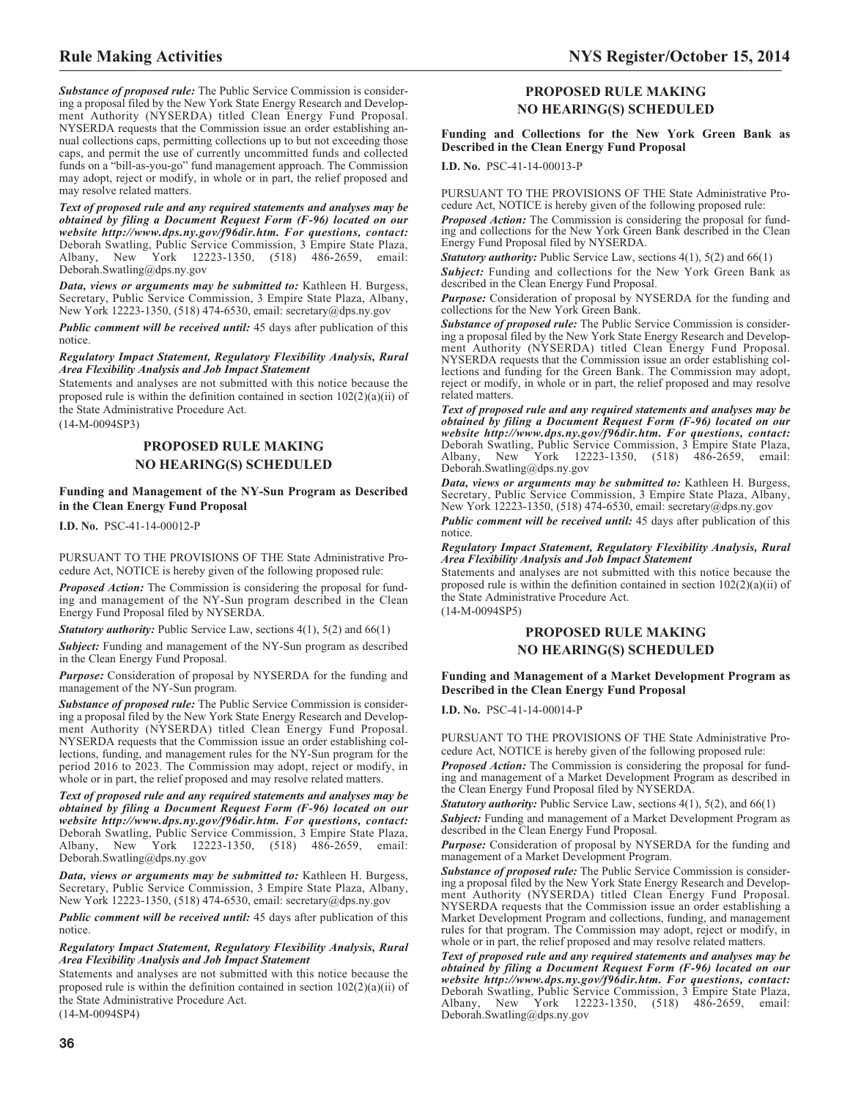*Substance of proposed rule:* The Public Service Commission is considering a proposal filed by the New York State Energy Research and Development Authority (NYSERDA) titled Clean Energy Fund Proposal. NYSERDA requests that the Commission issue an order establishing annual collections caps, permitting collections up to but not exceeding those caps, and permit the use of currently uncommitted funds and collected funds on a "bill-as-you-go" fund management approach. The Commission may adopt, reject or modify, in whole or in part, the relief proposed and may resolve related matters.

*Text of proposed rule and any required statements and analyses may be obtained by filing a Document Request Form (F-96) located on our website http://www.dps.ny.gov/f96dir.htm. For questions, contact:* Deborah Swatling, Public Service Commission, 3 Empire State Plaza, York 12223-1350, (518) 486-2659, email: Deborah.Swatling@dps.ny.gov

*Data, views or arguments may be submitted to:* Kathleen H. Burgess, Secretary, Public Service Commission, 3 Empire State Plaza, Albany, New York 12223-1350, (518) 474-6530, email: [secretary@dps.ny.gov](mailto: secretary@dps.ny.gov)

*Public comment will be received until:* 45 days after publication of this notice.

*Regulatory Impact Statement, Regulatory Flexibility Analysis, Rural Area Flexibility Analysis and Job Impact Statement*

Statements and analyses are not submitted with this notice because the proposed rule is within the definition contained in section 102(2)(a)(ii) of the State Administrative Procedure Act.

# (14-M-0094SP3)

# **PROPOSED RULE MAKING NO HEARING(S) SCHEDULED**

**Funding and Management of the NY-Sun Program as Described in the Clean Energy Fund Proposal**

**I.D. No.** PSC-41-14-00012-P

PURSUANT TO THE PROVISIONS OF THE State Administrative Procedure Act, NOTICE is hereby given of the following proposed rule:

*Proposed Action:* The Commission is considering the proposal for funding and management of the NY-Sun program described in the Clean Energy Fund Proposal filed by NYSERDA.

*Statutory authority:* Public Service Law, sections 4(1), 5(2) and 66(1)

*Subject:* Funding and management of the NY-Sun program as described in the Clean Energy Fund Proposal.

*Purpose:* Consideration of proposal by NYSERDA for the funding and management of the NY-Sun program.

*Substance of proposed rule:* The Public Service Commission is considering a proposal filed by the New York State Energy Research and Development Authority (NYSERDA) titled Clean Energy Fund Proposal. NYSERDA requests that the Commission issue an order establishing collections, funding, and management rules for the NY-Sun program for the period 2016 to 2023. The Commission may adopt, reject or modify, in whole or in part, the relief proposed and may resolve related matters.

*Text of proposed rule and any required statements and analyses may be obtained by filing a Document Request Form (F-96) located on our website http://www.dps.ny.gov/f96dir.htm. For questions, contact:* Deborah Swatling, Public Service Commission, 3 Empire State Plaza, York 12223-1350, (518) 486-2659, email: Deborah.Swatling@dps.ny.gov

*Data, views or arguments may be submitted to:* Kathleen H. Burgess, Secretary, Public Service Commission, 3 Empire State Plaza, Albany, New York 12223-1350, (518) 474-6530, email: [secretary@dps.ny.gov](mailto: secretary@dps.ny.gov)

*Public comment will be received until:* 45 days after publication of this notice.

*Regulatory Impact Statement, Regulatory Flexibility Analysis, Rural Area Flexibility Analysis and Job Impact Statement*

Statements and analyses are not submitted with this notice because the proposed rule is within the definition contained in section  $102(2)(a)(ii)$  of the State Administrative Procedure Act.

(14-M-0094SP4)

# **PROPOSED RULE MAKING NO HEARING(S) SCHEDULED**

**Funding and Collections for the New York Green Bank as Described in the Clean Energy Fund Proposal**

**I.D. No.** PSC-41-14-00013-P

PURSUANT TO THE PROVISIONS OF THE State Administrative Procedure Act, NOTICE is hereby given of the following proposed rule:

*Proposed Action:* The Commission is considering the proposal for funding and collections for the New York Green Bank described in the Clean Energy Fund Proposal filed by NYSERDA.

*Statutory authority:* Public Service Law, sections 4(1), 5(2) and 66(1)

*Subject:* Funding and collections for the New York Green Bank as described in the Clean Energy Fund Proposal.

*Purpose:* Consideration of proposal by NYSERDA for the funding and collections for the New York Green Bank.

*Substance of proposed rule:* The Public Service Commission is considering a proposal filed by the New York State Energy Research and Development Authority (NYSERDA) titled Clean Energy Fund Proposal. NYSERDA requests that the Commission issue an order establishing collections and funding for the Green Bank. The Commission may adopt, reject or modify, in whole or in part, the relief proposed and may resolve related matters.

*Text of proposed rule and any required statements and analyses may be obtained by filing a Document Request Form (F-96) located on our website http://www.dps.ny.gov/f96dir.htm. For questions, contact:* Deborah Swatling, Public Service Commission, 3 Empire State Plaza, Albany, New York 12223-1350, (518) 486-2659, email: Deborah.Swatling@dps.ny.gov

*Data, views or arguments may be submitted to:* Kathleen H. Burgess, Secretary, Public Service Commission, 3 Empire State Plaza, Albany, New York 12223-1350, (518) 474-6530, email: [secretary@dps.ny.gov](mailto: secretary@dps.ny.gov)

*Public comment will be received until:* 45 days after publication of this notice.

*Regulatory Impact Statement, Regulatory Flexibility Analysis, Rural Area Flexibility Analysis and Job Impact Statement*

Statements and analyses are not submitted with this notice because the proposed rule is within the definition contained in section  $102(2)(a)(ii)$  of the State Administrative Procedure Act.

(14-M-0094SP5)

# **PROPOSED RULE MAKING NO HEARING(S) SCHEDULED**

#### **Funding and Management of a Market Development Program as Described in the Clean Energy Fund Proposal**

**I.D. No.** PSC-41-14-00014-P

PURSUANT TO THE PROVISIONS OF THE State Administrative Procedure Act, NOTICE is hereby given of the following proposed rule:

*Proposed Action:* The Commission is considering the proposal for funding and management of a Market Development Program as described in the Clean Energy Fund Proposal filed by NYSERDA.

*Statutory authority:* Public Service Law, sections 4(1), 5(2), and 66(1)

*Subject:* Funding and management of a Market Development Program as described in the Clean Energy Fund Proposal.

*Purpose:* Consideration of proposal by NYSERDA for the funding and management of a Market Development Program.

*Substance of proposed rule:* The Public Service Commission is considering a proposal filed by the New York State Energy Research and Development Authority (NYSERDA) titled Clean Energy Fund Proposal. NYSERDA requests that the Commission issue an order establishing a Market Development Program and collections, funding, and management rules for that program. The Commission may adopt, reject or modify, in whole or in part, the relief proposed and may resolve related matters.

*Text of proposed rule and any required statements and analyses may be obtained by filing a Document Request Form (F-96) located on our website http://www.dps.ny.gov/f96dir.htm. For questions, contact:* Deborah Swatling, Public Service Commission, 3 Empire State Plaza, Albany, New York 12223-1350, (518) 486-2659, email: Albany, New York 122<br>Deborah.Swatling@dps.ny.gov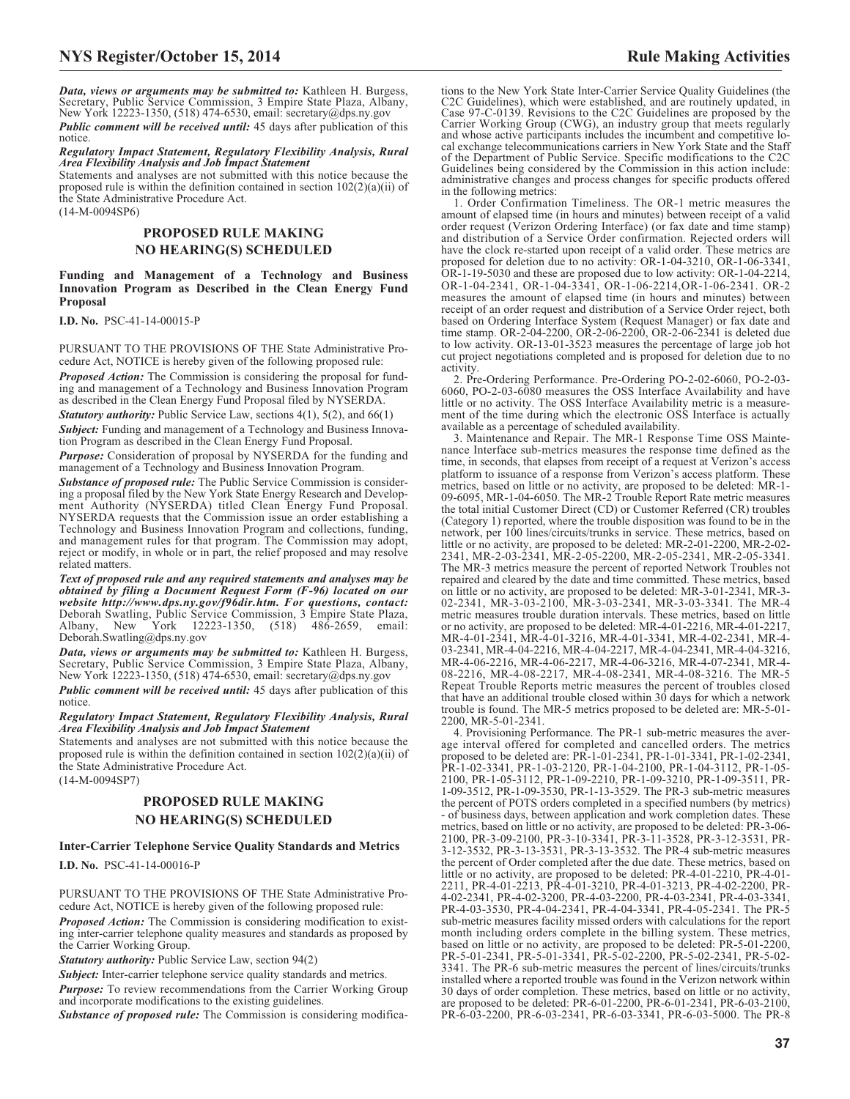*Data, views or arguments may be submitted to:* Kathleen H. Burgess, Secretary, Public Service Commission, 3 Empire State Plaza, Albany, New York 12223-1350, (518) 474-6530, email: [secretary@dps.ny.gov](mailto:secretary@dps.ny.gov)

*Public comment will be received until:* 45 days after publication of this notice.

*Regulatory Impact Statement, Regulatory Flexibility Analysis, Rural Area Flexibility Analysis and Job Impact Statement*

Statements and analyses are not submitted with this notice because the proposed rule is within the definition contained in section 102(2)(a)(ii) of the State Administrative Procedure Act. (14-M-0094SP6)

# **PROPOSED RULE MAKING NO HEARING(S) SCHEDULED**

#### **Funding and Management of a Technology and Business Innovation Program as Described in the Clean Energy Fund Proposal**

**I.D. No.** PSC-41-14-00015-P

PURSUANT TO THE PROVISIONS OF THE State Administrative Procedure Act, NOTICE is hereby given of the following proposed rule:

*Proposed Action:* The Commission is considering the proposal for funding and management of a Technology and Business Innovation Program as described in the Clean Energy Fund Proposal filed by NYSERDA.

*Statutory authority:* Public Service Law, sections 4(1), 5(2), and 66(1) **Subject:** Funding and management of a Technology and Business Innovation Program as described in the Clean Energy Fund Proposal.

*Purpose:* Consideration of proposal by NYSERDA for the funding and management of a Technology and Business Innovation Program.

*Substance of proposed rule:* The Public Service Commission is considering a proposal filed by the New York State Energy Research and Development Authority (NYSERDA) titled Clean Energy Fund Proposal. NYSERDA requests that the Commission issue an order establishing a Technology and Business Innovation Program and collections, funding, and management rules for that program. The Commission may adopt, reject or modify, in whole or in part, the relief proposed and may resolve related matters.

*Text of proposed rule and any required statements and analyses may be obtained by filing a Document Request Form (F-96) located on our website http://www.dps.ny.gov/f96dir.htm. For questions, contact:* Deborah Swatling, Public Service Commission, 3 Empire State Plaza, York 12223-1350, (518) 486-2659, email: Deborah.Swatling@dps.ny.gov

*Data, views or arguments may be submitted to:* Kathleen H. Burgess, Secretary, Public Service Commission, 3 Empire State Plaza, Albany, New York 12223-1350, (518) 474-6530, email: [secretary@dps.ny.gov](mailto:secretary@dps.ny.gov)

*Public comment will be received until:* 45 days after publication of this notice

*Regulatory Impact Statement, Regulatory Flexibility Analysis, Rural Area Flexibility Analysis and Job Impact Statement*

Statements and analyses are not submitted with this notice because the proposed rule is within the definition contained in section 102(2)(a)(ii) of the State Administrative Procedure Act.

(14-M-0094SP7)

# **PROPOSED RULE MAKING NO HEARING(S) SCHEDULED**

# **Inter-Carrier Telephone Service Quality Standards and Metrics**

**I.D. No.** PSC-41-14-00016-P

PURSUANT TO THE PROVISIONS OF THE State Administrative Procedure Act, NOTICE is hereby given of the following proposed rule:

*Proposed Action:* The Commission is considering modification to existing inter-carrier telephone quality measures and standards as proposed by the Carrier Working Group.

*Statutory authority:* Public Service Law, section 94(2)

**Subject:** Inter-carrier telephone service quality standards and metrics. *Purpose:* To review recommendations from the Carrier Working Group and incorporate modifications to the existing guidelines.

*Substance of proposed rule:* The Commission is considering modifica-

tions to the New York State Inter-Carrier Service Quality Guidelines (the C2C Guidelines), which were established, and are routinely updated, in Case 97-C-0139. Revisions to the C2C Guidelines are proposed by the Carrier Working Group (CWG), an industry group that meets regularly and whose active participants includes the incumbent and competitive local exchange telecommunications carriers in New York State and the Staff of the Department of Public Service. Specific modifications to the C2C Guidelines being considered by the Commission in this action include: administrative changes and process changes for specific products offered in the following metrics:

1. Order Confirmation Timeliness. The OR-1 metric measures the amount of elapsed time (in hours and minutes) between receipt of a valid order request (Verizon Ordering Interface) (or fax date and time stamp) and distribution of a Service Order confirmation. Rejected orders will have the clock re-started upon receipt of a valid order. These metrics are proposed for deletion due to no activity: OR-1-04-3210, OR-1-06-3341, OR-1-19-5030 and these are proposed due to low activity: OR-1-04-2214, OR-1-04-2341, OR-1-04-3341, OR-1-06-2214,OR-1-06-2341. OR-2 measures the amount of elapsed time (in hours and minutes) between receipt of an order request and distribution of a Service Order reject, both based on Ordering Interface System (Request Manager) or fax date and time stamp. OR-2-04-2200, OR-2-06-2200, OR-2-06-2341 is deleted due to low activity. OR-13-01-3523 measures the percentage of large job hot cut project negotiations completed and is proposed for deletion due to no activity.

2. Pre-Ordering Performance. Pre-Ordering PO-2-02-6060, PO-2-03- 6060, PO-2-03-6080 measures the OSS Interface Availability and have little or no activity. The OSS Interface Availability metric is a measurement of the time during which the electronic OSS Interface is actually available as a percentage of scheduled availability.

3. Maintenance and Repair. The MR-1 Response Time OSS Maintenance Interface sub-metrics measures the response time defined as the time, in seconds, that elapses from receipt of a request at Verizon's access platform to issuance of a response from Verizon's access platform. These metrics, based on little or no activity, are proposed to be deleted: MR-1- 09-6095, MR-1-04-6050. The MR-2 Trouble Report Rate metric measures the total initial Customer Direct (CD) or Customer Referred (CR) troubles (Category 1) reported, where the trouble disposition was found to be in the network, per 100 lines/circuits/trunks in service. These metrics, based on little or no activity, are proposed to be deleted: MR-2-01-2200, MR-2-02- 2341, MR-2-03-2341, MR-2-05-2200, MR-2-05-2341, MR-2-05-3341. The MR-3 metrics measure the percent of reported Network Troubles not repaired and cleared by the date and time committed. These metrics, based on little or no activity, are proposed to be deleted: MR-3-01-2341, MR-3- 02-2341, MR-3-03-2100, MR-3-03-2341, MR-3-03-3341. The MR-4 metric measures trouble duration intervals. These metrics, based on little or no activity, are proposed to be deleted: MR-4-01-2216, MR-4-01-2217, MR-4-01-2341, MR-4-01-3216, MR-4-01-3341, MR-4-02-2341, MR-4- 03-2341, MR-4-04-2216, MR-4-04-2217, MR-4-04-2341, MR-4-04-3216, MR-4-06-2216, MR-4-06-2217, MR-4-06-3216, MR-4-07-2341, MR-4- 08-2216, MR-4-08-2217, MR-4-08-2341, MR-4-08-3216. The MR-5 Repeat Trouble Reports metric measures the percent of troubles closed that have an additional trouble closed within 30 days for which a network trouble is found. The MR-5 metrics proposed to be deleted are: MR-5-01- 2200, MR-5-01-2341.

4. Provisioning Performance. The PR-1 sub-metric measures the average interval offered for completed and cancelled orders. The metrics proposed to be deleted are: PR-1-01-2341, PR-1-01-3341, PR-1-02-2341, PR-1-02-3341, PR-1-03-2120, PR-1-04-2100, PR-1-04-3112, PR-1-05- 2100, PR-1-05-3112, PR-1-09-2210, PR-1-09-3210, PR-1-09-3511, PR-1-09-3512, PR-1-09-3530, PR-1-13-3529. The PR-3 sub-metric measures the percent of POTS orders completed in a specified numbers (by metrics) - of business days, between application and work completion dates. These metrics, based on little or no activity, are proposed to be deleted: PR-3-06- 2100, PR-3-09-2100, PR-3-10-3341, PR-3-11-3528, PR-3-12-3531, PR-3-12-3532, PR-3-13-3531, PR-3-13-3532. The PR-4 sub-metric measures the percent of Order completed after the due date. These metrics, based on little or no activity, are proposed to be deleted: PR-4-01-2210, PR-4-01- 2211, PR-4-01-2213, PR-4-01-3210, PR-4-01-3213, PR-4-02-2200, PR-4-02-2341, PR-4-02-3200, PR-4-03-2200, PR-4-03-2341, PR-4-03-3341, PR-4-03-3530, PR-4-04-2341, PR-4-04-3341, PR-4-05-2341. The PR-5 sub-metric measures facility missed orders with calculations for the report month including orders complete in the billing system. These metrics, based on little or no activity, are proposed to be deleted: PR-5-01-2200, PR-5-01-2341, PR-5-01-3341, PR-5-02-2200, PR-5-02-2341, PR-5-02- 3341. The PR-6 sub-metric measures the percent of lines/circuits/trunks installed where a reported trouble was found in the Verizon network within 30 days of order completion. These metrics, based on little or no activity, are proposed to be deleted: PR-6-01-2200, PR-6-01-2341, PR-6-03-2100, PR-6-03-2200, PR-6-03-2341, PR-6-03-3341, PR-6-03-5000. The PR-8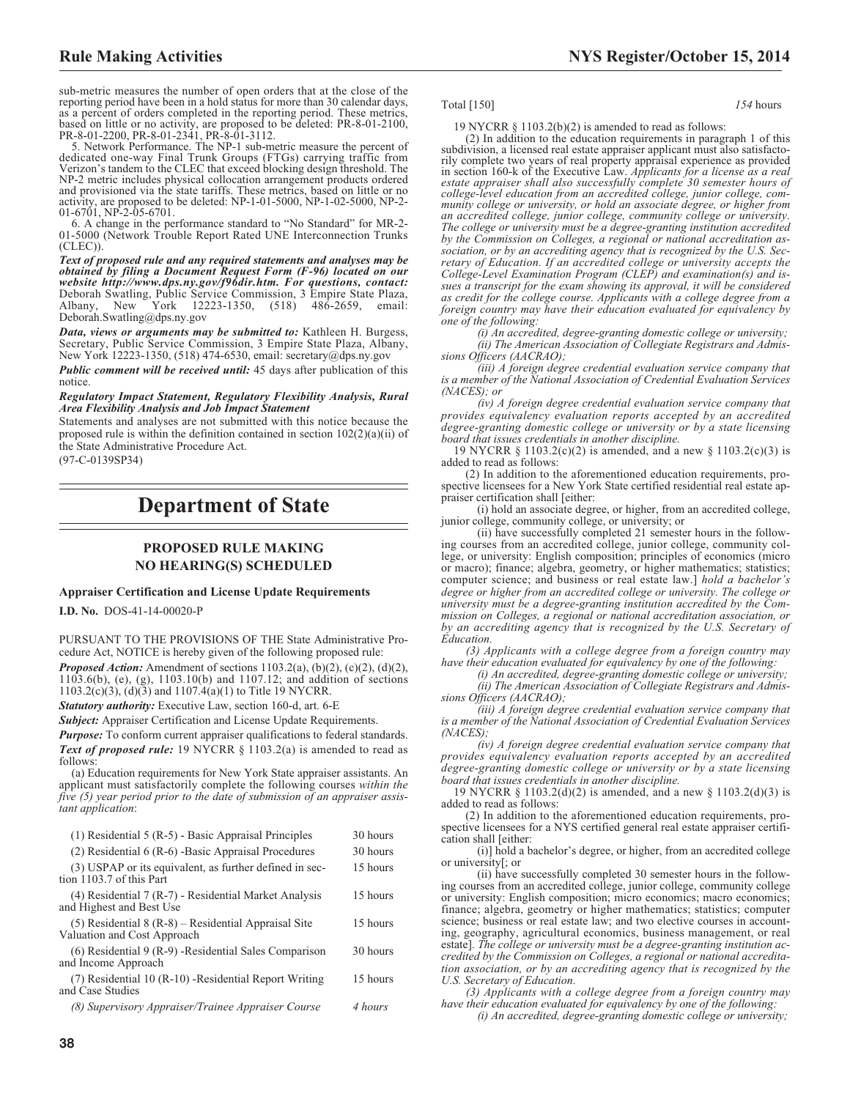sub-metric measures the number of open orders that at the close of the reporting period have been in a hold status for more than 30 calendar days, as a percent of orders completed in the reporting period. These metrics, based on little or no activity, are proposed to be deleted: PR-8-01-2100, PR-8-01-2200, PR-8-01-2341, PR-8-01-3112.

5. Network Performance. The NP-1 sub-metric measure the percent of dedicated one-way Final Trunk Groups (FTGs) carrying traffic from Verizon's tandem to the CLEC that exceed blocking design threshold. The NP-2 metric includes physical collocation arrangement products ordered and provisioned via the state tariffs. These metrics, based on little or no activity, are proposed to be deleted: NP-1-01-5000, NP-1-02-5000, NP-2- 01-6701, NP-2-05-6701.

6. A change in the performance standard to "No Standard" for MR-2- 01-5000 (Network Trouble Report Rated UNE Interconnection Trunks (CLEC)).

*Text of proposed rule and any required statements and analyses may be obtained by filing a Document Request Form (F-96) located on our website http://www.dps.ny.gov/f96dir.htm. For questions, contact:* Deborah Swatling, Public Service Commission, 3 Empire State Plaza, Albany, New York 12223-1350, (518) 486-2659, email: Deborah.Swatling@dps.ny.gov

*Data, views or arguments may be submitted to:* Kathleen H. Burgess, Secretary, Public Service Commission, 3 Empire State Plaza, Albany, New York 12223-1350, (518) 474-6530, email: [secretary@dps.ny.gov](mailto:secretary@dps.ny.gov)

*Public comment will be received until:* 45 days after publication of this notice.

*Regulatory Impact Statement, Regulatory Flexibility Analysis, Rural Area Flexibility Analysis and Job Impact Statement*

Statements and analyses are not submitted with this notice because the proposed rule is within the definition contained in section  $102(2)(a)(ii)$  of the State Administrative Procedure Act.

(97-C-0139SP34)

# **Department of State**

# **PROPOSED RULE MAKING NO HEARING(S) SCHEDULED**

### **Appraiser Certification and License Update Requirements**

**I.D. No.** DOS-41-14-00020-P

PURSUANT TO THE PROVISIONS OF THE State Administrative Procedure Act, NOTICE is hereby given of the following proposed rule: *Proposed Action:* Amendment of sections 1103.2(a), (b)(2), (c)(2), (d)(2), 1103.6(b), (e), (g), 1103.10(b) and 1107.12; and addition of sections 1103.2(c)(3), (d)(3) and 1107.4(a)(1) to Title 19 NYCRR.

*Statutory authority:* Executive Law, section 160-d, art. 6-E

*Subject:* Appraiser Certification and License Update Requirements.

*Purpose:* To conform current appraiser qualifications to federal standards. *Text of proposed rule:* 19 NYCRR § 1103.2(a) is amended to read as follows:

(a) Education requirements for New York State appraiser assistants. An applicant must satisfactorily complete the following courses *within the five (5) year period prior to the date of submission of an appraiser assistant application*:

| $(1)$ Residential 5 (R-5) - Basic Appraisal Principles                                | 30 hours |
|---------------------------------------------------------------------------------------|----------|
| $(2)$ Residential 6 (R-6) - Basic Appraisal Procedures                                | 30 hours |
| (3) USPAP or its equivalent, as further defined in sec-<br>tion 1103.7 of this Part   | 15 hours |
| (4) Residential 7 (R-7) - Residential Market Analysis<br>and Highest and Best Use     | 15 hours |
| $(5)$ Residential 8 (R-8) – Residential Appraisal Site<br>Valuation and Cost Approach | 15 hours |
| $(6)$ Residential 9 (R-9) - Residential Sales Comparison<br>and Income Approach       | 30 hours |
| (7) Residential 10 (R-10) - Residential Report Writing<br>and Case Studies            | 15 hours |
| (8) Supervisory Appraiser/Trainee Appraiser Course                                    | 4 hours  |
|                                                                                       |          |

#### Total [150] *154* hours

# 19 NYCRR  $\S$  1103.2(b)(2) is amended to read as follows:

(2) In addition to the education requirements in paragraph 1 of this subdivision, a licensed real estate appraiser applicant must also satisfactorily complete two years of real property appraisal experience as provided in section 160-k of the Executive Law. *Applicants for a license as a real estate appraiser shall also successfully complete 30 semester hours of college-level education from an accredited college, junior college, community college or university, or hold an associate degree, or higher from an accredited college, junior college, community college or university. The college or university must be a degree-granting institution accredited by the Commission on Colleges, a regional or national accreditation association, or by an accrediting agency that is recognized by the U.S. Secretary of Education. If an accredited college or university accepts the College-Level Examination Program (CLEP) and examination(s) and issues a transcript for the exam showing its approval, it will be considered as credit for the college course. Applicants with a college degree from a foreign country may have their education evaluated for equivalency by one of the following:*

*(i) An accredited, degree-granting domestic college or university; (ii) The American Association of Collegiate Registrars and Admissions Officers (AACRAO);*

*(iii) A foreign degree credential evaluation service company that is a member of the National Association of Credential Evaluation Services (NACES); or*

*(iv) A foreign degree credential evaluation service company that provides equivalency evaluation reports accepted by an accredited degree-granting domestic college or university or by a state licensing board that issues credentials in another discipline.*

19 NYCRR § 1103.2(c)(2) is amended, and a new § 1103.2(c)(3) is added to read as follows:

(2) In addition to the aforementioned education requirements, prospective licensees for a New York State certified residential real estate appraiser certification shall [either:

(i) hold an associate degree, or higher, from an accredited college, junior college, community college, or university; or

(ii) have successfully completed 21 semester hours in the following courses from an accredited college, junior college, community college, or university: English composition; principles of economics (micro or macro); finance; algebra, geometry, or higher mathematics; statistics; computer science; and business or real estate law.] *hold a bachelor's degree or higher from an accredited college or university. The college or university must be a degree-granting institution accredited by the Commission on Colleges, a regional or national accreditation association, or by an accrediting agency that is recognized by the U.S. Secretary of Education.*

*(3) Applicants with a college degree from a foreign country may have their education evaluated for equivalency by one of the following:*

*(i) An accredited, degree-granting domestic college or university;*

*(ii) The American Association of Collegiate Registrars and Admissions Officers (AACRAO);*

*(iii) A foreign degree credential evaluation service company that is a member of the National Association of Credential Evaluation Services (NACES);*

*(iv) A foreign degree credential evaluation service company that provides equivalency evaluation reports accepted by an accredited degree-granting domestic college or university or by a state licensing board that issues credentials in another discipline.*

19 NYCRR § 1103.2(d)(2) is amended, and a new § 1103.2(d)(3) is added to read as follows:

(2) In addition to the aforementioned education requirements, prospective licensees for a NYS certified general real estate appraiser certification shall [either:

(i)] hold a bachelor's degree, or higher, from an accredited college or university[; or

(ii) have successfully completed 30 semester hours in the following courses from an accredited college, junior college, community college or university: English composition; micro economics; macro economics; finance; algebra, geometry or higher mathematics; statistics; computer science; business or real estate law; and two elective courses in accounting, geography, agricultural economics, business management, or real estate]. *The college or university must be a degree-granting institution accredited by the Commission on Colleges, a regional or national accreditation association, or by an accrediting agency that is recognized by the U.S. Secretary of Education.*

*(3) Applicants with a college degree from a foreign country may have their education evaluated for equivalency by one of the following:*

*(i) An accredited, degree-granting domestic college or university;*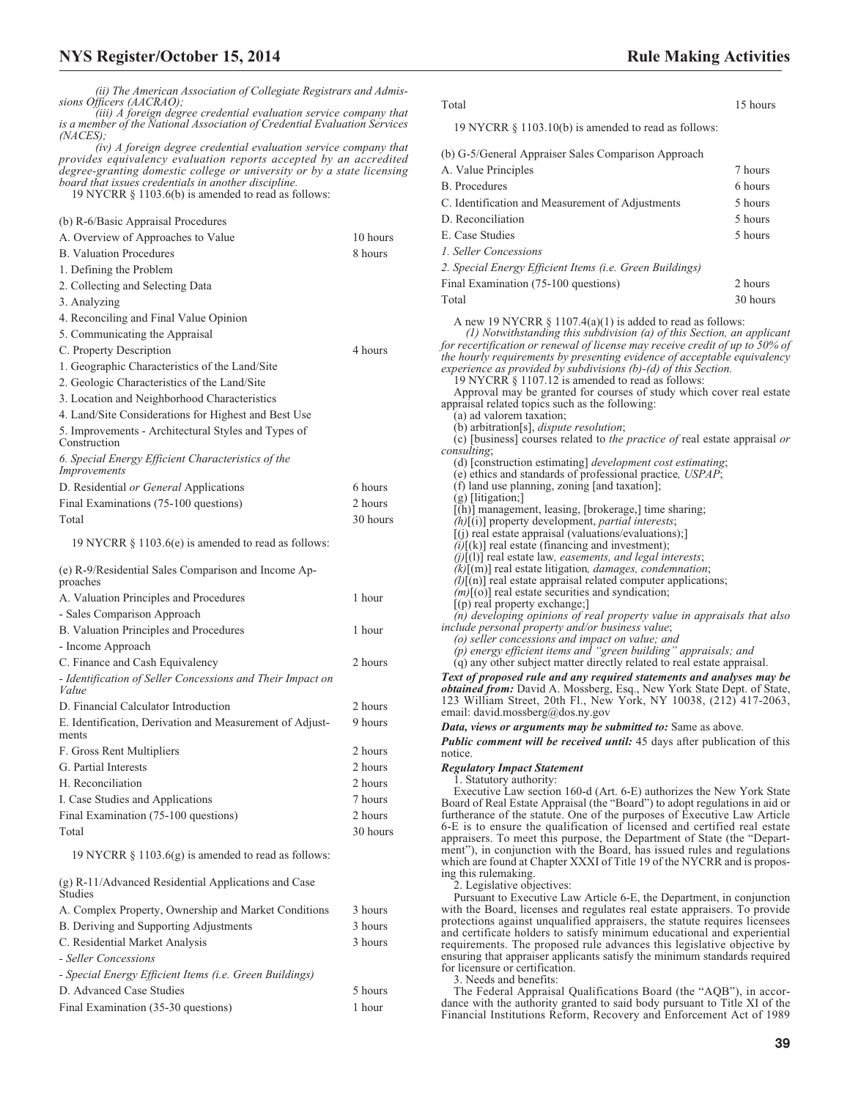*(iii) A foreign degree credential evaluation service company that is a member of the National Association of Credential Evaluation Services (NACES);*

*(iv) A foreign degree credential evaluation service company that provides equivalency evaluation reports accepted by an accredited degree-granting domestic college or university or by a state licensing board that issues credentials in another discipline.*

19 NYCRR § 1103.6(b) is amended to read as follows:

| (b) R-6/Basic Appraisal Procedures |  |  |
|------------------------------------|--|--|
|------------------------------------|--|--|

| A. Overview of Approaches to Value                                  | 10 hours |
|---------------------------------------------------------------------|----------|
| <b>B.</b> Valuation Procedures                                      | 8 hours  |
| 1. Defining the Problem                                             |          |
| 2. Collecting and Selecting Data                                    |          |
| 3. Analyzing                                                        |          |
| 4. Reconciling and Final Value Opinion                              |          |
| 5. Communicating the Appraisal                                      |          |
| C. Property Description                                             | 4 hours  |
| 1. Geographic Characteristics of the Land/Site                      |          |
| 2. Geologic Characteristics of the Land/Site                        |          |
| 3. Location and Neighborhood Characteristics                        |          |
| 4. Land/Site Considerations for Highest and Best Use                |          |
| 5. Improvements - Architectural Styles and Types of<br>Construction |          |
| 6. Special Energy Efficient Characteristics of the<br>Improvements  |          |
| D. Residential or General Applications                              | 6 hours  |
| Final Examinations (75-100 questions)                               | 2 hours  |
| Total                                                               | 30 hours |
| 19 NYCRR $\S$ 1103.6(e) is amended to read as follows:              |          |
| (e) R-9/Residential Sales Comparison and Income Ap-<br>proaches     |          |
| A. Valuation Principles and Procedures                              | 1 hour   |
| - Sales Comparison Approach                                         |          |
| B. Valuation Principles and Procedures                              | 1 hour   |
| - Income Approach                                                   |          |
| C. Finance and Cash Equivalency                                     | 2 hours  |
| - Identification of Seller Concessions and Their Impact on<br>Value |          |
| D. Financial Calculator Introduction                                | 2 hours  |
| E. Identification, Derivation and Measurement of Adjust-<br>ments   | 9 hours  |
| F. Gross Rent Multipliers                                           | 2 hours  |
| G. Partial Interests                                                | 2 hours  |
| H. Reconciliation                                                   | 2 hours  |
| I. Case Studies and Applications                                    | 7 hours  |
| Final Examination (75-100 questions)                                | 2 hours  |
| Total                                                               | 30 hours |

19 NYCRR § 1103.6(g) is amended to read as follows:

| $(g)$ R-11/Advanced Residential Applications and Case<br>Studies |         |
|------------------------------------------------------------------|---------|
| A. Complex Property, Ownership and Market Conditions             | 3 hours |
| B. Deriving and Supporting Adjustments                           | 3 hours |
| C. Residential Market Analysis                                   | 3 hours |
| - Seller Concessions                                             |         |
| - Special Energy Efficient Items (i.e. Green Buildings)          |         |
| D. Advanced Case Studies                                         | 5 hours |
| Final Examination (35-30 questions)                              | 1 hour  |

| Total | 15 hours |
|-------|----------|
|       |          |

19 NYCRR § 1103.10(b) is amended to read as follows:

| 7 hours  |
|----------|
| 6 hours  |
| 5 hours  |
| 5 hours  |
| 5 hours  |
|          |
|          |
| 2 hours  |
| 30 hours |
|          |

A new 19 NYCRR  $\S$  1107.4(a)(1) is added to read as follows: *(1) Notwithstanding this subdivision (a) of this Section, an applicant for recertification or renewal of license may receive credit of up to 50% of the hourly requirements by presenting evidence of acceptable equivalency experience as provided by subdivisions (b)-(d) of this Section.* 19 NYCRR § 1107.12 is amended to read as follows: Approval may be granted for courses of study which cover real estate appraisal related topics such as the following: (a) ad valorem taxation; (b) arbitration[s], *dispute resolution*; (c) [business] courses related to *the practice of* real estate appraisal *or consulting*; (d) [construction estimating] *development cost estimating*; (e) ethics and standards of professional practice*, USPAP*; (f) land use planning, zoning [and taxation]; (g) [litigation;] [(h)] management, leasing, [brokerage,] time sharing; *(h)*[(i)] property development, *partial interests*; [(j) real estate appraisal (valuations/evaluations);]  $(i)$ [(k)] real estate (financing and investment); *(j)*[(l)] real estate law*, easements, and legal interests*; *(k)*[(m)] real estate litigation*, damages, condemnation*; *(l)*[(n)] real estate appraisal related computer applications;  $(m)[(o)]$  real estate securities and syndication; [(p) real property exchange;] *(n) developing opinions of real property value in appraisals that also include personal property and/or business value*; *(o) seller concessions and impact on value; and (p) energy efficient items and "green building" appraisals; and* (q) any other subject matter directly related to real estate appraisal. *Text of proposed rule and any required statements and analyses may be obtained from:* David A. Mossberg, Esq., New York State Dept. of State, 123 William Street, 20th Fl., New York, NY 10038, (212) 417-2063, email: [david.mossberg@dos.ny.gov](mailto: david.mossberg@dos.ny.gov)

*Data, views or arguments may be submitted to:* Same as above.

*Public comment will be received until:* 45 days after publication of this notice

#### *Regulatory Impact Statement*

1. Statutory authority:

Executive Law section 160-d (Art. 6-E) authorizes the New York State Board of Real Estate Appraisal (the "Board") to adopt regulations in aid or furtherance of the statute. One of the purposes of Executive Law Article 6-E is to ensure the qualification of licensed and certified real estate appraisers. To meet this purpose, the Department of State (the "Department"), in conjunction with the Board, has issued rules and regulations which are found at Chapter XXXI of Title 19 of the NYCRR and is proposing this rulemaking.

2. Legislative objectives:

Pursuant to Executive Law Article 6-E, the Department, in conjunction with the Board, licenses and regulates real estate appraisers. To provide protections against unqualified appraisers, the statute requires licensees and certificate holders to satisfy minimum educational and experiential requirements. The proposed rule advances this legislative objective by ensuring that appraiser applicants satisfy the minimum standards required for licensure or certification.

3. Needs and benefits:

The Federal Appraisal Qualifications Board (the "AQB"), in accordance with the authority granted to said body pursuant to Title XI of the Financial Institutions Reform, Recovery and Enforcement Act of 1989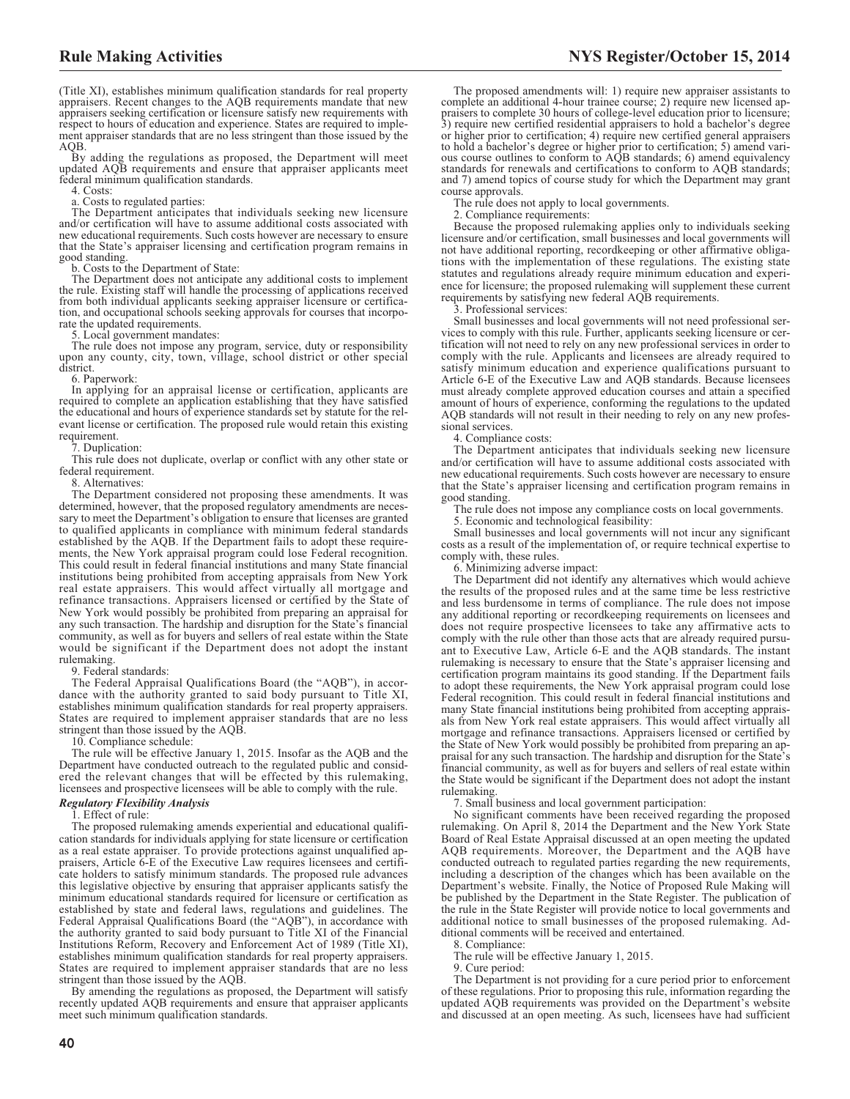(Title XI), establishes minimum qualification standards for real property appraisers. Recent changes to the AQB requirements mandate that new appraisers seeking certification or licensure satisfy new requirements with respect to hours of education and experience. States are required to implement appraiser standards that are no less stringent than those issued by the AQB.

By adding the regulations as proposed, the Department will meet updated AQB requirements and ensure that appraiser applicants meet federal minimum qualification standards.

4. Costs:

a. Costs to regulated parties:

The Department anticipates that individuals seeking new licensure and/or certification will have to assume additional costs associated with new educational requirements. Such costs however are necessary to ensure that the State's appraiser licensing and certification program remains in good standing.

b. Costs to the Department of State:

The Department does not anticipate any additional costs to implement the rule. Existing staff will handle the processing of applications received from both individual applicants seeking appraiser licensure or certification, and occupational schools seeking approvals for courses that incorporate the updated requirements.

5. Local government mandates:

The rule does not impose any program, service, duty or responsibility upon any county, city, town, village, school district or other special district.

6. Paperwork:

In applying for an appraisal license or certification, applicants are required to complete an application establishing that they have satisfied the educational and hours of experience standards set by statute for the relevant license or certification. The proposed rule would retain this existing requirement.

7. Duplication:

This rule does not duplicate, overlap or conflict with any other state or federal requirement.

8. Alternatives:

The Department considered not proposing these amendments. It was determined, however, that the proposed regulatory amendments are necessary to meet the Department's obligation to ensure that licenses are granted to qualified applicants in compliance with minimum federal standards established by the AQB. If the Department fails to adopt these requirements, the New York appraisal program could lose Federal recognition. This could result in federal financial institutions and many State financial institutions being prohibited from accepting appraisals from New York real estate appraisers. This would affect virtually all mortgage and refinance transactions. Appraisers licensed or certified by the State of New York would possibly be prohibited from preparing an appraisal for any such transaction. The hardship and disruption for the State's financial community, as well as for buyers and sellers of real estate within the State would be significant if the Department does not adopt the instant rulemaking.

9. Federal standards:

The Federal Appraisal Qualifications Board (the "AQB"), in accordance with the authority granted to said body pursuant to Title XI, establishes minimum qualification standards for real property appraisers. States are required to implement appraiser standards that are no less stringent than those issued by the AQB.

10. Compliance schedule:

The rule will be effective January 1, 2015. Insofar as the AQB and the Department have conducted outreach to the regulated public and considered the relevant changes that will be effected by this rulemaking, licensees and prospective licensees will be able to comply with the rule.

## *Regulatory Flexibility Analysis*

. Effect of rule:

The proposed rulemaking amends experiential and educational qualification standards for individuals applying for state licensure or certification as a real estate appraiser. To provide protections against unqualified appraisers, Article 6-E of the Executive Law requires licensees and certificate holders to satisfy minimum standards. The proposed rule advances this legislative objective by ensuring that appraiser applicants satisfy the minimum educational standards required for licensure or certification as established by state and federal laws, regulations and guidelines. The Federal Appraisal Qualifications Board (the "AQB"), in accordance with the authority granted to said body pursuant to Title XI of the Financial Institutions Reform, Recovery and Enforcement Act of 1989 (Title XI), establishes minimum qualification standards for real property appraisers. States are required to implement appraiser standards that are no less stringent than those issued by the AQB.

By amending the regulations as proposed, the Department will satisfy recently updated AQB requirements and ensure that appraiser applicants meet such minimum qualification standards.

The proposed amendments will: 1) require new appraiser assistants to complete an additional 4-hour trainee course; 2) require new licensed appraisers to complete 30 hours of college-level education prior to licensure; 3) require new certified residential appraisers to hold a bachelor's degree or higher prior to certification; 4) require new certified general appraisers to hold a bachelor's degree or higher prior to certification; 5) amend various course outlines to conform to AQB standards; 6) amend equivalency standards for renewals and certifications to conform to AQB standards; and 7) amend topics of course study for which the Department may grant course approvals.

The rule does not apply to local governments.

2. Compliance requirements:

Because the proposed rulemaking applies only to individuals seeking licensure and/or certification, small businesses and local governments will not have additional reporting, recordkeeping or other affirmative obligations with the implementation of these regulations. The existing state statutes and regulations already require minimum education and experience for licensure; the proposed rulemaking will supplement these current requirements by satisfying new federal AQB requirements.

3. Professional services:

Small businesses and local governments will not need professional services to comply with this rule. Further, applicants seeking licensure or certification will not need to rely on any new professional services in order to comply with the rule. Applicants and licensees are already required to satisfy minimum education and experience qualifications pursuant to Article 6-E of the Executive Law and AQB standards. Because licensees must already complete approved education courses and attain a specified amount of hours of experience, conforming the regulations to the updated AQB standards will not result in their needing to rely on any new professional services.

4. Compliance costs:

The Department anticipates that individuals seeking new licensure and/or certification will have to assume additional costs associated with new educational requirements. Such costs however are necessary to ensure that the State's appraiser licensing and certification program remains in good standing.

The rule does not impose any compliance costs on local governments.

5. Economic and technological feasibility:

Small businesses and local governments will not incur any significant costs as a result of the implementation of, or require technical expertise to comply with, these rules.

6. Minimizing adverse impact:

The Department did not identify any alternatives which would achieve the results of the proposed rules and at the same time be less restrictive and less burdensome in terms of compliance. The rule does not impose any additional reporting or recordkeeping requirements on licensees and does not require prospective licensees to take any affirmative acts to comply with the rule other than those acts that are already required pursuant to Executive Law, Article 6-E and the AQB standards. The instant rulemaking is necessary to ensure that the State's appraiser licensing and certification program maintains its good standing. If the Department fails to adopt these requirements, the New York appraisal program could lose Federal recognition. This could result in federal financial institutions and many State financial institutions being prohibited from accepting appraisals from New York real estate appraisers. This would affect virtually all mortgage and refinance transactions. Appraisers licensed or certified by the State of New York would possibly be prohibited from preparing an appraisal for any such transaction. The hardship and disruption for the State's financial community, as well as for buyers and sellers of real estate within the State would be significant if the Department does not adopt the instant rulemaking.

7. Small business and local government participation:

No significant comments have been received regarding the proposed rulemaking. On April 8, 2014 the Department and the New York State Board of Real Estate Appraisal discussed at an open meeting the updated AQB requirements. Moreover, the Department and the AQB have conducted outreach to regulated parties regarding the new requirements, including a description of the changes which has been available on the Department's website. Finally, the Notice of Proposed Rule Making will be published by the Department in the State Register. The publication of the rule in the State Register will provide notice to local governments and additional notice to small businesses of the proposed rulemaking. Additional comments will be received and entertained.

8. Compliance:

The rule will be effective January 1, 2015.

9. Cure period:

The Department is not providing for a cure period prior to enforcement of these regulations. Prior to proposing this rule, information regarding the updated AQB requirements was provided on the Department's website and discussed at an open meeting. As such, licensees have had sufficient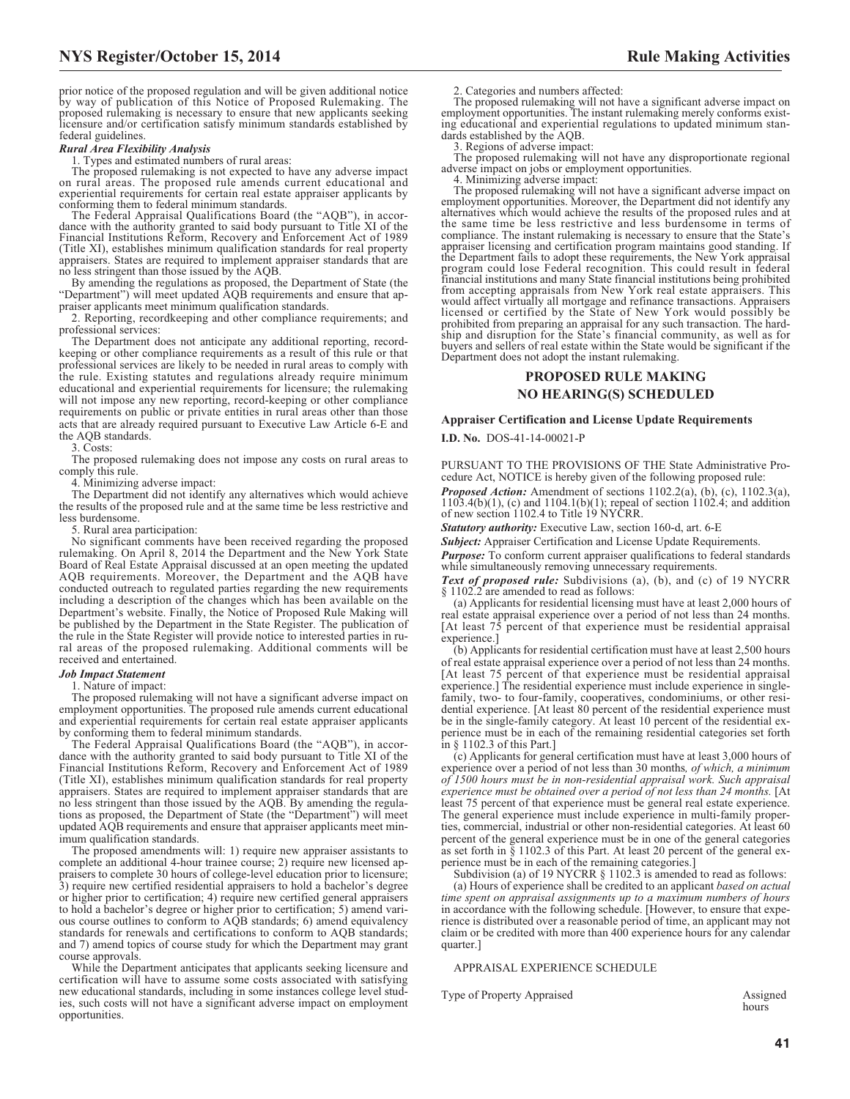prior notice of the proposed regulation and will be given additional notice by way of publication of this Notice of Proposed Rulemaking. The proposed rulemaking is necessary to ensure that new applicants seeking licensure and/or certification satisfy minimum standards established by federal guidelines.

#### *Rural Area Flexibility Analysis*

1. Types and estimated numbers of rural areas:

The proposed rulemaking is not expected to have any adverse impact on rural areas. The proposed rule amends current educational and experiential requirements for certain real estate appraiser applicants by conforming them to federal minimum standards.

The Federal Appraisal Qualifications Board (the "AQB"), in accordance with the authority granted to said body pursuant to Title XI of the Financial Institutions Reform, Recovery and Enforcement Act of 1989 (Title XI), establishes minimum qualification standards for real property appraisers. States are required to implement appraiser standards that are no less stringent than those issued by the AQB.

By amending the regulations as proposed, the Department of State (the "Department") will meet updated AQB requirements and ensure that appraiser applicants meet minimum qualification standards.

2. Reporting, recordkeeping and other compliance requirements; and professional services:

The Department does not anticipate any additional reporting, recordkeeping or other compliance requirements as a result of this rule or that professional services are likely to be needed in rural areas to comply with the rule. Existing statutes and regulations already require minimum educational and experiential requirements for licensure; the rulemaking will not impose any new reporting, record-keeping or other compliance requirements on public or private entities in rural areas other than those acts that are already required pursuant to Executive Law Article 6-E and the AQB standards.

3. Costs:

The proposed rulemaking does not impose any costs on rural areas to comply this rule.

4. Minimizing adverse impact:

The Department did not identify any alternatives which would achieve the results of the proposed rule and at the same time be less restrictive and less burdensome.

5. Rural area participation:

No significant comments have been received regarding the proposed rulemaking. On April 8, 2014 the Department and the New York State Board of Real Estate Appraisal discussed at an open meeting the updated AQB requirements. Moreover, the Department and the AQB have conducted outreach to regulated parties regarding the new requirements including a description of the changes which has been available on the Department's website. Finally, the Notice of Proposed Rule Making will be published by the Department in the State Register. The publication of the rule in the State Register will provide notice to interested parties in rural areas of the proposed rulemaking. Additional comments will be received and entertained.

#### *Job Impact Statement*

1. Nature of impact:

The proposed rulemaking will not have a significant adverse impact on employment opportunities. The proposed rule amends current educational and experiential requirements for certain real estate appraiser applicants by conforming them to federal minimum standards.

The Federal Appraisal Qualifications Board (the "AQB"), in accordance with the authority granted to said body pursuant to Title XI of the Financial Institutions Reform, Recovery and Enforcement Act of 1989 (Title XI), establishes minimum qualification standards for real property appraisers. States are required to implement appraiser standards that are no less stringent than those issued by the AQB. By amending the regulations as proposed, the Department of State (the "Department") will meet updated AQB requirements and ensure that appraiser applicants meet minimum qualification standards.

The proposed amendments will: 1) require new appraiser assistants to complete an additional 4-hour trainee course; 2) require new licensed appraisers to complete 30 hours of college-level education prior to licensure; 3) require new certified residential appraisers to hold a bachelor's degree or higher prior to certification; 4) require new certified general appraisers to hold a bachelor's degree or higher prior to certification; 5) amend various course outlines to conform to AQB standards; 6) amend equivalency standards for renewals and certifications to conform to AQB standards; and 7) amend topics of course study for which the Department may grant course approvals.

While the Department anticipates that applicants seeking licensure and certification will have to assume some costs associated with satisfying new educational standards, including in some instances college level studies, such costs will not have a significant adverse impact on employment opportunities.

2. Categories and numbers affected:

The proposed rulemaking will not have a significant adverse impact on employment opportunities. The instant rulemaking merely conforms existing educational and experiential regulations to updated minimum standards established by the AQB.

3. Regions of adverse impact:

The proposed rulemaking will not have any disproportionate regional adverse impact on jobs or employment opportunities.

4. Minimizing adverse impact:

The proposed rulemaking will not have a significant adverse impact on employment opportunities. Moreover, the Department did not identify any alternatives which would achieve the results of the proposed rules and at the same time be less restrictive and less burdensome in terms of compliance. The instant rulemaking is necessary to ensure that the State's appraiser licensing and certification program maintains good standing. If the Department fails to adopt these requirements, the New York appraisal program could lose Federal recognition. This could result in federal financial institutions and many State financial institutions being prohibited from accepting appraisals from New York real estate appraisers. This would affect virtually all mortgage and refinance transactions. Appraisers licensed or certified by the State of New York would possibly be prohibited from preparing an appraisal for any such transaction. The hard-ship and disruption for the State's financial community, as well as for buyers and sellers of real estate within the State would be significant if the Department does not adopt the instant rulemaking.

# **PROPOSED RULE MAKING NO HEARING(S) SCHEDULED**

#### **Appraiser Certification and License Update Requirements**

**I.D. No.** DOS-41-14-00021-P

PURSUANT TO THE PROVISIONS OF THE State Administrative Procedure Act, NOTICE is hereby given of the following proposed rule:

*Proposed Action:* Amendment of sections 1102.2(a), (b), (c), 1102.3(a), 1103.4(b)(1), (c) and 1104.1(b)(1); repeal of section 1102.4; and addition of new section 1102.4 to Title 19 NYCRR.

*Statutory authority:* Executive Law, section 160-d, art. 6-E

**Subject:** Appraiser Certification and License Update Requirements.

*Purpose:* To conform current appraiser qualifications to federal standards while simultaneously removing unnecessary requirements.

*Text of proposed rule:* Subdivisions (a), (b), and (c) of 19 NYCRR § 1102.2 are amended to read as follows:

(a) Applicants for residential licensing must have at least 2,000 hours of real estate appraisal experience over a period of not less than 24 months. [At least  $75$  percent of that experience must be residential appraisal experience.]

(b) Applicants for residential certification must have at least 2,500 hours of real estate appraisal experience over a period of not less than 24 months. [At least 75 percent of that experience must be residential appraisal experience.] The residential experience must include experience in singlefamily, two- to four-family, cooperatives, condominiums, or other residential experience. [At least 80 percent of the residential experience must be in the single-family category. At least 10 percent of the residential experience must be in each of the remaining residential categories set forth in § 1102.3 of this Part.]

(c) Applicants for general certification must have at least 3,000 hours of experience over a period of not less than 30 months*, of which, a minimum of 1500 hours must be in non-residential appraisal work. Such appraisal experience must be obtained over a period of not less than 24 months.* [At least 75 percent of that experience must be general real estate experience. The general experience must include experience in multi-family properties, commercial, industrial or other non-residential categories. At least 60 percent of the general experience must be in one of the general categories as set forth in  $\S$  1102.3 of this Part. At least 20 percent of the general experience must be in each of the remaining categories.]

Subdivision (a) of 19 NYCRR § 1102.3 is amended to read as follows: (a) Hours of experience shall be credited to an applicant *based on actual time spent on appraisal assignments up to a maximum numbers of hours* in accordance with the following schedule. [However, to ensure that experience is distributed over a reasonable period of time, an applicant may not claim or be credited with more than 400 experience hours for any calendar quarter.]

#### APPRAISAL EXPERIENCE SCHEDULE

Type of Property Appraised Assigned

hours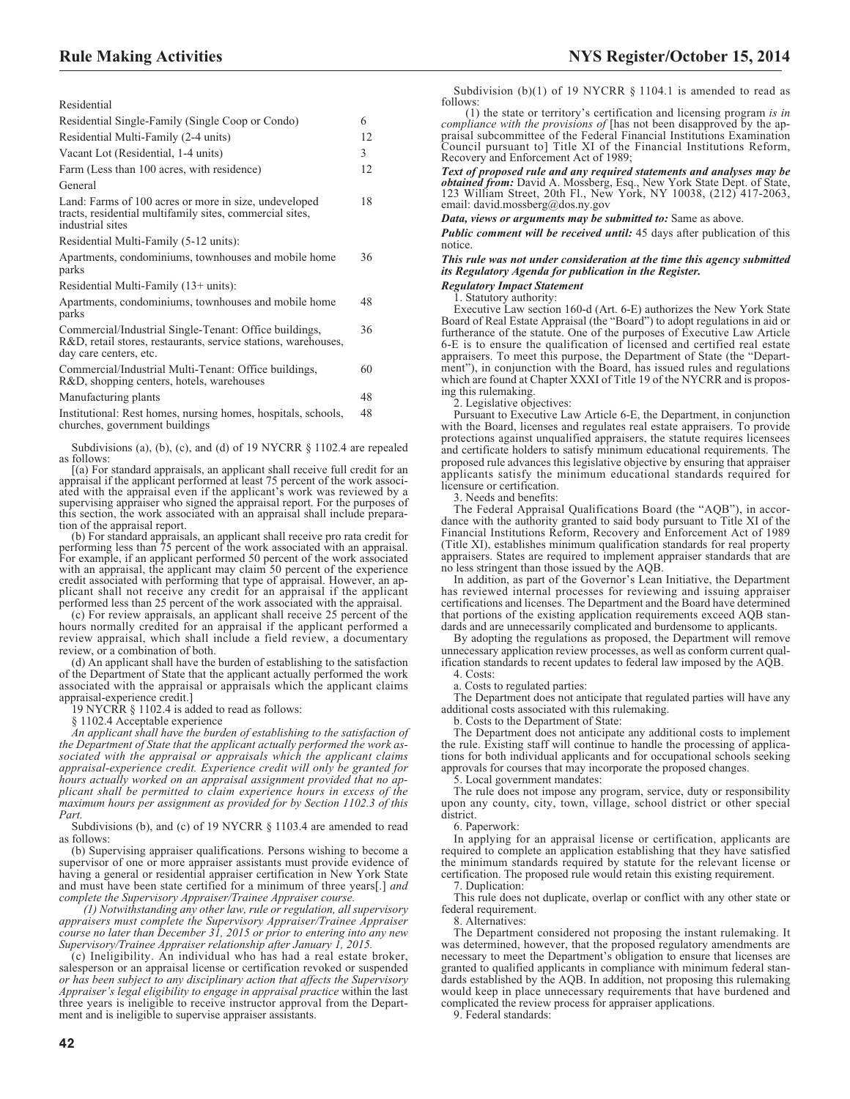Residential

| ,,,,,,,,,,,,,,,,                                                                                                                                   |    |
|----------------------------------------------------------------------------------------------------------------------------------------------------|----|
| Residential Single-Family (Single Coop or Condo)                                                                                                   | 6  |
| Residential Multi-Family (2-4 units)                                                                                                               | 12 |
| Vacant Lot (Residential, 1-4 units)                                                                                                                | 3  |
| Farm (Less than 100 acres, with residence)                                                                                                         | 12 |
| General                                                                                                                                            |    |
| Land: Farms of 100 acres or more in size, undeveloped<br>tracts, residential multifamily sites, commercial sites,<br>industrial sites              | 18 |
| Residential Multi-Family (5-12 units):                                                                                                             |    |
| Apartments, condominiums, townhouses and mobile home<br>parks                                                                                      | 36 |
| Residential Multi-Family $(13+units)$ :                                                                                                            |    |
| Apartments, condominiums, townhouses and mobile home<br>parks                                                                                      | 48 |
| Commercial/Industrial Single-Tenant: Office buildings,<br>R&D, retail stores, restaurants, service stations, warehouses,<br>day care centers, etc. | 36 |
| Commercial/Industrial Multi-Tenant: Office buildings,<br>R&D, shopping centers, hotels, warehouses                                                 | 60 |
|                                                                                                                                                    |    |

Manufacturing plants 48 Institutional: Rest homes, nursing homes, hospitals, schools, 48

churches, government buildings

Subdivisions (a), (b), (c), and (d) of 19 NYCRR § 1102.4 are repealed as follows:

[(a) For standard appraisals, an applicant shall receive full credit for an appraisal if the applicant performed at least 75 percent of the work associ-ated with the appraisal even if the applicant's work was reviewed by a supervising appraiser who signed the appraisal report. For the purposes of this section, the work associated with an appraisal shall include preparation of the appraisal report.

(b) For standard appraisals, an applicant shall receive pro rata credit for performing less than 75 percent of the work associated with an appraisal. For example, if an applicant performed 50 percent of the work associated with an appraisal, the applicant may claim 50 percent of the experience credit associated with performing that type of appraisal. However, an ap-plicant shall not receive any credit for an appraisal if the applicant performed less than 25 percent of the work associated with the appraisal.

(c) For review appraisals, an applicant shall receive 25 percent of the hours normally credited for an appraisal if the applicant performed a review appraisal, which shall include a field review, a documentary review, or a combination of both.

(d) An applicant shall have the burden of establishing to the satisfaction of the Department of State that the applicant actually performed the work associated with the appraisal or appraisals which the applicant claims appraisal-experience credit.]

19 NYCRR § 1102.4 is added to read as follows:

§ 1102.4 Acceptable experience

*An applicant shall have the burden of establishing to the satisfaction of the Department of State that the applicant actually performed the work associated with the appraisal or appraisals which the applicant claims appraisal-experience credit. Experience credit will only be granted for hours actually worked on an appraisal assignment provided that no applicant shall be permitted to claim experience hours in excess of the maximum hours per assignment as provided for by Section 1102.3 of this Part.*

Subdivisions (b), and (c) of 19 NYCRR  $\S$  1103.4 are amended to read as follows:

(b) Supervising appraiser qualifications. Persons wishing to become a supervisor of one or more appraiser assistants must provide evidence of having a general or residential appraiser certification in New York State and must have been state certified for a minimum of three years[.] *and complete the Supervisory Appraiser/Trainee Appraiser course.*

*(1) Notwithstanding any other law, rule or regulation, all supervisory appraisers must complete the Supervisory Appraiser/Trainee Appraiser course no later than December 31, 2015 or prior to entering into any new Supervisory/Trainee Appraiser relationship after January 1, 2015.*

(c) Ineligibility. An individual who has had a real estate broker, salesperson or an appraisal license or certification revoked or suspended *or has been subject to any disciplinary action that affects the Supervisory Appraiser's legal eligibility to engage in appraisal practice* within the last three years is ineligible to receive instructor approval from the Department and is ineligible to supervise appraiser assistants.

Subdivision (b)(1) of 19 NYCRR  $\S$  1104.1 is amended to read as follows:

(1) the state or territory's certification and licensing program *is in compliance with the provisions of* [has not been disapproved by the appraisal subcommittee of the Federal Financial Institutions Examination Council pursuant to] Title XI of the Financial Institutions Reform, Recovery and Enforcement Act of 1989;

*Text of proposed rule and any required statements and analyses may be obtained from:* David A. Mossberg, Esq., New York State Dept. of State, 123 William Street, 20th Fl., New York, NY 10038, (212) 417-2063, email: [david.mossberg@dos.ny.gov](mailto: david.mossberg@dos.ny.gov)

*Data, views or arguments may be submitted to:* Same as above.

*Public comment will be received until:* 45 days after publication of this notice.

### *This rule was not under consideration at the time this agency submitted its Regulatory Agenda for publication in the Register.*

*Regulatory Impact Statement* 1. Statutory authority:

Executive Law section 160-d (Art. 6-E) authorizes the New York State Board of Real Estate Appraisal (the "Board") to adopt regulations in aid or furtherance of the statute. One of the purposes of Executive Law Article 6-E is to ensure the qualification of licensed and certified real estate appraisers. To meet this purpose, the Department of State (the "Department"), in conjunction with the Board, has issued rules and regulations which are found at Chapter XXXI of Title 19 of the NYCRR and is proposing this rulemaking.

2. Legislative objectives:

Pursuant to Executive Law Article 6-E, the Department, in conjunction with the Board, licenses and regulates real estate appraisers. To provide protections against unqualified appraisers, the statute requires licensees and certificate holders to satisfy minimum educational requirements. The proposed rule advances this legislative objective by ensuring that appraiser applicants satisfy the minimum educational standards required for licensure or certification.

3. Needs and benefits:

The Federal Appraisal Qualifications Board (the "AQB"), in accordance with the authority granted to said body pursuant to Title XI of the Financial Institutions Reform, Recovery and Enforcement Act of 1989 (Title XI), establishes minimum qualification standards for real property appraisers. States are required to implement appraiser standards that are no less stringent than those issued by the AQB.

In addition, as part of the Governor's Lean Initiative, the Department has reviewed internal processes for reviewing and issuing appraiser certifications and licenses. The Department and the Board have determined that portions of the existing application requirements exceed AQB standards and are unnecessarily complicated and burdensome to applicants.

By adopting the regulations as proposed, the Department will remove unnecessary application review processes, as well as conform current qualification standards to recent updates to federal law imposed by the AQB.

4. Costs:

a. Costs to regulated parties:

The Department does not anticipate that regulated parties will have any additional costs associated with this rulemaking.

b. Costs to the Department of State:

The Department does not anticipate any additional costs to implement the rule. Existing staff will continue to handle the processing of applications for both individual applicants and for occupational schools seeking approvals for courses that may incorporate the proposed changes.

5. Local government mandates:

The rule does not impose any program, service, duty or responsibility upon any county, city, town, village, school district or other special district.

6. Paperwork:

In applying for an appraisal license or certification, applicants are required to complete an application establishing that they have satisfied the minimum standards required by statute for the relevant license or certification. The proposed rule would retain this existing requirement.

7. Duplication:

This rule does not duplicate, overlap or conflict with any other state or federal requirement.

8. Alternatives:

The Department considered not proposing the instant rulemaking. It was determined, however, that the proposed regulatory amendments are necessary to meet the Department's obligation to ensure that licenses are granted to qualified applicants in compliance with minimum federal standards established by the AQB. In addition, not proposing this rulemaking would keep in place unnecessary requirements that have burdened and complicated the review process for appraiser applications.

9. Federal standards: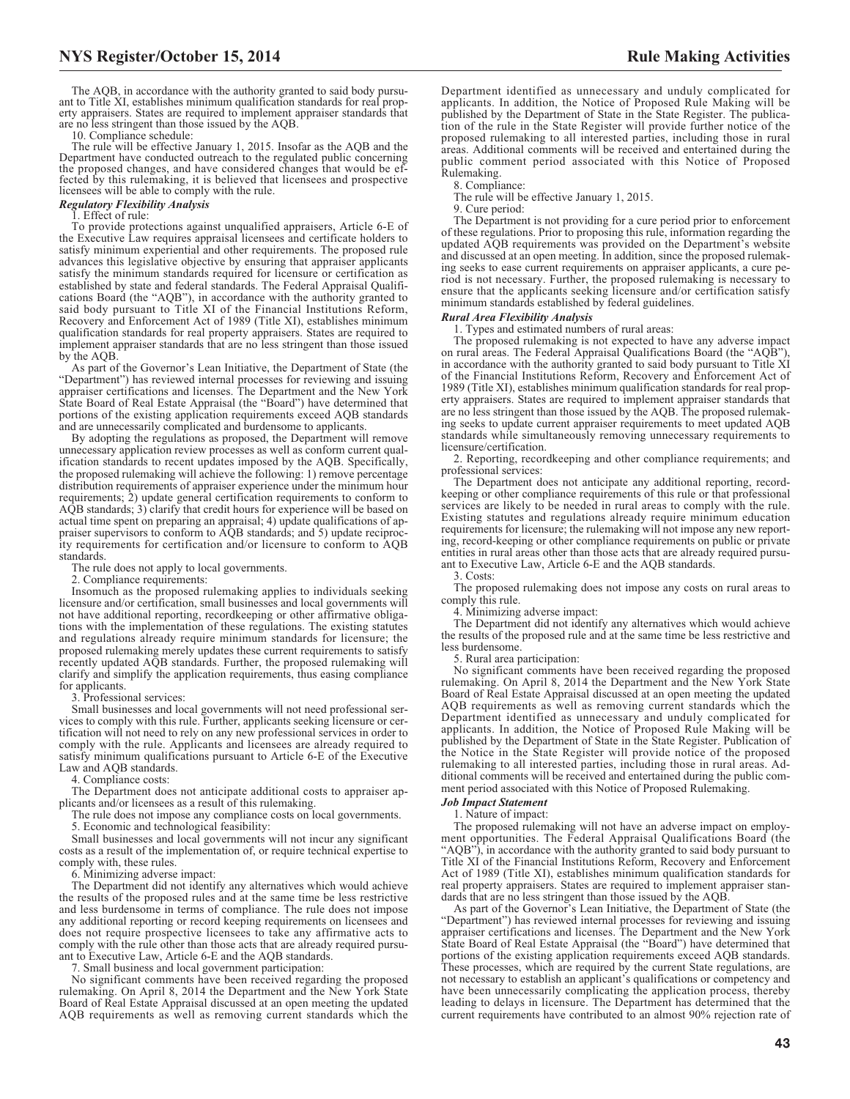The AQB, in accordance with the authority granted to said body pursuant to Title XI, establishes minimum qualification standards for real property appraisers. States are required to implement appraiser standards that are no less stringent than those issued by the AQB.

10. Compliance schedule:

The rule will be effective January 1, 2015. Insofar as the AQB and the Department have conducted outreach to the regulated public concerning the proposed changes, and have considered changes that would be effected by this rulemaking, it is believed that licensees and prospective licensees will be able to comply with the rule.

#### *Regulatory Flexibility Analysis*

1. Effect of rule:

To provide protections against unqualified appraisers, Article 6-E of the Executive Law requires appraisal licensees and certificate holders to satisfy minimum experiential and other requirements. The proposed rule advances this legislative objective by ensuring that appraiser applicants satisfy the minimum standards required for licensure or certification as established by state and federal standards. The Federal Appraisal Qualifications Board (the "AQB"), in accordance with the authority granted to said body pursuant to Title XI of the Financial Institutions Reform, Recovery and Enforcement Act of 1989 (Title XI), establishes minimum qualification standards for real property appraisers. States are required to implement appraiser standards that are no less stringent than those issued by the AQB.

As part of the Governor's Lean Initiative, the Department of State (the "Department") has reviewed internal processes for reviewing and issuing appraiser certifications and licenses. The Department and the New York State Board of Real Estate Appraisal (the "Board") have determined that portions of the existing application requirements exceed AQB standards and are unnecessarily complicated and burdensome to applicants.

By adopting the regulations as proposed, the Department will remove unnecessary application review processes as well as conform current qualification standards to recent updates imposed by the AQB. Specifically, the proposed rulemaking will achieve the following: 1) remove percentage distribution requirements of appraiser experience under the minimum hour requirements; 2) update general certification requirements to conform to AQB standards; 3) clarify that credit hours for experience will be based on actual time spent on preparing an appraisal; 4) update qualifications of appraiser supervisors to conform to AQB standards; and 5) update reciprocity requirements for certification and/or licensure to conform to AQB standards.

The rule does not apply to local governments.

2. Compliance requirements:

Insomuch as the proposed rulemaking applies to individuals seeking licensure and/or certification, small businesses and local governments will not have additional reporting, recordkeeping or other affirmative obligations with the implementation of these regulations. The existing statutes and regulations already require minimum standards for licensure; the proposed rulemaking merely updates these current requirements to satisfy recently updated AQB standards. Further, the proposed rulemaking will clarify and simplify the application requirements, thus easing compliance for applicants.

3. Professional services:

Small businesses and local governments will not need professional services to comply with this rule. Further, applicants seeking licensure or certification will not need to rely on any new professional services in order to comply with the rule. Applicants and licensees are already required to satisfy minimum qualifications pursuant to Article 6-E of the Executive Law and AQB standards.

4. Compliance costs:

The Department does not anticipate additional costs to appraiser applicants and/or licensees as a result of this rulemaking.

The rule does not impose any compliance costs on local governments. 5. Economic and technological feasibility:

Small businesses and local governments will not incur any significant costs as a result of the implementation of, or require technical expertise to comply with, these rules.

6. Minimizing adverse impact:

The Department did not identify any alternatives which would achieve the results of the proposed rules and at the same time be less restrictive and less burdensome in terms of compliance. The rule does not impose any additional reporting or record keeping requirements on licensees and does not require prospective licensees to take any affirmative acts to comply with the rule other than those acts that are already required pursuant to Executive Law, Article 6-E and the AQB standards.

7. Small business and local government participation:

No significant comments have been received regarding the proposed rulemaking. On April 8, 2014 the Department and the New York State Board of Real Estate Appraisal discussed at an open meeting the updated AQB requirements as well as removing current standards which the

Department identified as unnecessary and unduly complicated for applicants. In addition, the Notice of Proposed Rule Making will be published by the Department of State in the State Register. The publication of the rule in the State Register will provide further notice of the proposed rulemaking to all interested parties, including those in rural areas. Additional comments will be received and entertained during the public comment period associated with this Notice of Proposed Rulemaking.

8. Compliance:

The rule will be effective January 1, 2015.

9. Cure period:

The Department is not providing for a cure period prior to enforcement of these regulations. Prior to proposing this rule, information regarding the updated AQB requirements was provided on the Department's website and discussed at an open meeting. In addition, since the proposed rulemaking seeks to ease current requirements on appraiser applicants, a cure period is not necessary. Further, the proposed rulemaking is necessary to ensure that the applicants seeking licensure and/or certification satisfy minimum standards established by federal guidelines.

#### *Rural Area Flexibility Analysis*

1. Types and estimated numbers of rural areas:

The proposed rulemaking is not expected to have any adverse impact on rural areas. The Federal Appraisal Qualifications Board (the "AQB"), in accordance with the authority granted to said body pursuant to Title XI of the Financial Institutions Reform, Recovery and Enforcement Act of 1989 (Title XI), establishes minimum qualification standards for real property appraisers. States are required to implement appraiser standards that are no less stringent than those issued by the AQB. The proposed rulemaking seeks to update current appraiser requirements to meet updated AQB standards while simultaneously removing unnecessary requirements to licensure/certification.

2. Reporting, recordkeeping and other compliance requirements; and professional services:

The Department does not anticipate any additional reporting, recordkeeping or other compliance requirements of this rule or that professional services are likely to be needed in rural areas to comply with the rule. Existing statutes and regulations already require minimum education requirements for licensure; the rulemaking will not impose any new reporting, record-keeping or other compliance requirements on public or private entities in rural areas other than those acts that are already required pursuant to Executive Law, Article 6-E and the AQB standards.

3. Costs:

The proposed rulemaking does not impose any costs on rural areas to comply this rule.

4. Minimizing adverse impact:

The Department did not identify any alternatives which would achieve the results of the proposed rule and at the same time be less restrictive and less burdensome.

5. Rural area participation:

No significant comments have been received regarding the proposed rulemaking. On April 8, 2014 the Department and the New York State Board of Real Estate Appraisal discussed at an open meeting the updated AQB requirements as well as removing current standards which the Department identified as unnecessary and unduly complicated for applicants. In addition, the Notice of Proposed Rule Making will be published by the Department of State in the State Register. Publication of the Notice in the State Register will provide notice of the proposed rulemaking to all interested parties, including those in rural areas. Additional comments will be received and entertained during the public comment period associated with this Notice of Proposed Rulemaking.

#### *Job Impact Statement*

1. Nature of impact:

The proposed rulemaking will not have an adverse impact on employment opportunities. The Federal Appraisal Qualifications Board (the "AQB"), in accordance with the authority granted to said body pursuant to Title XI of the Financial Institutions Reform, Recovery and Enforcement Act of 1989 (Title XI), establishes minimum qualification standards for real property appraisers. States are required to implement appraiser standards that are no less stringent than those issued by the AQB.

As part of the Governor's Lean Initiative, the Department of State (the "Department") has reviewed internal processes for reviewing and issuing appraiser certifications and licenses. The Department and the New York State Board of Real Estate Appraisal (the "Board") have determined that portions of the existing application requirements exceed AQB standards. These processes, which are required by the current State regulations, are not necessary to establish an applicant's qualifications or competency and have been unnecessarily complicating the application process, thereby leading to delays in licensure. The Department has determined that the current requirements have contributed to an almost 90% rejection rate of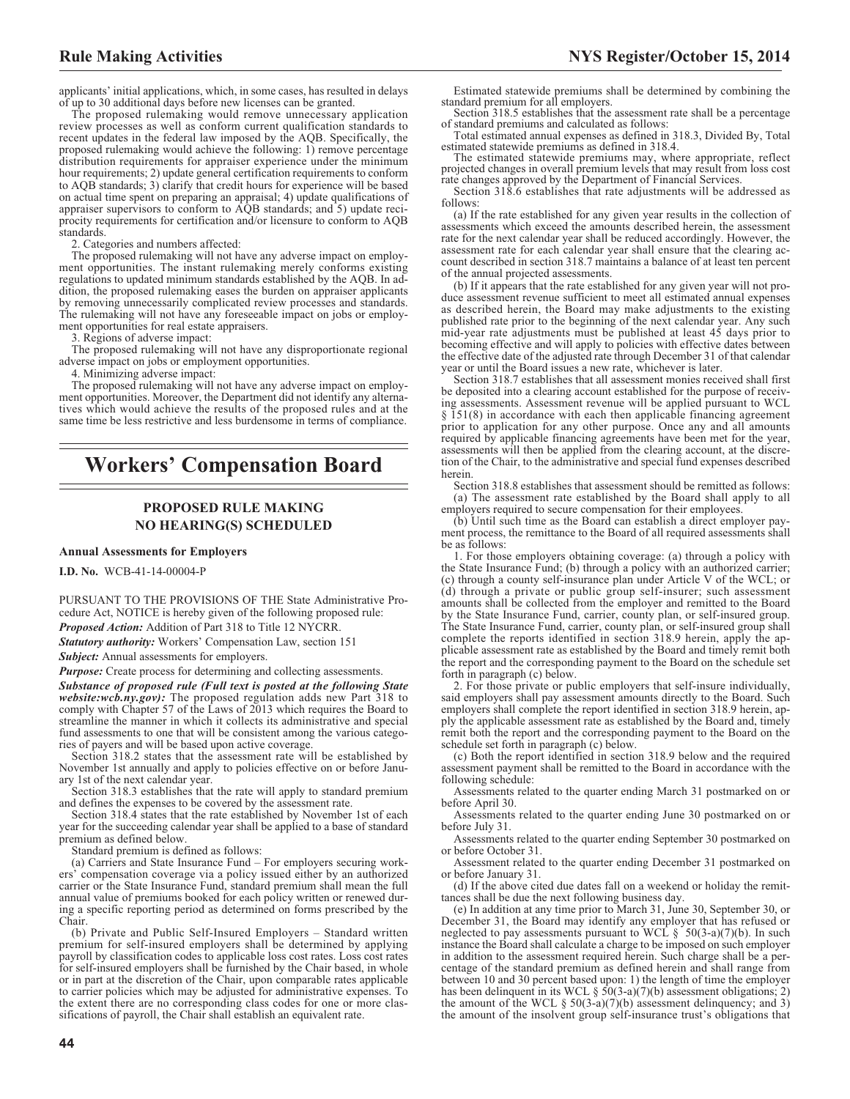applicants' initial applications, which, in some cases, has resulted in delays of up to 30 additional days before new licenses can be granted.

The proposed rulemaking would remove unnecessary application review processes as well as conform current qualification standards to recent updates in the federal law imposed by the AQB. Specifically, the proposed rulemaking would achieve the following: 1) remove percentage distribution requirements for appraiser experience under the minimum hour requirements; 2) update general certification requirements to conform to AQB standards; 3) clarify that credit hours for experience will be based on actual time spent on preparing an appraisal; 4) update qualifications of appraiser supervisors to conform to AQB standards; and 5) update reciprocity requirements for certification and/or licensure to conform to AQB standards.

2. Categories and numbers affected:

The proposed rulemaking will not have any adverse impact on employment opportunities. The instant rulemaking merely conforms existing regulations to updated minimum standards established by the AQB. In addition, the proposed rulemaking eases the burden on appraiser applicants by removing unnecessarily complicated review processes and standards. The rulemaking will not have any foreseeable impact on jobs or employment opportunities for real estate appraisers.

3. Regions of adverse impact:

The proposed rulemaking will not have any disproportionate regional adverse impact on jobs or employment opportunities.

4. Minimizing adverse impact:

The proposed rulemaking will not have any adverse impact on employment opportunities. Moreover, the Department did not identify any alternatives which would achieve the results of the proposed rules and at the same time be less restrictive and less burdensome in terms of compliance.

# **Workers' Compensation Board**

# **PROPOSED RULE MAKING NO HEARING(S) SCHEDULED**

#### **Annual Assessments for Employers**

**I.D. No.** WCB-41-14-00004-P

PURSUANT TO THE PROVISIONS OF THE State Administrative Procedure Act, NOTICE is hereby given of the following proposed rule:

*Proposed Action:* Addition of Part 318 to Title 12 NYCRR.

*Statutory authority:* Workers' Compensation Law, section 151

*Subject:* Annual assessments for employers.

*Purpose:* Create process for determining and collecting assessments.

*Substance of proposed rule (Full text is posted at the following State website:wcb.ny.gov):* The proposed regulation adds new Part 318 to comply with Chapter 57 of the Laws of 2013 which requires the Board to streamline the manner in which it collects its administrative and special fund assessments to one that will be consistent among the various categories of payers and will be based upon active coverage.

Section 318.2 states that the assessment rate will be established by November 1st annually and apply to policies effective on or before January 1st of the next calendar year.

Section 318.3 establishes that the rate will apply to standard premium and defines the expenses to be covered by the assessment rate.

Section 318.4 states that the rate established by November 1st of each year for the succeeding calendar year shall be applied to a base of standard premium as defined below.

Standard premium is defined as follows:

(a) Carriers and State Insurance Fund – For employers securing workers' compensation coverage via a policy issued either by an authorized carrier or the State Insurance Fund, standard premium shall mean the full annual value of premiums booked for each policy written or renewed during a specific reporting period as determined on forms prescribed by the Chair.

(b) Private and Public Self-Insured Employers – Standard written premium for self-insured employers shall be determined by applying payroll by classification codes to applicable loss cost rates. Loss cost rates for self-insured employers shall be furnished by the Chair based, in whole or in part at the discretion of the Chair, upon comparable rates applicable to carrier policies which may be adjusted for administrative expenses. To the extent there are no corresponding class codes for one or more classifications of payroll, the Chair shall establish an equivalent rate.

Estimated statewide premiums shall be determined by combining the standard premium for all employers.

Section 318.5 establishes that the assessment rate shall be a percentage of standard premiums and calculated as follows:

Total estimated annual expenses as defined in 318.3, Divided By, Total estimated statewide premiums as defined in 318.4.

The estimated statewide premiums may, where appropriate, reflect projected changes in overall premium levels that may result from loss cost rate changes approved by the Department of Financial Services.

Section 318.6 establishes that rate adjustments will be addressed as follows:

(a) If the rate established for any given year results in the collection of assessments which exceed the amounts described herein, the assessment rate for the next calendar year shall be reduced accordingly. However, the assessment rate for each calendar year shall ensure that the clearing account described in section 318.7 maintains a balance of at least ten percent of the annual projected assessments.

(b) If it appears that the rate established for any given year will not produce assessment revenue sufficient to meet all estimated annual expenses as described herein, the Board may make adjustments to the existing published rate prior to the beginning of the next calendar year. Any such mid-year rate adjustments must be published at least 45 days prior to becoming effective and will apply to policies with effective dates between the effective date of the adjusted rate through December 31 of that calendar year or until the Board issues a new rate, whichever is later.

Section 318.7 establishes that all assessment monies received shall first be deposited into a clearing account established for the purpose of receiving assessments. Assessment revenue will be applied pursuant to WCL § 151(8) in accordance with each then applicable financing agreement prior to application for any other purpose. Once any and all amounts required by applicable financing agreements have been met for the year, assessments will then be applied from the clearing account, at the discretion of the Chair, to the administrative and special fund expenses described herein.

Section 318.8 establishes that assessment should be remitted as follows: (a) The assessment rate established by the Board shall apply to all employers required to secure compensation for their employees.

(b) Until such time as the Board can establish a direct employer payment process, the remittance to the Board of all required assessments shall be as follows:

1. For those employers obtaining coverage: (a) through a policy with the State Insurance Fund; (b) through a policy with an authorized carrier; (c) through a county self-insurance plan under Article V of the WCL; or (d) through a private or public group self-insurer; such assessment amounts shall be collected from the employer and remitted to the Board by the State Insurance Fund, carrier, county plan, or self-insured group. The State Insurance Fund, carrier, county plan, or self-insured group shall complete the reports identified in section 318.9 herein, apply the applicable assessment rate as established by the Board and timely remit both the report and the corresponding payment to the Board on the schedule set forth in paragraph (c) below.

2. For those private or public employers that self-insure individually, said employers shall pay assessment amounts directly to the Board. Such employers shall complete the report identified in section 318.9 herein, apply the applicable assessment rate as established by the Board and, timely remit both the report and the corresponding payment to the Board on the schedule set forth in paragraph (c) below.

(c) Both the report identified in section 318.9 below and the required assessment payment shall be remitted to the Board in accordance with the following schedule:

Assessments related to the quarter ending March 31 postmarked on or before April 30.

Assessments related to the quarter ending June 30 postmarked on or before July 31.

Assessments related to the quarter ending September 30 postmarked on or before October 31.

Assessment related to the quarter ending December 31 postmarked on or before January 31.

(d) If the above cited due dates fall on a weekend or holiday the remittances shall be due the next following business day.

(e) In addition at any time prior to March 31, June 30, September 30, or December 31, the Board may identify any employer that has refused or neglected to pay assessments pursuant to WCL  $\S$  50(3-a)(7)(b). In such instance the Board shall calculate a charge to be imposed on such employer in addition to the assessment required herein. Such charge shall be a percentage of the standard premium as defined herein and shall range from between 10 and 30 percent based upon: 1) the length of time the employer has been delinquent in its WCL  $\S$  50(3-a)(7)(b) assessment obligations; 2) the amount of the WCL  $\S 50(3-a)(7)(b)$  assessment delinquency; and 3) the amount of the insolvent group self-insurance trust's obligations that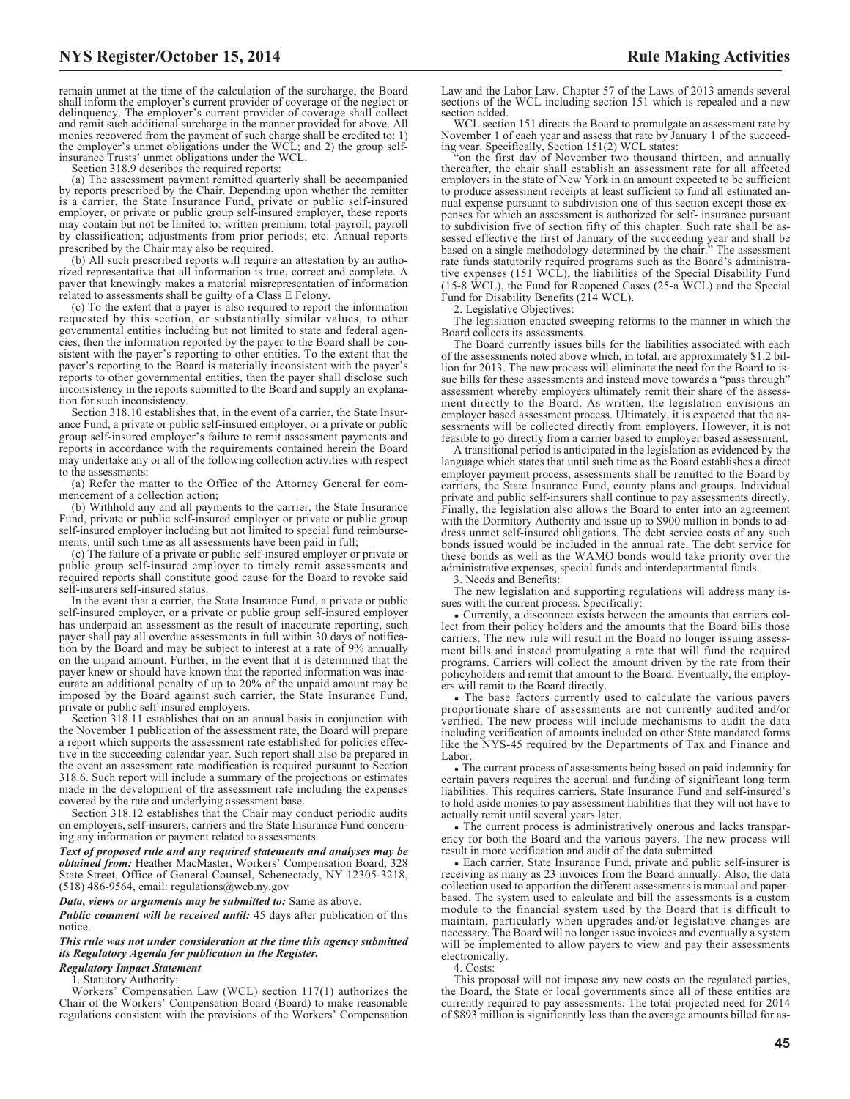remain unmet at the time of the calculation of the surcharge, the Board shall inform the employer's current provider of coverage of the neglect or delinquency. The employer's current provider of coverage shall collect and remit such additional surcharge in the manner provided for above. All monies recovered from the payment of such charge shall be credited to: 1) the employer's unmet obligations under the WCL; and 2) the group selfinsurance Trusts' unmet obligations under the WCL.

Section 318.9 describes the required reports:

(a) The assessment payment remitted quarterly shall be accompanied by reports prescribed by the Chair. Depending upon whether the remitter is a carrier, the State Insurance Fund, private or public self-insured employer, or private or public group self-insured employer, these reports may contain but not be limited to: written premium; total payroll; payroll by classification; adjustments from prior periods; etc. Annual reports prescribed by the Chair may also be required.

(b) All such prescribed reports will require an attestation by an authorized representative that all information is true, correct and complete. A payer that knowingly makes a material misrepresentation of information related to assessments shall be guilty of a Class E Felony.

(c) To the extent that a payer is also required to report the information requested by this section, or substantially similar values, to other governmental entities including but not limited to state and federal agencies, then the information reported by the payer to the Board shall be consistent with the payer's reporting to other entities. To the extent that the payer's reporting to the Board is materially inconsistent with the payer's reports to other governmental entities, then the payer shall disclose such inconsistency in the reports submitted to the Board and supply an explanation for such inconsistency.

Section 318.10 establishes that, in the event of a carrier, the State Insurance Fund, a private or public self-insured employer, or a private or public group self-insured employer's failure to remit assessment payments and reports in accordance with the requirements contained herein the Board may undertake any or all of the following collection activities with respect to the assessments:

(a) Refer the matter to the Office of the Attorney General for commencement of a collection action;

(b) Withhold any and all payments to the carrier, the State Insurance Fund, private or public self-insured employer or private or public group self-insured employer including but not limited to special fund reimbursements, until such time as all assessments have been paid in full;

(c) The failure of a private or public self-insured employer or private or public group self-insured employer to timely remit assessments and required reports shall constitute good cause for the Board to revoke said self-insurers self-insured status.

In the event that a carrier, the State Insurance Fund, a private or public self-insured employer, or a private or public group self-insured employer has underpaid an assessment as the result of inaccurate reporting, such payer shall pay all overdue assessments in full within 30 days of notification by the Board and may be subject to interest at a rate of 9% annually on the unpaid amount. Further, in the event that it is determined that the payer knew or should have known that the reported information was inaccurate an additional penalty of up to 20% of the unpaid amount may be imposed by the Board against such carrier, the State Insurance Fund, private or public self-insured employers.

Section 318.11 establishes that on an annual basis in conjunction with the November 1 publication of the assessment rate, the Board will prepare a report which supports the assessment rate established for policies effective in the succeeding calendar year. Such report shall also be prepared in the event an assessment rate modification is required pursuant to Section 318.6. Such report will include a summary of the projections or estimates made in the development of the assessment rate including the expenses covered by the rate and underlying assessment base.

Section 318.12 establishes that the Chair may conduct periodic audits on employers, self-insurers, carriers and the State Insurance Fund concerning any information or payment related to assessments.

*Text of proposed rule and any required statements and analyses may be obtained from:* Heather MacMaster, Workers' Compensation Board, 328 State Street, Office of General Counsel, Schenectady, NY 12305-3218, (518) 486-9564, email: [regulations@wcb.ny.gov](mailto: regulations@wcb.ny.gov)

*Data, views or arguments may be submitted to:* Same as above.

*Public comment will be received until:* 45 days after publication of this notice.

#### *This rule was not under consideration at the time this agency submitted its Regulatory Agenda for publication in the Register.*

*Regulatory Impact Statement*

1. Statutory Authority:

Workers' Compensation Law (WCL) section 117(1) authorizes the Chair of the Workers' Compensation Board (Board) to make reasonable regulations consistent with the provisions of the Workers' Compensation Law and the Labor Law. Chapter 57 of the Laws of 2013 amends several sections of the WCL including section 151 which is repealed and a new section added.

WCL section 151 directs the Board to promulgate an assessment rate by November 1 of each year and assess that rate by January 1 of the succeed-ing year. Specifically, Section 151(2) WCL states:

"on the first day of November two thousand thirteen, and annually thereafter, the chair shall establish an assessment rate for all affected employers in the state of New York in an amount expected to be sufficient to produce assessment receipts at least sufficient to fund all estimated annual expense pursuant to subdivision one of this section except those expenses for which an assessment is authorized for self- insurance pursuant to subdivision five of section fifty of this chapter. Such rate shall be assessed effective the first of January of the succeeding year and shall be based on a single methodology determined by the chair." The assessment rate funds statutorily required programs such as the Board's administrative expenses (151 WCL), the liabilities of the Special Disability Fund (15-8 WCL), the Fund for Reopened Cases (25-a WCL) and the Special Fund for Disability Benefits (214 WCL).

2. Legislative Objectives:

The legislation enacted sweeping reforms to the manner in which the Board collects its assessments.

The Board currently issues bills for the liabilities associated with each of the assessments noted above which, in total, are approximately \$1.2 billion for 2013. The new process will eliminate the need for the Board to issue bills for these assessments and instead move towards a "pass through" assessment whereby employers ultimately remit their share of the assessment directly to the Board. As written, the legislation envisions an employer based assessment process. Ultimately, it is expected that the assessments will be collected directly from employers. However, it is not feasible to go directly from a carrier based to employer based assessment.

A transitional period is anticipated in the legislation as evidenced by the language which states that until such time as the Board establishes a direct employer payment process, assessments shall be remitted to the Board by carriers, the State Insurance Fund, county plans and groups. Individual private and public self-insurers shall continue to pay assessments directly. Finally, the legislation also allows the Board to enter into an agreement with the Dormitory Authority and issue up to \$900 million in bonds to address unmet self-insured obligations. The debt service costs of any such bonds issued would be included in the annual rate. The debt service for these bonds as well as the WAMO bonds would take priority over the administrative expenses, special funds and interdepartmental funds.

3. Needs and Benefits:

The new legislation and supporting regulations will address many issues with the current process. Specifically:

• Currently, a disconnect exists between the amounts that carriers collect from their policy holders and the amounts that the Board bills those carriers. The new rule will result in the Board no longer issuing assessment bills and instead promulgating a rate that will fund the required programs. Carriers will collect the amount driven by the rate from their policyholders and remit that amount to the Board. Eventually, the employers will remit to the Board directly.

• The base factors currently used to calculate the various payers proportionate share of assessments are not currently audited and/or verified. The new process will include mechanisms to audit the data including verification of amounts included on other State mandated forms like the NYS-45 required by the Departments of Tax and Finance and Labor.

 $\bullet$  The current process of assessments being based on paid indemnity for certain payers requires the accrual and funding of significant long term liabilities. This requires carriers, State Insurance Fund and self-insured's to hold aside monies to pay assessment liabilities that they will not have to actually remit until several years later.

• The current process is administratively onerous and lacks transparency for both the Board and the various payers. The new process will result in more verification and audit of the data submitted.

D Each carrier, State Insurance Fund, private and public self-insurer is receiving as many as 23 invoices from the Board annually. Also, the data collection used to apportion the different assessments is manual and paperbased. The system used to calculate and bill the assessments is a custom module to the financial system used by the Board that is difficult to maintain, particularly when upgrades and/or legislative changes are necessary. The Board will no longer issue invoices and eventually a system will be implemented to allow payers to view and pay their assessments electronically.

4. Costs:

This proposal will not impose any new costs on the regulated parties, the Board, the State or local governments since all of these entities are currently required to pay assessments. The total projected need for 2014 of \$893 million is significantly less than the average amounts billed for as-